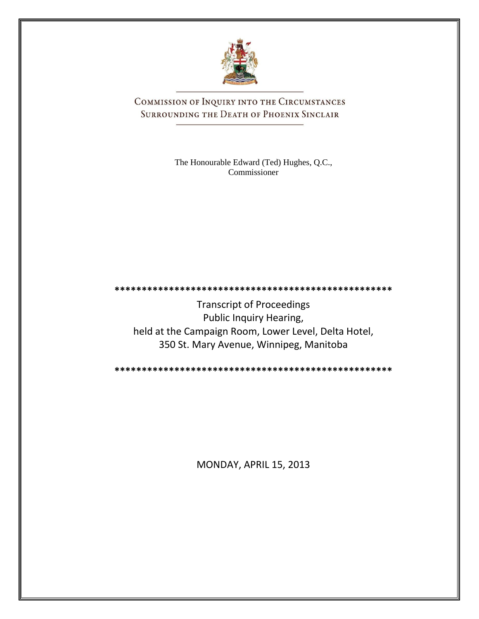

COMMISSION OF INQUIRY INTO THE CIRCUMSTANCES SURROUNDING THE DEATH OF PHOENIX SINCLAIR

> The Honourable Edward (Ted) Hughes, Q.C., Commissioner

**\*\*\*\*\*\*\*\*\*\*\*\*\*\*\*\*\*\*\*\*\*\*\*\*\*\*\*\*\*\*\*\*\*\*\*\*\*\*\*\*\*\*\*\*\*\*\*\*\*\*\*** Transcript of Proceedings Public Inquiry Hearing, held at the Campaign Room, Lower Level, Delta Hotel, 350 St. Mary Avenue, Winnipeg, Manitoba

**\*\*\*\*\*\*\*\*\*\*\*\*\*\*\*\*\*\*\*\*\*\*\*\*\*\*\*\*\*\*\*\*\*\*\*\*\*\*\*\*\*\*\*\*\*\*\*\*\*\*\***

MONDAY, APRIL 15, 2013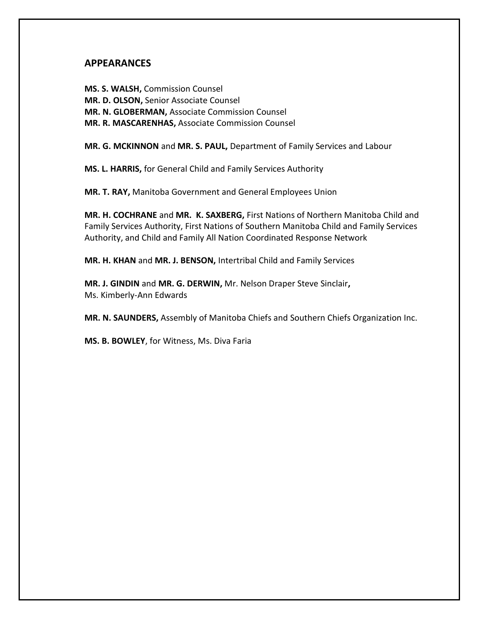## **APPEARANCES**

**MS. S. WALSH,** Commission Counsel **MR. D. OLSON,** Senior Associate Counsel **MR. N. GLOBERMAN,** Associate Commission Counsel **MR. R. MASCARENHAS,** Associate Commission Counsel

**MR. G. MCKINNON** and **MR. S. PAUL,** Department of Family Services and Labour

**MS. L. HARRIS,** for General Child and Family Services Authority

**MR. T. RAY,** Manitoba Government and General Employees Union

**MR. H. COCHRANE** and **MR. K. SAXBERG,** First Nations of Northern Manitoba Child and Family Services Authority, First Nations of Southern Manitoba Child and Family Services Authority, and Child and Family All Nation Coordinated Response Network

**MR. H. KHAN** and **MR. J. BENSON,** Intertribal Child and Family Services

**MR. J. GINDIN** and **MR. G. DERWIN,** Mr. Nelson Draper Steve Sinclair**,** Ms. Kimberly-Ann Edwards

**MR. N. SAUNDERS,** Assembly of Manitoba Chiefs and Southern Chiefs Organization Inc.

**MS. B. BOWLEY**, for Witness, Ms. Diva Faria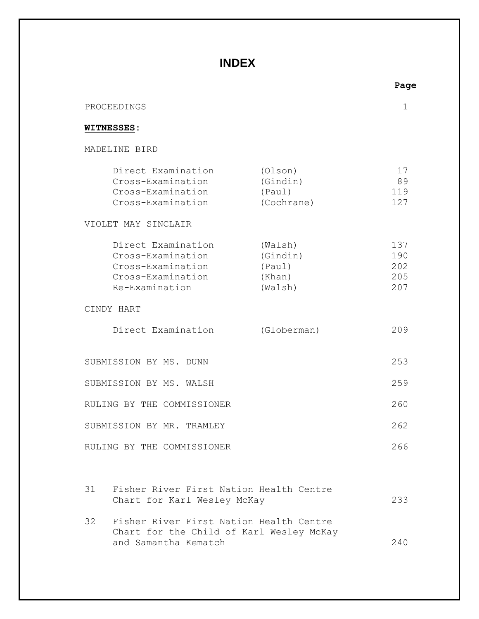# **INDEX**

|                                                                                                     |                                                    | Page                            |
|-----------------------------------------------------------------------------------------------------|----------------------------------------------------|---------------------------------|
| PROCEEDINGS                                                                                         |                                                    | 1                               |
| <b>WITNESSES:</b>                                                                                   |                                                    |                                 |
| MADELINE BIRD                                                                                       |                                                    |                                 |
| Direct Examination<br>Cross-Examination<br>Cross-Examination<br>Cross-Examination                   | (Olson)<br>(Gindin)<br>(Paul)<br>(Cochrane)        | 17<br>89<br>119<br>127          |
| VIOLET MAY SINCLAIR                                                                                 |                                                    |                                 |
| Direct Examination<br>Cross-Examination<br>Cross-Examination<br>Cross-Examination<br>Re-Examination | (Walsh)<br>(Gindin)<br>(Paul)<br>(Khan)<br>(Walsh) | 137<br>190<br>202<br>205<br>207 |
| CINDY HART                                                                                          |                                                    |                                 |
| Direct Examination                                                                                  | (Globerman)                                        | 209                             |
| SUBMISSION BY MS. DUNN                                                                              |                                                    | 253                             |
| SUBMISSION BY MS. WALSH                                                                             |                                                    | 259                             |
| RULING BY THE COMMISSIONER                                                                          |                                                    | 260                             |
| SUBMISSION BY MR. TRAMLEY                                                                           |                                                    | 262                             |
| RULING BY THE COMMISSIONER                                                                          |                                                    | 266                             |
|                                                                                                     |                                                    |                                 |
| Fisher River First Nation Health Centre<br>31<br>Chart for Karl Wesley McKay                        |                                                    | 233                             |
| Fisher River First Nation Health Centre<br>32<br>Chart for the Child of Karl Wesley McKay           |                                                    |                                 |
| and Samantha Kematch                                                                                |                                                    | 240                             |

**Page**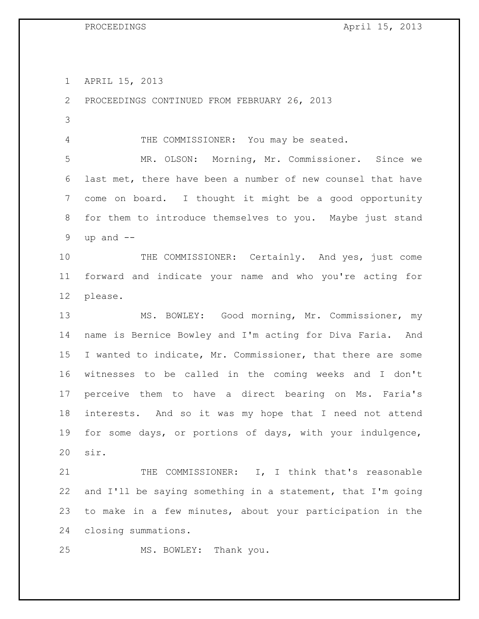APRIL 15, 2013

 PROCEEDINGS CONTINUED FROM FEBRUARY 26, 2013 4 THE COMMISSIONER: You may be seated. MR. OLSON: Morning, Mr. Commissioner. Since we last met, there have been a number of new counsel that have come on board. I thought it might be a good opportunity for them to introduce themselves to you. Maybe just stand 9 up and  $-$  THE COMMISSIONER: Certainly. And yes, just come forward and indicate your name and who you're acting for please. MS. BOWLEY: Good morning, Mr. Commissioner, my name is Bernice Bowley and I'm acting for Diva Faria. And I wanted to indicate, Mr. Commissioner, that there are some witnesses to be called in the coming weeks and I don't perceive them to have a direct bearing on Ms. Faria's interests. And so it was my hope that I need not attend for some days, or portions of days, with your indulgence, sir. THE COMMISSIONER: I, I think that's reasonable and I'll be saying something in a statement, that I'm going to make in a few minutes, about your participation in the closing summations.

MS. BOWLEY: Thank you.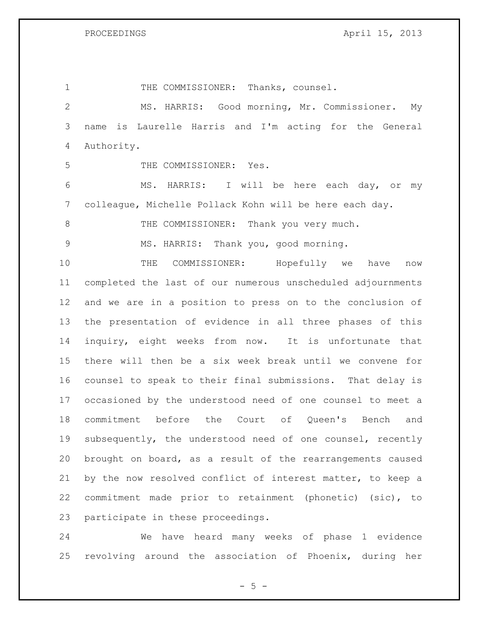1 THE COMMISSIONER: Thanks, counsel. MS. HARRIS: Good morning, Mr. Commissioner. My name is Laurelle Harris and I'm acting for the General Authority. THE COMMISSIONER: Yes. MS. HARRIS: I will be here each day, or my colleague, Michelle Pollack Kohn will be here each day. 8 THE COMMISSIONER: Thank you very much. MS. HARRIS: Thank you, good morning. THE COMMISSIONER: Hopefully we have now completed the last of our numerous unscheduled adjournments and we are in a position to press on to the conclusion of the presentation of evidence in all three phases of this inquiry, eight weeks from now. It is unfortunate that there will then be a six week break until we convene for counsel to speak to their final submissions. That delay is occasioned by the understood need of one counsel to meet a commitment before the Court of Queen's Bench and subsequently, the understood need of one counsel, recently brought on board, as a result of the rearrangements caused by the now resolved conflict of interest matter, to keep a commitment made prior to retainment (phonetic) (sic), to participate in these proceedings.

 We have heard many weeks of phase 1 evidence revolving around the association of Phoenix, during her

 $- 5 -$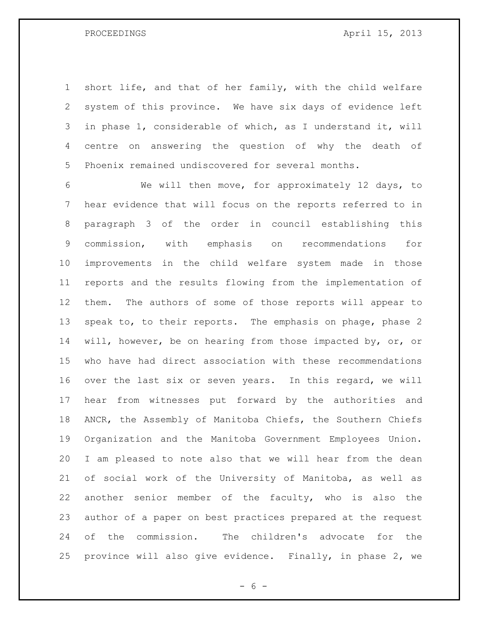short life, and that of her family, with the child welfare system of this province. We have six days of evidence left in phase 1, considerable of which, as I understand it, will centre on answering the question of why the death of Phoenix remained undiscovered for several months.

 We will then move, for approximately 12 days, to hear evidence that will focus on the reports referred to in paragraph 3 of the order in council establishing this commission, with emphasis on recommendations for improvements in the child welfare system made in those reports and the results flowing from the implementation of them. The authors of some of those reports will appear to speak to, to their reports. The emphasis on phage, phase 2 14 will, however, be on hearing from those impacted by, or, or who have had direct association with these recommendations over the last six or seven years. In this regard, we will hear from witnesses put forward by the authorities and ANCR, the Assembly of Manitoba Chiefs, the Southern Chiefs Organization and the Manitoba Government Employees Union. I am pleased to note also that we will hear from the dean of social work of the University of Manitoba, as well as another senior member of the faculty, who is also the author of a paper on best practices prepared at the request of the commission. The children's advocate for the province will also give evidence. Finally, in phase 2, we

 $- 6 -$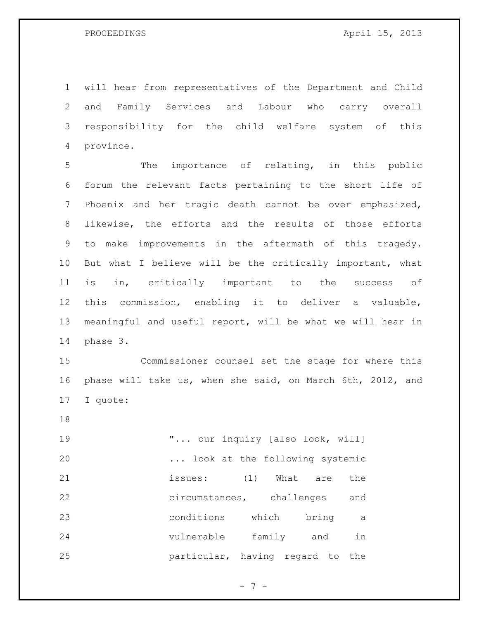will hear from representatives of the Department and Child and Family Services and Labour who carry overall responsibility for the child welfare system of this province.

 The importance of relating, in this public forum the relevant facts pertaining to the short life of Phoenix and her tragic death cannot be over emphasized, likewise, the efforts and the results of those efforts to make improvements in the aftermath of this tragedy. But what I believe will be the critically important, what is in, critically important to the success of this commission, enabling it to deliver a valuable, meaningful and useful report, will be what we will hear in phase 3.

 Commissioner counsel set the stage for where this phase will take us, when she said, on March 6th, 2012, and I quote:

 $\ldots$  our inquiry [also look, will] ... look at the following systemic issues: (1) What are the circumstances, challenges and conditions which bring a vulnerable family and in particular, having regard to the

 $- 7 -$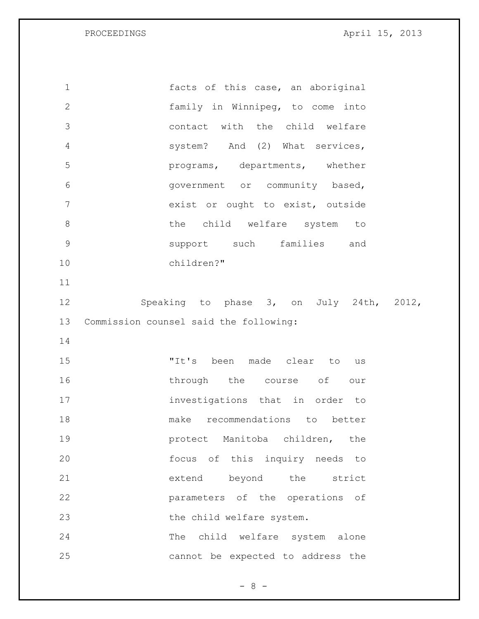facts of this case, an aboriginal family in Winnipeg, to come into contact with the child welfare system? And (2) What services, programs, departments, whether government or community based, exist or ought to exist, outside 8 bhe child welfare system to support such families and children?" Speaking to phase 3, on July 24th, 2012, Commission counsel said the following: "It's been made clear to us 16 through the course of our investigations that in order to make recommendations to better **19 protect** Manitoba children, the focus of this inquiry needs to extend beyond the strict parameters of the operations of 23 the child welfare system. The child welfare system alone cannot be expected to address the

 $- 8 -$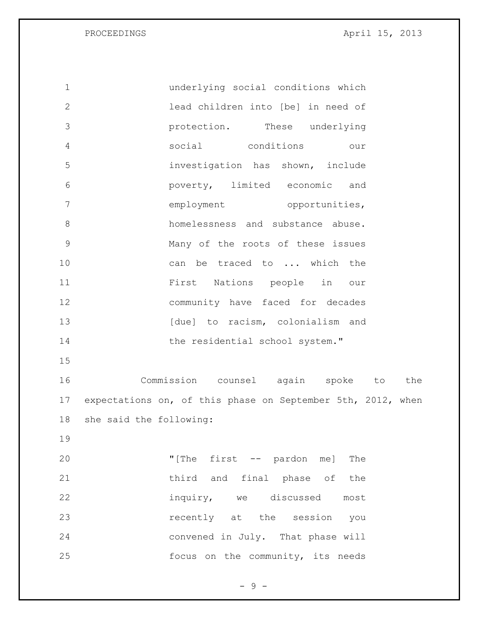underlying social conditions which lead children into [be] in need of protection. These underlying social conditions our investigation has shown, include poverty, limited economic and 7 employment opportunities, 8 homelessness and substance abuse. Many of the roots of these issues can be traced to ... which the First Nations people in our community have faced for decades 13 [due] to racism, colonialism and 14 the residential school system." Commission counsel again spoke to the expectations on, of this phase on September 5th, 2012, when she said the following: "[The first -- pardon me] The 21 third and final phase of the inquiry, we discussed most recently at the session you convened in July. That phase will focus on the community, its needs

 $-9 -$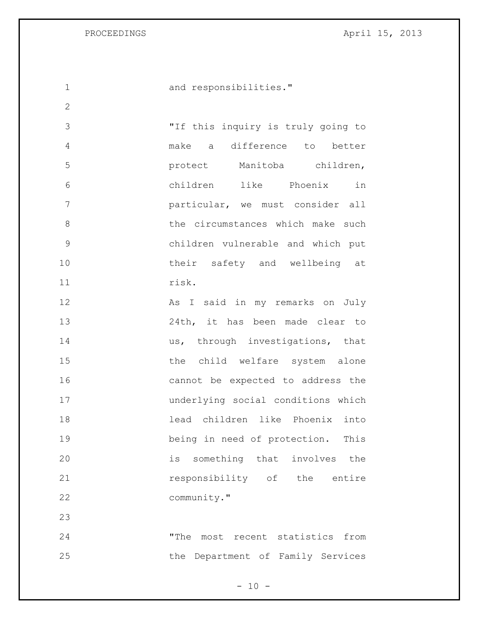and responsibilities."

 "If this inquiry is truly going to make a difference to better protect Manitoba children, children like Phoenix in particular, we must consider all 8 b the circumstances which make such children vulnerable and which put 10 their safety and wellbeing at risk.

12 As I said in my remarks on July 24th, it has been made clear to 14 us, through investigations, that 15 the child welfare system alone cannot be expected to address the underlying social conditions which lead children like Phoenix into being in need of protection. This is something that involves the **responsibility** of the entire community."

 "The most recent statistics from the Department of Family Services

 $- 10 -$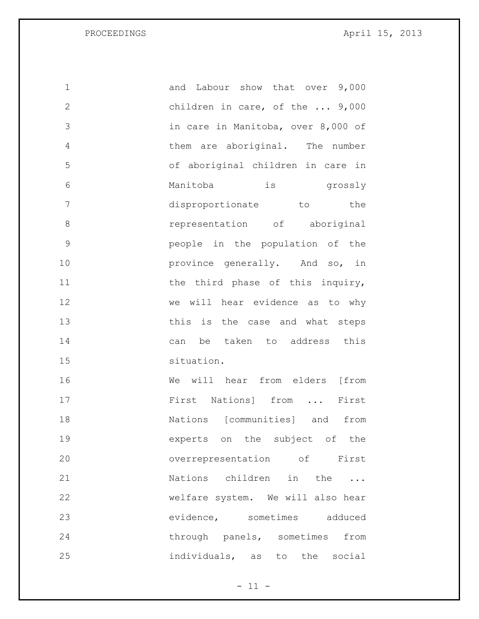| 1             | and Labour show that over 9,000         |
|---------------|-----------------------------------------|
| $\mathbf{2}$  | children in care, of the $\ldots$ 9,000 |
| 3             | in care in Manitoba, over 8,000 of      |
| 4             | them are aboriginal. The number         |
| 5             | of aboriginal children in care in       |
| 6             | is grossly<br>Manitoba                  |
| 7             | disproportionate to the                 |
| 8             | representation of aboriginal            |
| $\mathcal{G}$ | people in the population of the         |
| 10            | province generally. And so, in          |
| 11            | the third phase of this inquiry,        |
| 12            | we will hear evidence as to why         |
| 13            | this is the case and what steps         |
| 14            | can be taken to address this            |
| 15            | situation.                              |
| 16            | We will hear from elders [from          |
| 17            | First Nations] from<br>First            |
| 18            | Nations [communities] and from          |
| 19            | experts on the subject of the           |
| 20            | overrepresentation of First             |
| 21            | Nations children in the                 |
| 22            | welfare system. We will also hear       |
| 23            | evidence, sometimes adduced             |
| 24            | through panels, sometimes<br>from       |
| 25            | individuals, as<br>to the social        |

 $- 11 -$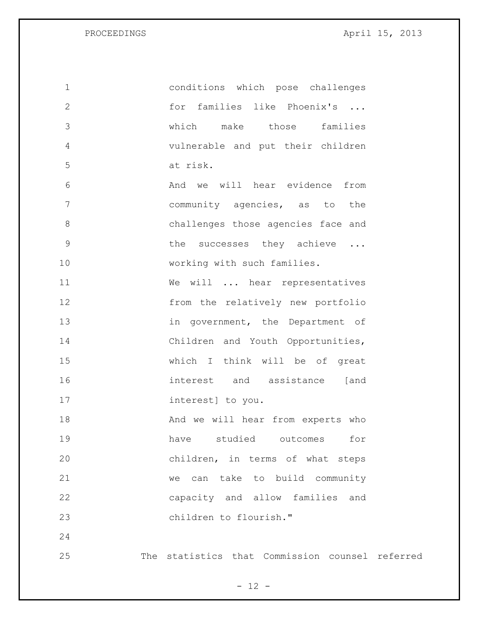| $\mathbf 1$  | conditions which pose challenges                |
|--------------|-------------------------------------------------|
| $\mathbf{2}$ | for families like Phoenix's                     |
| 3            | which<br>make those families                    |
| 4            | vulnerable and put their children               |
| 5            | at risk.                                        |
| 6            | And we will hear evidence from                  |
| 7            | community agencies, as to the                   |
| $8\,$        | challenges those agencies face and              |
| $\mathsf 9$  | the successes they achieve                      |
| 10           | working with such families.                     |
| 11           | We will  hear representatives                   |
| 12           | from the relatively new portfolio               |
| 13           | in government, the Department of                |
| 14           | Children and Youth Opportunities,               |
| 15           | which I think will be of great                  |
| 16           | interest and assistance [and                    |
| 17           | interest] to you.                               |
| 18           | And we will hear from experts who               |
| 19           | have studied outcomes<br>for                    |
| 20           | children, in terms of what steps                |
| 21           | can take to build community<br>we               |
| 22           | capacity and allow families and                 |
| 23           | children to flourish."                          |
| 24           |                                                 |
| 25           | The statistics that Commission counsel referred |

- 12 -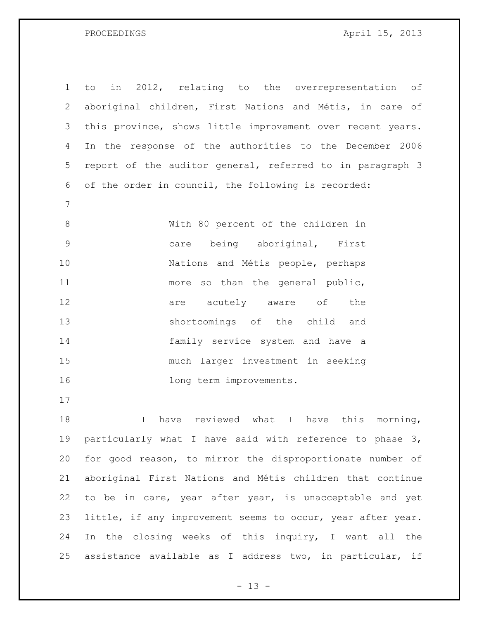| $\mathbf 1$ | in 2012, relating to the overrepresentation of<br>to         |
|-------------|--------------------------------------------------------------|
| 2           | aboriginal children, First Nations and Métis, in care of     |
| 3           | this province, shows little improvement over recent years.   |
| 4           | In the response of the authorities to the December 2006      |
| 5           | report of the auditor general, referred to in paragraph 3    |
| 6           | of the order in council, the following is recorded:          |
| 7           |                                                              |
| 8           | With 80 percent of the children in                           |
| 9           | being aboriginal, First<br>care                              |
| 10          | Nations and Métis people, perhaps                            |
| 11          | more so than the general public,                             |
| 12          | are acutely aware of<br>the                                  |
| 13          | shortcomings of the child and                                |
| 14          | family service system and have a                             |
| 15          | much larger investment in seeking                            |
| 16          | long term improvements.                                      |
| 17          |                                                              |
| 18          | reviewed what<br>I have this morning,<br>$\mathbf I$<br>have |

 particularly what I have said with reference to phase 3, for good reason, to mirror the disproportionate number of aboriginal First Nations and Métis children that continue to be in care, year after year, is unacceptable and yet little, if any improvement seems to occur, year after year. In the closing weeks of this inquiry, I want all the assistance available as I address two, in particular, if

 $- 13 -$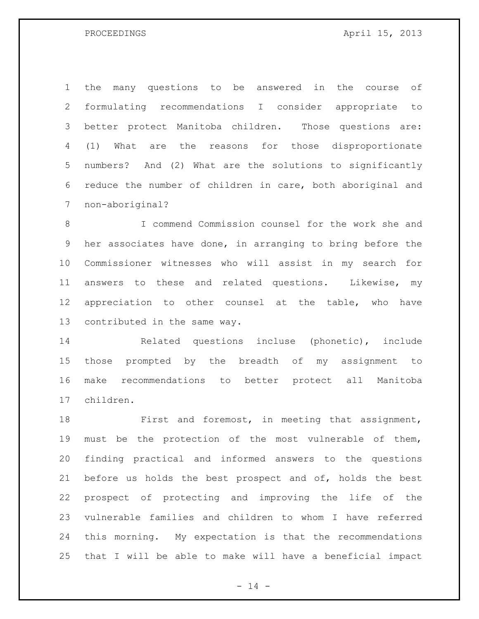the many questions to be answered in the course of formulating recommendations I consider appropriate to better protect Manitoba children. Those questions are: (1) What are the reasons for those disproportionate numbers? And (2) What are the solutions to significantly reduce the number of children in care, both aboriginal and non-aboriginal?

 I commend Commission counsel for the work she and her associates have done, in arranging to bring before the Commissioner witnesses who will assist in my search for answers to these and related questions. Likewise, my appreciation to other counsel at the table, who have contributed in the same way.

 Related questions incluse (phonetic), include those prompted by the breadth of my assignment to make recommendations to better protect all Manitoba children.

 First and foremost, in meeting that assignment, must be the protection of the most vulnerable of them, finding practical and informed answers to the questions before us holds the best prospect and of, holds the best prospect of protecting and improving the life of the vulnerable families and children to whom I have referred this morning. My expectation is that the recommendations that I will be able to make will have a beneficial impact

 $- 14 -$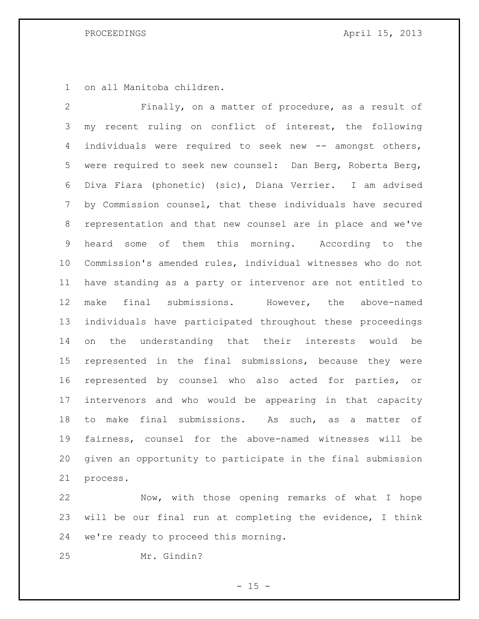on all Manitoba children.

 Finally, on a matter of procedure, as a result of my recent ruling on conflict of interest, the following 4 individuals were required to seek new -- amongst others, were required to seek new counsel: Dan Berg, Roberta Berg, Diva Fiara (phonetic) (sic), Diana Verrier. I am advised by Commission counsel, that these individuals have secured representation and that new counsel are in place and we've heard some of them this morning. According to the Commission's amended rules, individual witnesses who do not have standing as a party or intervenor are not entitled to make final submissions. However, the above-named individuals have participated throughout these proceedings on the understanding that their interests would be represented in the final submissions, because they were represented by counsel who also acted for parties, or intervenors and who would be appearing in that capacity to make final submissions. As such, as a matter of fairness, counsel for the above-named witnesses will be given an opportunity to participate in the final submission process.

 Now, with those opening remarks of what I hope will be our final run at completing the evidence, I think we're ready to proceed this morning.

Mr. Gindin?

 $- 15 -$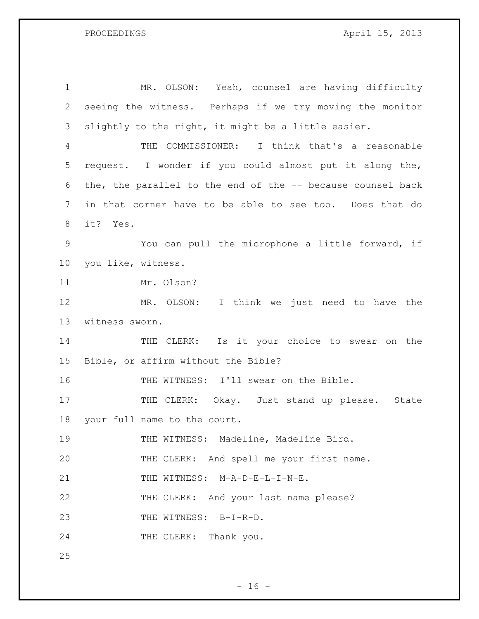MR. OLSON: Yeah, counsel are having difficulty seeing the witness. Perhaps if we try moving the monitor slightly to the right, it might be a little easier. THE COMMISSIONER: I think that's a reasonable request. I wonder if you could almost put it along the, the, the parallel to the end of the -- because counsel back in that corner have to be able to see too. Does that do it? Yes. You can pull the microphone a little forward, if you like, witness. Mr. Olson? MR. OLSON: I think we just need to have the witness sworn. 14 THE CLERK: Is it your choice to swear on the Bible, or affirm without the Bible? 16 THE WITNESS: I'll swear on the Bible. 17 THE CLERK: Okay. Just stand up please. State your full name to the court. THE WITNESS: Madeline, Madeline Bird. THE CLERK: And spell me your first name. 21 THE WITNESS: M-A-D-E-L-I-N-E. THE CLERK: And your last name please? THE WITNESS: B-I-R-D. 24 THE CLERK: Thank you.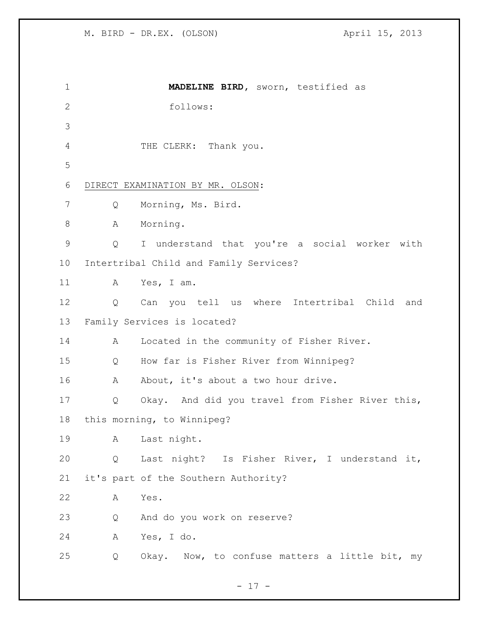| 1             |   | MADELINE BIRD, sworn, testified as               |
|---------------|---|--------------------------------------------------|
| $\mathbf{2}$  |   | follows:                                         |
| 3             |   |                                                  |
| 4             |   | THE CLERK: Thank you.                            |
| 5             |   |                                                  |
| 6             |   | DIRECT EXAMINATION BY MR. OLSON:                 |
| 7             | Q | Morning, Ms. Bird.                               |
| $\,8\,$       | А | Morning.                                         |
| $\mathcal{G}$ | Q | I understand that you're a social worker with    |
| 10            |   | Intertribal Child and Family Services?           |
| 11            | A | Yes, I am.                                       |
| 12            | Q | Can you tell us where Intertribal Child and      |
| 13            |   | Family Services is located?                      |
| 14            | A | Located in the community of Fisher River.        |
| 15            | Q | How far is Fisher River from Winnipeg?           |
| 16            | A | About, it's about a two hour drive.              |
| 17            | Q | Okay. And did you travel from Fisher River this, |
| 18            |   | this morning, to Winnipeg?                       |
| 19            | Α | Last night.                                      |
| 20            | Q | Last night? Is Fisher River, I understand it,    |
| 21            |   | it's part of the Southern Authority?             |
| 22            | А | Yes.                                             |
| 23            | Q | And do you work on reserve?                      |
| 24            | Α | Yes, I do.                                       |
| 25            | Q | Okay. Now, to confuse matters a little bit, my   |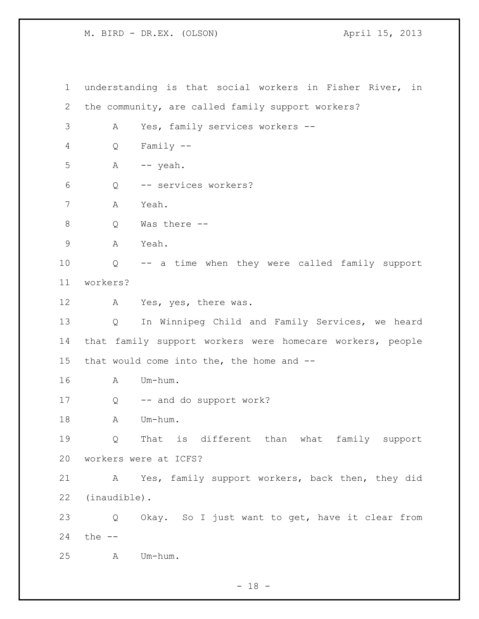understanding is that social workers in Fisher River, in the community, are called family support workers? A Yes, family services workers -- Q Family -- A  $-$  yeah. Q -- services workers? A Yeah. Q Was there -- A Yeah. Q -- a time when they were called family support workers? A Yes, yes, there was. Q In Winnipeg Child and Family Services, we heard that family support workers were homecare workers, people that would come into the, the home and -- A Um-hum. Q -- and do support work? 18 A Um-hum. Q That is different than what family support workers were at ICFS? A Yes, family support workers, back then, they did (inaudible). Q Okay. So I just want to get, have it clear from the -- A Um-hum.

- 18 -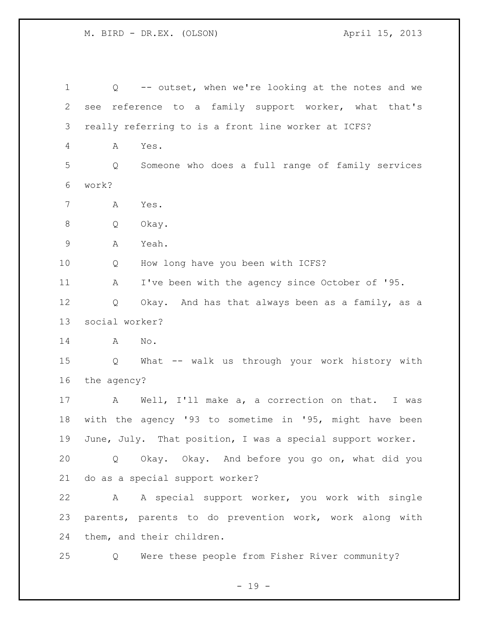| $\mathbf 1$ | $Q \qquad \qquad$ | -- outset, when we're looking at the notes and we          |
|-------------|-------------------|------------------------------------------------------------|
| 2           | see               | reference to a family support worker, what that's          |
| 3           |                   | really referring to is a front line worker at ICFS?        |
| 4           | Α                 | Yes.                                                       |
| 5           | Q                 | Someone who does a full range of family services           |
| 6           | work?             |                                                            |
| 7           | А                 | Yes.                                                       |
| $\,8\,$     | Q                 | Okay.                                                      |
| $\mathsf 9$ | Α                 | Yeah.                                                      |
| 10          | Q                 | How long have you been with ICFS?                          |
| 11          | A                 | I've been with the agency since October of '95.            |
| 12          | Q                 | Okay. And has that always been as a family, as a           |
| 13          | social worker?    |                                                            |
| 14          | Α                 | No.                                                        |
| 15          | $\overline{Q}$    | What -- walk us through your work history with             |
| 16          | the agency?       |                                                            |
| 17          | A                 | Well, I'll make a, a correction on that. I was             |
| 18          |                   | with the agency '93 to sometime in '95, might have been    |
| 19          |                   | June, July. That position, I was a special support worker. |
| 20          | $\mathsf{Q}$      | Okay. Okay. And before you go on, what did you             |
| 21          |                   | do as a special support worker?                            |
| 22          | A                 | A special support worker, you work with single             |
| 23          |                   | parents, parents to do prevention work, work along with    |
| 24          |                   | them, and their children.                                  |
| 25          | Q                 | Were these people from Fisher River community?             |

- 19 -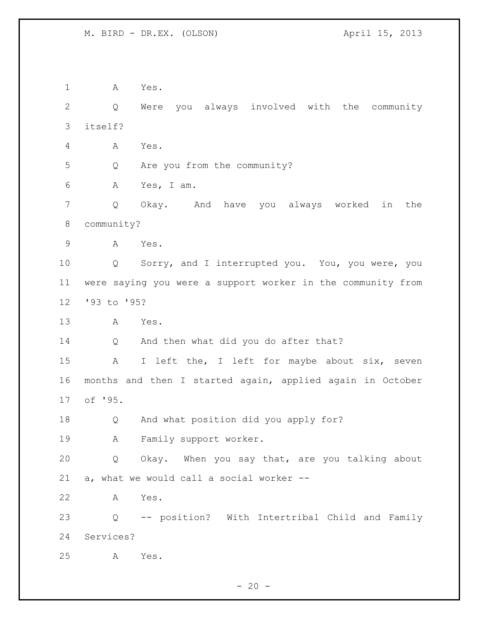A Yes. Q Were you always involved with the community itself? A Yes. Q Are you from the community? A Yes, I am. Q Okay. And have you always worked in the community? A Yes. Q Sorry, and I interrupted you. You, you were, you were saying you were a support worker in the community from '93 to '95? A Yes. Q And then what did you do after that? A I left the, I left for maybe about six, seven months and then I started again, applied again in October of '95. Q And what position did you apply for? A Family support worker. Q Okay. When you say that, are you talking about a, what we would call a social worker -- A Yes. Q -- position? With Intertribal Child and Family Services? A Yes.

 $- 20 -$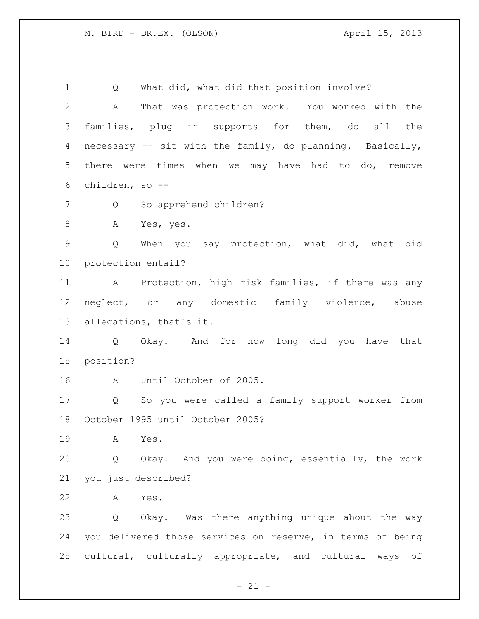Q What did, what did that position involve? A That was protection work. You worked with the families, plug in supports for them, do all the necessary -- sit with the family, do planning. Basically, there were times when we may have had to do, remove children, so -- 7 Q So apprehend children? A Yes, yes. Q When you say protection, what did, what did protection entail? A Protection, high risk families, if there was any neglect, or any domestic family violence, abuse allegations, that's it. Q Okay. And for how long did you have that position? A Until October of 2005. Q So you were called a family support worker from October 1995 until October 2005? A Yes. Q Okay. And you were doing, essentially, the work you just described? A Yes. Q Okay. Was there anything unique about the way you delivered those services on reserve, in terms of being cultural, culturally appropriate, and cultural ways of

 $- 21 -$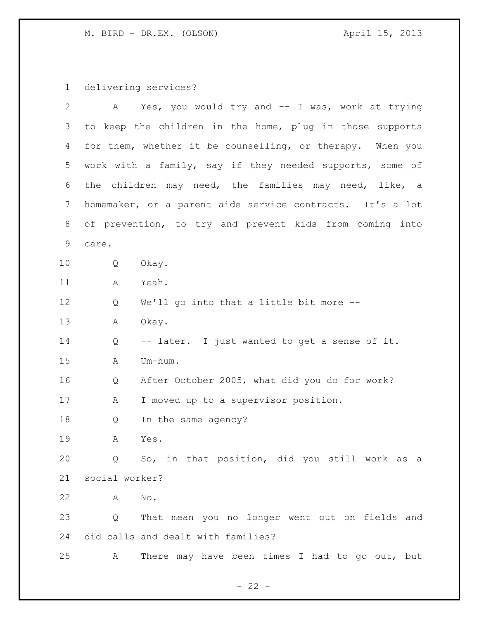M. BIRD - DR.EX. (OLSON) M. BIRD - DR.EX. (OLSON)

delivering services?

| $\overline{2}$ |                                                         | A Yes, you would try and -- I was, work at trying         |
|----------------|---------------------------------------------------------|-----------------------------------------------------------|
| 3              |                                                         | to keep the children in the home, plug in those supports  |
| 4              |                                                         | for them, whether it be counselling, or therapy. When you |
| 5              |                                                         | work with a family, say if they needed supports, some of  |
| 6              |                                                         | the children may need, the families may need, like, a     |
| 7              |                                                         | homemaker, or a parent aide service contracts. It's a lot |
| 8              | of prevention, to try and prevent kids from coming into |                                                           |
| 9              | care.                                                   |                                                           |
| 10             | Q                                                       | Okay.                                                     |
| 11             | A                                                       | Yeah.                                                     |
| 12             | Q                                                       | We'll go into that a little bit more --                   |
| 13             | Α                                                       | Okay.                                                     |
| 14             | Q                                                       | -- later. I just wanted to get a sense of it.             |
| 15             | A                                                       | Um-hum.                                                   |
| 16             | Q                                                       | After October 2005, what did you do for work?             |
| 17             | A                                                       | I moved up to a supervisor position.                      |
| 18             | Q                                                       | In the same agency?                                       |
| 19             | Α                                                       | Yes.                                                      |
| 20             | Q                                                       | So, in that position, did you still work as a             |
| 21             | social worker?                                          |                                                           |
| 22             | Α                                                       | No.                                                       |
| 23             | Q                                                       | That mean you no longer went out on fields and            |
| 24             |                                                         | did calls and dealt with families?                        |
| 25             | A                                                       | There may have been times I had to go out, but            |

- 22 -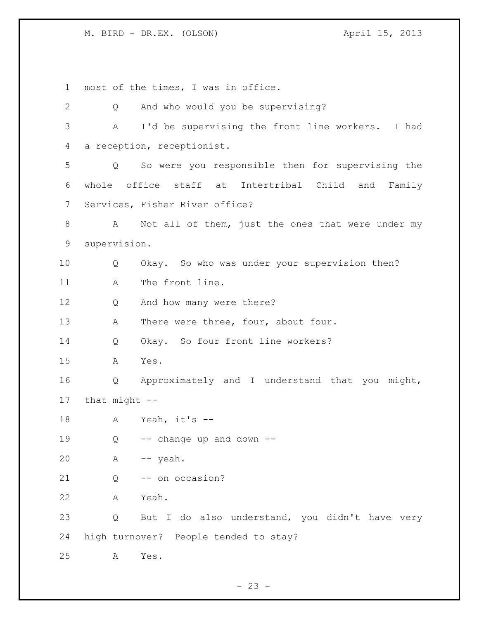M. BIRD - DR.EX. (OLSON)  $\blacksquare$  April 15, 2013

 most of the times, I was in office. Q And who would you be supervising? A I'd be supervising the front line workers. I had a reception, receptionist. Q So were you responsible then for supervising the whole office staff at Intertribal Child and Family Services, Fisher River office? 8 A Not all of them, just the ones that were under my supervision. Q Okay. So who was under your supervision then? 11 A The front line. 12 Q And how many were there? 13 A There were three, four, about four. Q Okay. So four front line workers? A Yes. Q Approximately and I understand that you might, that might -- A Yeah, it's -- 19 0 -- change up and down -- A -- yeah. 21 0 -- on occasion? A Yeah. Q But I do also understand, you didn't have very high turnover? People tended to stay? A Yes.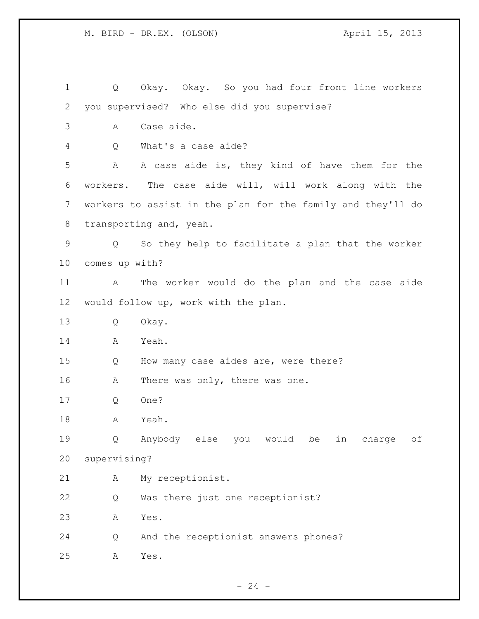Q Okay. Okay. So you had four front line workers you supervised? Who else did you supervise? A Case aide. Q What's a case aide? A A case aide is, they kind of have them for the workers. The case aide will, will work along with the workers to assist in the plan for the family and they'll do transporting and, yeah. Q So they help to facilitate a plan that the worker comes up with? A The worker would do the plan and the case aide would follow up, work with the plan. Q Okay. A Yeah. Q How many case aides are, were there? 16 A There was only, there was one. Q One? A Yeah. Q Anybody else you would be in charge of supervising? A My receptionist. Q Was there just one receptionist? A Yes. Q And the receptionist answers phones? A Yes.

 $- 24 -$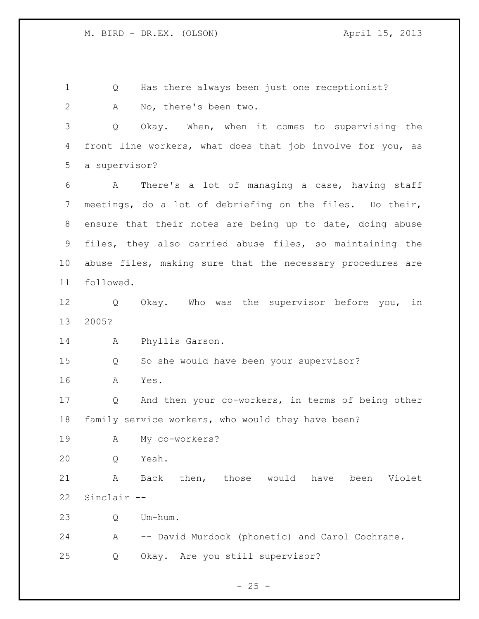Q Has there always been just one receptionist? A No, there's been two. Q Okay. When, when it comes to supervising the front line workers, what does that job involve for you, as a supervisor? A There's a lot of managing a case, having staff meetings, do a lot of debriefing on the files. Do their, ensure that their notes are being up to date, doing abuse files, they also carried abuse files, so maintaining the abuse files, making sure that the necessary procedures are followed. Q Okay. Who was the supervisor before you, in 2005? A Phyllis Garson. Q So she would have been your supervisor? A Yes. Q And then your co-workers, in terms of being other family service workers, who would they have been? A My co-workers? Q Yeah. A Back then, those would have been Violet Sinclair -- Q Um-hum. A -- David Murdock (phonetic) and Carol Cochrane. Q Okay. Are you still supervisor?

 $- 25 -$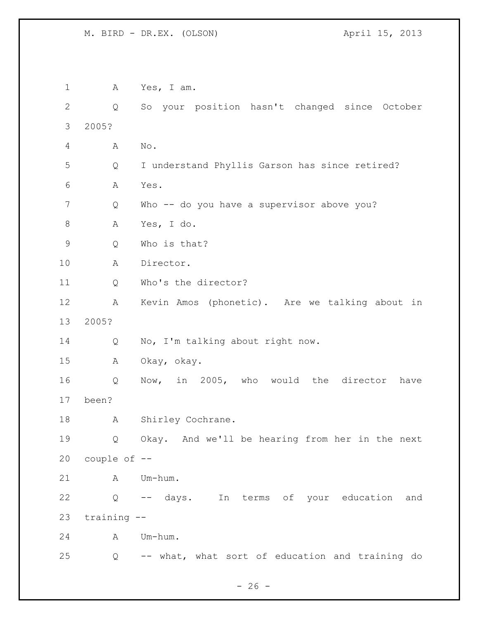A Yes, I am. Q So your position hasn't changed since October 2005? A No. Q I understand Phyllis Garson has since retired? A Yes. Q Who -- do you have a supervisor above you? A Yes, I do. Q Who is that? A Director. Q Who's the director? A Kevin Amos (phonetic). Are we talking about in 2005? Q No, I'm talking about right now. A Okay, okay. Q Now, in 2005, who would the director have been? 18 A Shirley Cochrane. Q Okay. And we'll be hearing from her in the next couple of -- A Um-hum. Q -- days. In terms of your education and training -- A Um-hum. Q -- what, what sort of education and training do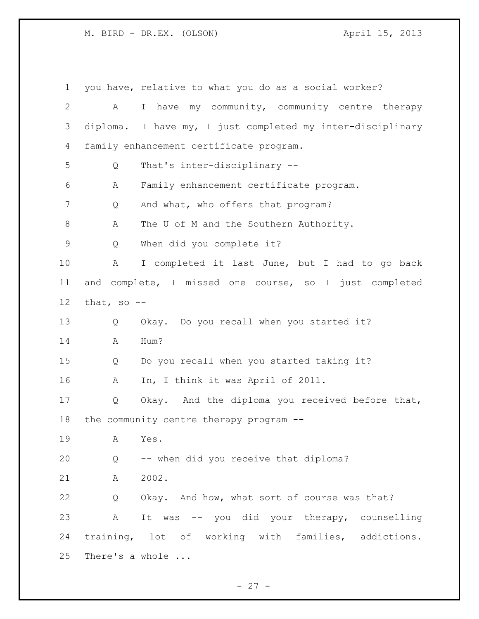| $\mathbf 1$    |              | you have, relative to what you do as a social worker?      |
|----------------|--------------|------------------------------------------------------------|
| $\overline{2}$ | A            | I have my community, community centre therapy              |
| 3              |              | diploma. I have my, I just completed my inter-disciplinary |
| 4              |              | family enhancement certificate program.                    |
| 5              | Q            | That's inter-disciplinary --                               |
| 6              | Α            | Family enhancement certificate program.                    |
| 7              | Q            | And what, who offers that program?                         |
| 8              | Α            | The U of M and the Southern Authority.                     |
| 9              | Q            | When did you complete it?                                  |
| 10             | Α            | I completed it last June, but I had to go back             |
| 11             |              | and complete, I missed one course, so I just completed     |
| 12             | that, so $-$ |                                                            |
| 13             | Q            | Okay. Do you recall when you started it?                   |
| 14             | Α            | Hum?                                                       |
| 15             | Q            | Do you recall when you started taking it?                  |
| 16             | Α            | In, I think it was April of 2011.                          |
| 17             | Q            | Okay. And the diploma you received before that,            |
| 18             |              | the community centre therapy program --                    |
| 19             | Α            | Yes.                                                       |
| 20             | Q            | -- when did you receive that diploma?                      |
| 21             | Α            | 2002.                                                      |
| 22             | Q            | Okay. And how, what sort of course was that?               |
| 23             | Α            | It was -- you did your therapy, counselling                |
| 24             |              | training, lot of working with families, addictions.        |
| 25             |              | There's a whole                                            |

- 27 -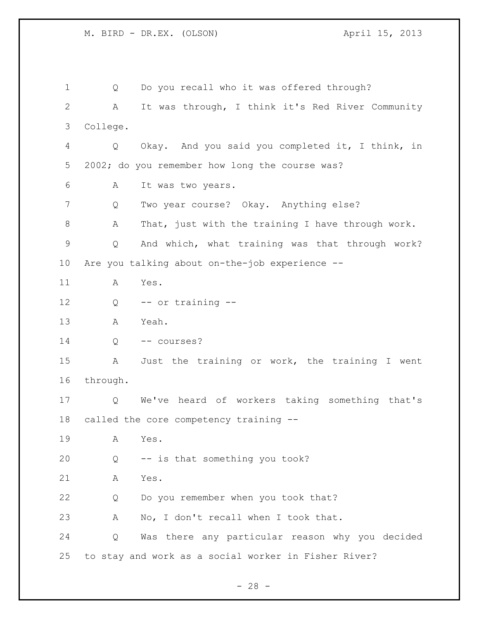Q Do you recall who it was offered through? A It was through, I think it's Red River Community College. Q Okay. And you said you completed it, I think, in 2002; do you remember how long the course was? A It was two years. Q Two year course? Okay. Anything else? A That, just with the training I have through work. Q And which, what training was that through work? Are you talking about on-the-job experience -- A Yes. Q -- or training -- A Yeah. 14 Q -- courses? A Just the training or work, the training I went through. Q We've heard of workers taking something that's called the core competency training -- A Yes. Q -- is that something you took? A Yes. Q Do you remember when you took that? A No, I don't recall when I took that. Q Was there any particular reason why you decided to stay and work as a social worker in Fisher River?

 $- 28 -$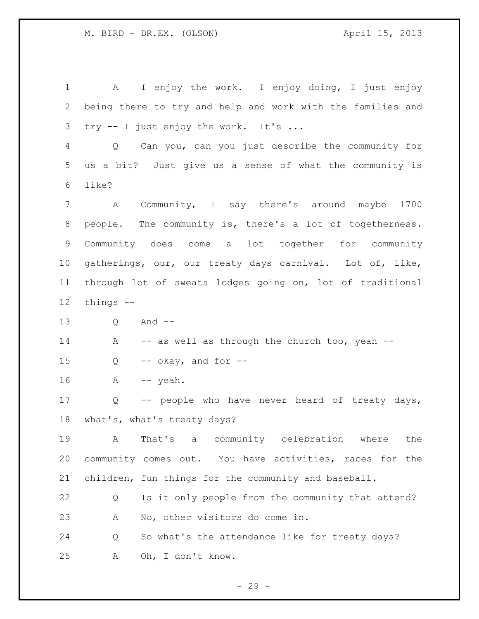A I enjoy the work. I enjoy doing, I just enjoy being there to try and help and work with the families and try -- I just enjoy the work. It's ... Q Can you, can you just describe the community for us a bit? Just give us a sense of what the community is like? A Community, I say there's around maybe 1700 people. The community is, there's a lot of togetherness. Community does come a lot together for community gatherings, our, our treaty days carnival. Lot of, like, through lot of sweats lodges going on, lot of traditional things -- Q And -- 14 A -- as well as through the church too, yeah -- $Q \leftarrow -\alpha k a y$ , and for  $-\alpha$  A -- yeah. Q -- people who have never heard of treaty days, what's, what's treaty days? A That's a community celebration where the community comes out. You have activities, races for the children, fun things for the community and baseball. Q Is it only people from the community that attend? A No, other visitors do come in. Q So what's the attendance like for treaty days? A Oh, I don't know.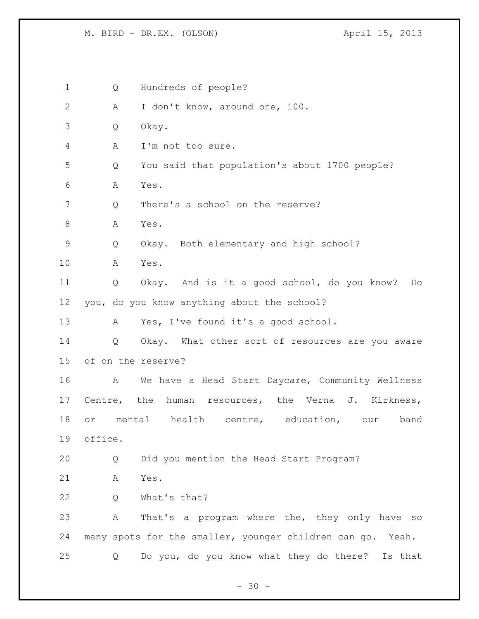Q Hundreds of people? A I don't know, around one, 100. Q Okay. A I'm not too sure. Q You said that population's about 1700 people? A Yes. 7 Q There's a school on the reserve? 8 A Yes. Q Okay. Both elementary and high school? A Yes. Q Okay. And is it a good school, do you know? Do you, do you know anything about the school? A Yes, I've found it's a good school. Q Okay. What other sort of resources are you aware of on the reserve? A We have a Head Start Daycare, Community Wellness Centre, the human resources, the Verna J. Kirkness, or mental health centre, education, our band office. Q Did you mention the Head Start Program? A Yes. Q What's that? A That's a program where the, they only have so many spots for the smaller, younger children can go. Yeah. Q Do you, do you know what they do there? Is that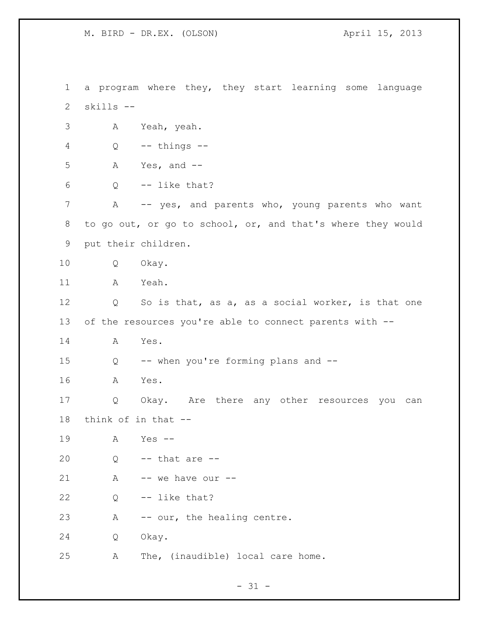a program where they, they start learning some language skills -- A Yeah, yeah. Q -- things -- A Yes, and -- Q  $-$  like that? 7 A -- yes, and parents who, young parents who want to go out, or go to school, or, and that's where they would put their children. Q Okay. A Yeah. 12 Q So is that, as a, as a social worker, is that one of the resources you're able to connect parents with -- A Yes. Q -- when you're forming plans and -- A Yes. Q Okay. Are there any other resources you can think of in that -- A Yes -- Q -- that are -- A  $-$  we have our  $-$  Q -- like that? A -- our, the healing centre. Q Okay. A The, (inaudible) local care home.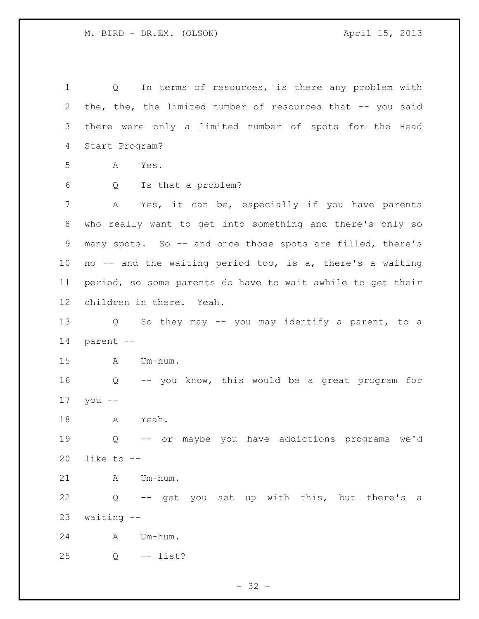Q In terms of resources, is there any problem with 2 the, the, the limited number of resources that -- you said there were only a limited number of spots for the Head Start Program? A Yes. Q Is that a problem? A Yes, it can be, especially if you have parents who really want to get into something and there's only so many spots. So -- and once those spots are filled, there's no -- and the waiting period too, is a, there's a waiting period, so some parents do have to wait awhile to get their children in there. Yeah. Q So they may -- you may identify a parent, to a parent -- A Um-hum. Q -- you know, this would be a great program for you -- A Yeah. Q -- or maybe you have addictions programs we'd like to -- A Um-hum. Q -- get you set up with this, but there's a waiting -- A Um-hum. Q -- list?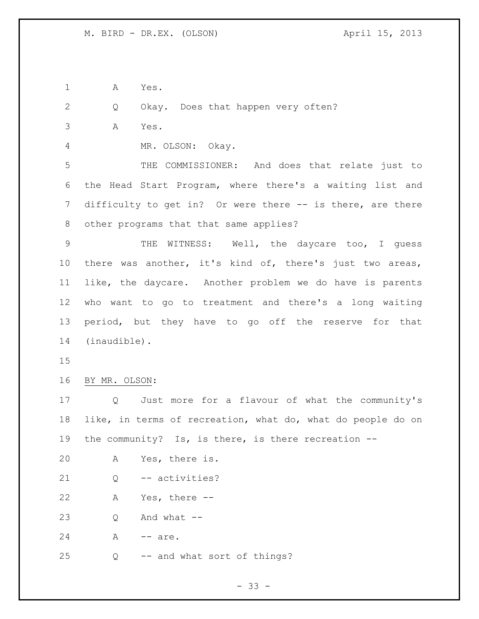$- 33 -$  A Yes. Q Okay. Does that happen very often? A Yes. MR. OLSON: Okay. THE COMMISSIONER: And does that relate just to the Head Start Program, where there's a waiting list and difficulty to get in? Or were there -- is there, are there other programs that that same applies? THE WITNESS: Well, the daycare too, I guess there was another, it's kind of, there's just two areas, like, the daycare. Another problem we do have is parents who want to go to treatment and there's a long waiting period, but they have to go off the reserve for that (inaudible). BY MR. OLSON: Q Just more for a flavour of what the community's like, in terms of recreation, what do, what do people do on the community? Is, is there, is there recreation -- A Yes, there is. Q -- activities? A Yes, there -- Q And what -- 24 A -- are. Q -- and what sort of things?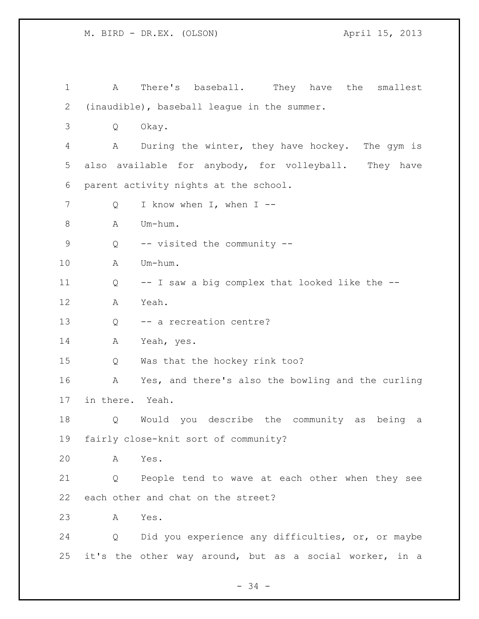A There's baseball. They have the smallest (inaudible), baseball league in the summer. Q Okay. A During the winter, they have hockey. The gym is also available for anybody, for volleyball. They have parent activity nights at the school. 7 Q I know when I, when I -- A Um-hum. Q -- visited the community -- A Um-hum. Q -- I saw a big complex that looked like the -- A Yeah. Q -- a recreation centre? A Yeah, yes. Q Was that the hockey rink too? A Yes, and there's also the bowling and the curling in there. Yeah. Q Would you describe the community as being a fairly close-knit sort of community? A Yes. Q People tend to wave at each other when they see each other and chat on the street? A Yes. Q Did you experience any difficulties, or, or maybe it's the other way around, but as a social worker, in a

- 34 -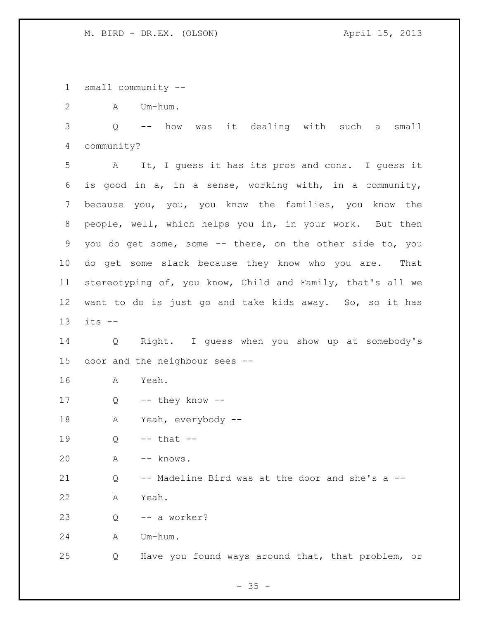small community --

A Um-hum.

 Q -- how was it dealing with such a small community?

 A It, I guess it has its pros and cons. I guess it is good in a, in a sense, working with, in a community, because you, you, you know the families, you know the people, well, which helps you in, in your work. But then you do get some, some -- there, on the other side to, you do get some slack because they know who you are. That stereotyping of, you know, Child and Family, that's all we want to do is just go and take kids away. So, so it has its --

 Q Right. I guess when you show up at somebody's door and the neighbour sees --

A Yeah.

Q -- they know --

A Yeah, everybody --

19  $Q \leftarrow -$  that  $-$ 

A -- knows.

Q -- Madeline Bird was at the door and she's a --

A Yeah.

Q -- a worker?

A Um-hum.

Q Have you found ways around that, that problem, or

 $- 35 -$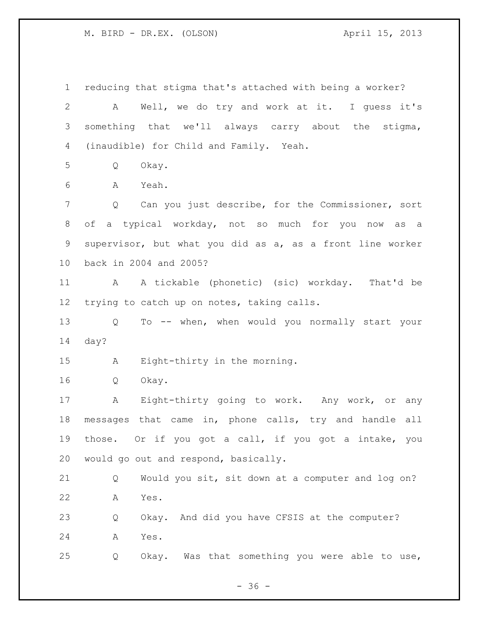reducing that stigma that's attached with being a worker? A Well, we do try and work at it. I guess it's something that we'll always carry about the stigma, (inaudible) for Child and Family. Yeah. Q Okay. A Yeah. Q Can you just describe, for the Commissioner, sort of a typical workday, not so much for you now as a supervisor, but what you did as a, as a front line worker back in 2004 and 2005? A A tickable (phonetic) (sic) workday. That'd be trying to catch up on notes, taking calls. Q To -- when, when would you normally start your day? A Eight-thirty in the morning. Q Okay. A Eight-thirty going to work. Any work, or any messages that came in, phone calls, try and handle all those. Or if you got a call, if you got a intake, you would go out and respond, basically. Q Would you sit, sit down at a computer and log on? A Yes. Q Okay. And did you have CFSIS at the computer? A Yes. Q Okay. Was that something you were able to use,

 $- 36 -$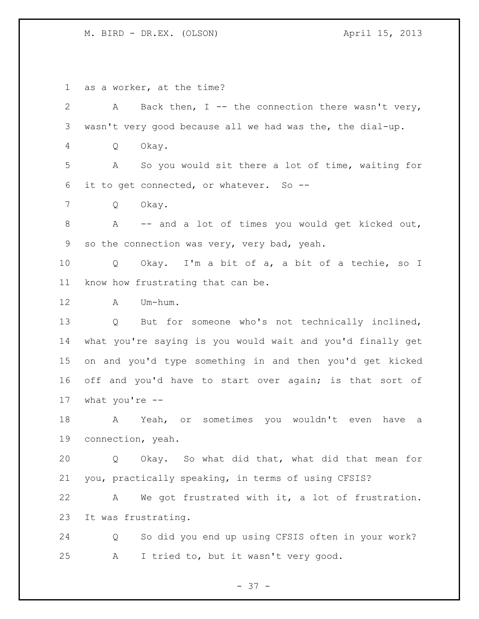as a worker, at the time?

2 A Back then, I -- the connection there wasn't very, wasn't very good because all we had was the, the dial-up. Q Okay. A So you would sit there a lot of time, waiting for it to get connected, or whatever. So -- Q Okay. 8 A -- and a lot of times you would get kicked out, so the connection was very, very bad, yeah. Q Okay. I'm a bit of a, a bit of a techie, so I know how frustrating that can be. A Um-hum. Q But for someone who's not technically inclined, what you're saying is you would wait and you'd finally get on and you'd type something in and then you'd get kicked 16 off and you'd have to start over again; is that sort of what you're -- A Yeah, or sometimes you wouldn't even have a connection, yeah. Q Okay. So what did that, what did that mean for you, practically speaking, in terms of using CFSIS? A We got frustrated with it, a lot of frustration. It was frustrating. Q So did you end up using CFSIS often in your work? A I tried to, but it wasn't very good.

- 37 -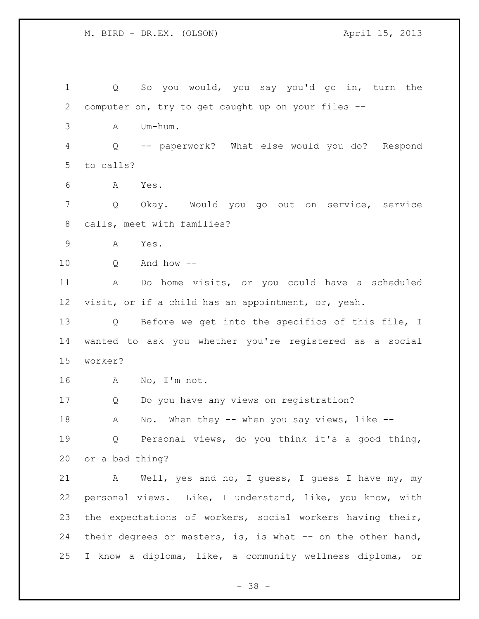Q So you would, you say you'd go in, turn the computer on, try to get caught up on your files -- A Um-hum. Q -- paperwork? What else would you do? Respond to calls? A Yes. Q Okay. Would you go out on service, service calls, meet with families? A Yes. Q And how -- A Do home visits, or you could have a scheduled visit, or if a child has an appointment, or, yeah. Q Before we get into the specifics of this file, I wanted to ask you whether you're registered as a social worker? A No, I'm not. Q Do you have any views on registration? 18 A No. When they -- when you say views, like -- Q Personal views, do you think it's a good thing, or a bad thing? A Well, yes and no, I guess, I guess I have my, my personal views. Like, I understand, like, you know, with the expectations of workers, social workers having their, 24 their degrees or masters, is, is what -- on the other hand, I know a diploma, like, a community wellness diploma, or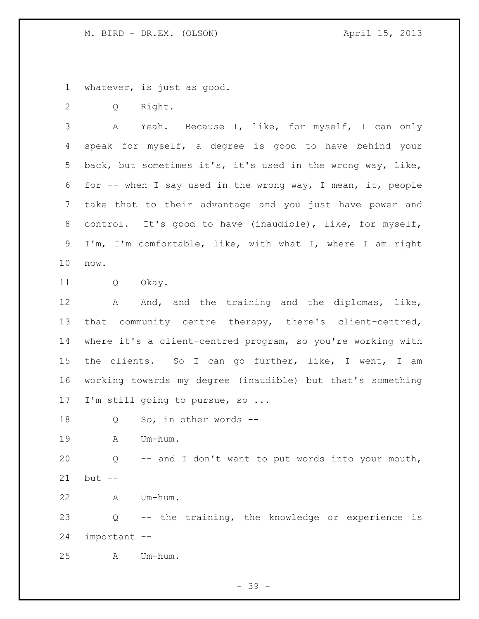whatever, is just as good.

Q Right.

 A Yeah. Because I, like, for myself, I can only speak for myself, a degree is good to have behind your back, but sometimes it's, it's used in the wrong way, like, for -- when I say used in the wrong way, I mean, it, people take that to their advantage and you just have power and control. It's good to have (inaudible), like, for myself, I'm, I'm comfortable, like, with what I, where I am right now.

Q Okay.

12 A And, and the training and the diplomas, like, that community centre therapy, there's client-centred, where it's a client-centred program, so you're working with the clients. So I can go further, like, I went, I am working towards my degree (inaudible) but that's something I'm still going to pursue, so ...

18 Q So, in other words --

A Um-hum.

 Q -- and I don't want to put words into your mouth, but --

A Um-hum.

 Q -- the training, the knowledge or experience is important --

A Um-hum.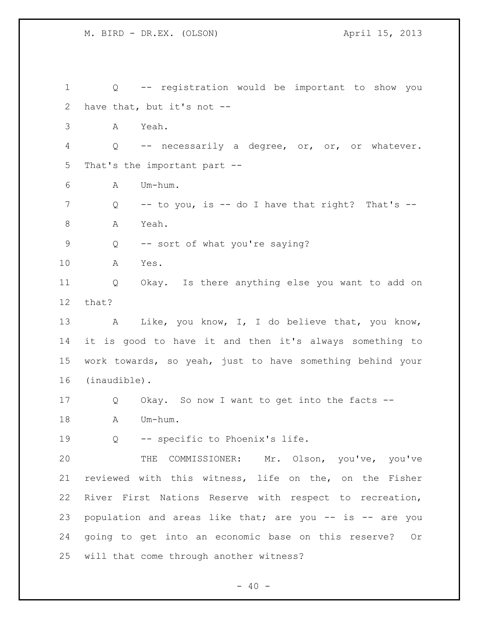Q -- registration would be important to show you have that, but it's not -- A Yeah. Q -- necessarily a degree, or, or, or whatever. That's the important part -- A Um-hum. Q -- to you, is -- do I have that right? That's -- 8 A Yeah. Q -- sort of what you're saying? A Yes. Q Okay. Is there anything else you want to add on that? 13 A Like, you know, I, I do believe that, you know, it is good to have it and then it's always something to work towards, so yeah, just to have something behind your (inaudible). Q Okay. So now I want to get into the facts -- 18 A Um-hum. Q -- specific to Phoenix's life. THE COMMISSIONER: Mr. Olson, you've, you've reviewed with this witness, life on the, on the Fisher River First Nations Reserve with respect to recreation, population and areas like that; are you -- is -- are you going to get into an economic base on this reserve? Or will that come through another witness?

 $- 40 -$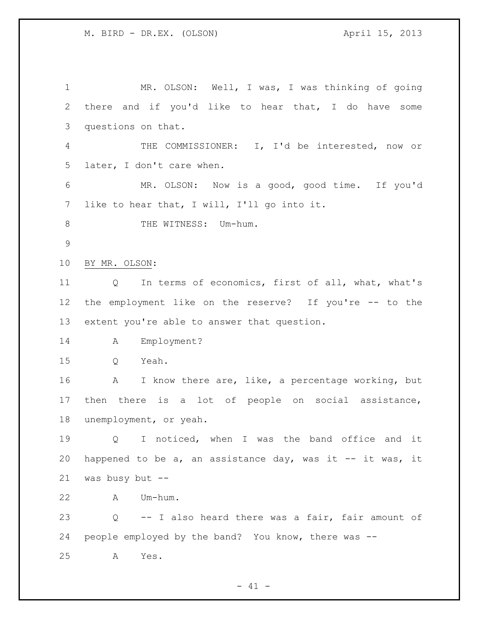MR. OLSON: Well, I was, I was thinking of going there and if you'd like to hear that, I do have some questions on that. THE COMMISSIONER: I, I'd be interested, now or later, I don't care when. MR. OLSON: Now is a good, good time. If you'd like to hear that, I will, I'll go into it. 8 THE WITNESS: Um-hum. BY MR. OLSON: Q In terms of economics, first of all, what, what's the employment like on the reserve? If you're -- to the extent you're able to answer that question. A Employment? Q Yeah. A I know there are, like, a percentage working, but then there is a lot of people on social assistance, unemployment, or yeah. Q I noticed, when I was the band office and it 20 happened to be a, an assistance day, was it  $-$  it was, it was busy but -- A Um-hum. Q -- I also heard there was a fair, fair amount of people employed by the band? You know, there was -- A Yes.

 $- 41 -$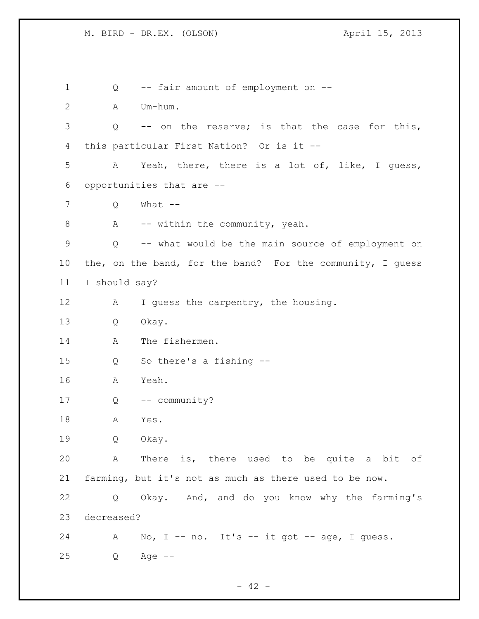Q -- fair amount of employment on -- A Um-hum. Q -- on the reserve; is that the case for this, this particular First Nation? Or is it -- A Yeah, there, there is a lot of, like, I guess, opportunities that are -- Q What -- 8 A -- within the community, yeah. Q -- what would be the main source of employment on the, on the band, for the band? For the community, I guess I should say? 12 A I guess the carpentry, the housing. Q Okay. 14 A The fishermen. Q So there's a fishing -- A Yeah. Q -- community? A Yes. Q Okay. A There is, there used to be quite a bit of farming, but it's not as much as there used to be now. Q Okay. And, and do you know why the farming's decreased? 24 A No, I -- no. It's -- it got -- age, I guess. Q Age --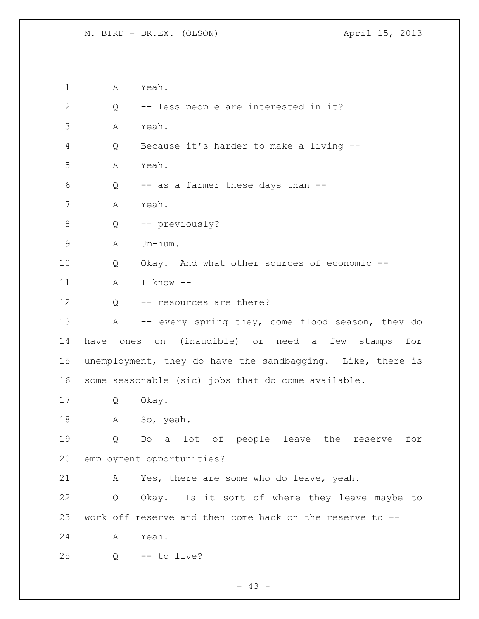A Yeah. Q -- less people are interested in it? A Yeah. Q Because it's harder to make a living -- A Yeah. Q -- as a farmer these days than -- A Yeah. Q -- previously? A Um-hum. Q Okay. And what other sources of economic -- A I know -- 12 Q -- resources are there? 13 A -- every spring they, come flood season, they do have ones on (inaudible) or need a few stamps for unemployment, they do have the sandbagging. Like, there is some seasonable (sic) jobs that do come available. Q Okay. A So, yeah. Q Do a lot of people leave the reserve for employment opportunities? A Yes, there are some who do leave, yeah. Q Okay. Is it sort of where they leave maybe to work off reserve and then come back on the reserve to -- A Yeah. Q  $-$  to live?

 $- 43 -$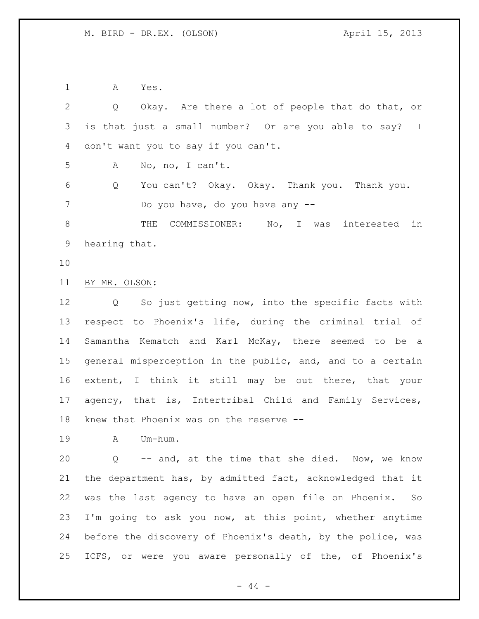A Yes.

 Q Okay. Are there a lot of people that do that, or is that just a small number? Or are you able to say? I don't want you to say if you can't. A No, no, I can't. Q You can't? Okay. Okay. Thank you. Thank you. Do you have, do you have any -- 8 THE COMMISSIONER: No, I was interested in hearing that. BY MR. OLSON: Q So just getting now, into the specific facts with respect to Phoenix's life, during the criminal trial of Samantha Kematch and Karl McKay, there seemed to be a general misperception in the public, and, and to a certain extent, I think it still may be out there, that your agency, that is, Intertribal Child and Family Services, knew that Phoenix was on the reserve -- A Um-hum. Q -- and, at the time that she died. Now, we know the department has, by admitted fact, acknowledged that it was the last agency to have an open file on Phoenix. So I'm going to ask you now, at this point, whether anytime before the discovery of Phoenix's death, by the police, was ICFS, or were you aware personally of the, of Phoenix's

 $-44 -$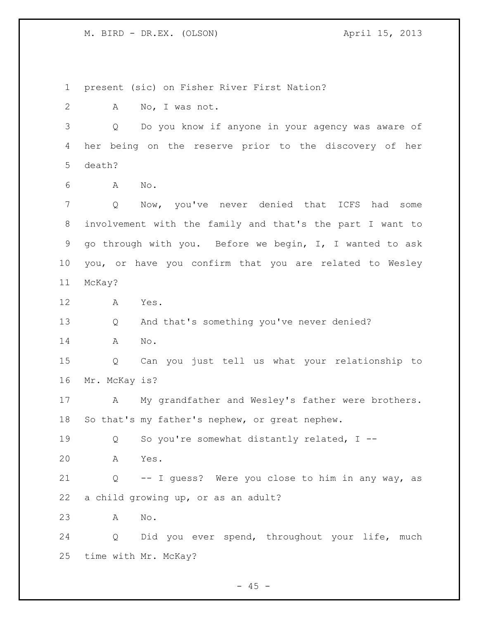present (sic) on Fisher River First Nation? A No, I was not. Q Do you know if anyone in your agency was aware of her being on the reserve prior to the discovery of her death? A No. Q Now, you've never denied that ICFS had some involvement with the family and that's the part I want to go through with you. Before we begin, I, I wanted to ask you, or have you confirm that you are related to Wesley McKay? A Yes. Q And that's something you've never denied? A No. Q Can you just tell us what your relationship to Mr. McKay is? A My grandfather and Wesley's father were brothers. So that's my father's nephew, or great nephew. 19 0 So you're somewhat distantly related, I -- A Yes. Q -- I guess? Were you close to him in any way, as a child growing up, or as an adult? A No. Q Did you ever spend, throughout your life, much time with Mr. McKay?

 $- 45 -$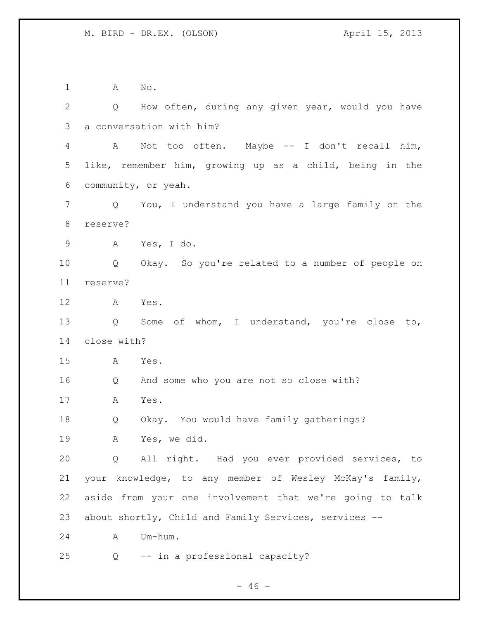A No. Q How often, during any given year, would you have a conversation with him? A Not too often. Maybe -- I don't recall him, like, remember him, growing up as a child, being in the community, or yeah. Q You, I understand you have a large family on the reserve? A Yes, I do. Q Okay. So you're related to a number of people on reserve? A Yes. Q Some of whom, I understand, you're close to, close with? A Yes. Q And some who you are not so close with? A Yes. Q Okay. You would have family gatherings? A Yes, we did. Q All right. Had you ever provided services, to your knowledge, to any member of Wesley McKay's family, aside from your one involvement that we're going to talk about shortly, Child and Family Services, services -- A Um-hum. Q -- in a professional capacity?

 $- 46 -$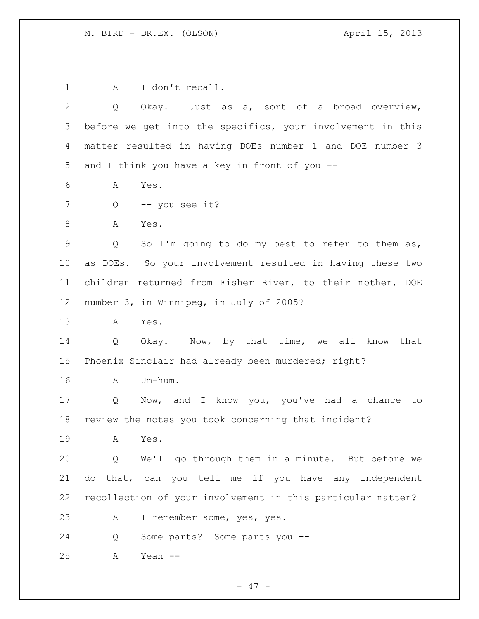1 A I don't recall. Q Okay. Just as a, sort of a broad overview, before we get into the specifics, your involvement in this matter resulted in having DOEs number 1 and DOE number 3 and I think you have a key in front of you -- A Yes. Q -- you see it? 8 A Yes. Q So I'm going to do my best to refer to them as, as DOEs. So your involvement resulted in having these two children returned from Fisher River, to their mother, DOE number 3, in Winnipeg, in July of 2005? A Yes. Q Okay. Now, by that time, we all know that Phoenix Sinclair had already been murdered; right? A Um-hum. Q Now, and I know you, you've had a chance to review the notes you took concerning that incident? A Yes. Q We'll go through them in a minute. But before we do that, can you tell me if you have any independent recollection of your involvement in this particular matter? A I remember some, yes, yes. Q Some parts? Some parts you -- A Yeah --

- 47 -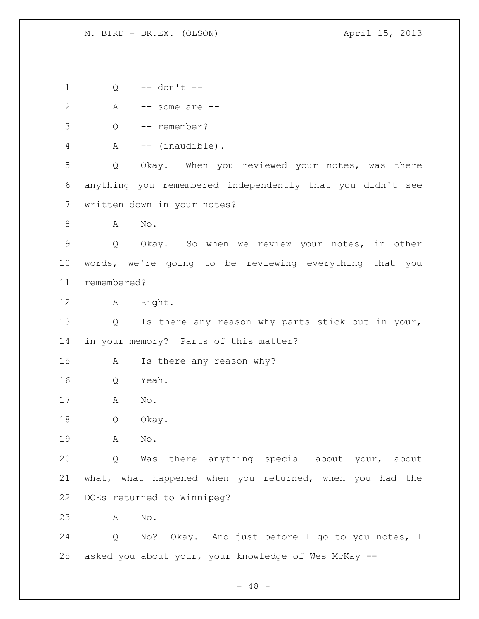Q -- don't -- A -- some are -- Q -- remember? 4 A -- (inaudible). Q Okay. When you reviewed your notes, was there anything you remembered independently that you didn't see written down in your notes? 8 A No. Q Okay. So when we review your notes, in other words, we're going to be reviewing everything that you remembered? A Right. Q Is there any reason why parts stick out in your, in your memory? Parts of this matter? A Is there any reason why? Q Yeah. A No. Q Okay. A No. Q Was there anything special about your, about what, what happened when you returned, when you had the DOEs returned to Winnipeg? A No. Q No? Okay. And just before I go to you notes, I asked you about your, your knowledge of Wes McKay --

 $- 48 -$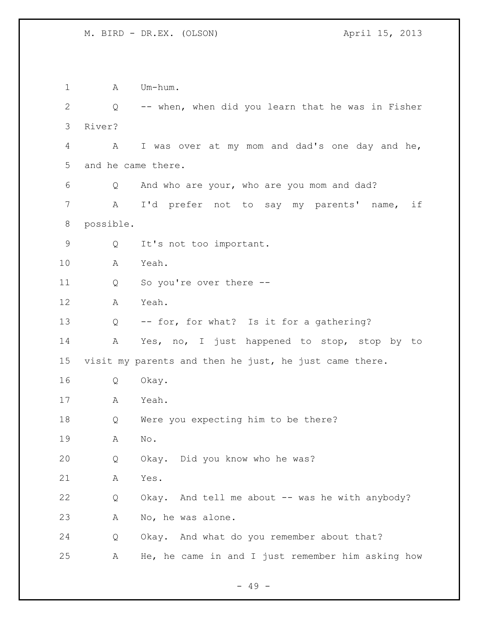1 A Um-hum. Q -- when, when did you learn that he was in Fisher River? A I was over at my mom and dad's one day and he, and he came there. Q And who are your, who are you mom and dad? A I'd prefer not to say my parents' name, if possible. Q It's not too important. A Yeah. Q So you're over there -- A Yeah. Q -- for, for what? Is it for a gathering? A Yes, no, I just happened to stop, stop by to visit my parents and then he just, he just came there. Q Okay. A Yeah. Q Were you expecting him to be there? A No. Q Okay. Did you know who he was? A Yes. Q Okay. And tell me about -- was he with anybody? A No, he was alone. Q Okay. And what do you remember about that? A He, he came in and I just remember him asking how

 $- 49 -$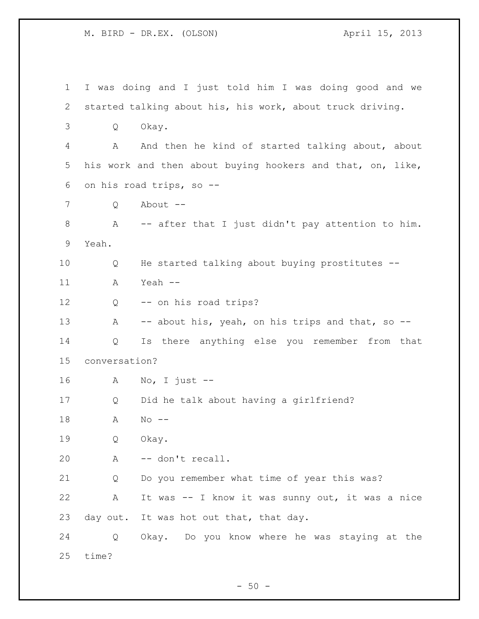I was doing and I just told him I was doing good and we started talking about his, his work, about truck driving. Q Okay. A And then he kind of started talking about, about his work and then about buying hookers and that, on, like, on his road trips, so -- Q About -- A -- after that I just didn't pay attention to him. Yeah. Q He started talking about buying prostitutes -- A Yeah -- Q -- on his road trips? 13 A -- about his, yeah, on his trips and that, so -- Q Is there anything else you remember from that conversation? A No, I just -- Q Did he talk about having a girlfriend? A No -- Q Okay. A -- don't recall. Q Do you remember what time of year this was? A It was -- I know it was sunny out, it was a nice 23 day out. It was hot out that, that day. Q Okay. Do you know where he was staying at the time?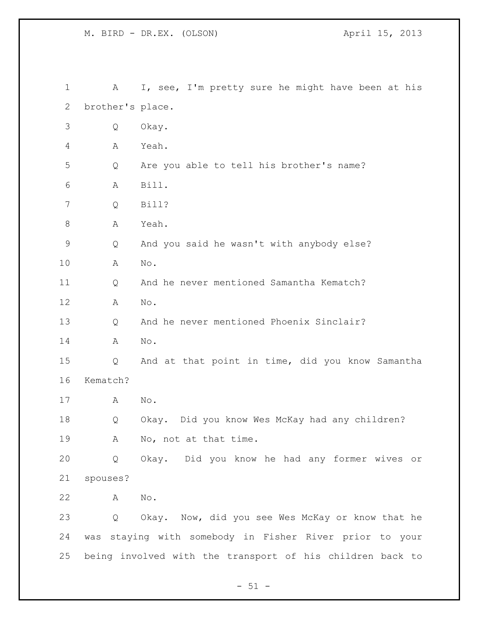M. BIRD - DR.EX. (OLSON)  $\lambda$  April 15, 2013

 A I, see, I'm pretty sure he might have been at his brother's place. Q Okay. A Yeah. Q Are you able to tell his brother's name? A Bill. Q Bill? 8 A Yeah. Q And you said he wasn't with anybody else? A No. Q And he never mentioned Samantha Kematch? A No. Q And he never mentioned Phoenix Sinclair? A No. Q And at that point in time, did you know Samantha Kematch? A No. Q Okay. Did you know Wes McKay had any children? A No, not at that time. Q Okay. Did you know he had any former wives or spouses? A No. Q Okay. Now, did you see Wes McKay or know that he was staying with somebody in Fisher River prior to your being involved with the transport of his children back to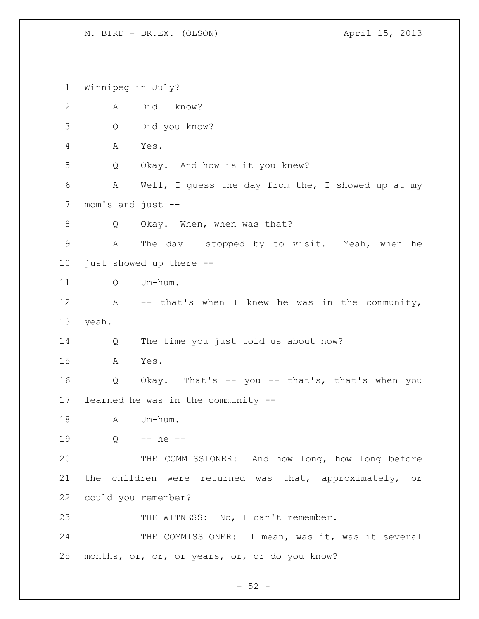Winnipeg in July? A Did I know? Q Did you know? A Yes. Q Okay. And how is it you knew? A Well, I guess the day from the, I showed up at my mom's and just -- 8 Q Okay. When, when was that? A The day I stopped by to visit. Yeah, when he just showed up there -- 11 O Um-hum. 12 A -- that's when I knew he was in the community, yeah. Q The time you just told us about now? A Yes. Q Okay. That's -- you -- that's, that's when you learned he was in the community -- 18 A Um-hum. Q -- he -- THE COMMISSIONER: And how long, how long before the children were returned was that, approximately, or could you remember? 23 THE WITNESS: No, I can't remember. 24 THE COMMISSIONER: I mean, was it, was it several months, or, or, or years, or, or do you know?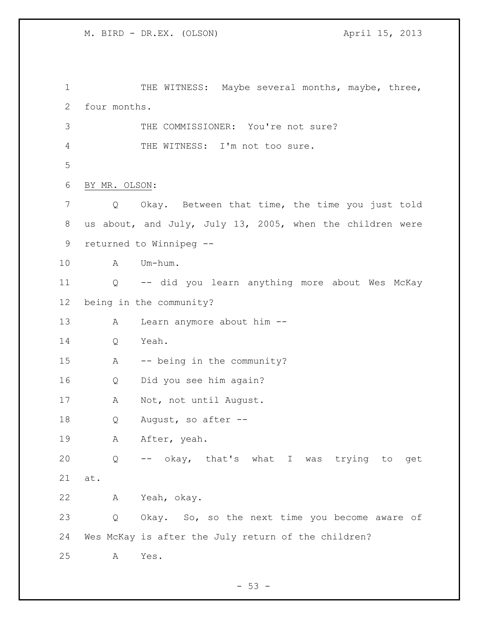1 THE WITNESS: Maybe several months, maybe, three, four months. 3 THE COMMISSIONER: You're not sure? THE WITNESS: I'm not too sure. BY MR. OLSON: Q Okay. Between that time, the time you just told us about, and July, July 13, 2005, when the children were returned to Winnipeg -- A Um-hum. Q -- did you learn anything more about Wes McKay being in the community? A Learn anymore about him -- Q Yeah. A -- being in the community? Q Did you see him again? A Not, not until August. 18 Q August, so after --19 A After, yeah. Q -- okay, that's what I was trying to get at. A Yeah, okay. Q Okay. So, so the next time you become aware of Wes McKay is after the July return of the children? A Yes.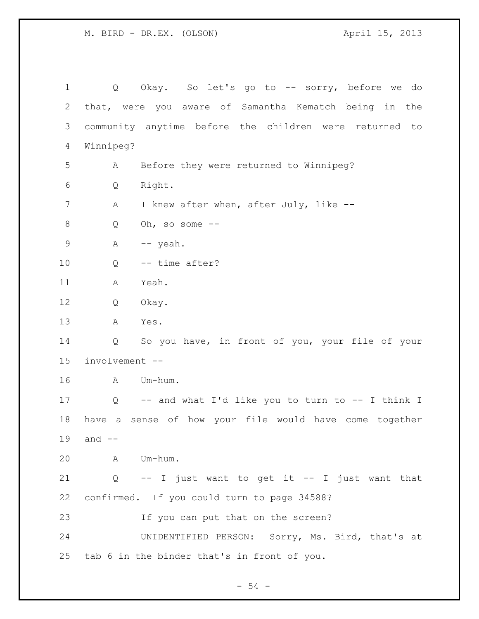| $\mathbf 1$ | Q                 | Okay. So let's go to -- sorry, before we do            |
|-------------|-------------------|--------------------------------------------------------|
| 2           |                   | that, were you aware of Samantha Kematch being in the  |
| 3           |                   | community anytime before the children were returned to |
| 4           | Winnipeg?         |                                                        |
| 5           | A                 | Before they were returned to Winnipeg?                 |
| 6           | Q                 | Right.                                                 |
| 7           | Α                 | I knew after when, after July, like --                 |
| 8           | Q                 | Oh, so some $--$                                       |
| $\mathsf 9$ | $\mathbb A$       | -- yeah.                                               |
| 10          | Q                 | -- time after?                                         |
| 11          | Α                 | Yeah.                                                  |
| 12          | Q                 | Okay.                                                  |
| 13          | Α                 | Yes.                                                   |
| 14          | Q                 | So you have, in front of you, your file of your        |
| 15          | involvement --    |                                                        |
| 16          | A                 | Um-hum.                                                |
| 17          |                   | Q -- and what I'd like you to turn to -- I think I     |
| 18          |                   | have a sense of how your file would have come together |
| 19          | and --            |                                                        |
| 20          | A                 | Um-hum.                                                |
| 21          | $Q \qquad \qquad$ | -- I just want to get it -- I just want that           |
| 22          |                   | confirmed. If you could turn to page 34588?            |
| 23          |                   | If you can put that on the screen?                     |
| 24          |                   | UNIDENTIFIED PERSON: Sorry, Ms. Bird, that's at        |
| 25          |                   | tab 6 in the binder that's in front of you.            |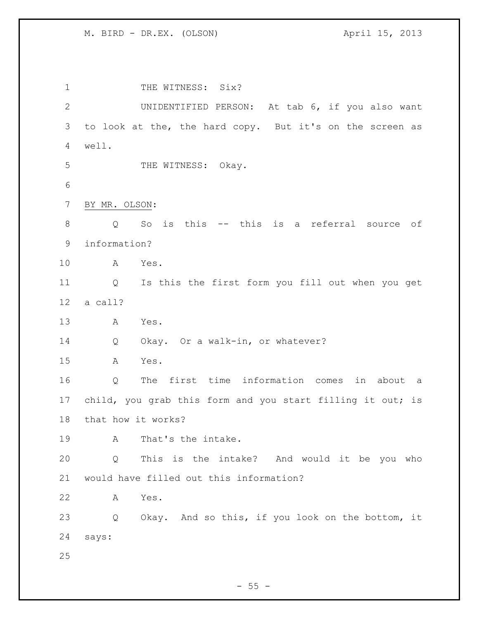1 THE WITNESS: Six? UNIDENTIFIED PERSON: At tab 6, if you also want to look at the, the hard copy. But it's on the screen as well. 5 THE WITNESS: Okay. BY MR. OLSON: Q So is this -- this is a referral source of information? A Yes. Q Is this the first form you fill out when you get a call? A Yes. 14 Q Okay. Or a walk-in, or whatever? A Yes. Q The first time information comes in about a child, you grab this form and you start filling it out; is that how it works? A That's the intake. Q This is the intake? And would it be you who would have filled out this information? A Yes. Q Okay. And so this, if you look on the bottom, it says: 

 $- 55 -$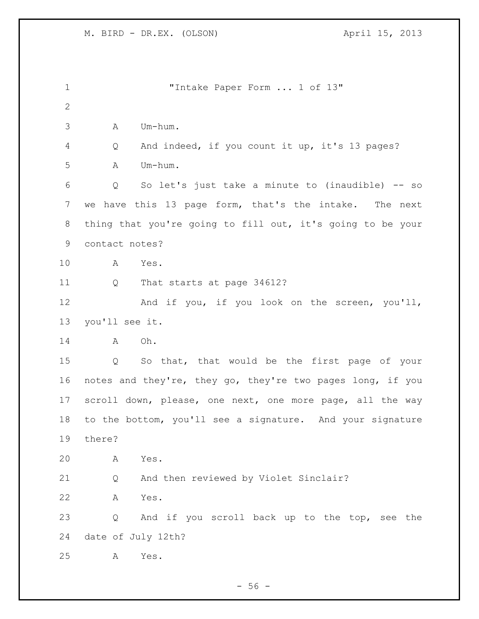| $\mathbf 1$  | "Intake Paper Form  1 of 13"                               |
|--------------|------------------------------------------------------------|
| $\mathbf{2}$ |                                                            |
| 3            | Um-hum.<br>A                                               |
| 4            | And indeed, if you count it up, it's 13 pages?<br>Q        |
| 5            | Um-hum.<br>A                                               |
| 6            | So let's just take a minute to (inaudible) -- so<br>Q      |
| 7            | we have this 13 page form, that's the intake.<br>The next  |
| 8            | thing that you're going to fill out, it's going to be your |
| 9            | contact notes?                                             |
| 10           | A<br>Yes.                                                  |
| 11           | That starts at page 34612?<br>Q                            |
| 12           | And if you, if you look on the screen, you'll,             |
| 13           | you'll see it.                                             |
| 14           | Oh.<br>A                                                   |
| 15           | So that, that would be the first page of your<br>Q         |
| 16           | notes and they're, they go, they're two pages long, if you |
| 17           | scroll down, please, one next, one more page, all the way  |
| 18           | to the bottom, you'll see a signature. And your signature  |
| 19           | there?                                                     |
| 20           | Α<br>Yes.                                                  |
| 21           | And then reviewed by Violet Sinclair?<br>Q                 |
| 22           | Yes.<br>А                                                  |
| 23           | And if you scroll back up to the top, see the<br>Q         |
| 24           | date of July 12th?                                         |
| 25           | Yes.<br>Α                                                  |

- 56 -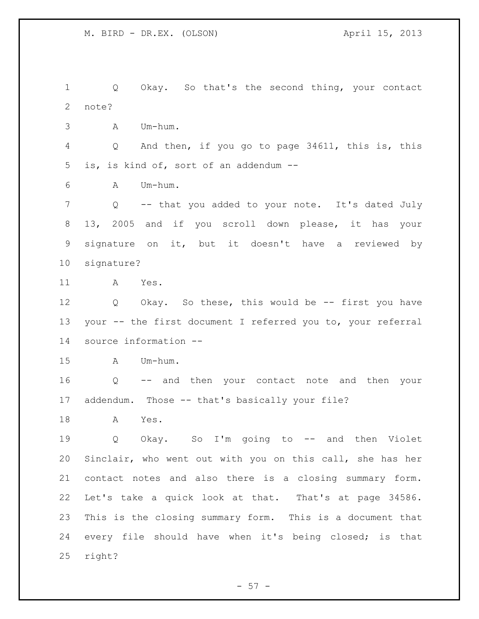Q Okay. So that's the second thing, your contact note? A Um-hum. Q And then, if you go to page 34611, this is, this is, is kind of, sort of an addendum -- A Um-hum. Q -- that you added to your note. It's dated July 13, 2005 and if you scroll down please, it has your signature on it, but it doesn't have a reviewed by signature? A Yes. Q Okay. So these, this would be -- first you have your -- the first document I referred you to, your referral source information -- A Um-hum. Q -- and then your contact note and then your addendum. Those -- that's basically your file? A Yes. Q Okay. So I'm going to -- and then Violet Sinclair, who went out with you on this call, she has her contact notes and also there is a closing summary form. Let's take a quick look at that. That's at page 34586. This is the closing summary form. This is a document that every file should have when it's being closed; is that right?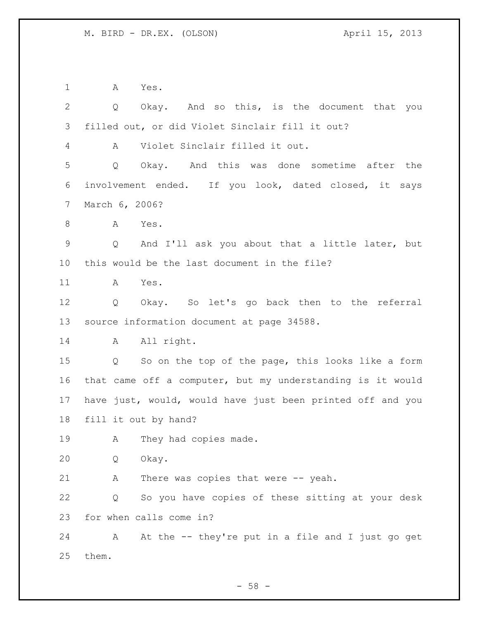A Yes.

 Q Okay. And so this, is the document that you filled out, or did Violet Sinclair fill it out? A Violet Sinclair filled it out. Q Okay. And this was done sometime after the involvement ended. If you look, dated closed, it says March 6, 2006? A Yes. Q And I'll ask you about that a little later, but this would be the last document in the file? A Yes. Q Okay. So let's go back then to the referral source information document at page 34588. 14 A All right. Q So on the top of the page, this looks like a form that came off a computer, but my understanding is it would have just, would, would have just been printed off and you fill it out by hand? 19 A They had copies made. Q Okay. A There was copies that were -- yeah. Q So you have copies of these sitting at your desk for when calls come in? A At the -- they're put in a file and I just go get them.

 $-58 -$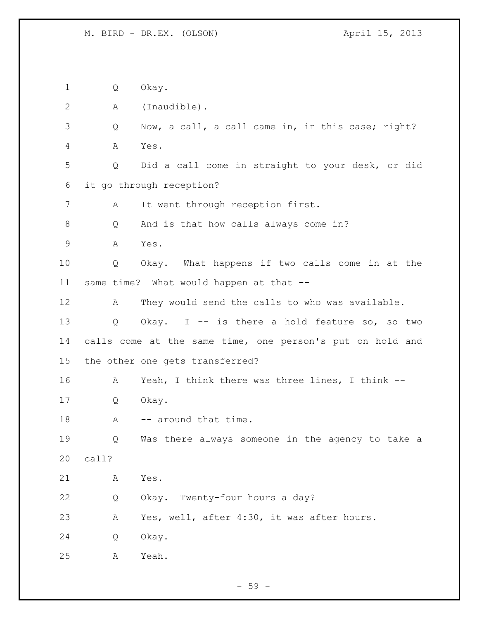Q Okay. A (Inaudible). Q Now, a call, a call came in, in this case; right? A Yes. Q Did a call come in straight to your desk, or did it go through reception? A It went through reception first. Q And is that how calls always come in? A Yes. Q Okay. What happens if two calls come in at the same time? What would happen at that -- A They would send the calls to who was available. Q Okay. I -- is there a hold feature so, so two calls come at the same time, one person's put on hold and the other one gets transferred? A Yeah, I think there was three lines, I think -- Q Okay. 18 A -- around that time. Q Was there always someone in the agency to take a call? A Yes. Q Okay. Twenty-four hours a day? A Yes, well, after 4:30, it was after hours. Q Okay. A Yeah.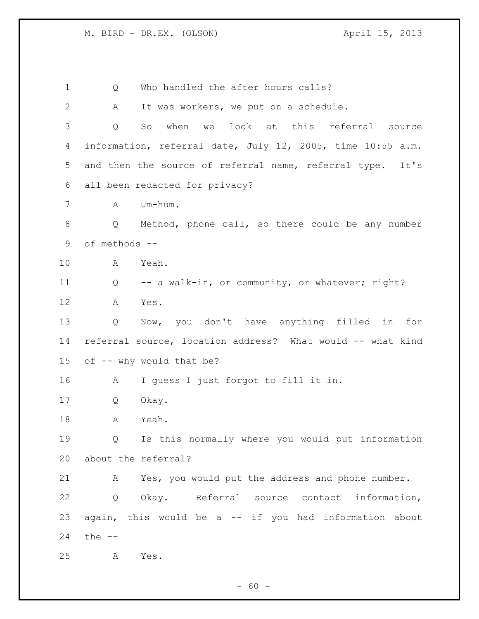1 Q Who handled the after hours calls? A It was workers, we put on a schedule. Q So when we look at this referral source information, referral date, July 12, 2005, time 10:55 a.m. and then the source of referral name, referral type. It's all been redacted for privacy? A Um-hum. Q Method, phone call, so there could be any number of methods -- A Yeah. Q -- a walk-in, or community, or whatever; right? A Yes. Q Now, you don't have anything filled in for referral source, location address? What would -- what kind of -- why would that be? A I guess I just forgot to fill it in. Q Okay. A Yeah. Q Is this normally where you would put information about the referral? A Yes, you would put the address and phone number. Q Okay. Referral source contact information, again, this would be a -- if you had information about the -- A Yes.

 $- 60 -$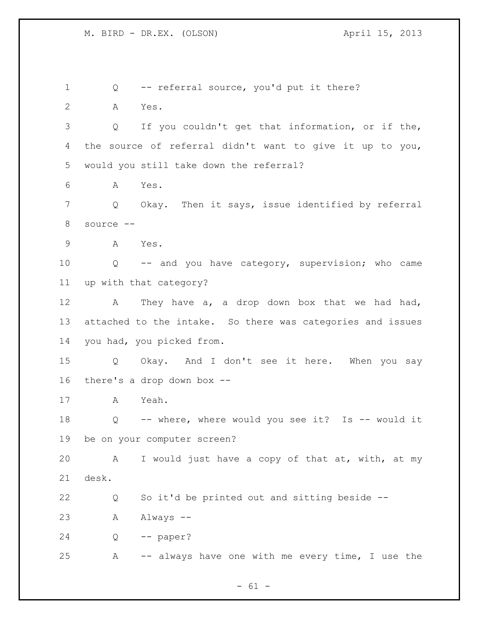Q -- referral source, you'd put it there? A Yes. Q If you couldn't get that information, or if the, the source of referral didn't want to give it up to you, would you still take down the referral? A Yes. Q Okay. Then it says, issue identified by referral source -- A Yes. Q -- and you have category, supervision; who came up with that category? 12 A They have a, a drop down box that we had had, attached to the intake. So there was categories and issues you had, you picked from. Q Okay. And I don't see it here. When you say there's a drop down box -- A Yeah. Q -- where, where would you see it? Is -- would it be on your computer screen? A I would just have a copy of that at, with, at my desk. Q So it'd be printed out and sitting beside -- A Always -- Q -- paper? A -- always have one with me every time, I use the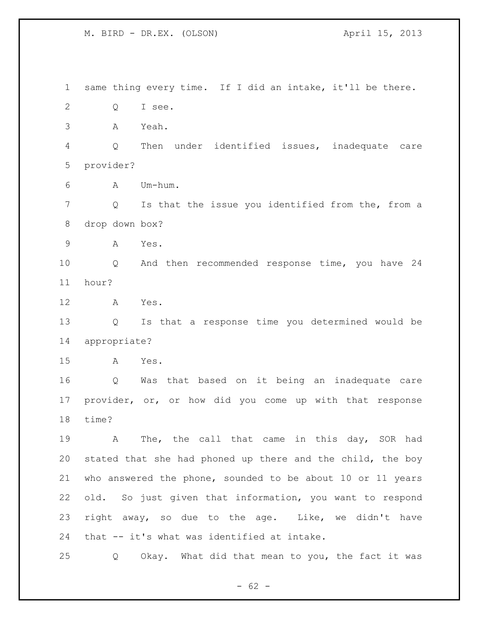same thing every time. If I did an intake, it'll be there. Q I see. A Yeah. Q Then under identified issues, inadequate care provider? A Um-hum. Q Is that the issue you identified from the, from a drop down box? A Yes. Q And then recommended response time, you have 24 hour? A Yes. Q Is that a response time you determined would be appropriate? A Yes. Q Was that based on it being an inadequate care provider, or, or how did you come up with that response time? A The, the call that came in this day, SOR had stated that she had phoned up there and the child, the boy who answered the phone, sounded to be about 10 or 11 years old. So just given that information, you want to respond right away, so due to the age. Like, we didn't have that -- it's what was identified at intake. Q Okay. What did that mean to you, the fact it was

 $- 62 -$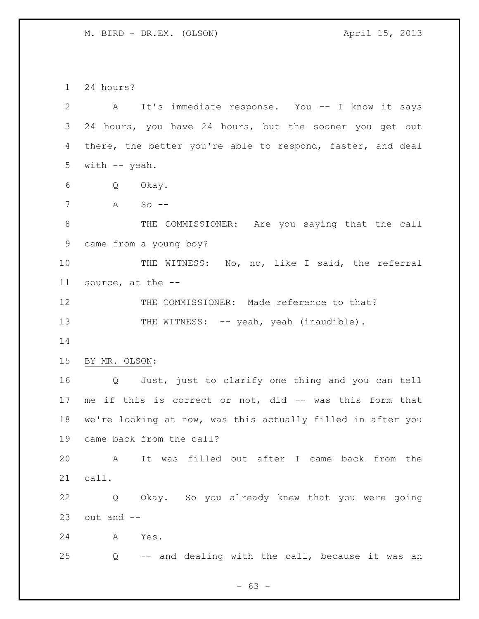24 hours?

 A It's immediate response. You -- I know it says 24 hours, you have 24 hours, but the sooner you get out there, the better you're able to respond, faster, and deal with -- yeah. Q Okay. A So -- 8 THE COMMISSIONER: Are you saying that the call came from a young boy? THE WITNESS: No, no, like I said, the referral source, at the -- 12 THE COMMISSIONER: Made reference to that? 13 THE WITNESS: -- yeah, yeah (inaudible). BY MR. OLSON: Q Just, just to clarify one thing and you can tell me if this is correct or not, did -- was this form that we're looking at now, was this actually filled in after you came back from the call? A It was filled out after I came back from the call. Q Okay. So you already knew that you were going out and  $-$  A Yes. Q -- and dealing with the call, because it was an

- 63 -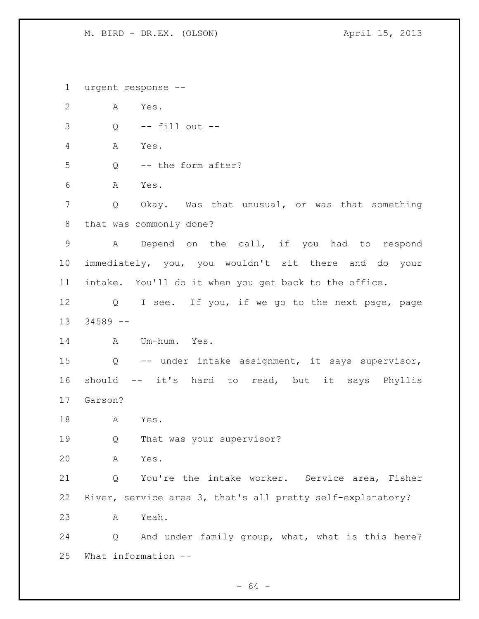urgent response -- A Yes. Q -- fill out -- A Yes. Q -- the form after? A Yes. Q Okay. Was that unusual, or was that something that was commonly done? A Depend on the call, if you had to respond immediately, you, you wouldn't sit there and do your intake. You'll do it when you get back to the office. Q I see. If you, if we go to the next page, page 34589 -- A Um-hum. Yes. Q -- under intake assignment, it says supervisor, should -- it's hard to read, but it says Phyllis Garson? A Yes. Q That was your supervisor? A Yes. Q You're the intake worker. Service area, Fisher River, service area 3, that's all pretty self-explanatory? A Yeah. Q And under family group, what, what is this here? What information --

 $- 64 -$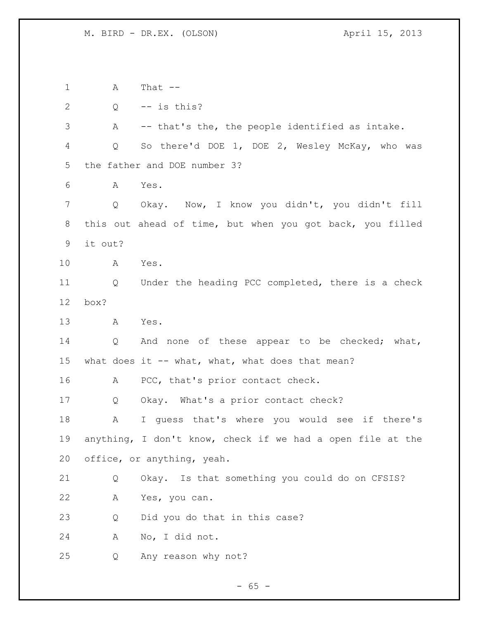A That --  $2 \qquad Q \qquad -- \text{ is this?}$  A -- that's the, the people identified as intake. Q So there'd DOE 1, DOE 2, Wesley McKay, who was the father and DOE number 3? A Yes. Q Okay. Now, I know you didn't, you didn't fill this out ahead of time, but when you got back, you filled it out? A Yes. Q Under the heading PCC completed, there is a check box? A Yes. 14 Q And none of these appear to be checked; what, 15 what does it -- what, what, what does that mean? 16 A PCC, that's prior contact check. Q Okay. What's a prior contact check? A I guess that's where you would see if there's anything, I don't know, check if we had a open file at the office, or anything, yeah. Q Okay. Is that something you could do on CFSIS? A Yes, you can. Q Did you do that in this case? A No, I did not. Q Any reason why not?

 $- 65 -$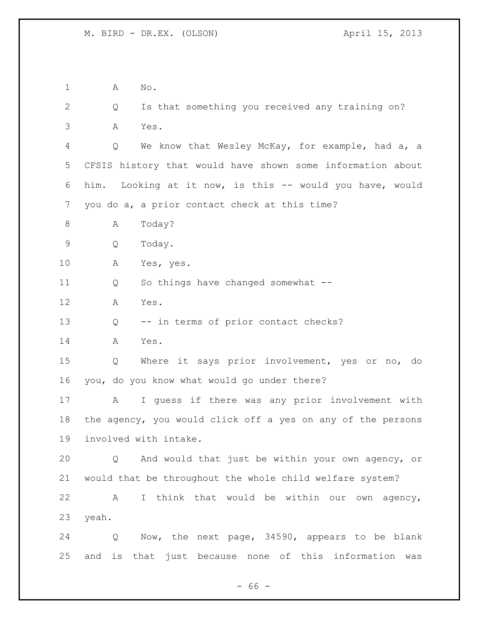A No. Q Is that something you received any training on? A Yes. Q We know that Wesley McKay, for example, had a, a CFSIS history that would have shown some information about him. Looking at it now, is this -- would you have, would you do a, a prior contact check at this time? 8 A Today? Q Today. A Yes, yes. Q So things have changed somewhat -- A Yes. Q -- in terms of prior contact checks? A Yes. Q Where it says prior involvement, yes or no, do you, do you know what would go under there? A I guess if there was any prior involvement with the agency, you would click off a yes on any of the persons involved with intake. Q And would that just be within your own agency, or would that be throughout the whole child welfare system? A I think that would be within our own agency, yeah. Q Now, the next page, 34590, appears to be blank and is that just because none of this information was

 $- 66 -$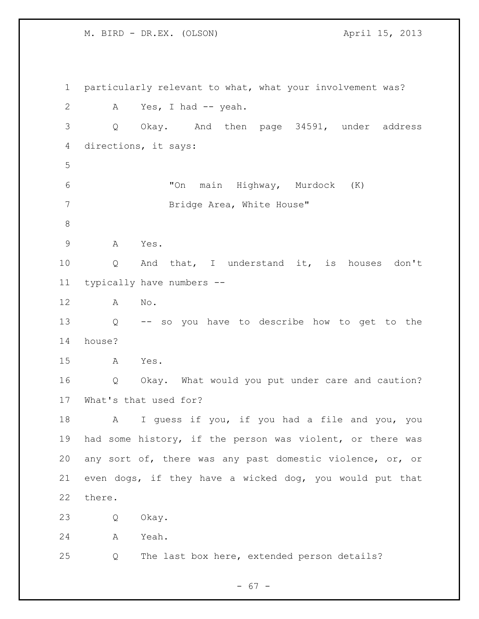particularly relevant to what, what your involvement was? 2 A Yes, I had -- yeah. Q Okay. And then page 34591, under address directions, it says: "On main Highway, Murdock (K) Bridge Area, White House" A Yes. Q And that, I understand it, is houses don't typically have numbers -- A No. Q -- so you have to describe how to get to the house? A Yes. Q Okay. What would you put under care and caution? What's that used for? A I guess if you, if you had a file and you, you had some history, if the person was violent, or there was any sort of, there was any past domestic violence, or, or even dogs, if they have a wicked dog, you would put that there. Q Okay. A Yeah. Q The last box here, extended person details?

 $- 67 -$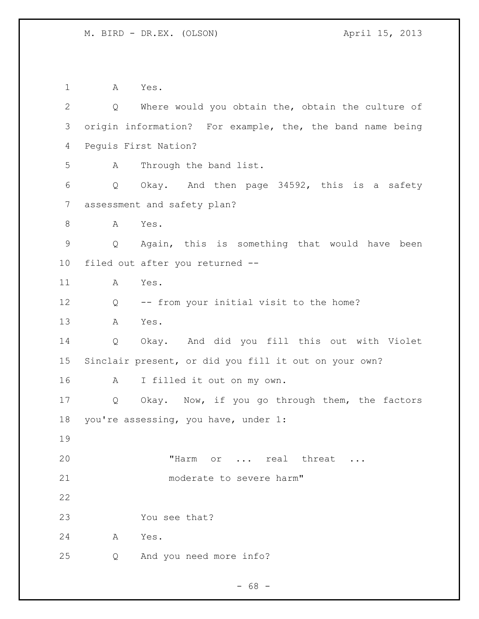A Yes. Q Where would you obtain the, obtain the culture of origin information? For example, the, the band name being Peguis First Nation? A Through the band list. Q Okay. And then page 34592, this is a safety assessment and safety plan? 8 A Yes. Q Again, this is something that would have been filed out after you returned -- A Yes. Q -- from your initial visit to the home? A Yes. Q Okay. And did you fill this out with Violet Sinclair present, or did you fill it out on your own? A I filled it out on my own. Q Okay. Now, if you go through them, the factors you're assessing, you have, under 1: 20 THarm or ... real threat ... 21 moderate to severe harm" You see that? A Yes. Q And you need more info?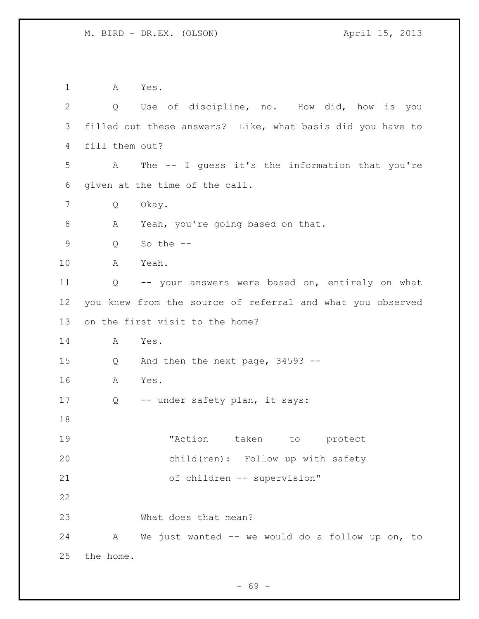A Yes. Q Use of discipline, no. How did, how is you filled out these answers? Like, what basis did you have to fill them out? A The -- I guess it's the information that you're given at the time of the call. Q Okay. 8 A Yeah, you're going based on that.  $Q$  So the  $-$  A Yeah. Q -- your answers were based on, entirely on what you knew from the source of referral and what you observed on the first visit to the home? A Yes. Q And then the next page, 34593 -- A Yes. Q -- under safety plan, it says: "Action taken to protect child(ren): Follow up with safety of children -- supervision" What does that mean? A We just wanted -- we would do a follow up on, to the home.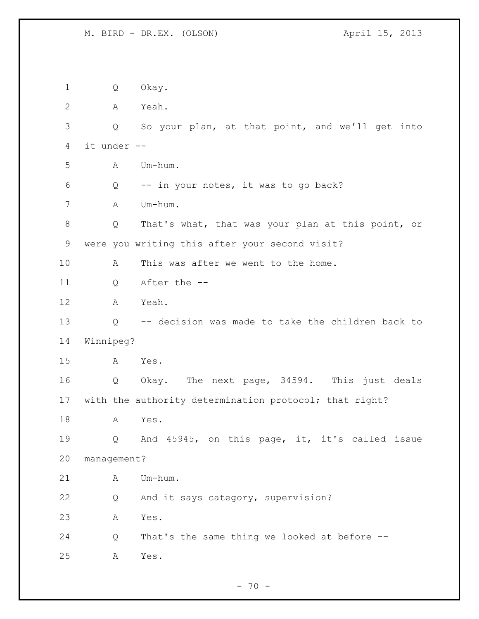Q Okay. A Yeah. Q So your plan, at that point, and we'll get into it under -- A Um-hum. Q -- in your notes, it was to go back? A Um-hum. Q That's what, that was your plan at this point, or were you writing this after your second visit? A This was after we went to the home. Q After the -- A Yeah. Q -- decision was made to take the children back to Winnipeg? A Yes. Q Okay. The next page, 34594. This just deals with the authority determination protocol; that right? A Yes. Q And 45945, on this page, it, it's called issue management? A Um-hum. Q And it says category, supervision? A Yes. Q That's the same thing we looked at before -- A Yes.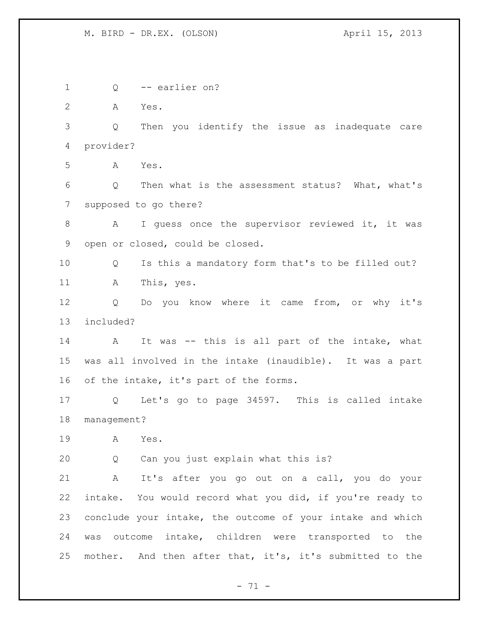Q -- earlier on? A Yes. Q Then you identify the issue as inadequate care provider? A Yes. Q Then what is the assessment status? What, what's supposed to go there? 8 A I guess once the supervisor reviewed it, it was open or closed, could be closed. Q Is this a mandatory form that's to be filled out? A This, yes. Q Do you know where it came from, or why it's included? A It was -- this is all part of the intake, what was all involved in the intake (inaudible). It was a part of the intake, it's part of the forms. Q Let's go to page 34597. This is called intake management? A Yes. Q Can you just explain what this is? A It's after you go out on a call, you do your intake. You would record what you did, if you're ready to conclude your intake, the outcome of your intake and which was outcome intake, children were transported to the mother. And then after that, it's, it's submitted to the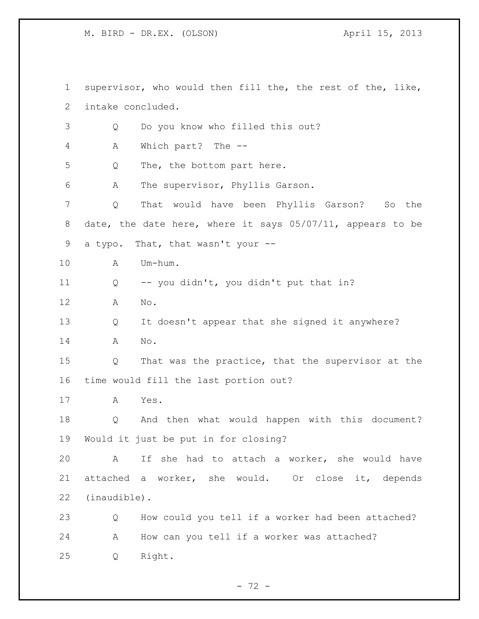supervisor, who would then fill the, the rest of the, like, intake concluded. Q Do you know who filled this out? A Which part? The -- Q The, the bottom part here. A The supervisor, Phyllis Garson. Q That would have been Phyllis Garson? So the date, the date here, where it says 05/07/11, appears to be a typo. That, that wasn't your -- A Um-hum. Q -- you didn't, you didn't put that in? A No. Q It doesn't appear that she signed it anywhere? A No. Q That was the practice, that the supervisor at the time would fill the last portion out? A Yes. Q And then what would happen with this document? Would it just be put in for closing? A If she had to attach a worker, she would have attached a worker, she would. Or close it, depends (inaudible). Q How could you tell if a worker had been attached? A How can you tell if a worker was attached? Q Right.

- 72 -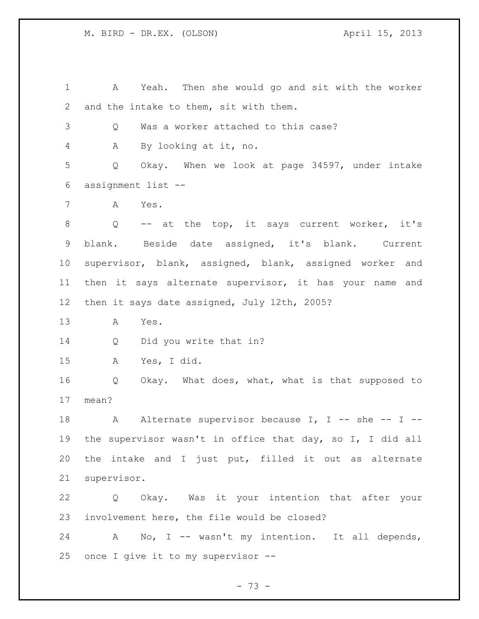A Yeah. Then she would go and sit with the worker and the intake to them, sit with them. Q Was a worker attached to this case? A By looking at it, no. Q Okay. When we look at page 34597, under intake assignment list -- A Yes. Q -- at the top, it says current worker, it's blank. Beside date assigned, it's blank. Current supervisor, blank, assigned, blank, assigned worker and then it says alternate supervisor, it has your name and then it says date assigned, July 12th, 2005? A Yes. Q Did you write that in? A Yes, I did. Q Okay. What does, what, what is that supposed to mean? 18 A Alternate supervisor because I, I -- she -- I -- the supervisor wasn't in office that day, so I, I did all the intake and I just put, filled it out as alternate supervisor. Q Okay. Was it your intention that after your involvement here, the file would be closed? A No, I -- wasn't my intention. It all depends, once I give it to my supervisor --

 $- 73 -$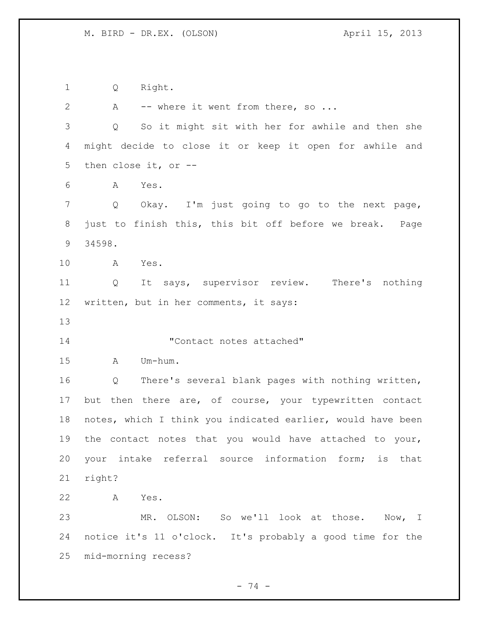Q Right. 2 A -- where it went from there, so ... Q So it might sit with her for awhile and then she might decide to close it or keep it open for awhile and then close it, or -- A Yes. Q Okay. I'm just going to go to the next page, just to finish this, this bit off before we break. Page 34598. A Yes. Q It says, supervisor review. There's nothing written, but in her comments, it says: "Contact notes attached" A Um-hum. Q There's several blank pages with nothing written, but then there are, of course, your typewritten contact notes, which I think you indicated earlier, would have been the contact notes that you would have attached to your, your intake referral source information form; is that right? A Yes. MR. OLSON: So we'll look at those. Now, I notice it's 11 o'clock. It's probably a good time for the mid-morning recess?

- 74 -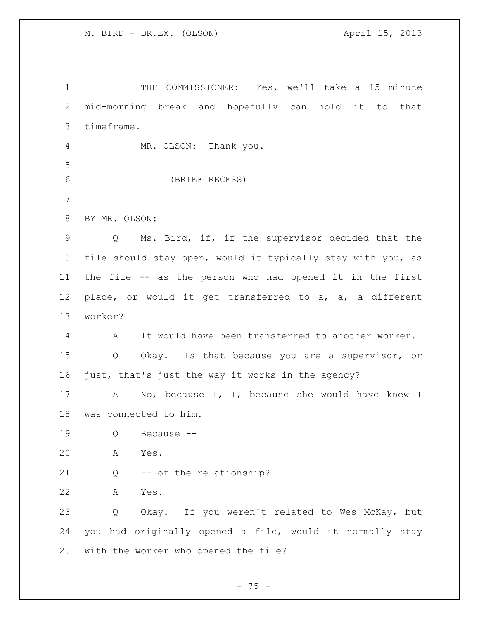THE COMMISSIONER: Yes, we'll take a 15 minute mid-morning break and hopefully can hold it to that timeframe. MR. OLSON: Thank you. (BRIEF RECESS) BY MR. OLSON: Q Ms. Bird, if, if the supervisor decided that the file should stay open, would it typically stay with you, as the file -- as the person who had opened it in the first place, or would it get transferred to a, a, a different worker? A It would have been transferred to another worker. Q Okay. Is that because you are a supervisor, or just, that's just the way it works in the agency? A No, because I, I, because she would have knew I was connected to him. Q Because -- A Yes. Q -- of the relationship? A Yes. Q Okay. If you weren't related to Wes McKay, but you had originally opened a file, would it normally stay with the worker who opened the file?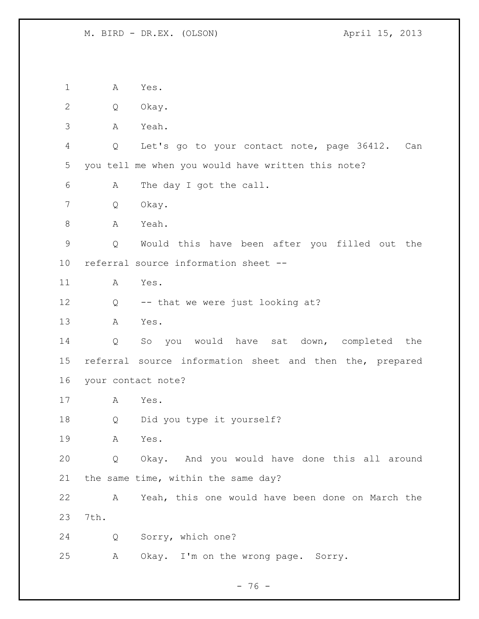A Yes. Q Okay. A Yeah. Q Let's go to your contact note, page 36412. Can you tell me when you would have written this note? A The day I got the call. Q Okay. 8 A Yeah. Q Would this have been after you filled out the referral source information sheet -- A Yes. Q -- that we were just looking at? A Yes. Q So you would have sat down, completed the referral source information sheet and then the, prepared your contact note? A Yes. Q Did you type it yourself? A Yes. Q Okay. And you would have done this all around the same time, within the same day? A Yeah, this one would have been done on March the 7th. Q Sorry, which one? A Okay. I'm on the wrong page. Sorry.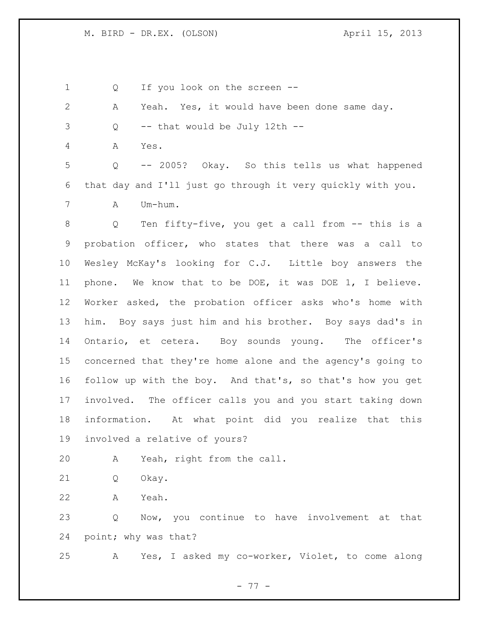Q If you look on the screen --

| 2               | Yeah. Yes, it would have been done same day.<br>Α                     |
|-----------------|-----------------------------------------------------------------------|
| 3               | -- that would be July 12th --<br>Q                                    |
| 4               | $\mathbb A$<br>Yes.                                                   |
| 5               | -- 2005? Okay. So this tells us what happened<br>$Q_{\rm c}$          |
| 6               | that day and I'll just go through it very quickly with you.           |
| 7               | Um-hum.<br>A                                                          |
| 8               | Ten fifty-five, you get a call from -- this is a<br>$Q \qquad \qquad$ |
| 9               | probation officer, who states that there was a call to                |
| 10 <sub>o</sub> | Wesley McKay's looking for C.J. Little boy answers the                |
| 11              | phone. We know that to be DOE, it was DOE 1, I believe.               |
| 12 <sup>°</sup> | Worker asked, the probation officer asks who's home with              |
| 13              | him. Boy says just him and his brother. Boy says dad's in             |
| 14              | Ontario, et cetera. Boy sounds young. The officer's                   |
| 15              | concerned that they're home alone and the agency's going to           |
| 16              | follow up with the boy. And that's, so that's how you get             |
| 17              | involved. The officer calls you and you start taking down             |
| 18              | information. At what point did you realize that this                  |
| 19              | involved a relative of yours?                                         |
| 20              | Yeah, right from the call.<br>A                                       |

- Q Okay.
- A Yeah.

 Q Now, you continue to have involvement at that point; why was that?

A Yes, I asked my co-worker, Violet, to come along

- 77 -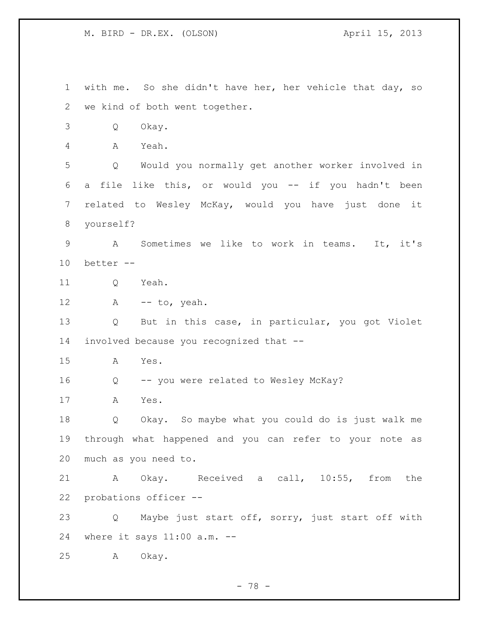with me. So she didn't have her, her vehicle that day, so we kind of both went together. Q Okay. A Yeah. Q Would you normally get another worker involved in a file like this, or would you -- if you hadn't been related to Wesley McKay, would you have just done it yourself? A Sometimes we like to work in teams. It, it's better -- Q Yeah. A -- to, yeah. Q But in this case, in particular, you got Violet involved because you recognized that -- A Yes. Q -- you were related to Wesley McKay? A Yes. Q Okay. So maybe what you could do is just walk me through what happened and you can refer to your note as much as you need to. A Okay. Received a call, 10:55, from the probations officer -- Q Maybe just start off, sorry, just start off with where it says 11:00 a.m. -- A Okay.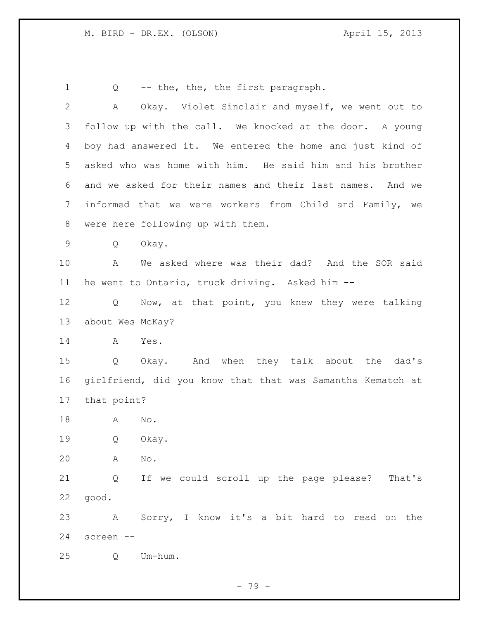1 Q -- the, the, the first paragraph. A Okay. Violet Sinclair and myself, we went out to follow up with the call. We knocked at the door. A young boy had answered it. We entered the home and just kind of asked who was home with him. He said him and his brother and we asked for their names and their last names. And we informed that we were workers from Child and Family, we were here following up with them. Q Okay. A We asked where was their dad? And the SOR said he went to Ontario, truck driving. Asked him -- 12 Q Now, at that point, you knew they were talking about Wes McKay? A Yes. Q Okay. And when they talk about the dad's girlfriend, did you know that that was Samantha Kematch at that point? A No. Q Okay. A No. Q If we could scroll up the page please? That's good. A Sorry, I know it's a bit hard to read on the screen -- Q Um-hum.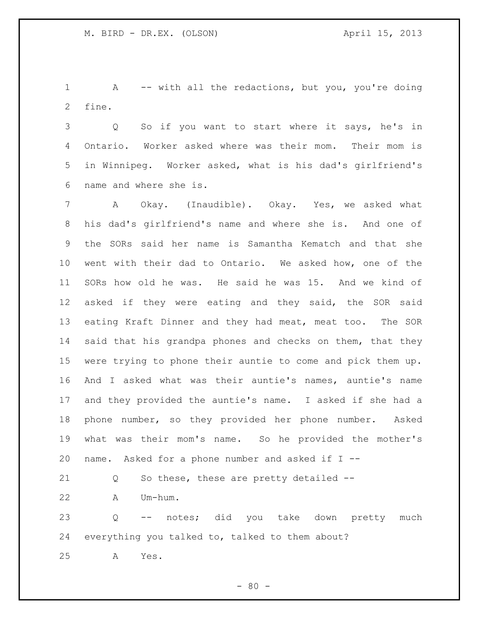A -- with all the redactions, but you, you're doing fine.

 Q So if you want to start where it says, he's in Ontario. Worker asked where was their mom. Their mom is in Winnipeg. Worker asked, what is his dad's girlfriend's name and where she is.

 A Okay. (Inaudible). Okay. Yes, we asked what his dad's girlfriend's name and where she is. And one of the SORs said her name is Samantha Kematch and that she went with their dad to Ontario. We asked how, one of the SORs how old he was. He said he was 15. And we kind of asked if they were eating and they said, the SOR said eating Kraft Dinner and they had meat, meat too. The SOR 14 said that his grandpa phones and checks on them, that they were trying to phone their auntie to come and pick them up. And I asked what was their auntie's names, auntie's name and they provided the auntie's name. I asked if she had a phone number, so they provided her phone number. Asked what was their mom's name. So he provided the mother's 20 name. Asked for a phone number and asked if  $I$  --

21 Q So these, these are pretty detailed --

A Um-hum.

 Q -- notes; did you take down pretty much everything you talked to, talked to them about?

A Yes.

 $- 80 -$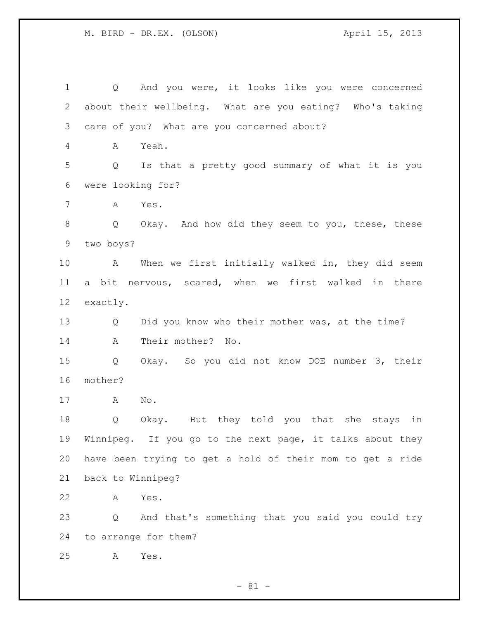Q And you were, it looks like you were concerned about their wellbeing. What are you eating? Who's taking care of you? What are you concerned about? A Yeah. Q Is that a pretty good summary of what it is you were looking for? A Yes. Q Okay. And how did they seem to you, these, these two boys? A When we first initially walked in, they did seem a bit nervous, scared, when we first walked in there exactly. Q Did you know who their mother was, at the time? A Their mother? No. Q Okay. So you did not know DOE number 3, their mother? A No. Q Okay. But they told you that she stays in Winnipeg. If you go to the next page, it talks about they have been trying to get a hold of their mom to get a ride back to Winnipeg? A Yes. Q And that's something that you said you could try to arrange for them? A Yes.

 $- 81 -$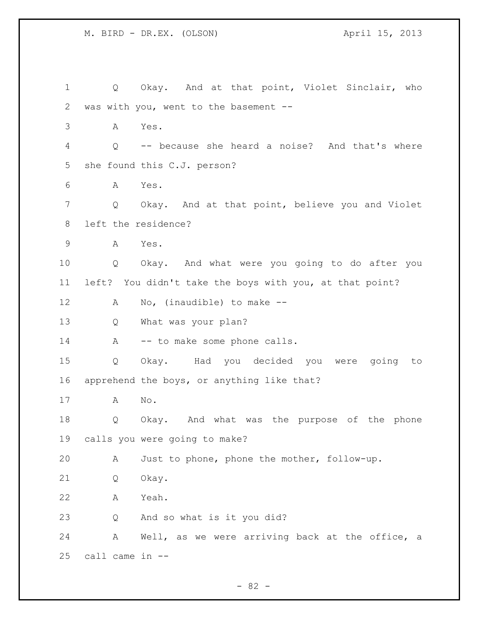1 Q Okay. And at that point, Violet Sinclair, who was with you, went to the basement -- A Yes. Q -- because she heard a noise? And that's where she found this C.J. person? A Yes. Q Okay. And at that point, believe you and Violet left the residence? A Yes. Q Okay. And what were you going to do after you left? You didn't take the boys with you, at that point? A No, (inaudible) to make -- Q What was your plan? 14 A -- to make some phone calls. Q Okay. Had you decided you were going to apprehend the boys, or anything like that? A No. Q Okay. And what was the purpose of the phone calls you were going to make? A Just to phone, phone the mother, follow-up. Q Okay. A Yeah. Q And so what is it you did? A Well, as we were arriving back at the office, a call came in --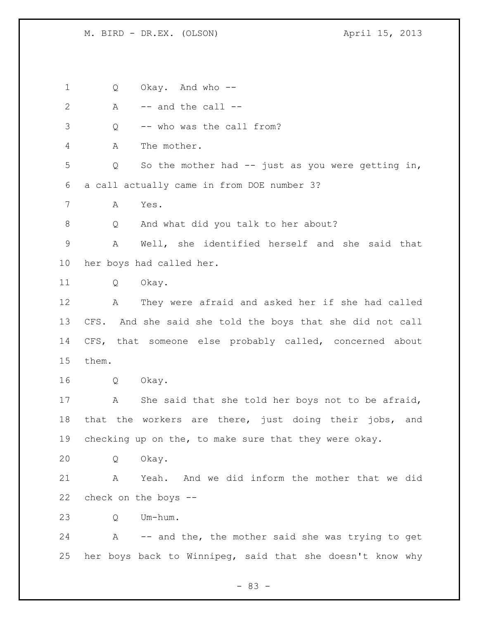Q Okay. And who --

2  $A$   $-$  and the call  $-$ 

Q -- who was the call from?

A The mother.

 Q So the mother had -- just as you were getting in, a call actually came in from DOE number 3?

A Yes.

Q And what did you talk to her about?

 A Well, she identified herself and she said that her boys had called her.

Q Okay.

 A They were afraid and asked her if she had called CFS. And she said she told the boys that she did not call CFS, that someone else probably called, concerned about them.

Q Okay.

 A She said that she told her boys not to be afraid, that the workers are there, just doing their jobs, and checking up on the, to make sure that they were okay.

Q Okay.

 A Yeah. And we did inform the mother that we did check on the boys --

Q Um-hum.

 A -- and the, the mother said she was trying to get her boys back to Winnipeg, said that she doesn't know why

- 83 -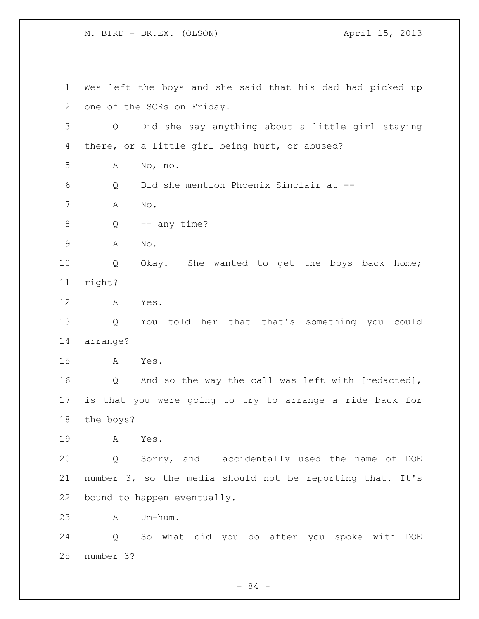Wes left the boys and she said that his dad had picked up one of the SORs on Friday. Q Did she say anything about a little girl staying there, or a little girl being hurt, or abused? A No, no. Q Did she mention Phoenix Sinclair at -- A No.  $8 \qquad Q \qquad -- any time?$  A No. Q Okay. She wanted to get the boys back home; right? A Yes. Q You told her that that's something you could arrange? A Yes. Q And so the way the call was left with [redacted], is that you were going to try to arrange a ride back for the boys? A Yes. Q Sorry, and I accidentally used the name of DOE number 3, so the media should not be reporting that. It's bound to happen eventually. A Um-hum. Q So what did you do after you spoke with DOE number 3?

- 84 -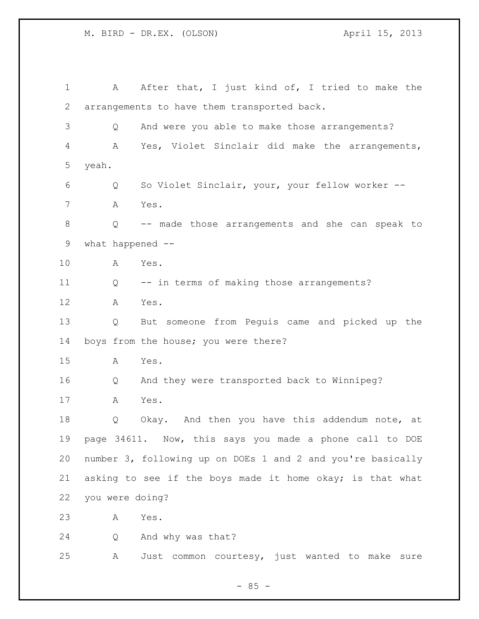1 A After that, I just kind of, I tried to make the arrangements to have them transported back. Q And were you able to make those arrangements? A Yes, Violet Sinclair did make the arrangements, yeah. Q So Violet Sinclair, your, your fellow worker -- A Yes. Q -- made those arrangements and she can speak to what happened -- A Yes. Q -- in terms of making those arrangements? A Yes. Q But someone from Peguis came and picked up the boys from the house; you were there? A Yes. Q And they were transported back to Winnipeg? A Yes. Q Okay. And then you have this addendum note, at page 34611. Now, this says you made a phone call to DOE number 3, following up on DOEs 1 and 2 and you're basically asking to see if the boys made it home okay; is that what you were doing? A Yes. Q And why was that? A Just common courtesy, just wanted to make sure

 $- 85 -$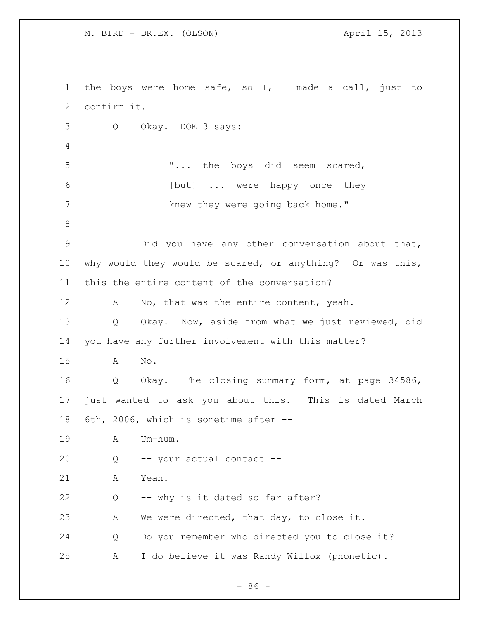the boys were home safe, so I, I made a call, just to confirm it. Q Okay. DOE 3 says: "... the boys did seem scared, 6 [but] ... were happy once they 7 knew they were going back home." Did you have any other conversation about that, why would they would be scared, or anything? Or was this, this the entire content of the conversation? 12 A No, that was the entire content, yeah. Q Okay. Now, aside from what we just reviewed, did you have any further involvement with this matter? A No. Q Okay. The closing summary form, at page 34586, just wanted to ask you about this. This is dated March 6th, 2006, which is sometime after -- A Um-hum. Q -- your actual contact -- A Yeah. Q -- why is it dated so far after? A We were directed, that day, to close it. Q Do you remember who directed you to close it? A I do believe it was Randy Willox (phonetic).

 $-86 -$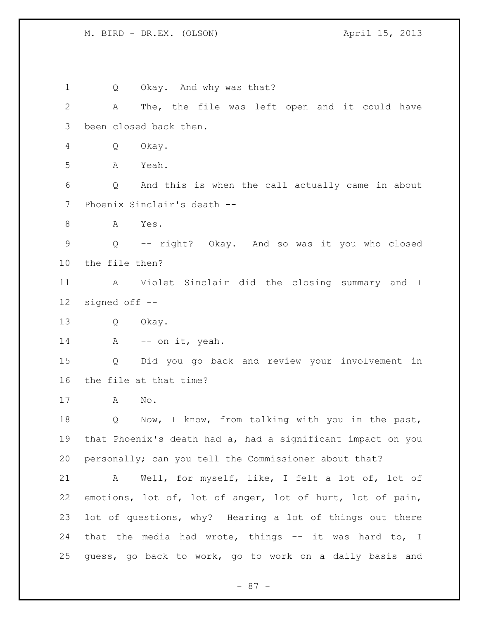1 Q Okay. And why was that? A The, the file was left open and it could have been closed back then. Q Okay. A Yeah. Q And this is when the call actually came in about Phoenix Sinclair's death -- A Yes. Q -- right? Okay. And so was it you who closed the file then? A Violet Sinclair did the closing summary and I signed off -- Q Okay. 14 A -- on it, yeah. Q Did you go back and review your involvement in the file at that time? A No. Q Now, I know, from talking with you in the past, that Phoenix's death had a, had a significant impact on you personally; can you tell the Commissioner about that? A Well, for myself, like, I felt a lot of, lot of emotions, lot of, lot of anger, lot of hurt, lot of pain, lot of questions, why? Hearing a lot of things out there 24 that the media had wrote, things -- it was hard to, I guess, go back to work, go to work on a daily basis and

- 87 -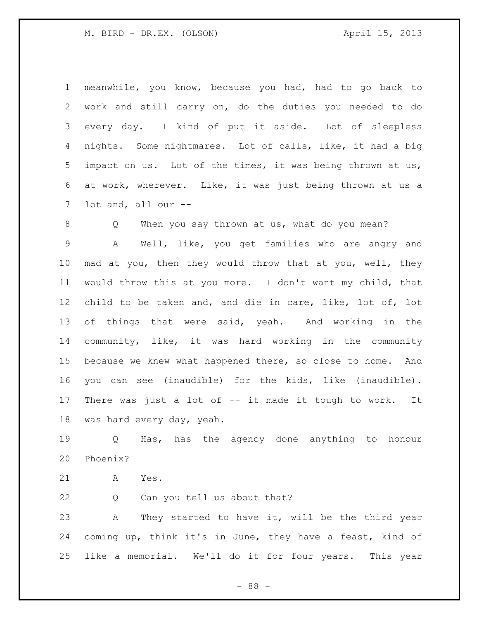meanwhile, you know, because you had, had to go back to work and still carry on, do the duties you needed to do every day. I kind of put it aside. Lot of sleepless nights. Some nightmares. Lot of calls, like, it had a big impact on us. Lot of the times, it was being thrown at us, at work, wherever. Like, it was just being thrown at us a lot and, all our --

 Q When you say thrown at us, what do you mean? A Well, like, you get families who are angry and mad at you, then they would throw that at you, well, they would throw this at you more. I don't want my child, that child to be taken and, and die in care, like, lot of, lot of things that were said, yeah. And working in the community, like, it was hard working in the community because we knew what happened there, so close to home. And you can see (inaudible) for the kids, like (inaudible). There was just a lot of -- it made it tough to work. It was hard every day, yeah.

 Q Has, has the agency done anything to honour Phoenix?

A Yes.

Q Can you tell us about that?

 A They started to have it, will be the third year coming up, think it's in June, they have a feast, kind of like a memorial. We'll do it for four years. This year

- 88 -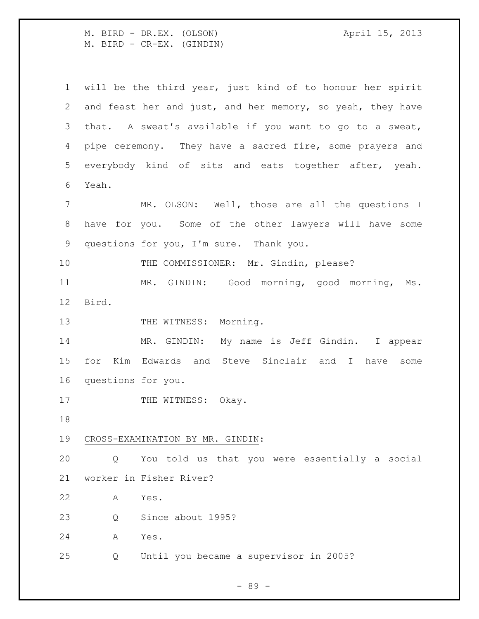M. BIRD - DR.EX. (OLSON) April 15, 2013 M. BIRD - CR-EX. (GINDIN)

 will be the third year, just kind of to honour her spirit and feast her and just, and her memory, so yeah, they have that. A sweat's available if you want to go to a sweat, 4 pipe ceremony. They have a sacred fire, some prayers and everybody kind of sits and eats together after, yeah. Yeah. MR. OLSON: Well, those are all the questions I have for you. Some of the other lawyers will have some questions for you, I'm sure. Thank you. 10 THE COMMISSIONER: Mr. Gindin, please? MR. GINDIN: Good morning, good morning, Ms. Bird. 13 THE WITNESS: Morning. MR. GINDIN: My name is Jeff Gindin. I appear for Kim Edwards and Steve Sinclair and I have some questions for you. 17 THE WITNESS: Okay. CROSS-EXAMINATION BY MR. GINDIN: Q You told us that you were essentially a social worker in Fisher River? A Yes. 23 O Since about 1995? A Yes. Q Until you became a supervisor in 2005?

- 89 -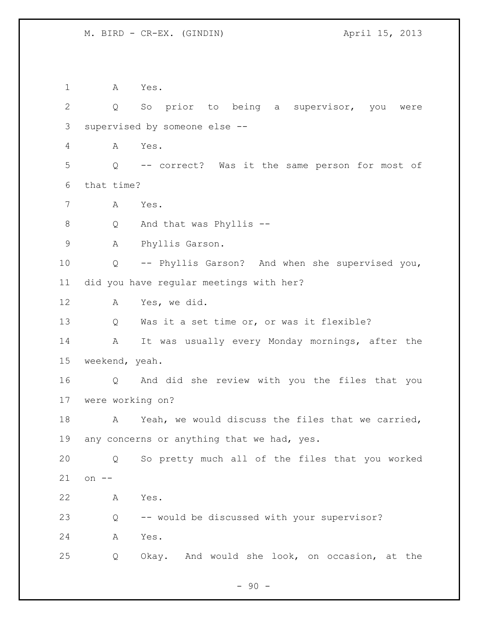A Yes. Q So prior to being a supervisor, you were supervised by someone else -- A Yes. Q -- correct? Was it the same person for most of that time? A Yes. Q And that was Phyllis -- A Phyllis Garson. Q -- Phyllis Garson? And when she supervised you, did you have regular meetings with her? A Yes, we did. Q Was it a set time or, or was it flexible? A It was usually every Monday mornings, after the weekend, yeah. Q And did she review with you the files that you were working on? A Yeah, we would discuss the files that we carried, 19 any concerns or anything that we had, yes. Q So pretty much all of the files that you worked on -- A Yes. Q -- would be discussed with your supervisor? A Yes. Q Okay. And would she look, on occasion, at the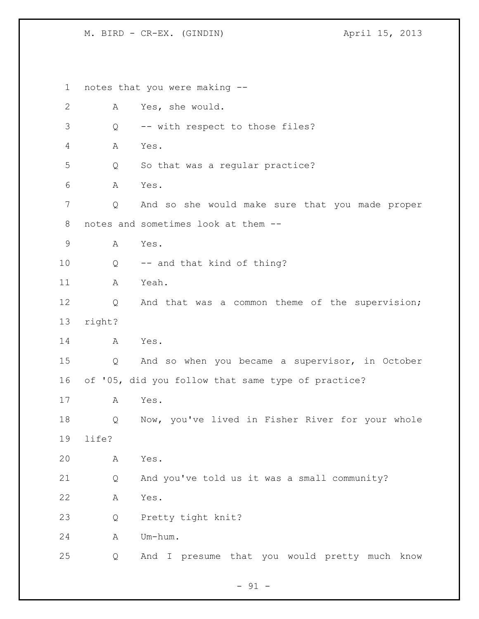notes that you were making -- A Yes, she would. Q -- with respect to those files? A Yes. Q So that was a regular practice? A Yes. Q And so she would make sure that you made proper notes and sometimes look at them -- A Yes. Q -- and that kind of thing? A Yeah. Q And that was a common theme of the supervision; right? A Yes. Q And so when you became a supervisor, in October of '05, did you follow that same type of practice? A Yes. Q Now, you've lived in Fisher River for your whole life? A Yes. Q And you've told us it was a small community? A Yes. Q Pretty tight knit? A Um-hum. Q And I presume that you would pretty much know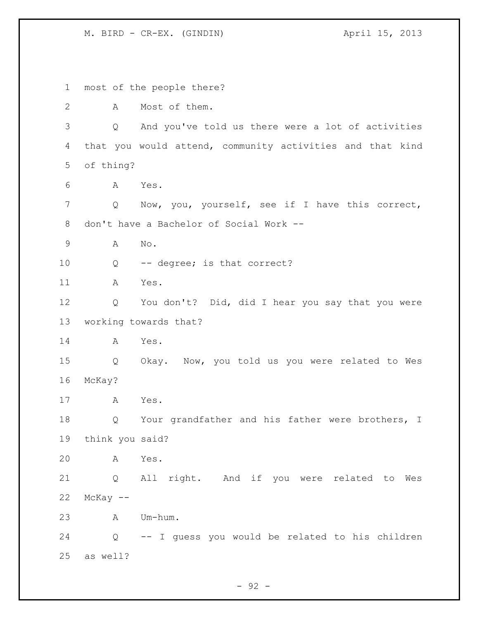most of the people there? A Most of them. Q And you've told us there were a lot of activities that you would attend, community activities and that kind of thing? A Yes. Q Now, you, yourself, see if I have this correct, don't have a Bachelor of Social Work -- A No. Q -- degree; is that correct? A Yes. Q You don't? Did, did I hear you say that you were working towards that? A Yes. Q Okay. Now, you told us you were related to Wes McKay? A Yes. 18 Q Your grandfather and his father were brothers, I think you said? A Yes. Q All right. And if you were related to Wes McKay  $--$  A Um-hum. Q -- I guess you would be related to his children as well?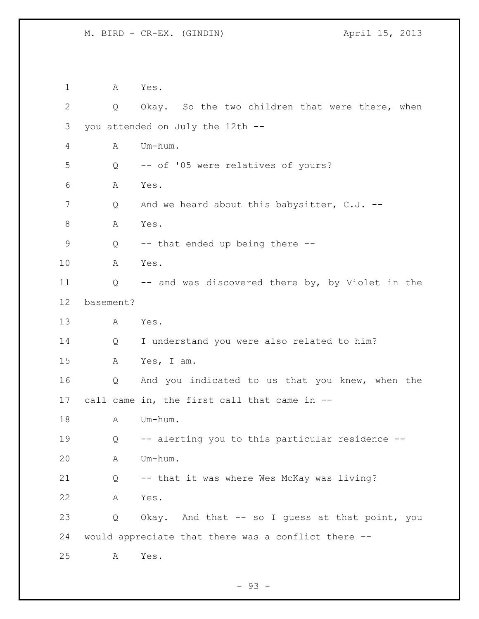A Yes. Q Okay. So the two children that were there, when you attended on July the 12th -- A Um-hum. Q -- of '05 were relatives of yours? A Yes. 7 Q And we heard about this babysitter, C.J. --8 A Yes. Q -- that ended up being there -- A Yes. Q -- and was discovered there by, by Violet in the basement? A Yes. Q I understand you were also related to him? A Yes, I am. Q And you indicated to us that you knew, when the call came in, the first call that came in -- 18 A Um-hum. Q -- alerting you to this particular residence -- A Um-hum. Q -- that it was where Wes McKay was living? A Yes. Q Okay. And that -- so I guess at that point, you would appreciate that there was a conflict there -- A Yes.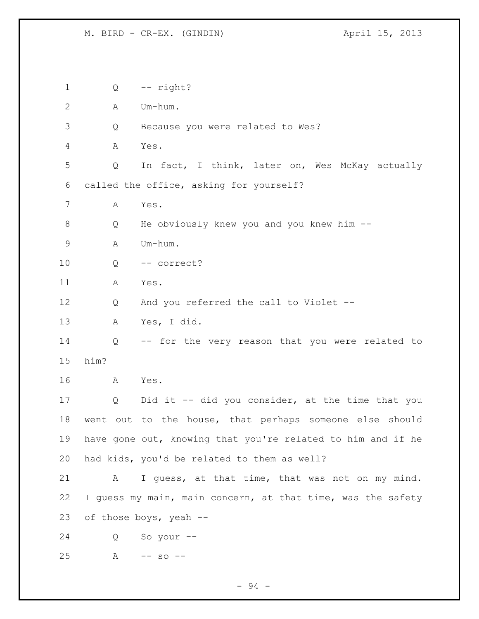Q -- right? A Um-hum. Q Because you were related to Wes? A Yes. Q In fact, I think, later on, Wes McKay actually called the office, asking for yourself? A Yes. Q He obviously knew you and you knew him -- A Um-hum. Q -- correct? A Yes. 12 Q And you referred the call to Violet -- A Yes, I did. Q -- for the very reason that you were related to him? A Yes. Q Did it -- did you consider, at the time that you went out to the house, that perhaps someone else should have gone out, knowing that you're related to him and if he had kids, you'd be related to them as well? A I guess, at that time, that was not on my mind. 22 I guess my main, main concern, at that time, was the safety of those boys, yeah -- Q So your -- A -- so --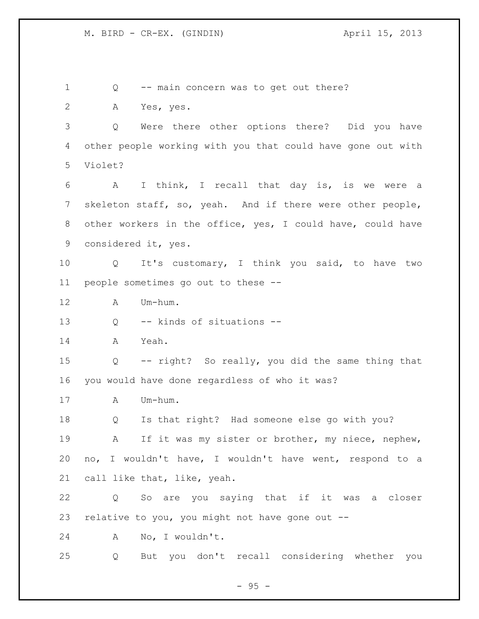Q -- main concern was to get out there? A Yes, yes. Q Were there other options there? Did you have other people working with you that could have gone out with Violet? A I think, I recall that day is, is we were a skeleton staff, so, yeah. And if there were other people, other workers in the office, yes, I could have, could have considered it, yes. Q It's customary, I think you said, to have two people sometimes go out to these -- A Um-hum. Q -- kinds of situations -- A Yeah. Q -- right? So really, you did the same thing that you would have done regardless of who it was? A Um-hum. Q Is that right? Had someone else go with you? A If it was my sister or brother, my niece, nephew, no, I wouldn't have, I wouldn't have went, respond to a call like that, like, yeah. Q So are you saying that if it was a closer relative to you, you might not have gone out -- A No, I wouldn't. Q But you don't recall considering whether you

 $- 95 -$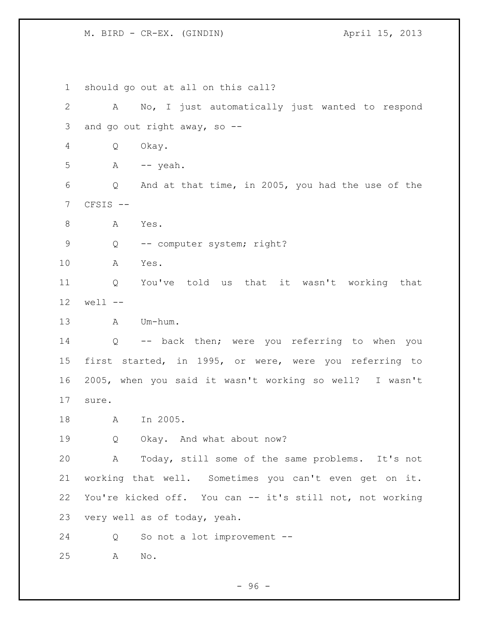should go out at all on this call? A No, I just automatically just wanted to respond and go out right away, so -- Q Okay. A  $-$  yeah. Q And at that time, in 2005, you had the use of the CFSIS -- 8 A Yes. 9 Q -- computer system; right? A Yes. Q You've told us that it wasn't working that well -- A Um-hum. Q -- back then; were you referring to when you first started, in 1995, or were, were you referring to 2005, when you said it wasn't working so well? I wasn't sure. A In 2005. 19 Q Okay. And what about now? A Today, still some of the same problems. It's not working that well. Sometimes you can't even get on it. You're kicked off. You can -- it's still not, not working very well as of today, yeah. Q So not a lot improvement -- A No.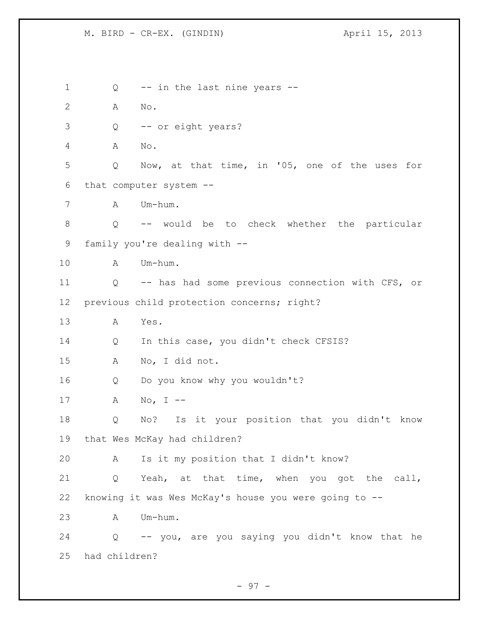1 Q -- in the last nine years -- A No. Q -- or eight years? A No. Q Now, at that time, in '05, one of the uses for that computer system -- A Um-hum. Q -- would be to check whether the particular family you're dealing with -- A Um-hum. Q -- has had some previous connection with CFS, or previous child protection concerns; right? A Yes. Q In this case, you didn't check CFSIS? A No, I did not. Q Do you know why you wouldn't? A No, I -- Q No? Is it your position that you didn't know that Wes McKay had children? A Is it my position that I didn't know? Q Yeah, at that time, when you got the call, knowing it was Wes McKay's house you were going to -- A Um-hum. Q -- you, are you saying you didn't know that he had children?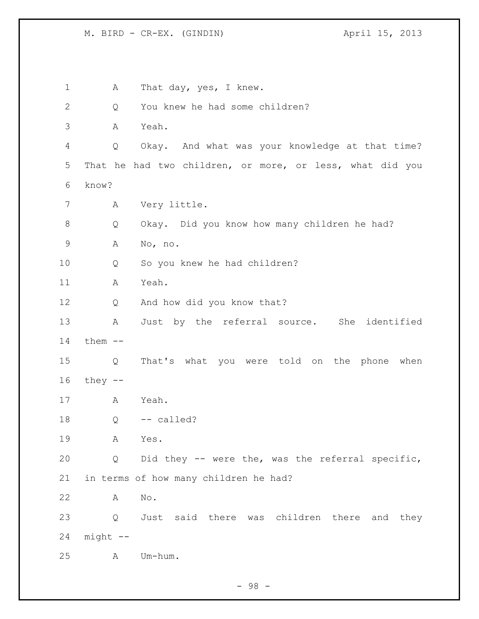M. BIRD - CR-EX. (GINDIN) April 15, 2013

1 A That day, yes, I knew. Q You knew he had some children? A Yeah. Q Okay. And what was your knowledge at that time? That he had two children, or more, or less, what did you know? A Very little. Q Okay. Did you know how many children he had? A No, no. Q So you knew he had children? A Yeah. Q And how did you know that? A Just by the referral source. She identified them -- Q That's what you were told on the phone when they -- A Yeah. Q  $-$  called? A Yes. Q Did they -- were the, was the referral specific, in terms of how many children he had? A No. Q Just said there was children there and they might -- A Um-hum.

- 98 -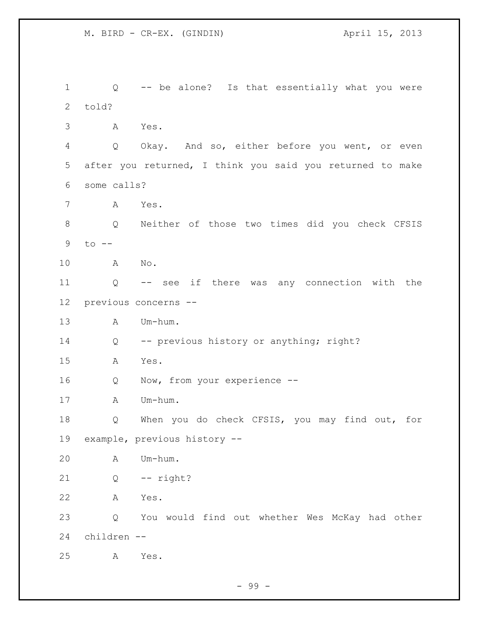Q -- be alone? Is that essentially what you were told? A Yes. Q Okay. And so, either before you went, or even after you returned, I think you said you returned to make some calls? A Yes. Q Neither of those two times did you check CFSIS to -- A No. Q -- see if there was any connection with the previous concerns -- A Um-hum. Q -- previous history or anything; right? A Yes. Q Now, from your experience -- A Um-hum. Q When you do check CFSIS, you may find out, for example, previous history -- A Um-hum. Q -- right? A Yes. Q You would find out whether Wes McKay had other children -- A Yes.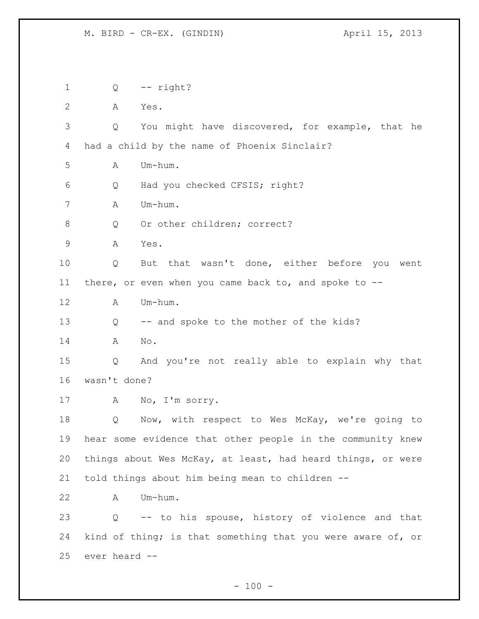Q -- right? A Yes. Q You might have discovered, for example, that he had a child by the name of Phoenix Sinclair?  $A$   $Um-h\ddot{}$  Q Had you checked CFSIS; right? A Um-hum. 8 Q Or other children; correct? A Yes. Q But that wasn't done, either before you went there, or even when you came back to, and spoke to -- A Um-hum. Q -- and spoke to the mother of the kids? A No. Q And you're not really able to explain why that wasn't done? A No, I'm sorry. Q Now, with respect to Wes McKay, we're going to hear some evidence that other people in the community knew things about Wes McKay, at least, had heard things, or were told things about him being mean to children -- A Um-hum. Q -- to his spouse, history of violence and that kind of thing; is that something that you were aware of, or ever heard --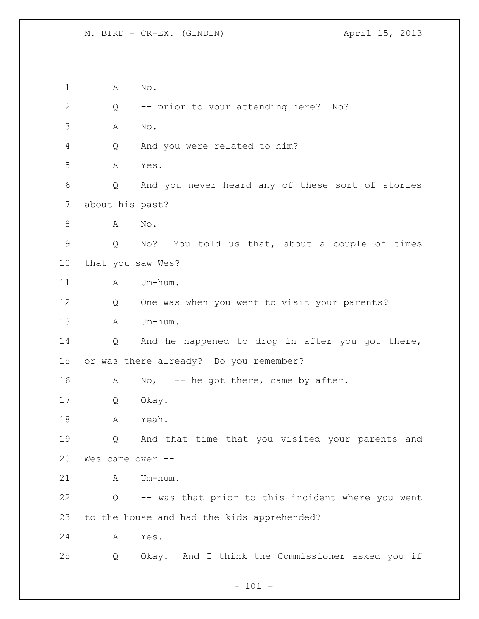A No. Q -- prior to your attending here? No? A No. Q And you were related to him? A Yes. Q And you never heard any of these sort of stories about his past? 8 A No. Q No? You told us that, about a couple of times that you saw Wes? 11 A Um-hum. Q One was when you went to visit your parents? A Um-hum. Q And he happened to drop in after you got there, or was there already? Do you remember? 16 A No, I -- he got there, came by after. Q Okay. A Yeah. Q And that time that you visited your parents and Wes came over -- A Um-hum. Q -- was that prior to this incident where you went to the house and had the kids apprehended? A Yes. Q Okay. And I think the Commissioner asked you if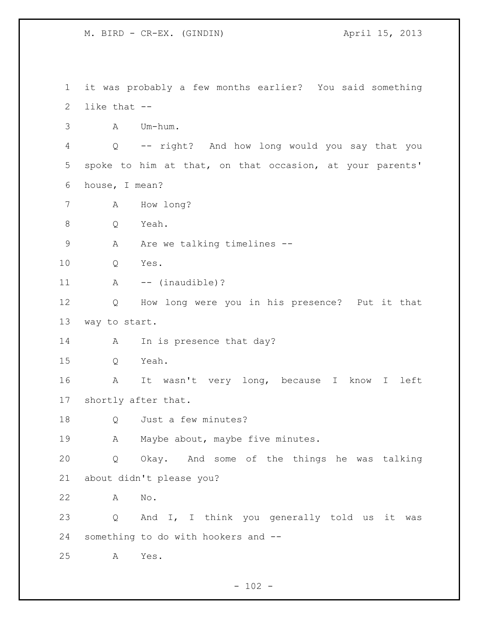it was probably a few months earlier? You said something like that -- A Um-hum. Q -- right? And how long would you say that you spoke to him at that, on that occasion, at your parents' house, I mean? A How long? Q Yeah. 9 A Are we talking timelines -- Q Yes. 11 A -- (inaudible)? Q How long were you in his presence? Put it that way to start. 14 A In is presence that day? Q Yeah. A It wasn't very long, because I know I left shortly after that. Q Just a few minutes? 19 A Maybe about, maybe five minutes. Q Okay. And some of the things he was talking about didn't please you? A No. Q And I, I think you generally told us it was something to do with hookers and -- A Yes.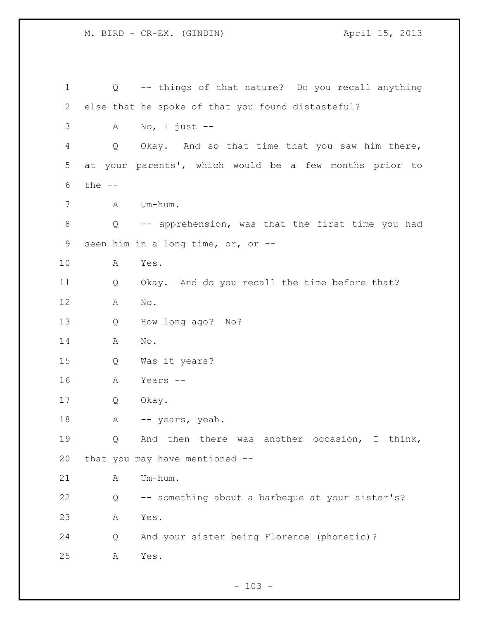Q -- things of that nature? Do you recall anything else that he spoke of that you found distasteful? A No, I just -- Q Okay. And so that time that you saw him there, at your parents', which would be a few months prior to the -- A Um-hum. Q -- apprehension, was that the first time you had seen him in a long time, or, or -- A Yes. Q Okay. And do you recall the time before that? A No. Q How long ago? No? A No. Q Was it years? A Years -- Q Okay. 18 A -- years, yeah. Q And then there was another occasion, I think, that you may have mentioned -- 21 A Um-hum. Q -- something about a barbeque at your sister's? A Yes. Q And your sister being Florence (phonetic)? A Yes.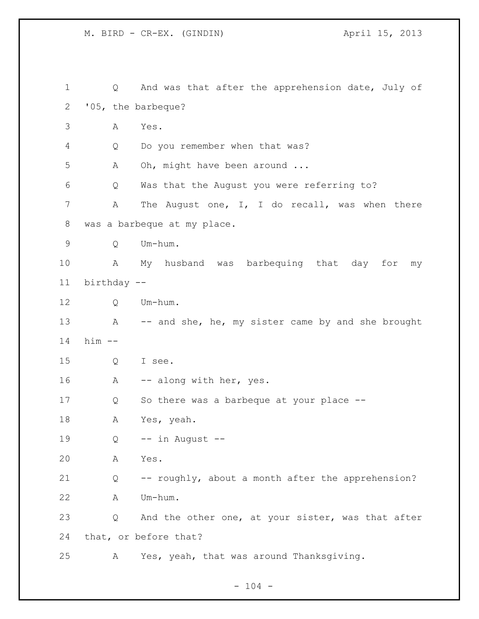M. BIRD - CR-EX. (GINDIN) April 15, 2013

| $\mathbf 1$ | Q           | And was that after the apprehension date, July of  |
|-------------|-------------|----------------------------------------------------|
| 2           |             | '05, the barbeque?                                 |
| 3           | Α           | Yes.                                               |
| 4           | Q           | Do you remember when that was?                     |
| 5           | Α           | Oh, might have been around                         |
| 6           | Q           | Was that the August you were referring to?         |
| 7           | Α           | The August one, I, I do recall, was when there     |
| 8           |             | was a barbeque at my place.                        |
| 9           | Q           | Um-hum.                                            |
| 10          | Α           | My husband was<br>barbequing that day<br>for<br>my |
| 11          | birthday -- |                                                    |
| 12          | Q           | Um-hum.                                            |
| 13          | A           | -- and she, he, my sister came by and she brought  |
| 14          | $him -$     |                                                    |
| 15          | Q           | I see.                                             |
| 16          | A           | -- along with her, yes.                            |
| 17          | Q           | So there was a barbeque at your place --           |
| 18          | Α           | Yes, yeah.                                         |
| 19          | Q           | -- in August --                                    |
| 20          | А           | Yes.                                               |
| 21          | Q           | -- roughly, about a month after the apprehension?  |
| 22          | Α           | Um-hum.                                            |
| 23          | Q           | And the other one, at your sister, was that after  |
| 24          |             | that, or before that?                              |
| 25          | А           | Yes, yeah, that was around Thanksgiving.           |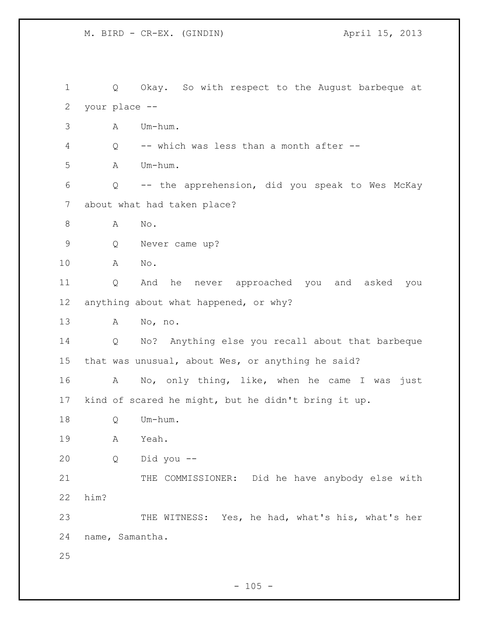Q Okay. So with respect to the August barbeque at your place -- A Um-hum. Q -- which was less than a month after -- A Um-hum. Q -- the apprehension, did you speak to Wes McKay about what had taken place? 8 A No. Q Never came up? A No. Q And he never approached you and asked you anything about what happened, or why? A No, no. Q No? Anything else you recall about that barbeque that was unusual, about Wes, or anything he said? A No, only thing, like, when he came I was just kind of scared he might, but he didn't bring it up. Q Um-hum. A Yeah. Q Did you -- 21 THE COMMISSIONER: Did he have anybody else with him? THE WITNESS: Yes, he had, what's his, what's her name, Samantha.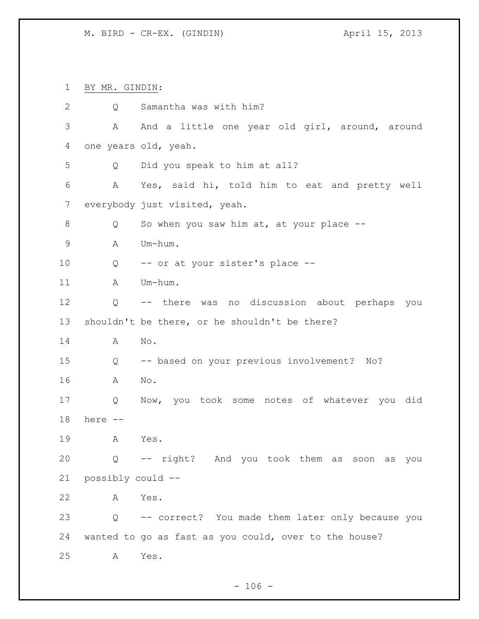M. BIRD - CR-EX. (GINDIN) April 15, 2013

BY MR. GINDIN:

| $\mathbf{2}$  | Q                 | Samantha was with him?                                |
|---------------|-------------------|-------------------------------------------------------|
| 3             | А                 | And a little one year old girl, around, around        |
| 4             |                   | one years old, yeah.                                  |
| 5             | Q                 | Did you speak to him at all?                          |
| 6             | Α                 | Yes, said hi, told him to eat and pretty well         |
| 7             |                   | everybody just visited, yeah.                         |
| 8             | Q                 | So when you saw him at, at your place $-$ -           |
| $\mathcal{G}$ | Α                 | Um-hum.                                               |
| 10            | Q                 | -- or at your sister's place --                       |
| 11            | А                 | Um-hum.                                               |
| 12            | Q                 | -- there was no discussion about perhaps you          |
| 13            |                   | shouldn't be there, or he shouldn't be there?         |
| 14            | Α                 | No.                                                   |
| 15            | Q                 | -- based on your previous involvement? No?            |
| 16            | Α                 | No.                                                   |
| 17            | Q                 | Now, you took some notes of whatever you did          |
| 18            | here --           |                                                       |
| 19            | A                 | Yes.                                                  |
| 20            |                   | Q -- right? And you took them as soon as you          |
| 21            | possibly could -- |                                                       |
| 22            | A                 | Yes.                                                  |
| 23            | Q                 | -- correct? You made them later only because you      |
| 24            |                   | wanted to go as fast as you could, over to the house? |
| 25            | Α                 | Yes.                                                  |

- 106 -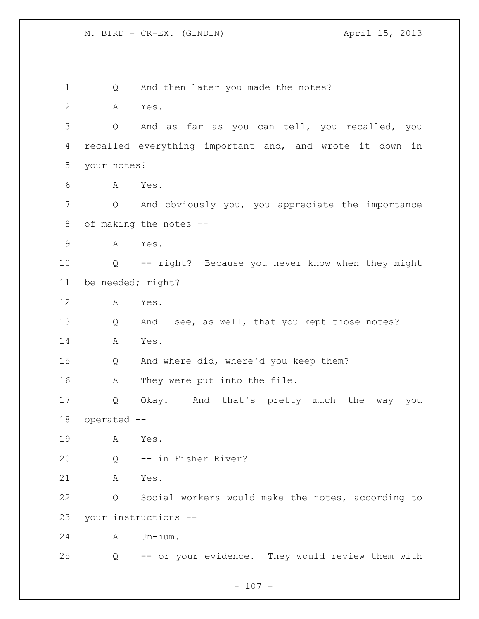1 Q And then later you made the notes? A Yes. Q And as far as you can tell, you recalled, you recalled everything important and, and wrote it down in your notes? A Yes. Q And obviously you, you appreciate the importance of making the notes -- A Yes. Q -- right? Because you never know when they might be needed; right? A Yes. 13 Q And I see, as well, that you kept those notes? A Yes. Q And where did, where'd you keep them? A They were put into the file. Q Okay. And that's pretty much the way you operated -- A Yes. Q -- in Fisher River? A Yes. Q Social workers would make the notes, according to your instructions -- A Um-hum. Q -- or your evidence. They would review them with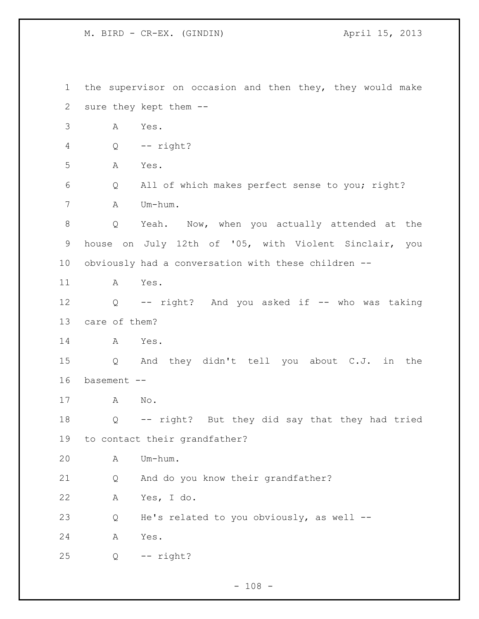the supervisor on occasion and then they, they would make sure they kept them -- A Yes. Q -- right? A Yes. Q All of which makes perfect sense to you; right? A Um-hum. Q Yeah. Now, when you actually attended at the house on July 12th of '05, with Violent Sinclair, you obviously had a conversation with these children -- A Yes. Q -- right? And you asked if -- who was taking care of them? A Yes. Q And they didn't tell you about C.J. in the basement -- A No. Q -- right? But they did say that they had tried to contact their grandfather? A Um-hum. Q And do you know their grandfather? A Yes, I do. Q He's related to you obviously, as well -- A Yes. Q -- right?

 $- 108 -$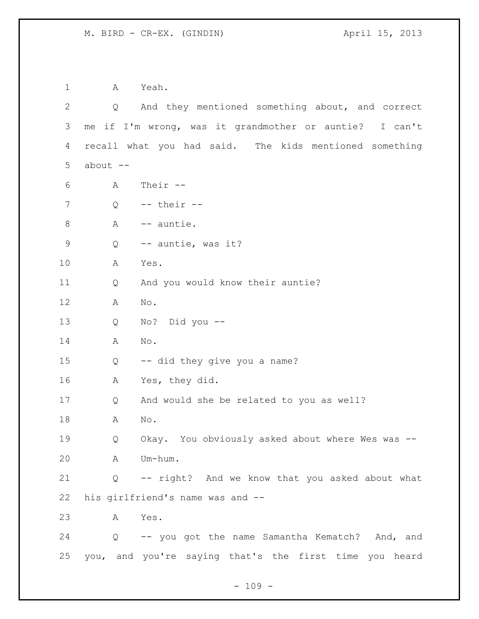A Yeah. Q And they mentioned something about, and correct me if I'm wrong, was it grandmother or auntie? I can't recall what you had said. The kids mentioned something about  $-$  A Their -- Q -- their -- A -- auntie. Q -- auntie, was it? A Yes. Q And you would know their auntie? A No. Q No? Did you -- A No. Q -- did they give you a name? A Yes, they did. Q And would she be related to you as well? A No. Q Okay. You obviously asked about where Wes was -- A Um-hum. Q -- right? And we know that you asked about what his girlfriend's name was and -- A Yes. Q -- you got the name Samantha Kematch? And, and you, and you're saying that's the first time you heard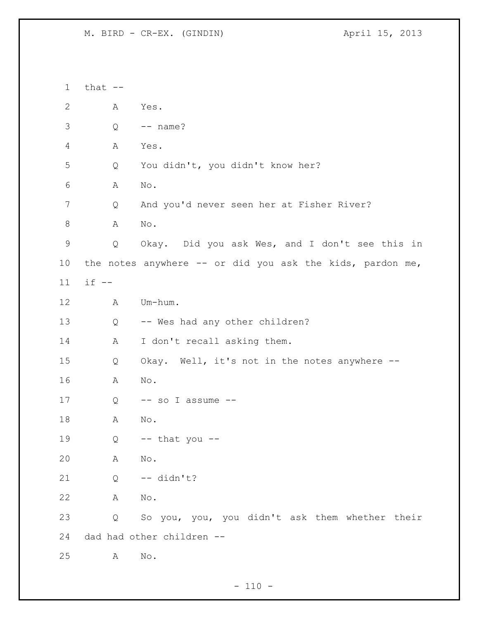M. BIRD - CR-EX. (GINDIN) April 15, 2013

 that -- A Yes.  $3 \qquad Q \qquad -- \quad name?$  A Yes. Q You didn't, you didn't know her? A No. Q And you'd never seen her at Fisher River? 8 A No. Q Okay. Did you ask Wes, and I don't see this in the notes anywhere -- or did you ask the kids, pardon me, if -- A Um-hum. Q -- Wes had any other children? 14 A I don't recall asking them. Q Okay. Well, it's not in the notes anywhere -- A No. 17 Q -- so I assume -- A No. Q -- that you -- A No. Q -- didn't? A No. Q So you, you, you didn't ask them whether their dad had other children -- A No.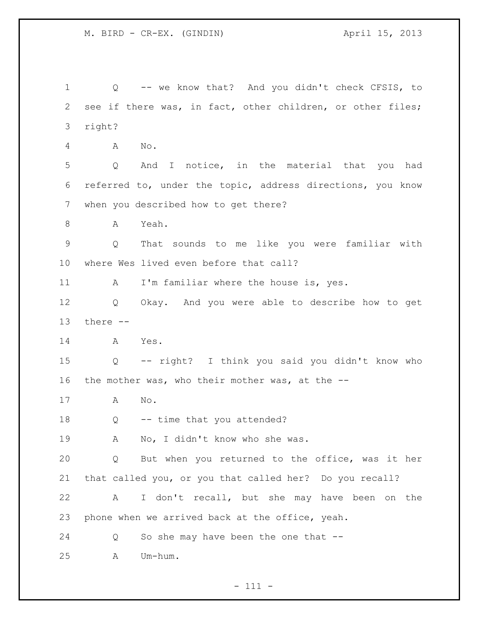Q -- we know that? And you didn't check CFSIS, to see if there was, in fact, other children, or other files; right? A No. Q And I notice, in the material that you had referred to, under the topic, address directions, you know when you described how to get there? A Yeah. Q That sounds to me like you were familiar with where Wes lived even before that call? 11 A I'm familiar where the house is, yes. Q Okay. And you were able to describe how to get there -- A Yes. Q -- right? I think you said you didn't know who the mother was, who their mother was, at the -- A No. 18 Q -- time that you attended? A No, I didn't know who she was. Q But when you returned to the office, was it her that called you, or you that called her? Do you recall? A I don't recall, but she may have been on the phone when we arrived back at the office, yeah. Q So she may have been the one that -- A Um-hum.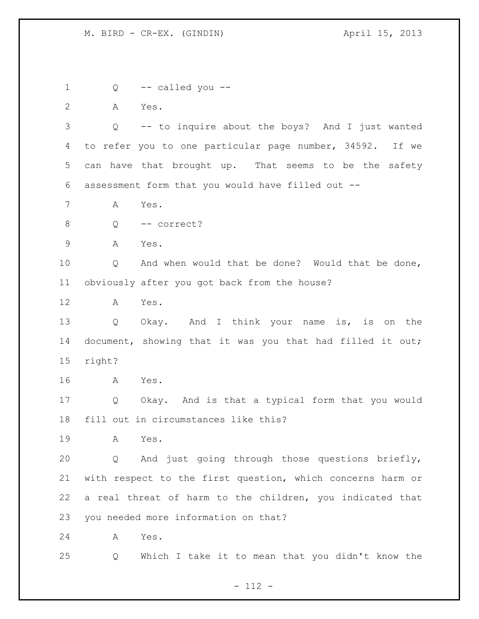1 Q -- called you -- A Yes. Q -- to inquire about the boys? And I just wanted to refer you to one particular page number, 34592. If we can have that brought up. That seems to be the safety assessment form that you would have filled out -- A Yes. Q -- correct? A Yes. Q And when would that be done? Would that be done, obviously after you got back from the house? A Yes. Q Okay. And I think your name is, is on the document, showing that it was you that had filled it out; right? A Yes. Q Okay. And is that a typical form that you would fill out in circumstances like this? A Yes. Q And just going through those questions briefly, with respect to the first question, which concerns harm or a real threat of harm to the children, you indicated that you needed more information on that? A Yes. Q Which I take it to mean that you didn't know the

- 112 -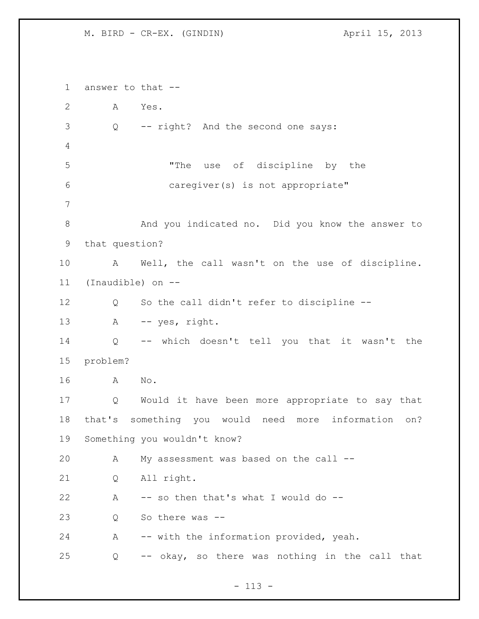M. BIRD - CR-EX. (GINDIN)  $\overline{A}$  april 15, 2013

 answer to that -- A Yes. Q -- right? And the second one says: "The use of discipline by the caregiver(s) is not appropriate" 8 And you indicated no. Did you know the answer to that question? A Well, the call wasn't on the use of discipline. (Inaudible) on -- Q So the call didn't refer to discipline -- 13 A -- yes, right. Q -- which doesn't tell you that it wasn't the problem? A No. Q Would it have been more appropriate to say that that's something you would need more information on? Something you wouldn't know? A My assessment was based on the call -- Q All right. A -- so then that's what I would do -- Q So there was -- A -- with the information provided, yeah. Q -- okay, so there was nothing in the call that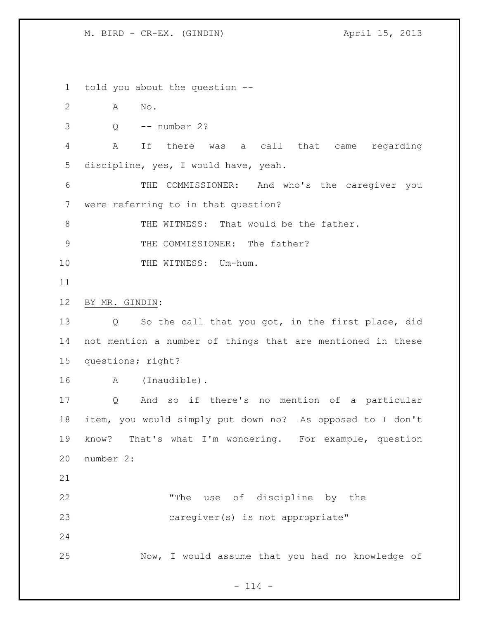M. BIRD - CR-EX. (GINDIN)  $\overline{A}$  april 15, 2013

 told you about the question -- A No. Q -- number 2? A If there was a call that came regarding discipline, yes, I would have, yeah. THE COMMISSIONER: And who's the caregiver you were referring to in that question? 8 THE WITNESS: That would be the father. 9 THE COMMISSIONER: The father? 10 THE WITNESS: Um-hum. BY MR. GINDIN: Q So the call that you got, in the first place, did not mention a number of things that are mentioned in these questions; right? A (Inaudible). Q And so if there's no mention of a particular item, you would simply put down no? As opposed to I don't know? That's what I'm wondering. For example, question number 2: "The use of discipline by the caregiver(s) is not appropriate" Now, I would assume that you had no knowledge of

 $- 114 -$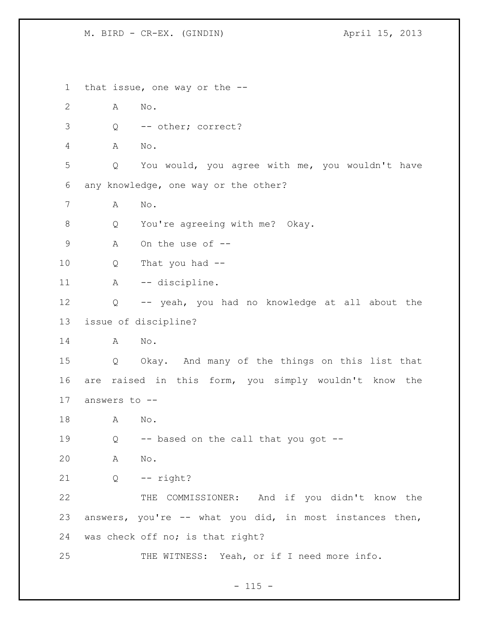M. BIRD - CR-EX. (GINDIN)  $\overline{A}$  april 15, 2013

 that issue, one way or the -- A No. Q -- other; correct? A No. Q You would, you agree with me, you wouldn't have any knowledge, one way or the other? A No. Q You're agreeing with me? Okay. A On the use of -- Q That you had -- 11 A -- discipline. Q -- yeah, you had no knowledge at all about the issue of discipline? A No. Q Okay. And many of the things on this list that are raised in this form, you simply wouldn't know the answers to -- A No. Q -- based on the call that you got -- A No. Q -- right? THE COMMISSIONER: And if you didn't know the answers, you're -- what you did, in most instances then, was check off no; is that right? 25 THE WITNESS: Yeah, or if I need more info.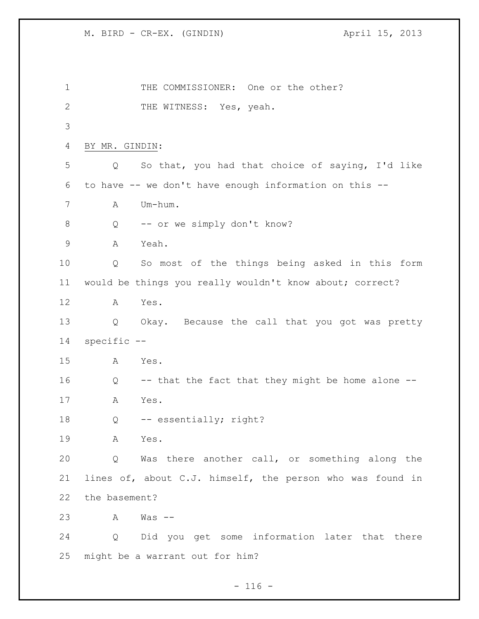1 THE COMMISSIONER: One or the other? 2 THE WITNESS: Yes, yeah. BY MR. GINDIN: Q So that, you had that choice of saying, I'd like to have -- we don't have enough information on this -- A Um-hum. 8 Q -- or we simply don't know? A Yeah. Q So most of the things being asked in this form would be things you really wouldn't know about; correct? A Yes. Q Okay. Because the call that you got was pretty specific -- A Yes. Q -- that the fact that they might be home alone -- A Yes. Q -- essentially; right? A Yes. Q Was there another call, or something along the lines of, about C.J. himself, the person who was found in the basement? A Was -- Q Did you get some information later that there might be a warrant out for him?

 $- 116 -$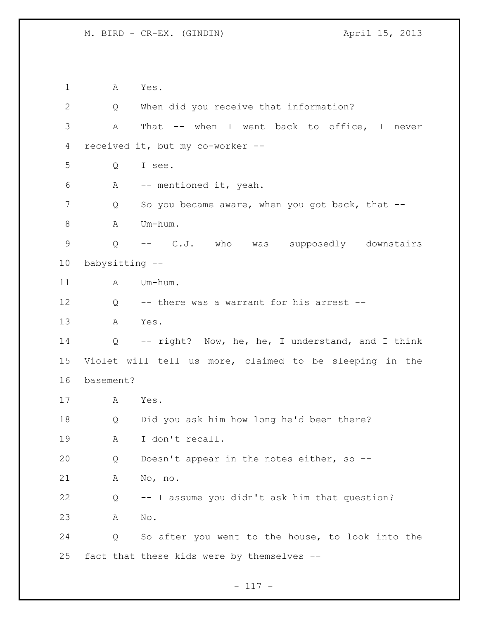A Yes. Q When did you receive that information? A That -- when I went back to office, I never received it, but my co-worker -- Q I see. A -- mentioned it, yeah. 7 Q So you became aware, when you got back, that -- A Um-hum. Q -- C.J. who was supposedly downstairs babysitting -- 11 A Um-hum. Q -- there was a warrant for his arrest -- A Yes. Q -- right? Now, he, he, I understand, and I think Violet will tell us more, claimed to be sleeping in the basement? A Yes. Q Did you ask him how long he'd been there? A I don't recall. Q Doesn't appear in the notes either, so -- A No, no. Q -- I assume you didn't ask him that question? A No. Q So after you went to the house, to look into the fact that these kids were by themselves --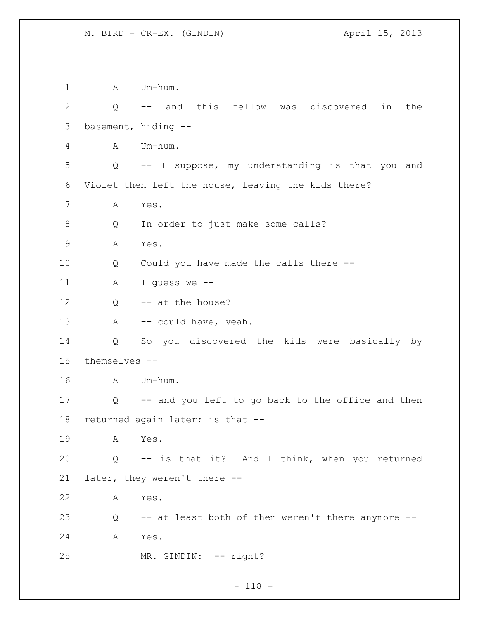1 A Um-hum. Q -- and this fellow was discovered in the basement, hiding -- A Um-hum. Q -- I suppose, my understanding is that you and Violet then left the house, leaving the kids there? A Yes. Q In order to just make some calls? A Yes. Q Could you have made the calls there -- A I guess we -- 12 Q -- at the house? 13 A -- could have, yeah. Q So you discovered the kids were basically by themselves -- A Um-hum. Q -- and you left to go back to the office and then returned again later; is that -- A Yes. Q -- is that it? And I think, when you returned later, they weren't there -- A Yes. Q -- at least both of them weren't there anymore -- A Yes. 25 MR. GINDIN: -- right?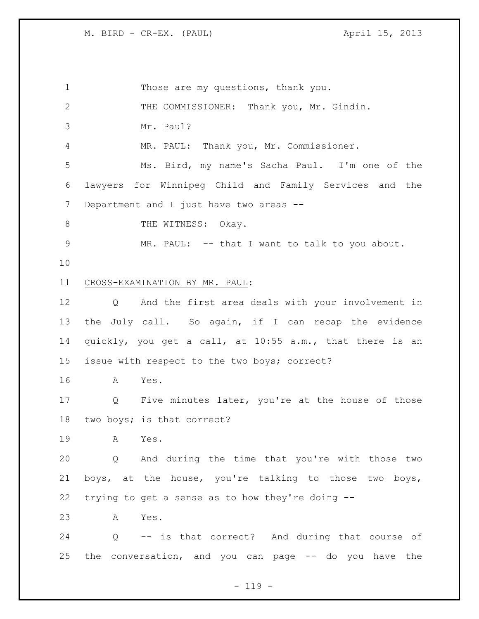Those are my questions, thank you. THE COMMISSIONER: Thank you, Mr. Gindin. Mr. Paul? MR. PAUL: Thank you, Mr. Commissioner. Ms. Bird, my name's Sacha Paul. I'm one of the lawyers for Winnipeg Child and Family Services and the 7 Department and I just have two areas --8 THE WITNESS: Okay. MR. PAUL: -- that I want to talk to you about. CROSS-EXAMINATION BY MR. PAUL: Q And the first area deals with your involvement in the July call. So again, if I can recap the evidence quickly, you get a call, at 10:55 a.m., that there is an issue with respect to the two boys; correct? A Yes. Q Five minutes later, you're at the house of those two boys; is that correct? A Yes. Q And during the time that you're with those two boys, at the house, you're talking to those two boys, trying to get a sense as to how they're doing -- A Yes. Q -- is that correct? And during that course of the conversation, and you can page -- do you have the

 $- 119 -$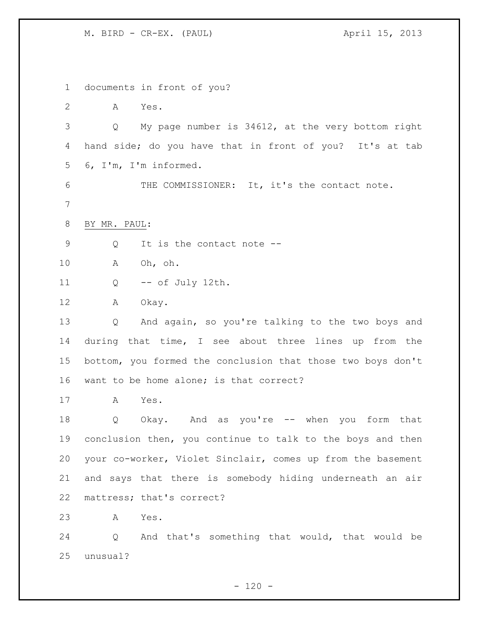documents in front of you? A Yes. Q My page number is 34612, at the very bottom right hand side; do you have that in front of you? It's at tab 6, I'm, I'm informed. 6 THE COMMISSIONER: It, it's the contact note. BY MR. PAUL: 9 Q It is the contact note -- A Oh, oh. Q -- of July 12th. A Okay. Q And again, so you're talking to the two boys and during that time, I see about three lines up from the bottom, you formed the conclusion that those two boys don't want to be home alone; is that correct? A Yes. Q Okay. And as you're -- when you form that conclusion then, you continue to talk to the boys and then your co-worker, Violet Sinclair, comes up from the basement and says that there is somebody hiding underneath an air mattress; that's correct? A Yes. Q And that's something that would, that would be unusual?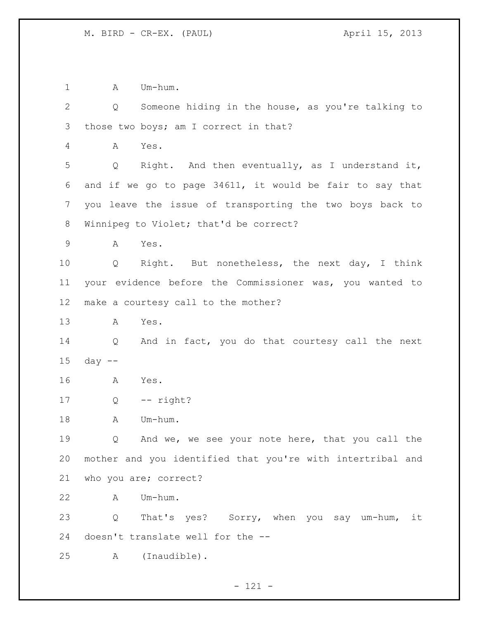1 A Um-hum.

 Q Someone hiding in the house, as you're talking to those two boys; am I correct in that? A Yes. Q Right. And then eventually, as I understand it, and if we go to page 34611, it would be fair to say that you leave the issue of transporting the two boys back to Winnipeg to Violet; that'd be correct? A Yes. Q Right. But nonetheless, the next day, I think your evidence before the Commissioner was, you wanted to make a courtesy call to the mother? A Yes. Q And in fact, you do that courtesy call the next day -- A Yes. Q -- right? 18 A Um-hum. Q And we, we see your note here, that you call the mother and you identified that you're with intertribal and who you are; correct? A Um-hum. Q That's yes? Sorry, when you say um-hum, it doesn't translate well for the -- A (Inaudible).

- 121 -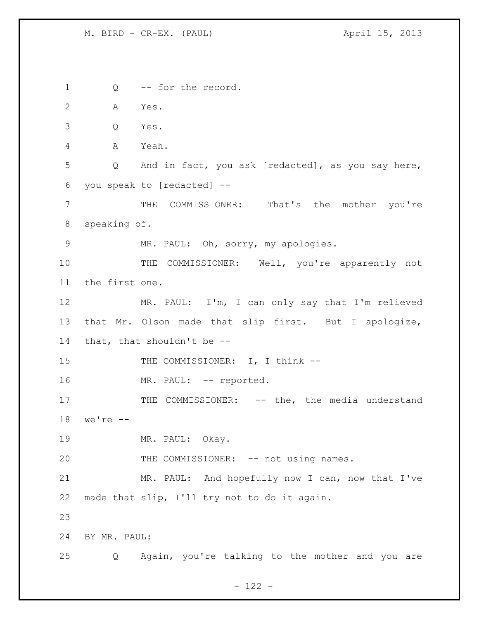Q -- for the record. A Yes. Q Yes. A Yeah. Q And in fact, you ask [redacted], as you say here, you speak to [redacted] -- THE COMMISSIONER: That's the mother you're speaking of. MR. PAUL: Oh, sorry, my apologies. THE COMMISSIONER: Well, you're apparently not the first one. MR. PAUL: I'm, I can only say that I'm relieved that Mr. Olson made that slip first. But I apologize, that, that shouldn't be -- 15 THE COMMISSIONER: I, I think --16 MR. PAUL: -- reported. 17 THE COMMISSIONER: -- the, the media understand we're -- MR. PAUL: Okay. 20 THE COMMISSIONER: -- not using names. MR. PAUL: And hopefully now I can, now that I've made that slip, I'll try not to do it again. BY MR. PAUL: Q Again, you're talking to the mother and you are

- 122 -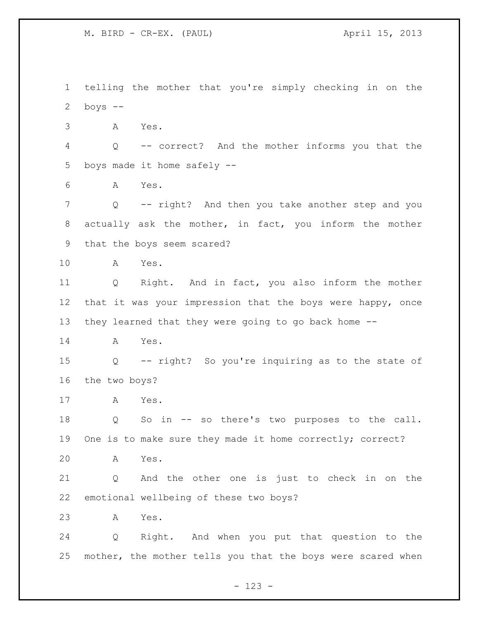telling the mother that you're simply checking in on the 2 boys  $--$  A Yes. Q -- correct? And the mother informs you that the boys made it home safely -- A Yes. Q -- right? And then you take another step and you actually ask the mother, in fact, you inform the mother that the boys seem scared? A Yes. Q Right. And in fact, you also inform the mother that it was your impression that the boys were happy, once they learned that they were going to go back home -- A Yes. Q -- right? So you're inquiring as to the state of the two boys? A Yes. Q So in -- so there's two purposes to the call. One is to make sure they made it home correctly; correct? A Yes. Q And the other one is just to check in on the emotional wellbeing of these two boys? A Yes. Q Right. And when you put that question to the mother, the mother tells you that the boys were scared when

- 123 -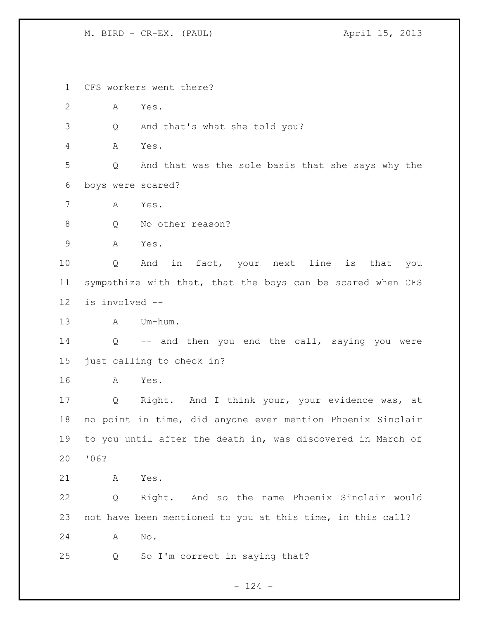CFS workers went there? A Yes. Q And that's what she told you? A Yes. Q And that was the sole basis that she says why the boys were scared? A Yes. 8 O No other reason? A Yes. Q And in fact, your next line is that you sympathize with that, that the boys can be scared when CFS is involved -- A Um-hum. 14 Q -- and then you end the call, saying you were just calling to check in? A Yes. Q Right. And I think your, your evidence was, at no point in time, did anyone ever mention Phoenix Sinclair to you until after the death in, was discovered in March of '06? A Yes. Q Right. And so the name Phoenix Sinclair would not have been mentioned to you at this time, in this call? A No. Q So I'm correct in saying that?

- 124 -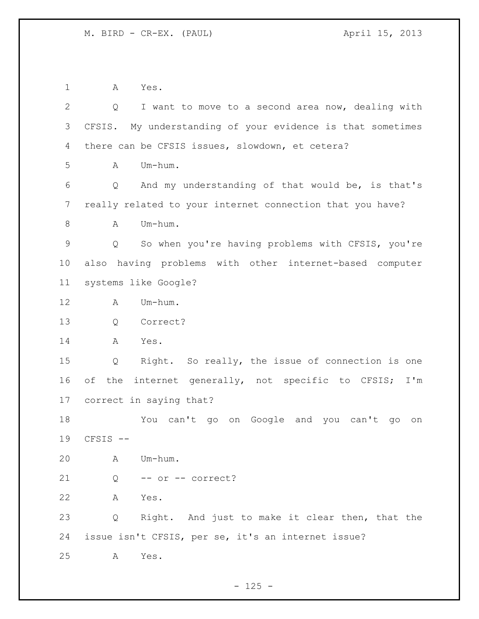A Yes. Q I want to move to a second area now, dealing with CFSIS. My understanding of your evidence is that sometimes there can be CFSIS issues, slowdown, et cetera?  $A$   $Um-h \, \ldots$  Q And my understanding of that would be, is that's really related to your internet connection that you have? 8 A Um-hum. Q So when you're having problems with CFSIS, you're also having problems with other internet-based computer systems like Google? A Um-hum. Q Correct? A Yes. Q Right. So really, the issue of connection is one of the internet generally, not specific to CFSIS; I'm correct in saying that? You can't go on Google and you can't go on CFSIS -- A Um-hum. Q -- or -- correct? A Yes. Q Right. And just to make it clear then, that the issue isn't CFSIS, per se, it's an internet issue? A Yes.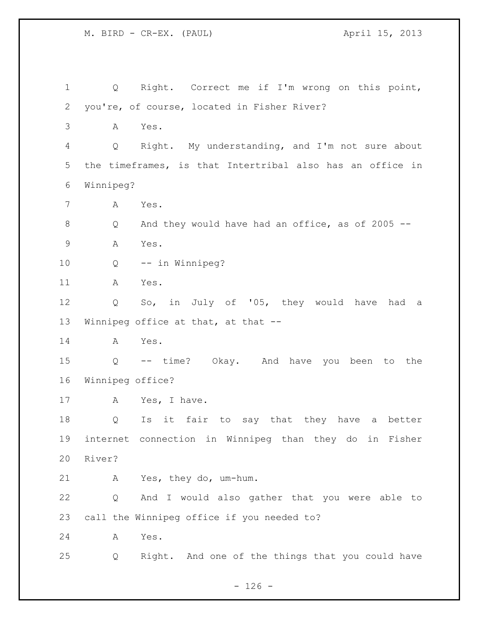M. BIRD - CR-EX. (PAUL) April 15, 2013 Q Right. Correct me if I'm wrong on this point, you're, of course, located in Fisher River? A Yes. Q Right. My understanding, and I'm not sure about the timeframes, is that Intertribal also has an office in Winnipeg? A Yes. Q And they would have had an office, as of 2005 -- A Yes. Q -- in Winnipeg? A Yes. Q So, in July of '05, they would have had a Winnipeg office at that, at that -- A Yes. Q -- time? Okay. And have you been to the Winnipeg office? 17 A Yes, I have. Q Is it fair to say that they have a better internet connection in Winnipeg than they do in Fisher River? A Yes, they do, um-hum. Q And I would also gather that you were able to call the Winnipeg office if you needed to? A Yes. Q Right. And one of the things that you could have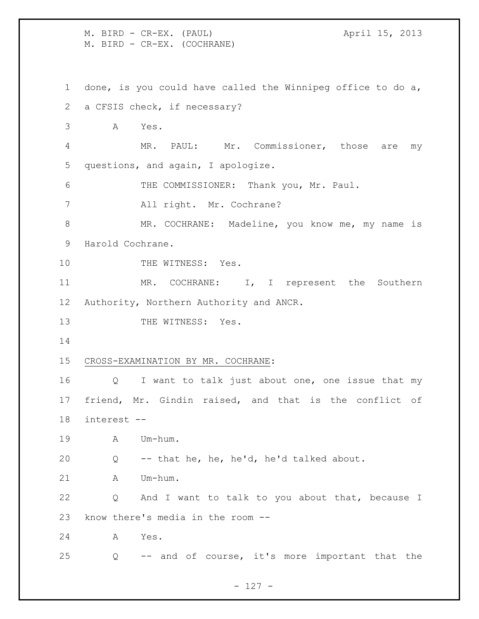M. BIRD - CR-EX. (PAUL) April 15, 2013 M. BIRD - CR-EX. (COCHRANE) done, is you could have called the Winnipeg office to do a, a CFSIS check, if necessary? A Yes. MR. PAUL: Mr. Commissioner, those are my questions, and again, I apologize. THE COMMISSIONER: Thank you, Mr. Paul. All right. Mr. Cochrane? 8 MR. COCHRANE: Madeline, you know me, my name is Harold Cochrane. 10 THE WITNESS: Yes. 11 MR. COCHRANE: I, I represent the Southern Authority, Northern Authority and ANCR. 13 THE WITNESS: Yes. CROSS-EXAMINATION BY MR. COCHRANE: Q I want to talk just about one, one issue that my friend, Mr. Gindin raised, and that is the conflict of interest -- A Um-hum. Q -- that he, he, he'd, he'd talked about. A Um-hum. Q And I want to talk to you about that, because I know there's media in the room -- A Yes. Q -- and of course, it's more important that the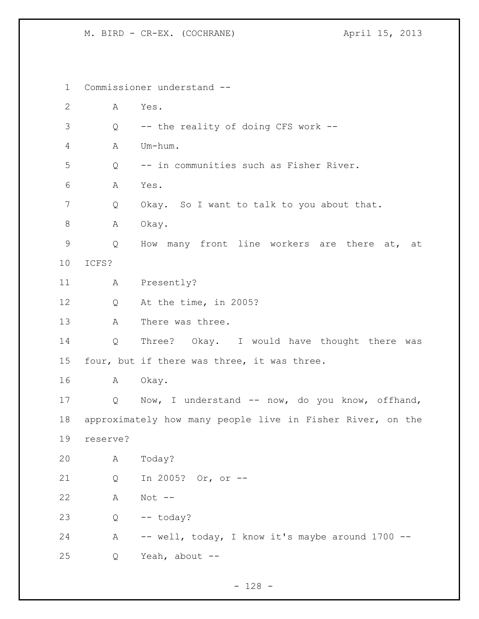M. BIRD - CR-EX. (COCHRANE) April 15, 2013

 Commissioner understand -- A Yes. Q -- the reality of doing CFS work -- A Um-hum. Q -- in communities such as Fisher River. A Yes. Q Okay. So I want to talk to you about that. 8 A Okay. Q How many front line workers are there at, at ICFS? A Presently? Q At the time, in 2005? A There was three. Q Three? Okay. I would have thought there was four, but if there was three, it was three. A Okay. Q Now, I understand -- now, do you know, offhand, approximately how many people live in Fisher River, on the reserve? A Today? Q In 2005? Or, or -- A Not -- Q -- today? 24 A -- well, today, I know it's maybe around 1700 --Q Yeah, about --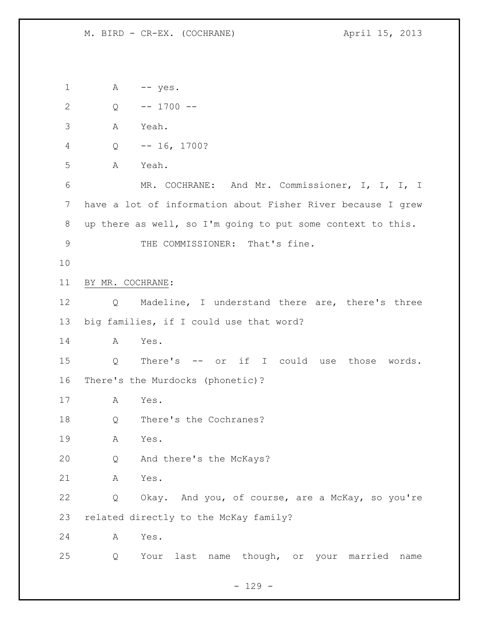1 A -- yes. Q -- 1700 -- A Yeah. Q -- 16, 1700? A Yeah. MR. COCHRANE: And Mr. Commissioner, I, I, I, I have a lot of information about Fisher River because I grew up there as well, so I'm going to put some context to this. 9 THE COMMISSIONER: That's fine. BY MR. COCHRANE: Q Madeline, I understand there are, there's three big families, if I could use that word? A Yes. Q There's -- or if I could use those words. There's the Murdocks (phonetic)? A Yes. Q There's the Cochranes? A Yes. Q And there's the McKays? A Yes. Q Okay. And you, of course, are a McKay, so you're related directly to the McKay family? A Yes. Q Your last name though, or your married name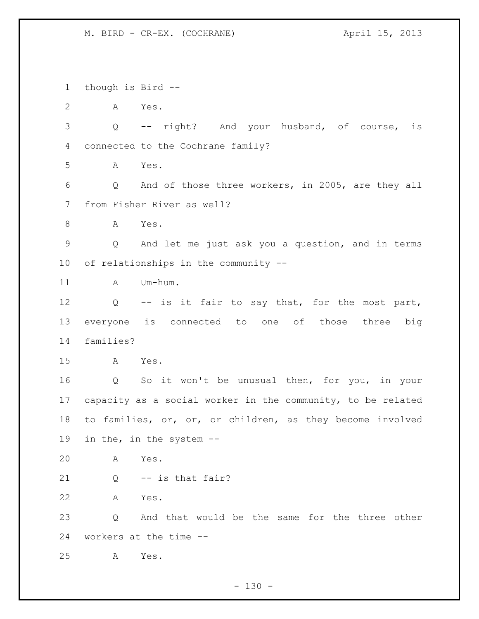M. BIRD - CR-EX. (COCHRANE) April 15, 2013

 though is Bird -- A Yes. Q -- right? And your husband, of course, is connected to the Cochrane family? A Yes. Q And of those three workers, in 2005, are they all from Fisher River as well? A Yes. Q And let me just ask you a question, and in terms of relationships in the community -- 11 A Um-hum. Q -- is it fair to say that, for the most part, everyone is connected to one of those three big families? A Yes. Q So it won't be unusual then, for you, in your capacity as a social worker in the community, to be related to families, or, or, or children, as they become involved in the, in the system -- A Yes. Q -- is that fair? A Yes. Q And that would be the same for the three other workers at the time -- A Yes.

 $- 130 -$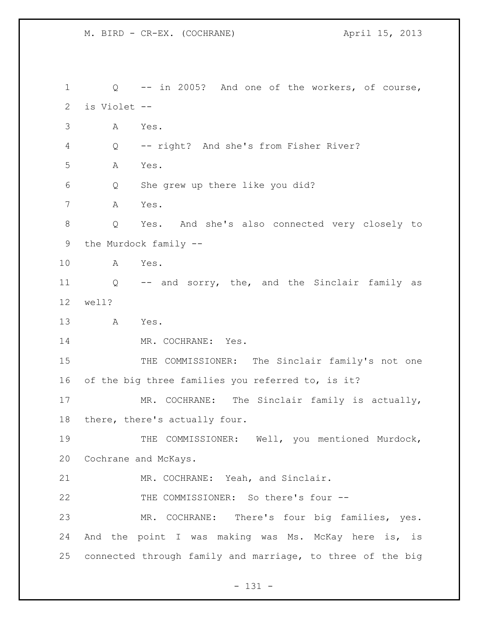M. BIRD - CR-EX. (COCHRANE) April 15, 2013

 Q -- in 2005? And one of the workers, of course, is Violet -- A Yes. Q -- right? And she's from Fisher River? A Yes. Q She grew up there like you did? A Yes. Q Yes. And she's also connected very closely to the Murdock family -- A Yes. Q -- and sorry, the, and the Sinclair family as well? A Yes. 14 MR. COCHRANE: Yes. 15 THE COMMISSIONER: The Sinclair family's not one of the big three families you referred to, is it? MR. COCHRANE: The Sinclair family is actually, there, there's actually four. 19 THE COMMISSIONER: Well, you mentioned Murdock, Cochrane and McKays. MR. COCHRANE: Yeah, and Sinclair. 22 THE COMMISSIONER: So there's four -- MR. COCHRANE: There's four big families, yes. And the point I was making was Ms. McKay here is, is connected through family and marriage, to three of the big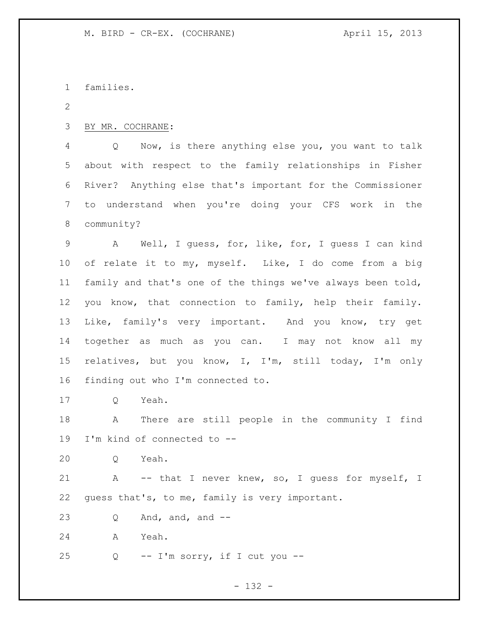families.

BY MR. COCHRANE:

 Q Now, is there anything else you, you want to talk about with respect to the family relationships in Fisher River? Anything else that's important for the Commissioner to understand when you're doing your CFS work in the community?

 A Well, I guess, for, like, for, I guess I can kind of relate it to my, myself. Like, I do come from a big family and that's one of the things we've always been told, you know, that connection to family, help their family. Like, family's very important. And you know, try get together as much as you can. I may not know all my relatives, but you know, I, I'm, still today, I'm only finding out who I'm connected to.

Q Yeah.

 A There are still people in the community I find I'm kind of connected to --

Q Yeah.

21 A -- that I never knew, so, I guess for myself, I guess that's, to me, family is very important.

23  $Q$  And, and, and  $-$ 

A Yeah.

25  $Q = -I'm$  sorry, if I cut you  $-$ 

- 132 -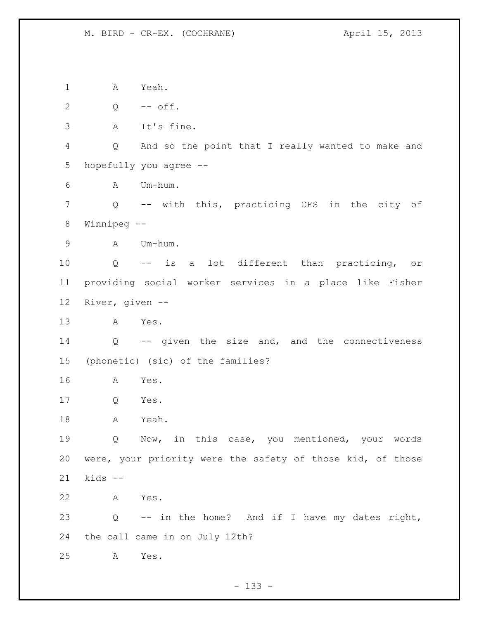M. BIRD - CR-EX. (COCHRANE) April 15, 2013

1 A Yeah. Q -- off. A It's fine. Q And so the point that I really wanted to make and hopefully you agree -- A Um-hum. Q -- with this, practicing CFS in the city of Winnipeg -- A Um-hum. Q -- is a lot different than practicing, or providing social worker services in a place like Fisher River, given -- A Yes. Q -- given the size and, and the connectiveness (phonetic) (sic) of the families? A Yes. Q Yes. A Yeah. Q Now, in this case, you mentioned, your words were, your priority were the safety of those kid, of those kids -- A Yes. Q -- in the home? And if I have my dates right, the call came in on July 12th? A Yes.

- 133 -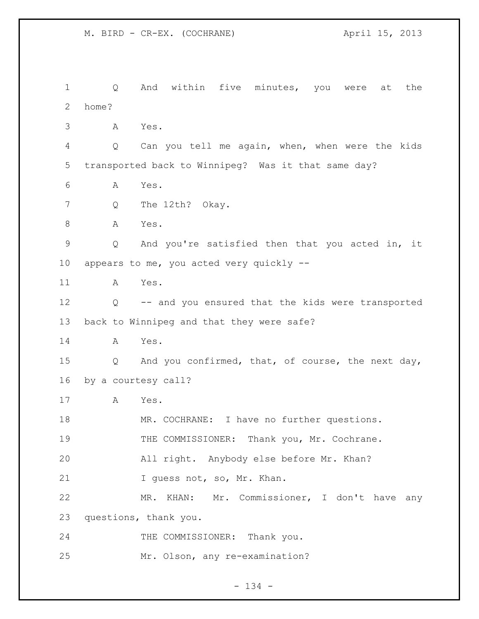Q And within five minutes, you were at the home? A Yes. Q Can you tell me again, when, when were the kids transported back to Winnipeg? Was it that same day? A Yes. 7 Q The 12th? Okay. 8 A Yes. Q And you're satisfied then that you acted in, it appears to me, you acted very quickly -- A Yes. Q -- and you ensured that the kids were transported back to Winnipeg and that they were safe? A Yes. Q And you confirmed, that, of course, the next day, by a courtesy call? A Yes. 18 MR. COCHRANE: I have no further questions. THE COMMISSIONER: Thank you, Mr. Cochrane. All right. Anybody else before Mr. Khan? 21 I guess not, so, Mr. Khan. MR. KHAN: Mr. Commissioner, I don't have any questions, thank you. 24 THE COMMISSIONER: Thank you. Mr. Olson, any re-examination?

- 134 -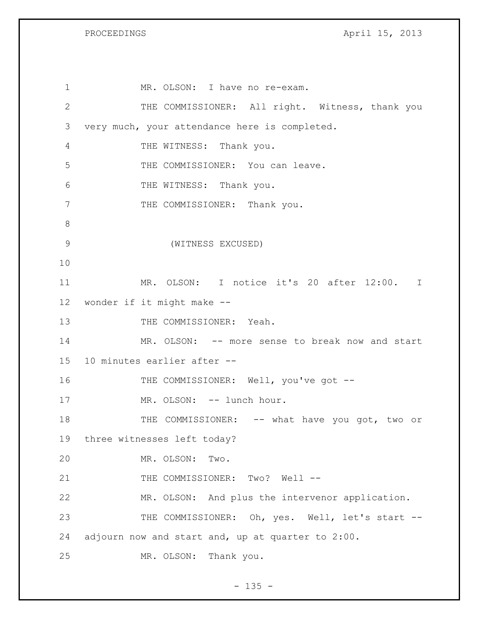PROCEEDINGS April 15, 2013

1 MR. OLSON: I have no re-exam. THE COMMISSIONER: All right. Witness, thank you very much, your attendance here is completed. THE WITNESS: Thank you. THE COMMISSIONER: You can leave. THE WITNESS: Thank you. 7 THE COMMISSIONER: Thank you. (WITNESS EXCUSED) MR. OLSON: I notice it's 20 after 12:00. I wonder if it might make -- 13 THE COMMISSIONER: Yeah. MR. OLSON: -- more sense to break now and start 10 minutes earlier after -- 16 THE COMMISSIONER: Well, you've got --17 MR. OLSON: -- lunch hour. 18 THE COMMISSIONER: -- what have you got, two or three witnesses left today? MR. OLSON: Two. 21 THE COMMISSIONER: Two? Well -- MR. OLSON: And plus the intervenor application. 23 THE COMMISSIONER: Oh, yes. Well, let's start -- adjourn now and start and, up at quarter to 2:00. MR. OLSON: Thank you.

 $- 135 -$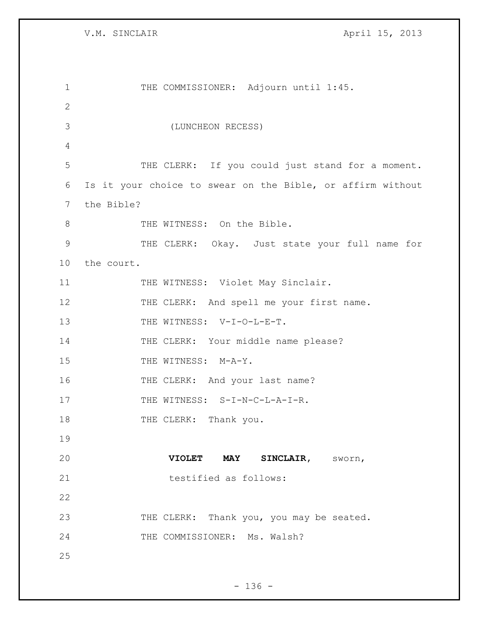V.M. SINCLAIR April 15, 2013

| $\mathbf 1$  | THE COMMISSIONER: Adjourn until 1:45.                      |
|--------------|------------------------------------------------------------|
| $\mathbf{2}$ |                                                            |
| 3            | (LUNCHEON RECESS)                                          |
| 4            |                                                            |
| 5            | THE CLERK: If you could just stand for a moment.           |
| 6            | Is it your choice to swear on the Bible, or affirm without |
| 7            | the Bible?                                                 |
| 8            | THE WITNESS: On the Bible.                                 |
| 9            | THE CLERK: Okay. Just state your full name for             |
| 10           | the court.                                                 |
| 11           | THE WITNESS: Violet May Sinclair.                          |
| 12           | THE CLERK: And spell me your first name.                   |
| 13           | THE WITNESS: V-I-O-L-E-T.                                  |
| 14           | THE CLERK: Your middle name please?                        |
| 15           | THE WITNESS: M-A-Y.                                        |
| 16           | THE CLERK: And your last name?                             |
| 17           | THE WITNESS: S-I-N-C-L-A-I-R.                              |
| 18           | THE CLERK: Thank you.                                      |
| 19           |                                                            |
| 20           | VIOLET MAY SINCLAIR, SWOYN,                                |
| 21           | testified as follows:                                      |
| 22           |                                                            |
| 23           | THE CLERK: Thank you, you may be seated.                   |
| 24           | THE COMMISSIONER: Ms. Walsh?                               |
| 25           |                                                            |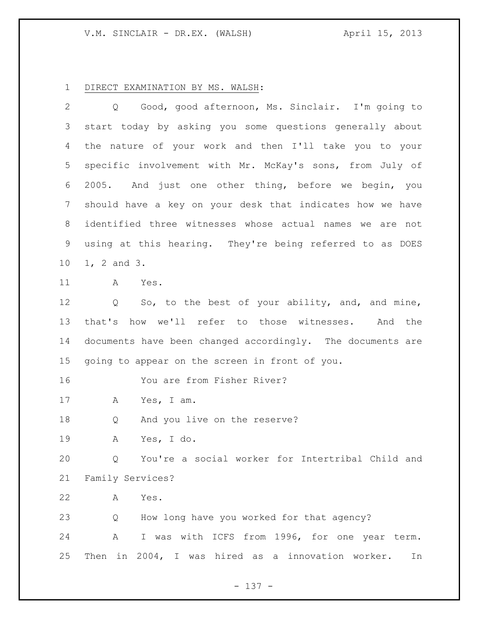## DIRECT EXAMINATION BY MS. WALSH:

 Q Good, good afternoon, Ms. Sinclair. I'm going to start today by asking you some questions generally about the nature of your work and then I'll take you to your specific involvement with Mr. McKay's sons, from July of 2005. And just one other thing, before we begin, you should have a key on your desk that indicates how we have identified three witnesses whose actual names we are not using at this hearing. They're being referred to as DOES 1, 2 and 3. A Yes.

 Q So, to the best of your ability, and, and mine, that's how we'll refer to those witnesses. And the documents have been changed accordingly. The documents are going to appear on the screen in front of you.

You are from Fisher River?

A Yes, I am.

Q And you live on the reserve?

A Yes, I do.

 Q You're a social worker for Intertribal Child and Family Services?

A Yes.

Q How long have you worked for that agency?

 A I was with ICFS from 1996, for one year term. Then in 2004, I was hired as a innovation worker. In

- 137 -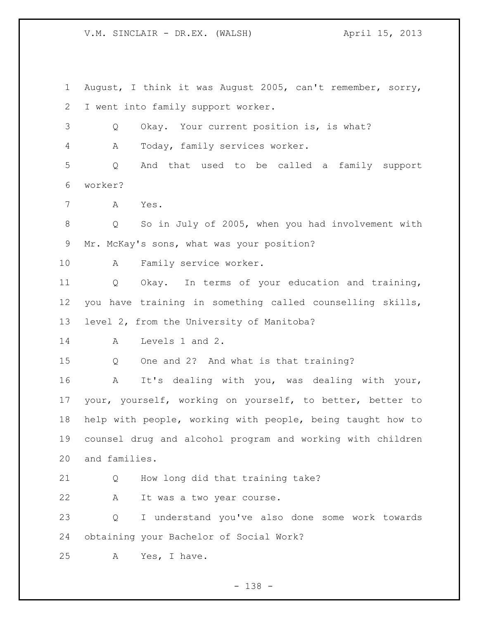August, I think it was August 2005, can't remember, sorry, I went into family support worker. Q Okay. Your current position is, is what? A Today, family services worker. Q And that used to be called a family support worker? A Yes. Q So in July of 2005, when you had involvement with Mr. McKay's sons, what was your position? A Family service worker. Q Okay. In terms of your education and training, you have training in something called counselling skills, level 2, from the University of Manitoba? A Levels 1 and 2. Q One and 2? And what is that training? A It's dealing with you, was dealing with your, your, yourself, working on yourself, to better, better to help with people, working with people, being taught how to counsel drug and alcohol program and working with children and families. Q How long did that training take? A It was a two year course. Q I understand you've also done some work towards obtaining your Bachelor of Social Work? A Yes, I have.

- 138 -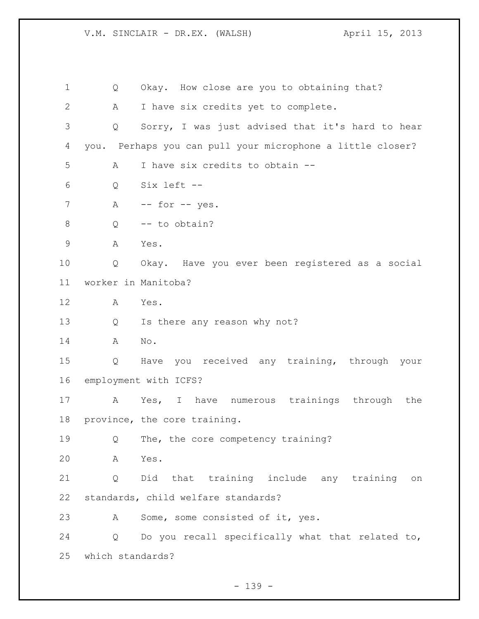Q Okay. How close are you to obtaining that? A I have six credits yet to complete. Q Sorry, I was just advised that it's hard to hear you. Perhaps you can pull your microphone a little closer? A I have six credits to obtain -- Q Six left -- 7 A -- for -- yes. Q -- to obtain? A Yes. Q Okay. Have you ever been registered as a social worker in Manitoba? A Yes. Q Is there any reason why not? A No. Q Have you received any training, through your employment with ICFS? A Yes, I have numerous trainings through the province, the core training. Q The, the core competency training? A Yes. Q Did that training include any training on standards, child welfare standards? 23 A Some, some consisted of it, yes. Q Do you recall specifically what that related to, which standards?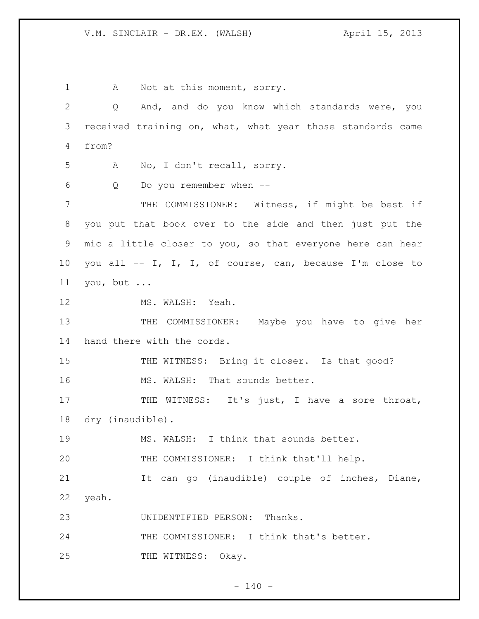1 A Not at this moment, sorry. Q And, and do you know which standards were, you received training on, what, what year those standards came from? A No, I don't recall, sorry. Q Do you remember when -- THE COMMISSIONER: Witness, if might be best if you put that book over to the side and then just put the mic a little closer to you, so that everyone here can hear you all -- I, I, I, of course, can, because I'm close to you, but ... 12 MS. WALSH: Yeah. 13 THE COMMISSIONER: Maybe you have to give her hand there with the cords. 15 THE WITNESS: Bring it closer. Is that good? 16 MS. WALSH: That sounds better. 17 THE WITNESS: It's just, I have a sore throat, dry (inaudible). MS. WALSH: I think that sounds better. THE COMMISSIONER: I think that'll help. It can go (inaudible) couple of inches, Diane, yeah. UNIDENTIFIED PERSON: Thanks. THE COMMISSIONER: I think that's better. 25 THE WITNESS: Okay.

 $- 140 -$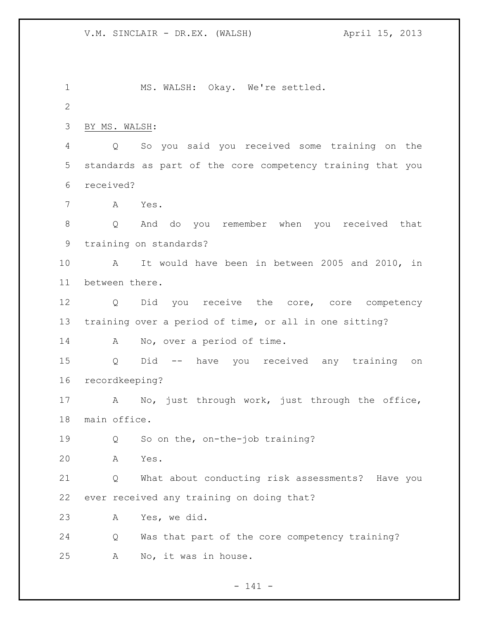MS. WALSH: Okay. We're settled. BY MS. WALSH: Q So you said you received some training on the standards as part of the core competency training that you received? A Yes. Q And do you remember when you received that training on standards? A It would have been in between 2005 and 2010, in between there. Q Did you receive the core, core competency training over a period of time, or all in one sitting? 14 A No, over a period of time. Q Did -- have you received any training on recordkeeping? A No, just through work, just through the office, main office. 19 Q So on the, on-the-job training? A Yes. Q What about conducting risk assessments? Have you ever received any training on doing that? A Yes, we did. Q Was that part of the core competency training? A No, it was in house.

 $- 141 -$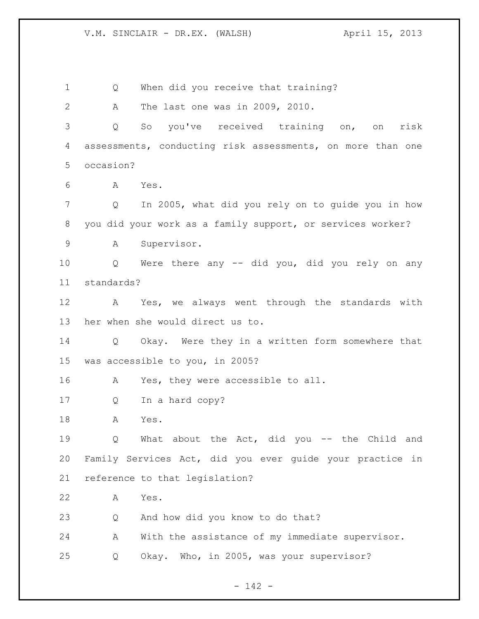1 Q When did you receive that training? A The last one was in 2009, 2010. Q So you've received training on, on risk assessments, conducting risk assessments, on more than one occasion? A Yes. Q In 2005, what did you rely on to guide you in how you did your work as a family support, or services worker? A Supervisor. Q Were there any -- did you, did you rely on any standards? A Yes, we always went through the standards with her when she would direct us to. Q Okay. Were they in a written form somewhere that was accessible to you, in 2005? A Yes, they were accessible to all. Q In a hard copy? A Yes. Q What about the Act, did you -- the Child and Family Services Act, did you ever guide your practice in reference to that legislation? A Yes. Q And how did you know to do that? A With the assistance of my immediate supervisor. Q Okay. Who, in 2005, was your supervisor?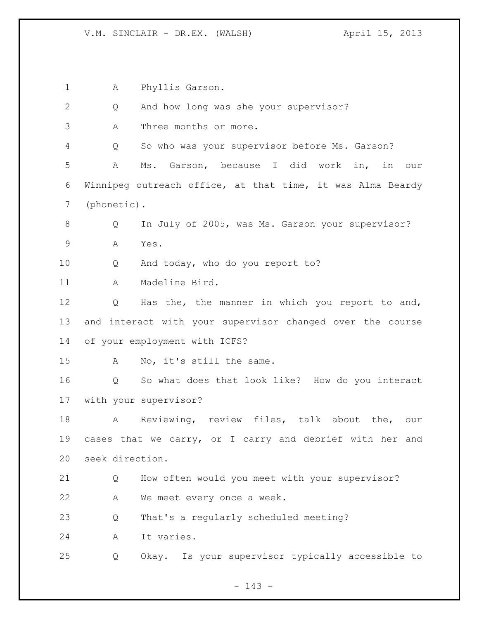A Phyllis Garson. Q And how long was she your supervisor? A Three months or more. Q So who was your supervisor before Ms. Garson? A Ms. Garson, because I did work in, in our Winnipeg outreach office, at that time, it was Alma Beardy (phonetic). 8 Q In July of 2005, was Ms. Garson your supervisor? A Yes. Q And today, who do you report to? A Madeline Bird. Q Has the, the manner in which you report to and, and interact with your supervisor changed over the course of your employment with ICFS? A No, it's still the same. Q So what does that look like? How do you interact with your supervisor? A Reviewing, review files, talk about the, our cases that we carry, or I carry and debrief with her and seek direction. Q How often would you meet with your supervisor? A We meet every once a week. Q That's a regularly scheduled meeting? A It varies. Q Okay. Is your supervisor typically accessible to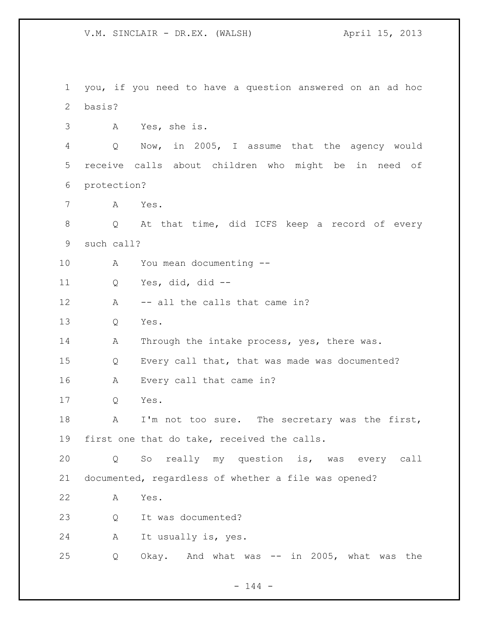you, if you need to have a question answered on an ad hoc basis? A Yes, she is. Q Now, in 2005, I assume that the agency would receive calls about children who might be in need of protection? A Yes. Q At that time, did ICFS keep a record of every such call? A You mean documenting -- Q Yes, did, did -- 12 A -- all the calls that came in? Q Yes. 14 A Through the intake process, yes, there was. Q Every call that, that was made was documented? A Every call that came in? Q Yes. 18 A I'm not too sure. The secretary was the first, first one that do take, received the calls. Q So really my question is, was every call documented, regardless of whether a file was opened? A Yes. Q It was documented? A It usually is, yes. Q Okay. And what was -- in 2005, what was the

 $- 144 -$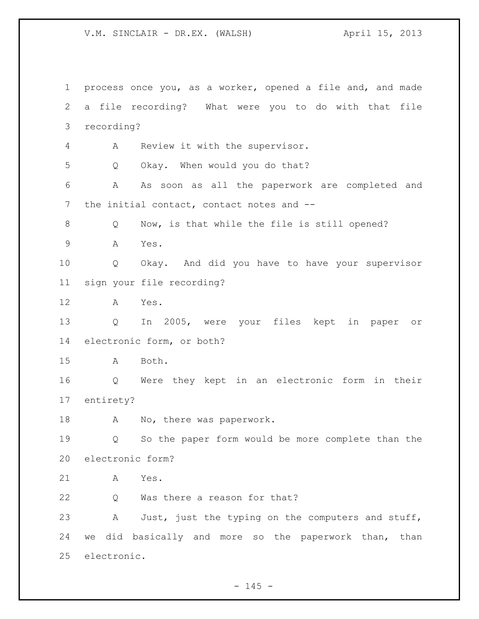process once you, as a worker, opened a file and, and made a file recording? What were you to do with that file recording? A Review it with the supervisor. Q Okay. When would you do that? A As soon as all the paperwork are completed and 7 the initial contact, contact notes and -- Q Now, is that while the file is still opened? A Yes. Q Okay. And did you have to have your supervisor sign your file recording? A Yes. Q In 2005, were your files kept in paper or electronic form, or both? A Both. Q Were they kept in an electronic form in their entirety? A No, there was paperwork. Q So the paper form would be more complete than the electronic form? A Yes. Q Was there a reason for that? 23 A Just, just the typing on the computers and stuff, we did basically and more so the paperwork than, than electronic.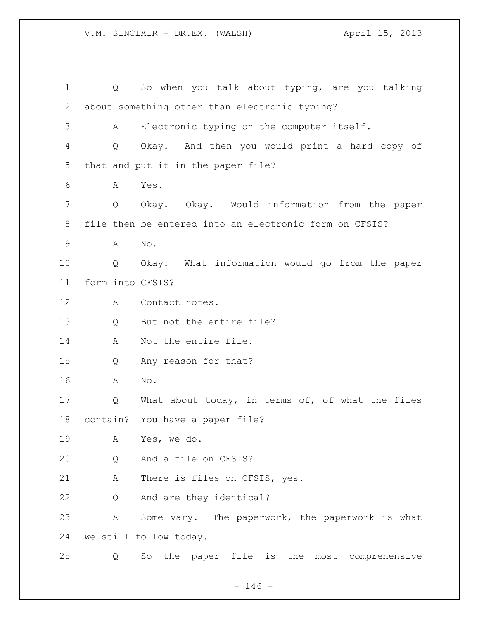| $\mathbf 1$ | Q                | So when you talk about typing, are you talking         |
|-------------|------------------|--------------------------------------------------------|
| 2           |                  | about something other than electronic typing?          |
| 3           | A                | Electronic typing on the computer itself.              |
| 4           | Q                | Okay. And then you would print a hard copy of          |
| 5           |                  | that and put it in the paper file?                     |
| 6           | A                | Yes.                                                   |
| 7           | Q                | Okay. Okay. Would information from the paper           |
| 8           |                  | file then be entered into an electronic form on CFSIS? |
| $\mathsf 9$ | Α                | No.                                                    |
| 10          | Q                | Okay. What information would go from the paper         |
| 11          | form into CFSIS? |                                                        |
| 12          | A                | Contact notes.                                         |
| 13          | Q                | But not the entire file?                               |
| 14          | A                | Not the entire file.                                   |
| 15          | Q                | Any reason for that?                                   |
| 16          | A                | No.                                                    |
| 17          | Q                | What about today, in terms of, of what the files       |
| 18          |                  | contain? You have a paper file?                        |
| 19          | Α                | Yes, we do.                                            |
| 20          | Q                | And a file on CFSIS?                                   |
| 21          | A                | There is files on CFSIS, yes.                          |
| 22          | Q                | And are they identical?                                |
| 23          | A                | Some vary. The paperwork, the paperwork is what        |
| 24          |                  | we still follow today.                                 |
| 25          | Q                | So the paper file is<br>most comprehensive<br>the      |

- 146 -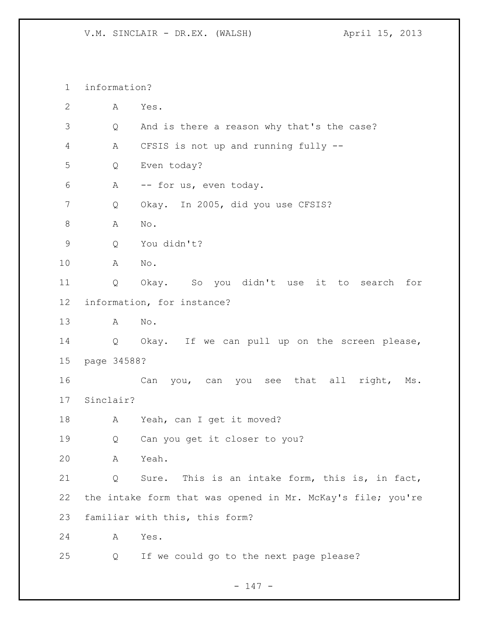information? A Yes. Q And is there a reason why that's the case? A CFSIS is not up and running fully -- Q Even today? A -- for us, even today. Q Okay. In 2005, did you use CFSIS? A No. Q You didn't? A No. Q Okay. So you didn't use it to search for information, for instance? A No. Q Okay. If we can pull up on the screen please, page 34588? Can you, can you see that all right, Ms. Sinclair? 18 A Yeah, can I get it moved? Q Can you get it closer to you? A Yeah. Q Sure. This is an intake form, this is, in fact, the intake form that was opened in Mr. McKay's file; you're familiar with this, this form? A Yes. Q If we could go to the next page please?

### - 147 -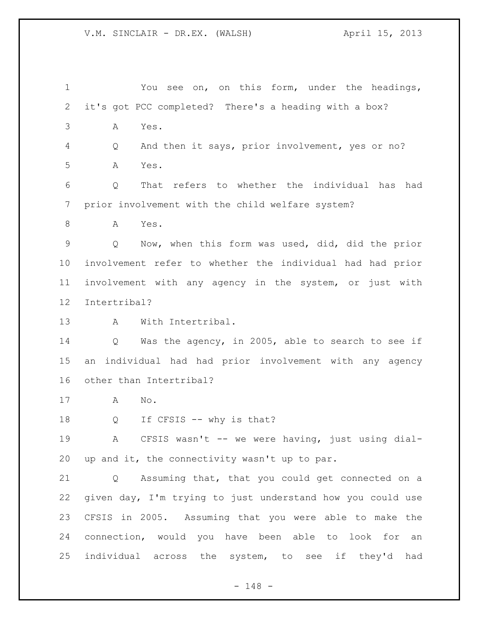You see on, on this form, under the headings, it's got PCC completed? There's a heading with a box? A Yes. Q And then it says, prior involvement, yes or no? A Yes. Q That refers to whether the individual has had prior involvement with the child welfare system? A Yes. Q Now, when this form was used, did, did the prior involvement refer to whether the individual had had prior involvement with any agency in the system, or just with Intertribal? A With Intertribal. Q Was the agency, in 2005, able to search to see if an individual had had prior involvement with any agency other than Intertribal? A No. 18 Q If CFSIS -- why is that? 19 A CFSIS wasn't -- we were having, just using dial- up and it, the connectivity wasn't up to par. Q Assuming that, that you could get connected on a given day, I'm trying to just understand how you could use CFSIS in 2005. Assuming that you were able to make the connection, would you have been able to look for an individual across the system, to see if they'd had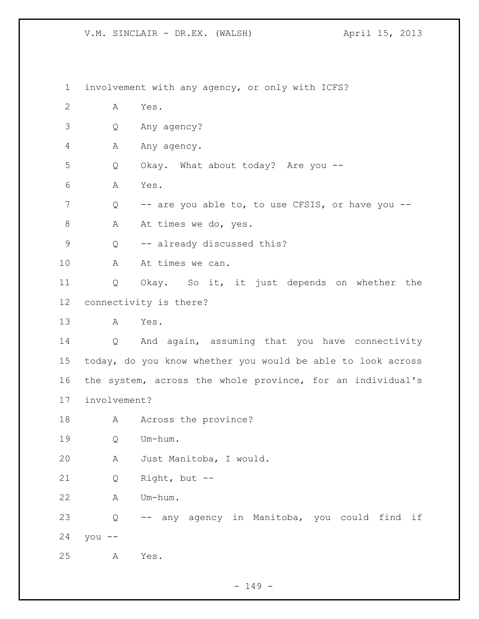involvement with any agency, or only with ICFS? A Yes. Q Any agency? 4 Any agency. Q Okay. What about today? Are you -- A Yes. Q -- are you able to, to use CFSIS, or have you -- 8 A At times we do, yes. 9 Q -- already discussed this? 10 A At times we can. Q Okay. So it, it just depends on whether the connectivity is there? A Yes. Q And again, assuming that you have connectivity today, do you know whether you would be able to look across the system, across the whole province, for an individual's involvement? 18 A Across the province? Q Um-hum. A Just Manitoba, I would. Q Right, but -- A Um-hum. Q -- any agency in Manitoba, you could find if you -- A Yes.

 $- 149 -$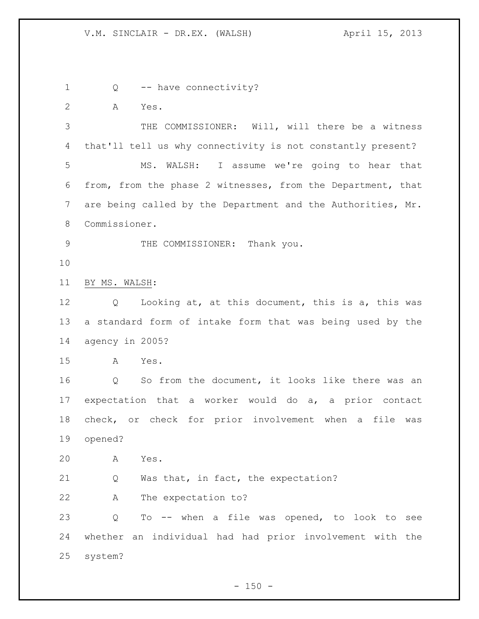Q -- have connectivity? A Yes. THE COMMISSIONER: Will, will there be a witness that'll tell us why connectivity is not constantly present? MS. WALSH: I assume we're going to hear that from, from the phase 2 witnesses, from the Department, that are being called by the Department and the Authorities, Mr. Commissioner. 9 THE COMMISSIONER: Thank you. BY MS. WALSH: Q Looking at, at this document, this is a, this was a standard form of intake form that was being used by the agency in 2005? A Yes. Q So from the document, it looks like there was an expectation that a worker would do a, a prior contact check, or check for prior involvement when a file was opened? A Yes. Q Was that, in fact, the expectation? A The expectation to? Q To -- when a file was opened, to look to see whether an individual had had prior involvement with the system?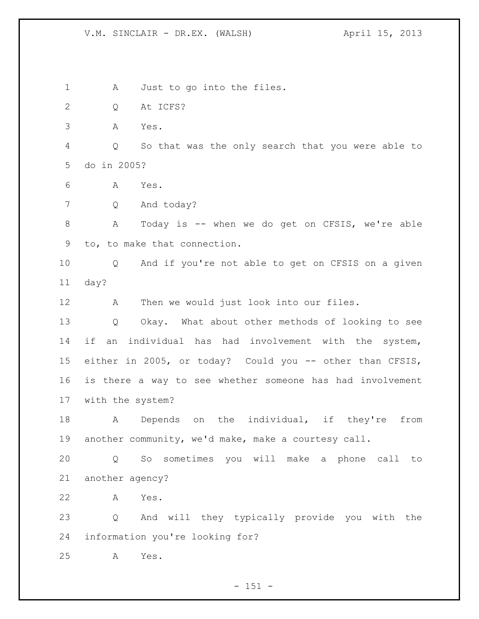A Just to go into the files. Q At ICFS? A Yes. Q So that was the only search that you were able to do in 2005? A Yes. Q And today? A Today is -- when we do get on CFSIS, we're able to, to make that connection. Q And if you're not able to get on CFSIS on a given day? A Then we would just look into our files. Q Okay. What about other methods of looking to see if an individual has had involvement with the system, either in 2005, or today? Could you -- other than CFSIS, is there a way to see whether someone has had involvement with the system? A Depends on the individual, if they're from another community, we'd make, make a courtesy call. Q So sometimes you will make a phone call to another agency? A Yes. Q And will they typically provide you with the information you're looking for? A Yes.

 $- 151 -$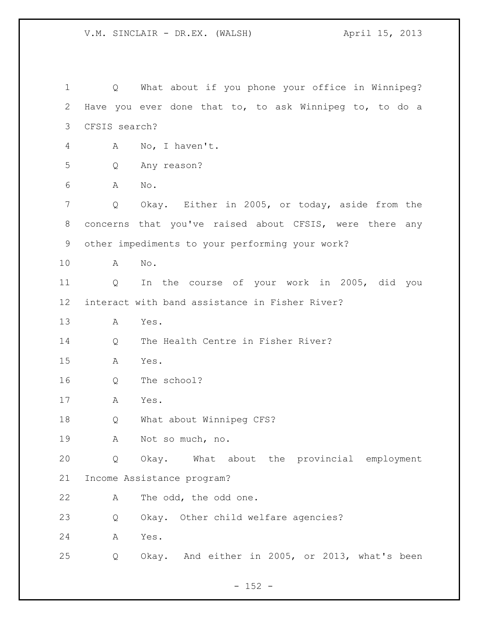Q What about if you phone your office in Winnipeg? Have you ever done that to, to ask Winnipeg to, to do a CFSIS search? A No, I haven't. Q Any reason? A No. Q Okay. Either in 2005, or today, aside from the concerns that you've raised about CFSIS, were there any other impediments to your performing your work? A No. Q In the course of your work in 2005, did you interact with band assistance in Fisher River? A Yes. Q The Health Centre in Fisher River? A Yes. Q The school? A Yes. Q What about Winnipeg CFS? A Not so much, no. Q Okay. What about the provincial employment Income Assistance program? A The odd, the odd one. Q Okay. Other child welfare agencies? A Yes. Q Okay. And either in 2005, or 2013, what's been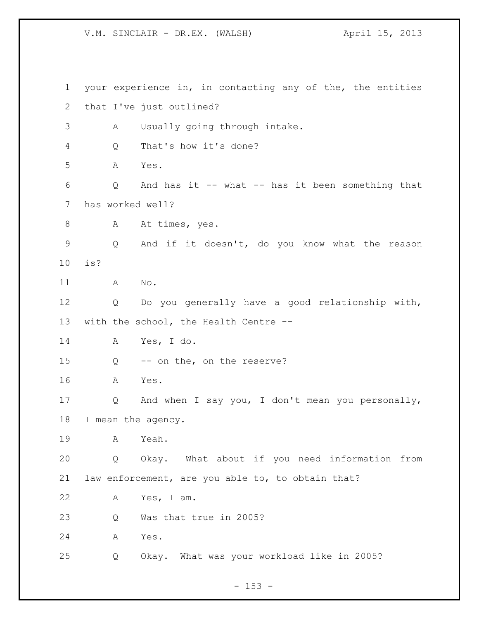your experience in, in contacting any of the, the entities that I've just outlined? A Usually going through intake. Q That's how it's done? A Yes. Q And has it -- what -- has it been something that has worked well? 8 A At times, yes. Q And if it doesn't, do you know what the reason is? A No. Q Do you generally have a good relationship with, with the school, the Health Centre -- A Yes, I do. Q -- on the, on the reserve? A Yes. Q And when I say you, I don't mean you personally, I mean the agency. A Yeah. Q Okay. What about if you need information from law enforcement, are you able to, to obtain that? A Yes, I am. Q Was that true in 2005? A Yes. Q Okay. What was your workload like in 2005?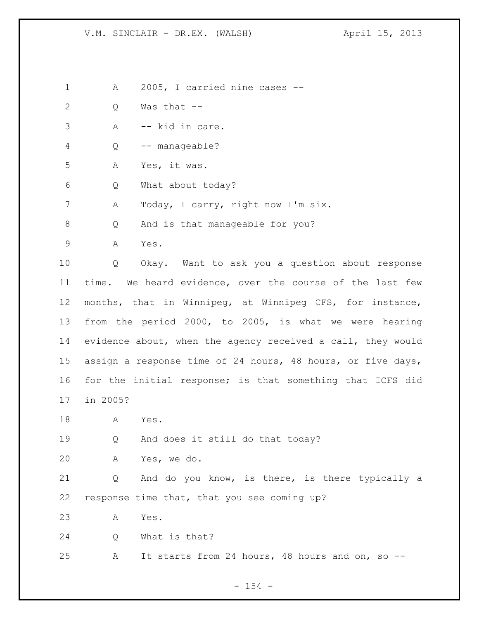A 2005, I carried nine cases --

- Q Was that --
- A -- kid in care.
- Q -- manageable?
- A Yes, it was.
- Q What about today?
- 7 A Today, I carry, right now I'm six.

8 Q And is that manageable for you?

A Yes.

 Q Okay. Want to ask you a question about response time. We heard evidence, over the course of the last few months, that in Winnipeg, at Winnipeg CFS, for instance, from the period 2000, to 2005, is what we were hearing evidence about, when the agency received a call, they would assign a response time of 24 hours, 48 hours, or five days, for the initial response; is that something that ICFS did in 2005?

A Yes.

Q And does it still do that today?

A Yes, we do.

 Q And do you know, is there, is there typically a response time that, that you see coming up?

A Yes.

Q What is that?

A It starts from 24 hours, 48 hours and on, so --

 $- 154 -$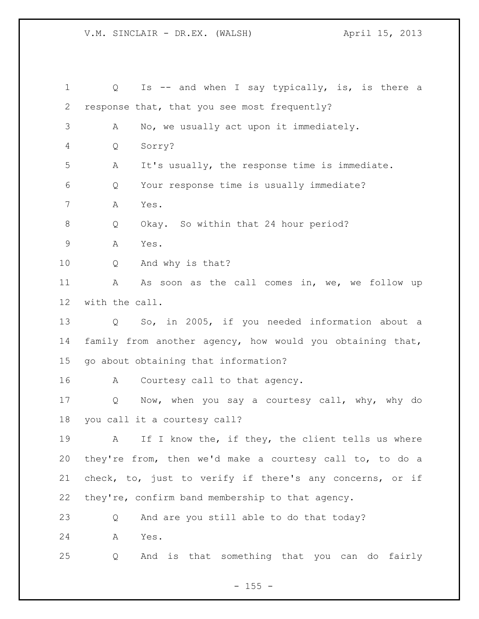| $\mathbf 1$    | Is -- and when I say typically, is, is there a<br>Q       |
|----------------|-----------------------------------------------------------|
| 2              | response that, that you see most frequently?              |
| 3              | No, we usually act upon it immediately.<br>А              |
| $\overline{4}$ | Sorry?<br>Q                                               |
| 5              | It's usually, the response time is immediate.<br>Α        |
| 6              | Your response time is usually immediate?<br>Q             |
| 7              | Yes.<br>Α                                                 |
| 8              | Okay. So within that 24 hour period?<br>Q                 |
| $\mathsf 9$    | Yes.<br>Α                                                 |
| 10             | And why is that?<br>Q                                     |
| 11             | Α<br>As soon as the call comes in, we, we follow up       |
| 12             | with the call.                                            |
| 13             | So, in 2005, if you needed information about a<br>Q       |
| 14             | family from another agency, how would you obtaining that, |
| 15             | go about obtaining that information?                      |
| 16             | Courtesy call to that agency.<br>A                        |
| 17             | Now, when you say a courtesy call, why, why do<br>Q       |
| 18             | you call it a courtesy call?                              |
| 19             | If I know the, if they, the client tells us where<br>A    |
| 20             | they're from, then we'd make a courtesy call to, to do a  |
| 21             | check, to, just to verify if there's any concerns, or if  |
| 22             | they're, confirm band membership to that agency.          |
| 23             | And are you still able to do that today?<br>Q             |
| 24             | Yes.<br>Α                                                 |
| 25             | And is that something that you can do fairly<br>Q         |

- 155 -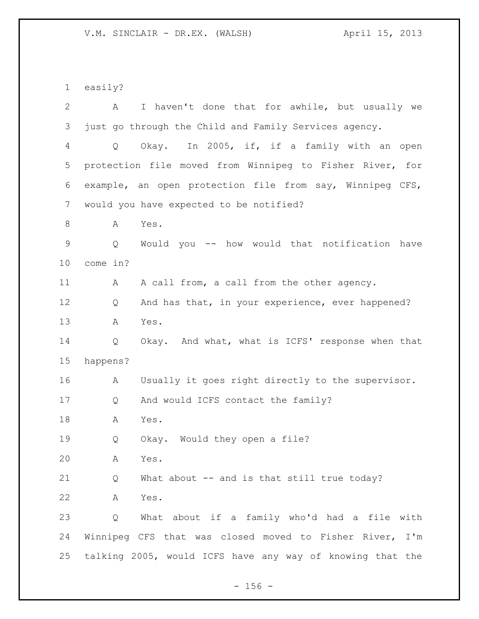easily? A I haven't done that for awhile, but usually we just go through the Child and Family Services agency. Q Okay. In 2005, if, if a family with an open protection file moved from Winnipeg to Fisher River, for example, an open protection file from say, Winnipeg CFS, would you have expected to be notified? 8 A Yes. Q Would you -- how would that notification have come in? 11 A A call from, a call from the other agency. 12 Q And has that, in your experience, ever happened? A Yes. Q Okay. And what, what is ICFS' response when that happens? A Usually it goes right directly to the supervisor. Q And would ICFS contact the family? A Yes. Q Okay. Would they open a file? A Yes. Q What about -- and is that still true today? A Yes. Q What about if a family who'd had a file with Winnipeg CFS that was closed moved to Fisher River, I'm talking 2005, would ICFS have any way of knowing that the

 $- 156 -$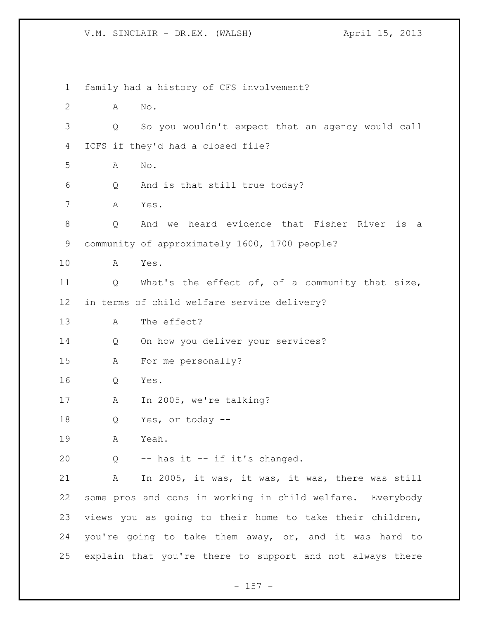family had a history of CFS involvement? A No. Q So you wouldn't expect that an agency would call ICFS if they'd had a closed file? A No. Q And is that still true today? A Yes. Q And we heard evidence that Fisher River is a community of approximately 1600, 1700 people? A Yes. Q What's the effect of, of a community that size, in terms of child welfare service delivery? A The effect? Q On how you deliver your services? A For me personally? Q Yes. 17 A In 2005, we're talking? Q Yes, or today -- A Yeah. Q -- has it -- if it's changed. A In 2005, it was, it was, it was, there was still some pros and cons in working in child welfare. Everybody views you as going to their home to take their children, you're going to take them away, or, and it was hard to explain that you're there to support and not always there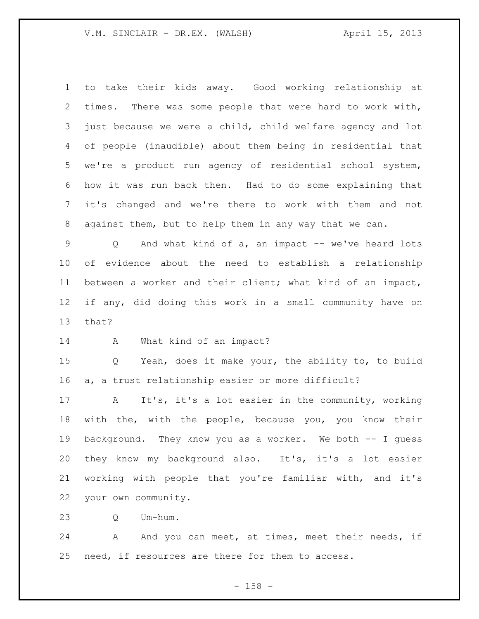to take their kids away. Good working relationship at times. There was some people that were hard to work with, just because we were a child, child welfare agency and lot of people (inaudible) about them being in residential that we're a product run agency of residential school system, how it was run back then. Had to do some explaining that it's changed and we're there to work with them and not against them, but to help them in any way that we can.

 Q And what kind of a, an impact -- we've heard lots of evidence about the need to establish a relationship between a worker and their client; what kind of an impact, if any, did doing this work in a small community have on that?

A What kind of an impact?

 Q Yeah, does it make your, the ability to, to build a, a trust relationship easier or more difficult?

 A It's, it's a lot easier in the community, working with the, with the people, because you, you know their background. They know you as a worker. We both -- I guess 20 they know my background also. It's, it's a lot easier working with people that you're familiar with, and it's your own community.

Q Um-hum.

24 A And you can meet, at times, meet their needs, if need, if resources are there for them to access.

- 158 -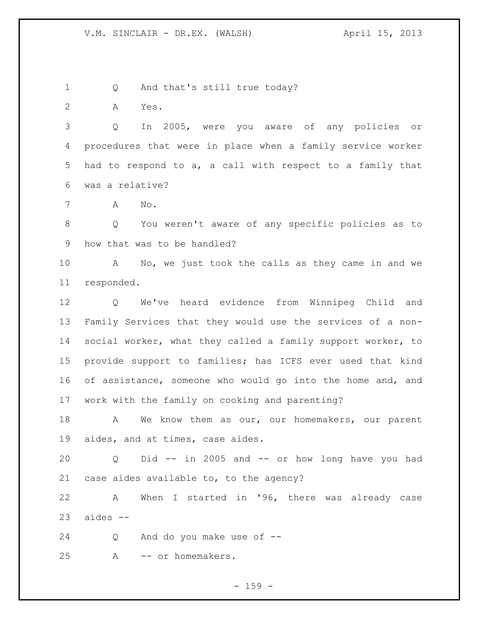1 Q And that's still true today?

A Yes.

 Q In 2005, were you aware of any policies or procedures that were in place when a family service worker had to respond to a, a call with respect to a family that was a relative?

A No.

 Q You weren't aware of any specific policies as to how that was to be handled?

 A No, we just took the calls as they came in and we responded.

 Q We've heard evidence from Winnipeg Child and Family Services that they would use the services of a non- social worker, what they called a family support worker, to provide support to families; has ICFS ever used that kind 16 of assistance, someone who would go into the home and, and work with the family on cooking and parenting?

18 A We know them as our, our homemakers, our parent aides, and at times, case aides.

 Q Did -- in 2005 and -- or how long have you had case aides available to, to the agency?

 A When I started in '96, there was already case aides  $-$ 

Q And do you make use of --

A -- or homemakers.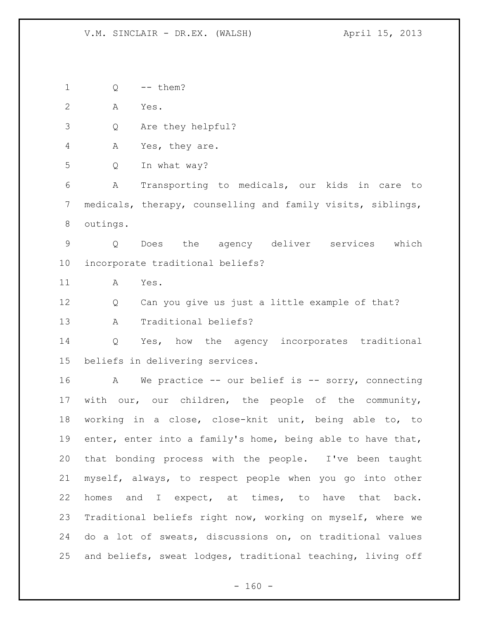Q -- them?

A Yes.

Q Are they helpful?

A Yes, they are.

Q In what way?

 A Transporting to medicals, our kids in care to medicals, therapy, counselling and family visits, siblings, outings.

 Q Does the agency deliver services which incorporate traditional beliefs?

A Yes.

Q Can you give us just a little example of that?

A Traditional beliefs?

 Q Yes, how the agency incorporates traditional beliefs in delivering services.

16 A We practice -- our belief is -- sorry, connecting with our, our children, the people of the community, working in a close, close-knit unit, being able to, to enter, enter into a family's home, being able to have that, that bonding process with the people. I've been taught myself, always, to respect people when you go into other homes and I expect, at times, to have that back. Traditional beliefs right now, working on myself, where we do a lot of sweats, discussions on, on traditional values and beliefs, sweat lodges, traditional teaching, living off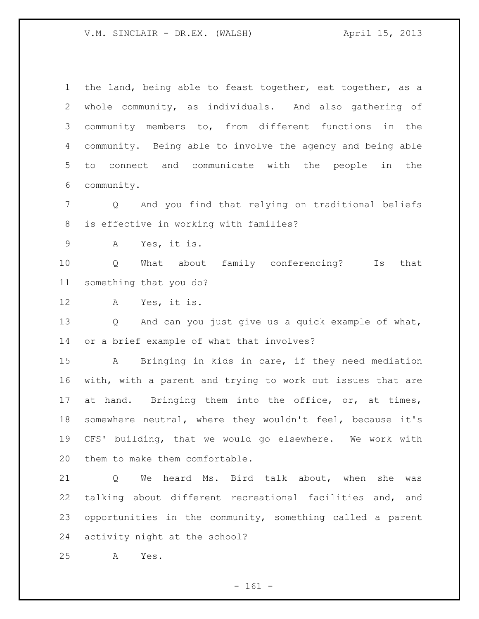the land, being able to feast together, eat together, as a whole community, as individuals. And also gathering of community members to, from different functions in the community. Being able to involve the agency and being able to connect and communicate with the people in the community. Q And you find that relying on traditional beliefs is effective in working with families? A Yes, it is. Q What about family conferencing? Is that something that you do? A Yes, it is. Q And can you just give us a quick example of what, or a brief example of what that involves? A Bringing in kids in care, if they need mediation with, with a parent and trying to work out issues that are 17 at hand. Bringing them into the office, or, at times, somewhere neutral, where they wouldn't feel, because it's CFS' building, that we would go elsewhere. We work with them to make them comfortable. Q We heard Ms. Bird talk about, when she was talking about different recreational facilities and, and opportunities in the community, something called a parent

activity night at the school?

A Yes.

- 161 -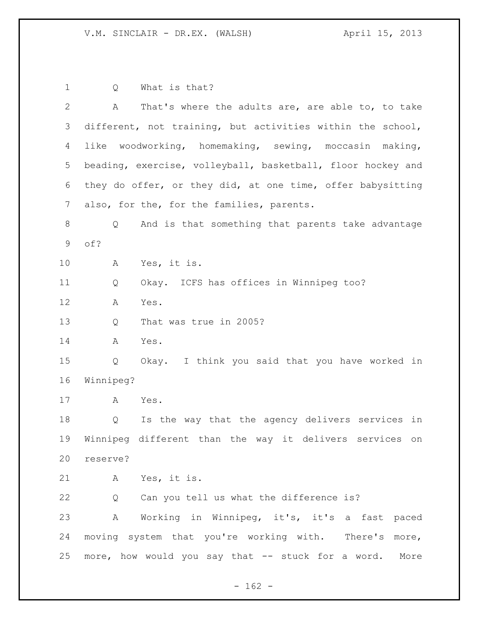Q What is that? A That's where the adults are, are able to, to take different, not training, but activities within the school, like woodworking, homemaking, sewing, moccasin making, beading, exercise, volleyball, basketball, floor hockey and they do offer, or they did, at one time, offer babysitting 7 also, for the, for the families, parents. Q And is that something that parents take advantage of? A Yes, it is. Q Okay. ICFS has offices in Winnipeg too? A Yes. Q That was true in 2005? A Yes. Q Okay. I think you said that you have worked in Winnipeg? A Yes. Q Is the way that the agency delivers services in Winnipeg different than the way it delivers services on reserve? A Yes, it is. 22 Q Can you tell us what the difference is? A Working in Winnipeg, it's, it's a fast paced moving system that you're working with. There's more, more, how would you say that -- stuck for a word. More

 $- 162 -$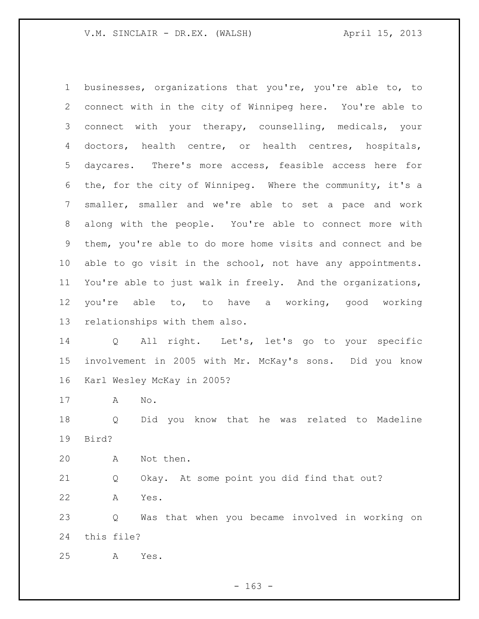businesses, organizations that you're, you're able to, to connect with in the city of Winnipeg here. You're able to connect with your therapy, counselling, medicals, your doctors, health centre, or health centres, hospitals, daycares. There's more access, feasible access here for the, for the city of Winnipeg. Where the community, it's a smaller, smaller and we're able to set a pace and work along with the people. You're able to connect more with them, you're able to do more home visits and connect and be able to go visit in the school, not have any appointments. You're able to just walk in freely. And the organizations, you're able to, to have a working, good working relationships with them also. Q All right. Let's, let's go to your specific involvement in 2005 with Mr. McKay's sons. Did you know Karl Wesley McKay in 2005? A No. Q Did you know that he was related to Madeline Bird? A Not then. Q Okay. At some point you did find that out? A Yes. Q Was that when you became involved in working on this file? A Yes.

- 163 -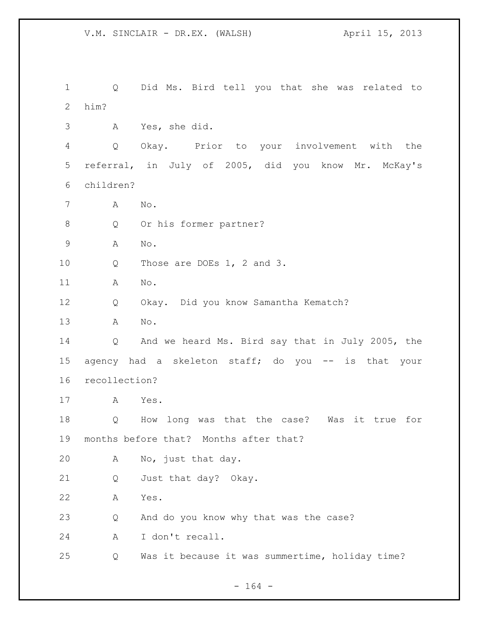Q Did Ms. Bird tell you that she was related to him? A Yes, she did. Q Okay. Prior to your involvement with the referral, in July of 2005, did you know Mr. McKay's children? A No. 8 Q Or his former partner? A No. 10 Q Those are DOEs 1, 2 and 3. A No. Q Okay. Did you know Samantha Kematch? A No. Q And we heard Ms. Bird say that in July 2005, the agency had a skeleton staff; do you -- is that your recollection? A Yes. Q How long was that the case? Was it true for months before that? Months after that? A No, just that day. Q Just that day? Okay. A Yes. Q And do you know why that was the case? A I don't recall. Q Was it because it was summertime, holiday time?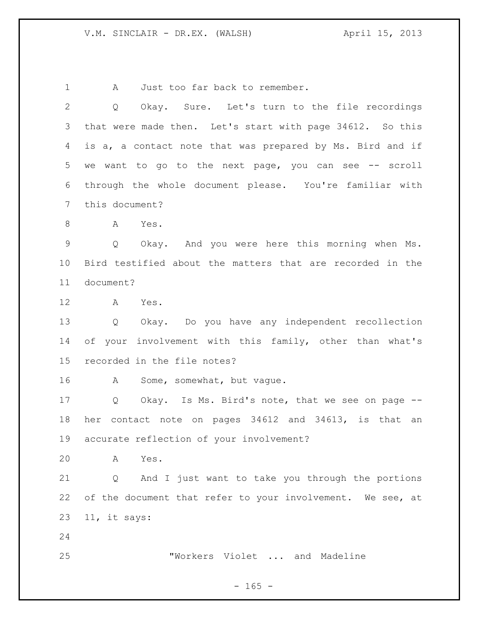1 A Just too far back to remember.

 Q Okay. Sure. Let's turn to the file recordings that were made then. Let's start with page 34612. So this is a, a contact note that was prepared by Ms. Bird and if we want to go to the next page, you can see -- scroll through the whole document please. You're familiar with this document? A Yes. Q Okay. And you were here this morning when Ms. Bird testified about the matters that are recorded in the document? A Yes. Q Okay. Do you have any independent recollection of your involvement with this family, other than what's recorded in the file notes? 16 A Some, somewhat, but vague. Q Okay. Is Ms. Bird's note, that we see on page -- her contact note on pages 34612 and 34613, is that an accurate reflection of your involvement? A Yes. Q And I just want to take you through the portions 22 of the document that refer to your involvement. We see, at 11, it says: "Workers Violet ... and Madeline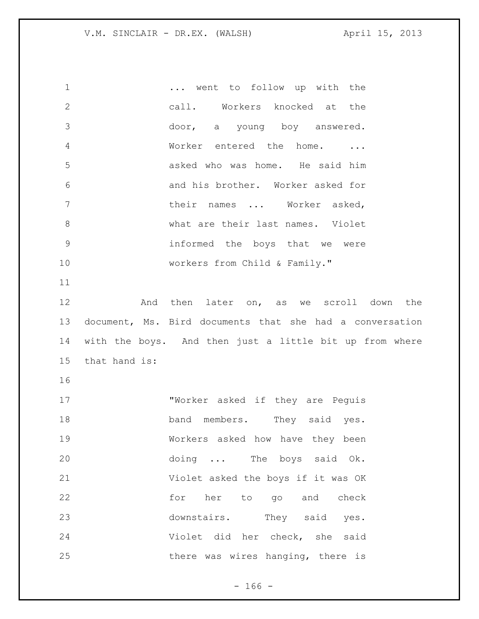| $\mathbf 1$  |               | went to follow up with the                               |
|--------------|---------------|----------------------------------------------------------|
| $\mathbf{2}$ |               | call. Workers knocked at the                             |
| 3            |               | door, a young boy answered.                              |
| 4            |               | Worker entered the home.<br>$\cdots$                     |
| 5            |               | asked who was home. He said him                          |
| 6            |               | and his brother. Worker asked for                        |
| 7            |               | their names  Worker asked,                               |
| 8            |               | what are their last names. Violet                        |
| $\mathsf 9$  |               | informed the boys that we were                           |
| 10           |               | workers from Child & Family."                            |
| 11           |               |                                                          |
| 12           |               | And then later on, as we scroll down the                 |
| 13           |               | document, Ms. Bird documents that she had a conversation |
|              |               |                                                          |
| 14           |               | with the boys. And then just a little bit up from where  |
| 15           | that hand is: |                                                          |
| 16           |               |                                                          |
| 17           |               | "Worker asked if they are Peguis                         |
| 18           |               | band members. They said yes.                             |
| 19           |               | Workers asked how have they been                         |
| 20           |               | doing  The boys said Ok.                                 |
| 21           |               | Violet asked the boys if it was OK                       |
| 22           |               | for her to go and check                                  |
| 23           |               | downstairs. They said yes.                               |
| 24           |               | Violet did her check, she said                           |

- 166 -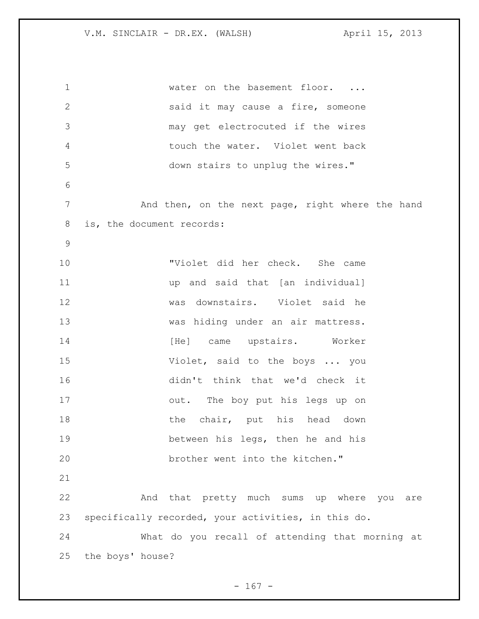1 water on the basement floor. ... said it may cause a fire, someone may get electrocuted if the wires touch the water. Violet went back down stairs to unplug the wires." 7 and then, on the next page, right where the hand is, the document records: "Violet did her check. She came up and said that [an individual] was downstairs. Violet said he was hiding under an air mattress. 14 [He] came upstairs. Worker Violet, said to the boys ... you didn't think that we'd check it out. The boy put his legs up on 18 the chair, put his head down between his legs, then he and his brother went into the kitchen." And that pretty much sums up where you are specifically recorded, your activities, in this do. What do you recall of attending that morning at the boys' house?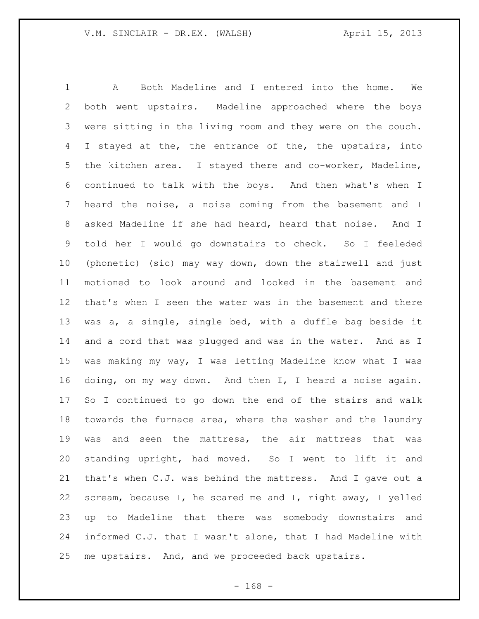A Both Madeline and I entered into the home. We both went upstairs. Madeline approached where the boys were sitting in the living room and they were on the couch. 4 I stayed at the, the entrance of the, the upstairs, into the kitchen area. I stayed there and co-worker, Madeline, continued to talk with the boys. And then what's when I heard the noise, a noise coming from the basement and I asked Madeline if she had heard, heard that noise. And I told her I would go downstairs to check. So I feeleded (phonetic) (sic) may way down, down the stairwell and just motioned to look around and looked in the basement and that's when I seen the water was in the basement and there was a, a single, single bed, with a duffle bag beside it and a cord that was plugged and was in the water. And as I was making my way, I was letting Madeline know what I was doing, on my way down. And then I, I heard a noise again. So I continued to go down the end of the stairs and walk towards the furnace area, where the washer and the laundry was and seen the mattress, the air mattress that was standing upright, had moved. So I went to lift it and that's when C.J. was behind the mattress. And I gave out a scream, because I, he scared me and I, right away, I yelled up to Madeline that there was somebody downstairs and informed C.J. that I wasn't alone, that I had Madeline with me upstairs. And, and we proceeded back upstairs.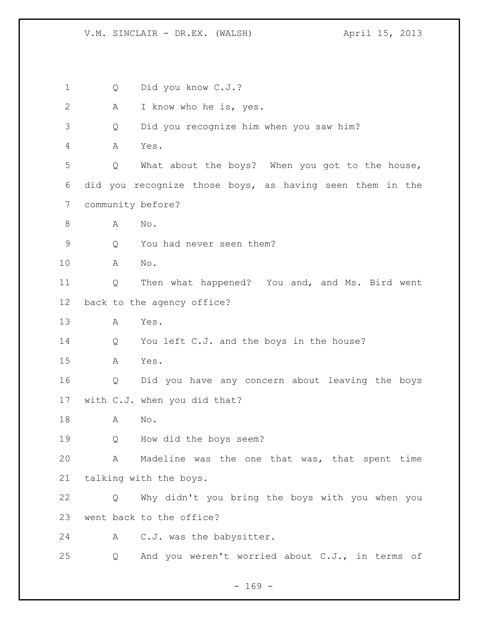Q Did you know C.J.? A I know who he is, yes. Q Did you recognize him when you saw him? A Yes. Q What about the boys? When you got to the house, did you recognize those boys, as having seen them in the community before? A No. Q You had never seen them? A No. Q Then what happened? You and, and Ms. Bird went back to the agency office? A Yes. Q You left C.J. and the boys in the house? A Yes. Q Did you have any concern about leaving the boys with C.J. when you did that? A No. Q How did the boys seem? A Madeline was the one that was, that spent time talking with the boys. Q Why didn't you bring the boys with you when you went back to the office? A C.J. was the babysitter. Q And you weren't worried about C.J., in terms of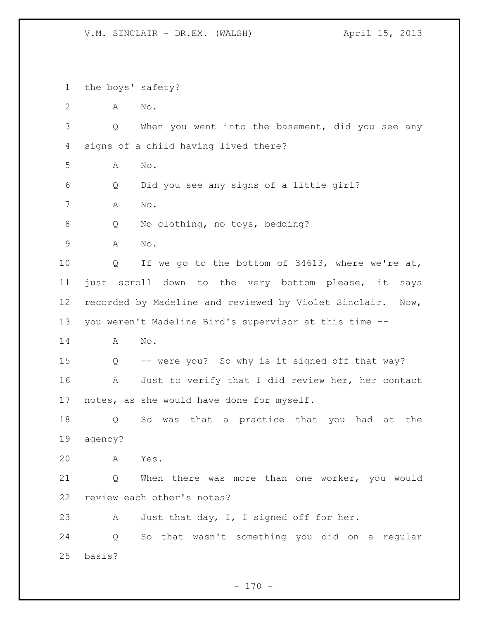the boys' safety? A No. Q When you went into the basement, did you see any signs of a child having lived there? A No. Q Did you see any signs of a little girl? A No. Q No clothing, no toys, bedding? A No. Q If we go to the bottom of 34613, where we're at, just scroll down to the very bottom please, it says recorded by Madeline and reviewed by Violet Sinclair. Now, you weren't Madeline Bird's supervisor at this time -- A No. Q -- were you? So why is it signed off that way? 16 A Just to verify that I did review her, her contact notes, as she would have done for myself. Q So was that a practice that you had at the agency? A Yes. Q When there was more than one worker, you would review each other's notes? 23 A Just that day, I, I signed off for her. Q So that wasn't something you did on a regular basis?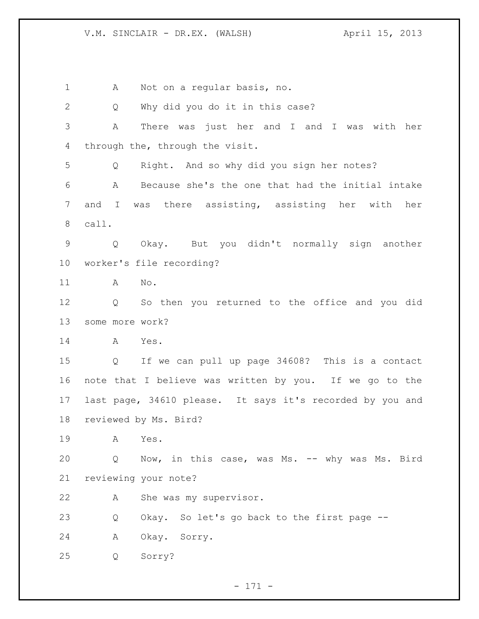1 A Not on a regular basis, no. 2 Q Why did you do it in this case? A There was just her and I and I was with her through the, through the visit. Q Right. And so why did you sign her notes? A Because she's the one that had the initial intake and I was there assisting, assisting her with her call. Q Okay. But you didn't normally sign another worker's file recording? A No. Q So then you returned to the office and you did some more work? A Yes. Q If we can pull up page 34608? This is a contact note that I believe was written by you. If we go to the last page, 34610 please. It says it's recorded by you and reviewed by Ms. Bird? A Yes. 20 Q Now, in this case, was Ms. -- why was Ms. Bird reviewing your note? A She was my supervisor. Q Okay. So let's go back to the first page -- A Okay. Sorry. Q Sorry?

- 171 -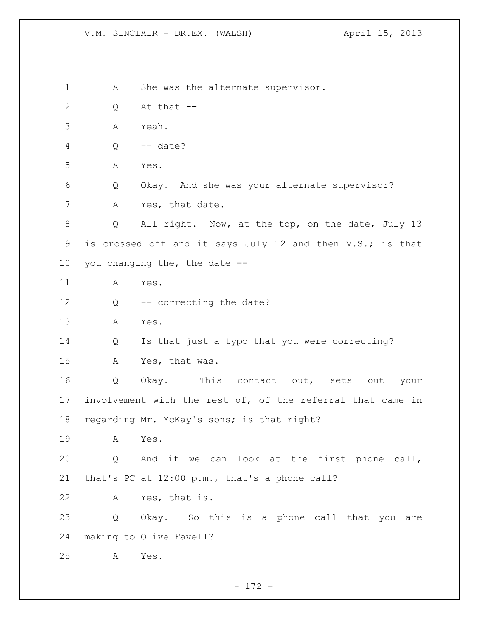1 A She was the alternate supervisor. Q At that -- A Yeah. Q -- date? A Yes. Q Okay. And she was your alternate supervisor? 7 A Yes, that date. Q All right. Now, at the top, on the date, July 13 9 is crossed off and it says July 12 and then V.S.; is that you changing the, the date -- A Yes. 12 Q -- correcting the date? A Yes. Q Is that just a typo that you were correcting? A Yes, that was. Q Okay. This contact out, sets out your involvement with the rest of, of the referral that came in regarding Mr. McKay's sons; is that right? A Yes. Q And if we can look at the first phone call, that's PC at 12:00 p.m., that's a phone call? A Yes, that is. Q Okay. So this is a phone call that you are making to Olive Favell? A Yes.

- 172 -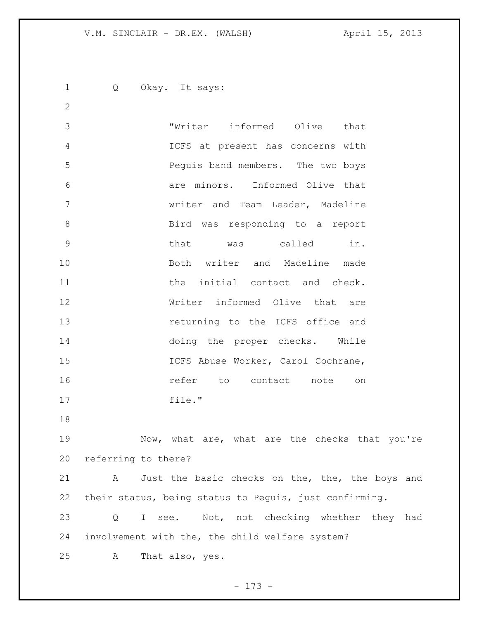Q Okay. It says: "Writer informed Olive that ICFS at present has concerns with Peguis band members. The two boys are minors. Informed Olive that writer and Team Leader, Madeline Bird was responding to a report that was called in. Both writer and Madeline made **11** the initial contact and check. Writer informed Olive that are returning to the ICFS office and doing the proper checks. While 15 ICFS Abuse Worker, Carol Cochrane, **16 refer** to contact note on file." 19 Mow, what are, what are the checks that you're referring to there? 21 A Just the basic checks on the, the, the boys and their status, being status to Peguis, just confirming. Q I see. Not, not checking whether they had involvement with the, the child welfare system?

A That also, yes.

- 173 -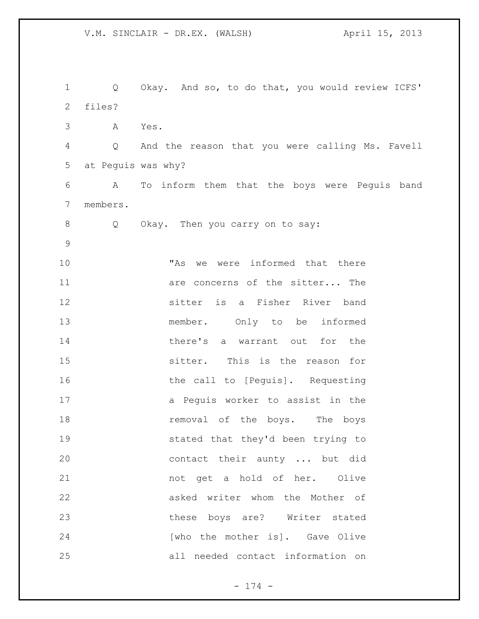Q Okay. And so, to do that, you would review ICFS' files? A Yes. Q And the reason that you were calling Ms. Favell at Peguis was why? A To inform them that the boys were Peguis band members. Q Okay. Then you carry on to say: "As we were informed that there **11 are concerns of the sitter...** The sitter is a Fisher River band member. Only to be informed 14 there's a warrant out for the sitter. This is the reason for 16 the call to [Peguis]. Requesting 17 a Peguis worker to assist in the **removal** of the boys. The boys stated that they'd been trying to contact their aunty ... but did not get a hold of her. Olive asked writer whom the Mother of these boys are? Writer stated 24 [who the mother is]. Gave Olive all needed contact information on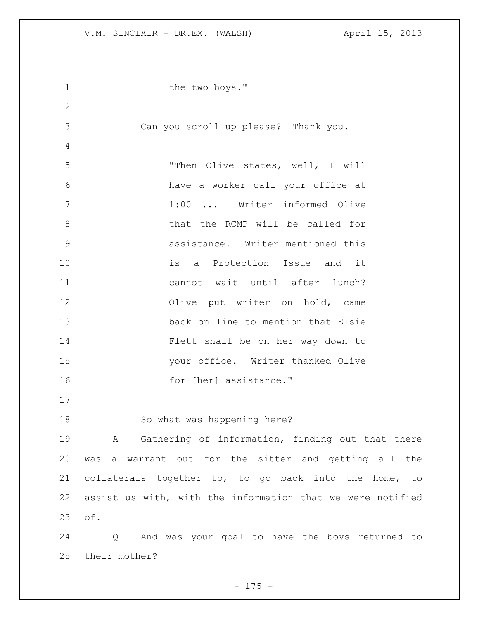| $\mathbf 1$   | the two boys."                                             |  |
|---------------|------------------------------------------------------------|--|
| $\mathbf{2}$  |                                                            |  |
| 3             | Can you scroll up please? Thank you.                       |  |
| 4             |                                                            |  |
| 5             | "Then Olive states, well, I will                           |  |
| 6             | have a worker call your office at                          |  |
| 7             | 1:00  Writer informed Olive                                |  |
| 8             | that the RCMP will be called for                           |  |
| $\mathcal{G}$ | assistance. Writer mentioned this                          |  |
| 10            | is a Protection Issue and it                               |  |
| 11            | cannot wait until after lunch?                             |  |
| 12            | Olive put writer on hold, came                             |  |
| 13            | back on line to mention that Elsie                         |  |
| 14            | Flett shall be on her way down to                          |  |
| 15            | your office. Writer thanked Olive                          |  |
| 16            | for [her] assistance."                                     |  |
| 17            |                                                            |  |
| 18            | So what was happening here?                                |  |
| 19            | A Gathering of information, finding out that there         |  |
| 20            | was a warrant out for the sitter and getting all the       |  |
| 21            | collaterals together to, to go back into the home, to      |  |
| 22            | assist us with, with the information that we were notified |  |
| 23            | of.                                                        |  |
| 24            | Q And was your goal to have the boys returned to           |  |
| 25            | their mother?                                              |  |

- 175 -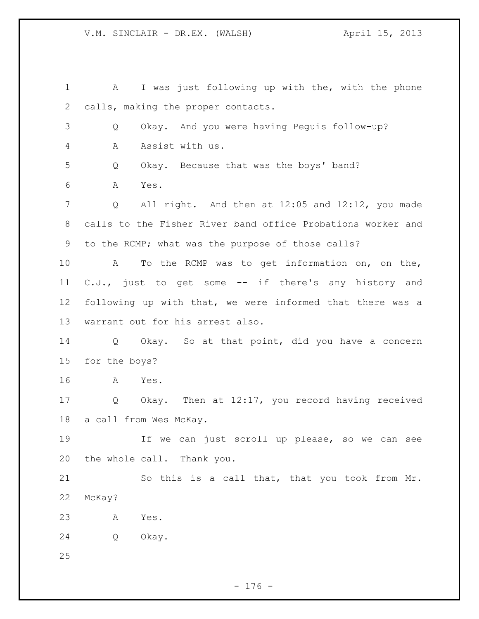A I was just following up with the, with the phone calls, making the proper contacts. Q Okay. And you were having Peguis follow-up? A Assist with us. Q Okay. Because that was the boys' band? A Yes. Q All right. And then at 12:05 and 12:12, you made calls to the Fisher River band office Probations worker and to the RCMP; what was the purpose of those calls? A To the RCMP was to get information on, on the, C.J., just to get some -- if there's any history and following up with that, we were informed that there was a warrant out for his arrest also. Q Okay. So at that point, did you have a concern for the boys? A Yes. Q Okay. Then at 12:17, you record having received a call from Wes McKay. If we can just scroll up please, so we can see the whole call. Thank you. So this is a call that, that you took from Mr. McKay? A Yes. Q Okay.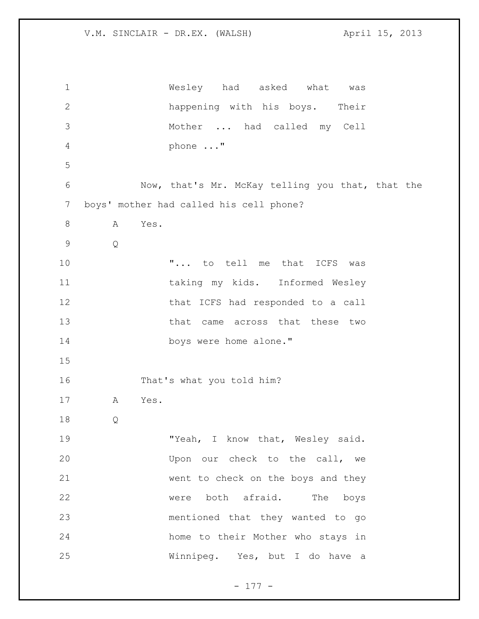Wesley had asked what was happening with his boys. Their Mother ... had called my Cell phone ..." Now, that's Mr. McKay telling you that, that the boys' mother had called his cell phone? A Yes. Q  $\ldots$  ... to tell me that ICFS was taking my kids. Informed Wesley 12 that ICFS had responded to a call 13 that came across that these two boys were home alone." That's what you told him? A Yes. Q 19 TYeah, I know that, Wesley said. Upon our check to the call, we went to check on the boys and they were both afraid. The boys mentioned that they wanted to go home to their Mother who stays in Winnipeg. Yes, but I do have a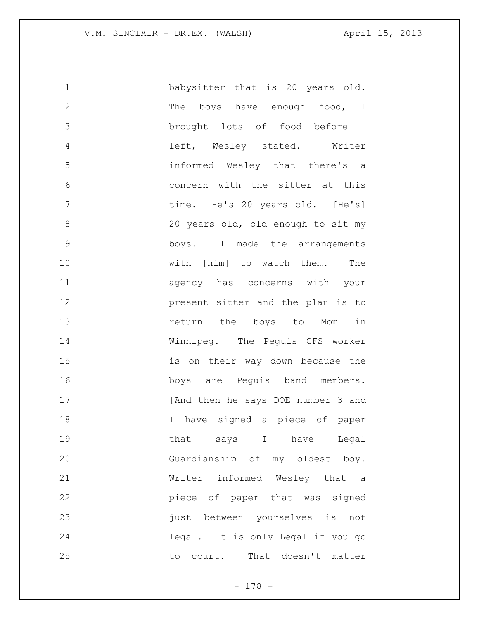babysitter that is 20 years old. 2 The boys have enough food, I brought lots of food before I left, Wesley stated. Writer informed Wesley that there's a concern with the sitter at this 7 time. He's 20 years old. [He's] 20 years old, old enough to sit my boys. I made the arrangements with [him] to watch them. The agency has concerns with your present sitter and the plan is to **13** return the boys to Mom in Winnipeg. The Peguis CFS worker is on their way down because the boys are Peguis band members. 17 [And then he says DOE number 3 and I have signed a piece of paper 19 that says I have Legal Guardianship of my oldest boy. Writer informed Wesley that a piece of paper that was signed 23 is the produced vourselves is not legal. It is only Legal if you go 25 to court. That doesn't matter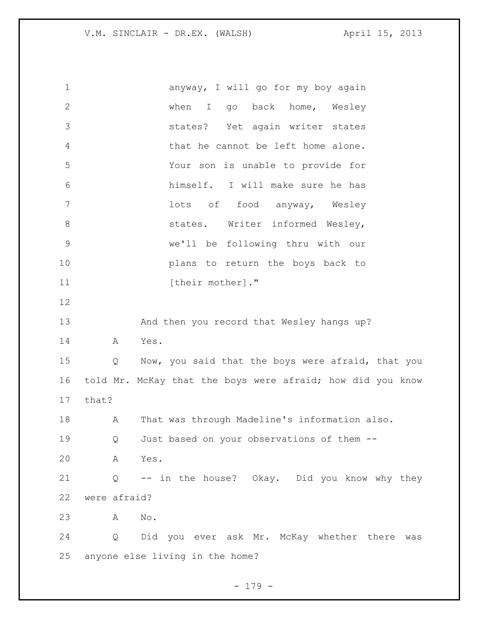anyway, I will go for my boy again when I go back home, Wesley states? Yet again writer states that he cannot be left home alone. Your son is unable to provide for himself. I will make sure he has lots of food anyway, Wesley 8 states. Writer informed Wesley, we'll be following thru with our plans to return the boys back to 11 [their mother]." And then you record that Wesley hangs up? A Yes. Q Now, you said that the boys were afraid, that you told Mr. McKay that the boys were afraid; how did you know that? A That was through Madeline's information also. Q Just based on your observations of them -- A Yes. Q -- in the house? Okay. Did you know why they were afraid? A No. Q Did you ever ask Mr. McKay whether there was anyone else living in the home?

- 179 -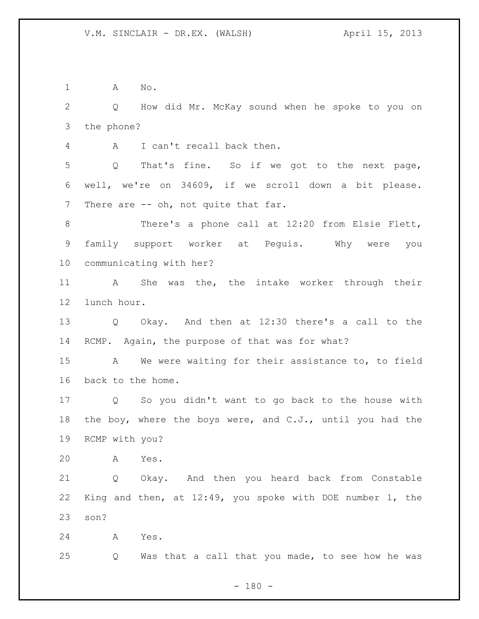A No.

 Q How did Mr. McKay sound when he spoke to you on the phone?

A I can't recall back then.

 Q That's fine. So if we got to the next page, well, we're on 34609, if we scroll down a bit please. 7 There are -- oh, not quite that far.

8 There's a phone call at 12:20 from Elsie Flett, family support worker at Peguis. Why were you communicating with her?

 A She was the, the intake worker through their lunch hour.

 Q Okay. And then at 12:30 there's a call to the RCMP. Again, the purpose of that was for what?

 A We were waiting for their assistance to, to field back to the home.

 Q So you didn't want to go back to the house with the boy, where the boys were, and C.J., until you had the RCMP with you?

A Yes.

 Q Okay. And then you heard back from Constable King and then, at 12:49, you spoke with DOE number 1, the son?

A Yes.

Q Was that a call that you made, to see how he was

 $- 180 -$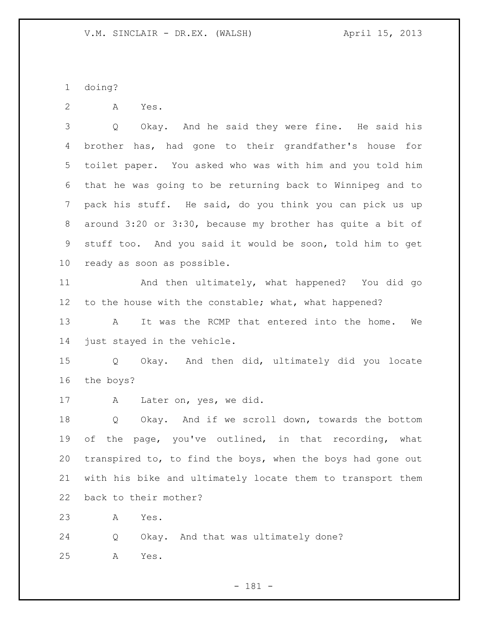doing?

A Yes.

 Q Okay. And he said they were fine. He said his brother has, had gone to their grandfather's house for toilet paper. You asked who was with him and you told him that he was going to be returning back to Winnipeg and to pack his stuff. He said, do you think you can pick us up around 3:20 or 3:30, because my brother has quite a bit of stuff too. And you said it would be soon, told him to get ready as soon as possible.

 And then ultimately, what happened? You did go 12 to the house with the constable; what, what happened?

 A It was the RCMP that entered into the home. We just stayed in the vehicle.

 Q Okay. And then did, ultimately did you locate the boys?

A Later on, yes, we did.

 Q Okay. And if we scroll down, towards the bottom of the page, you've outlined, in that recording, what transpired to, to find the boys, when the boys had gone out with his bike and ultimately locate them to transport them back to their mother?

A Yes.

 Q Okay. And that was ultimately done? A Yes.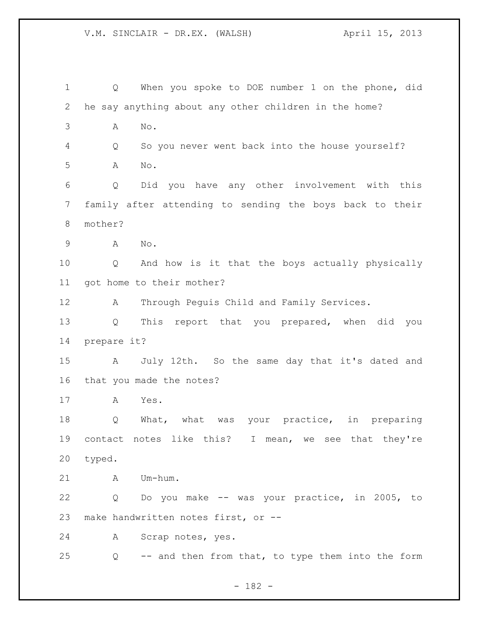Q When you spoke to DOE number 1 on the phone, did he say anything about any other children in the home? A No. Q So you never went back into the house yourself? A No. Q Did you have any other involvement with this family after attending to sending the boys back to their mother? A No. Q And how is it that the boys actually physically got home to their mother? A Through Peguis Child and Family Services. Q This report that you prepared, when did you prepare it? A July 12th. So the same day that it's dated and that you made the notes? A Yes. Q What, what was your practice, in preparing contact notes like this? I mean, we see that they're typed. A Um-hum. Q Do you make -- was your practice, in 2005, to make handwritten notes first, or -- A Scrap notes, yes. Q -- and then from that, to type them into the form

- 182 -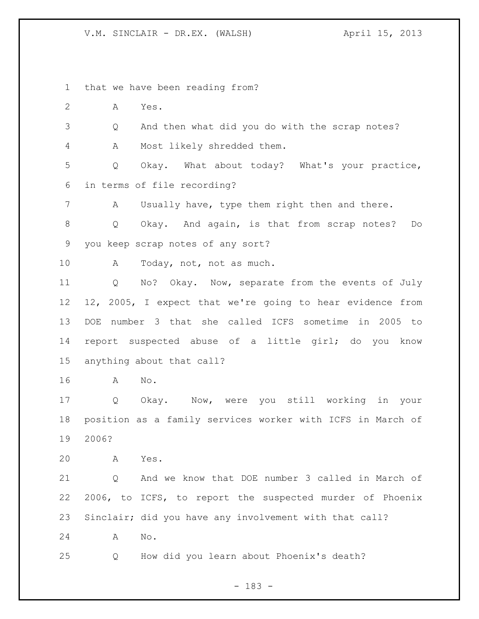that we have been reading from?

A Yes.

Q And then what did you do with the scrap notes?

A Most likely shredded them.

 Q Okay. What about today? What's your practice, in terms of file recording?

A Usually have, type them right then and there.

 Q Okay. And again, is that from scrap notes? Do you keep scrap notes of any sort?

10 A Today, not, not as much.

 Q No? Okay. Now, separate from the events of July 12, 2005, I expect that we're going to hear evidence from DOE number 3 that she called ICFS sometime in 2005 to report suspected abuse of a little girl; do you know anything about that call?

A No.

 Q Okay. Now, were you still working in your position as a family services worker with ICFS in March of 2006?

A Yes.

 Q And we know that DOE number 3 called in March of 2006, to ICFS, to report the suspected murder of Phoenix Sinclair; did you have any involvement with that call? A No.

Q How did you learn about Phoenix's death?

- 183 -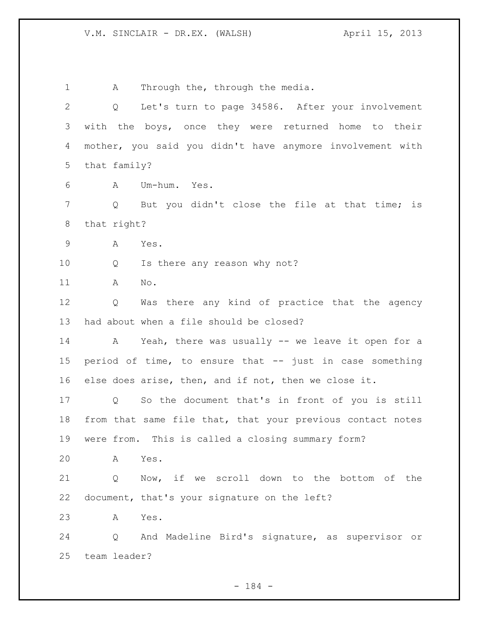1 A Through the, through the media. Q Let's turn to page 34586. After your involvement with the boys, once they were returned home to their mother, you said you didn't have anymore involvement with that family? A Um-hum. Yes. Q But you didn't close the file at that time; is that right? A Yes. Q Is there any reason why not? A No. Q Was there any kind of practice that the agency had about when a file should be closed? A Yeah, there was usually -- we leave it open for a period of time, to ensure that -- just in case something else does arise, then, and if not, then we close it. Q So the document that's in front of you is still from that same file that, that your previous contact notes were from. This is called a closing summary form? A Yes. Q Now, if we scroll down to the bottom of the document, that's your signature on the left? A Yes. Q And Madeline Bird's signature, as supervisor or team leader?

- 184 -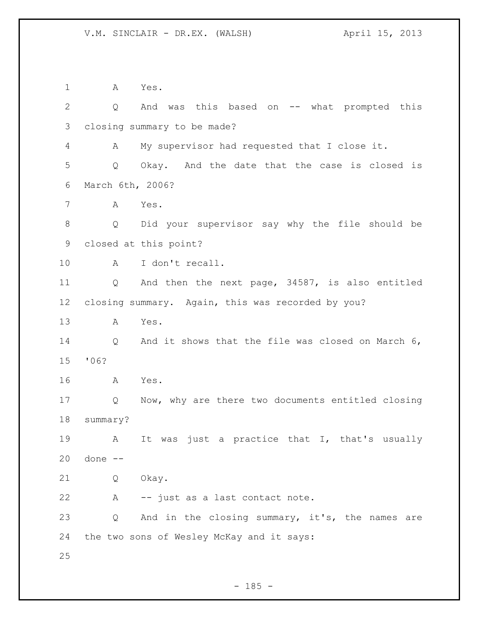A Yes. Q And was this based on -- what prompted this closing summary to be made? A My supervisor had requested that I close it. Q Okay. And the date that the case is closed is March 6th, 2006? A Yes. Q Did your supervisor say why the file should be closed at this point? A I don't recall. Q And then the next page, 34587, is also entitled closing summary. Again, this was recorded by you? A Yes. Q And it shows that the file was closed on March 6, '06? A Yes. Q Now, why are there two documents entitled closing summary? 19 A It was just a practice that I, that's usually done -- Q Okay. A -- just as a last contact note. Q And in the closing summary, it's, the names are the two sons of Wesley McKay and it says: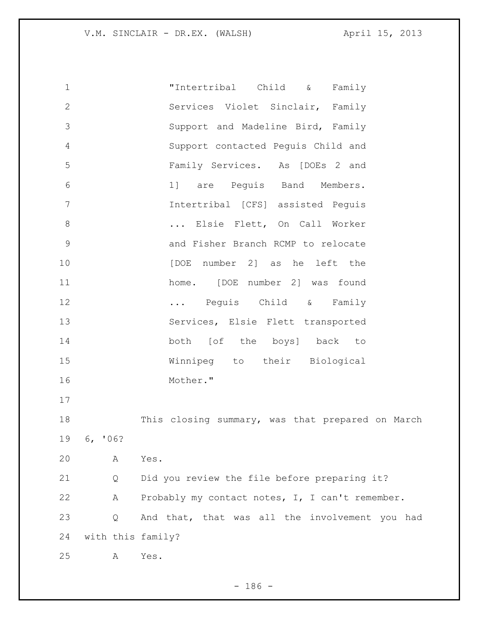| $\mathbf 1$   |                   | "Intertribal Child &<br>Family                   |
|---------------|-------------------|--------------------------------------------------|
| $\mathbf{2}$  |                   | Services Violet Sinclair, Family                 |
| 3             |                   | Support and Madeline Bird, Family                |
| 4             |                   | Support contacted Peguis Child and               |
| 5             |                   | Family Services. As [DOEs 2 and                  |
| 6             |                   | 1] are Pequis Band Members.                      |
| 7             |                   | Intertribal [CFS] assisted Peguis                |
| $\,8\,$       |                   | Elsie Flett, On Call Worker                      |
| $\mathcal{G}$ |                   | and Fisher Branch RCMP to relocate               |
| 10            |                   | [DOE number 2] as he left the                    |
| 11            |                   | home. [DOE number 2] was found                   |
| 12            |                   | Peguis Child & Family                            |
| 13            |                   | Services, Elsie Flett transported                |
| 14            |                   | both [of the boys] back to                       |
| 15            |                   | Winnipeg to their Biological                     |
| 16            |                   | Mother."                                         |
| 17            |                   |                                                  |
| 18            |                   | This closing summary, was that prepared on March |
| 19            | 6, 106?           |                                                  |
| 20            | Α                 | Yes.                                             |
| 21            | Q                 | Did you review the file before preparing it?     |
| 22            | Α                 | Probably my contact notes, I, I can't remember.  |
| 23            | Q                 | And that, that was all the involvement you had   |
| 24            | with this family? |                                                  |
| 25            | Α                 | Yes.                                             |

- 186 -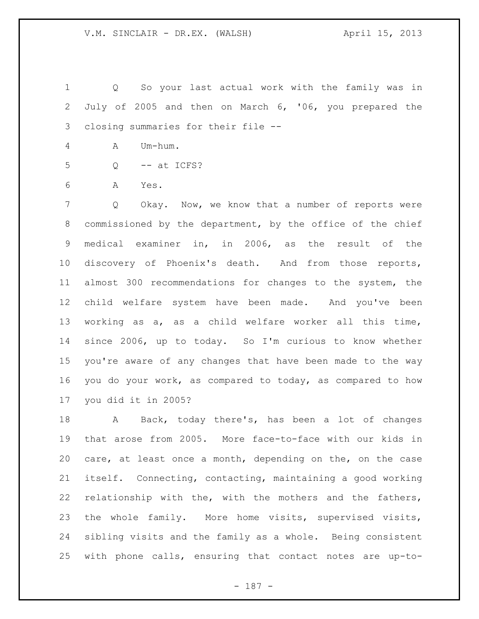Q So your last actual work with the family was in July of 2005 and then on March 6, '06, you prepared the closing summaries for their file --

- A Um-hum.
- Q -- at ICFS?
- A Yes.

 Q Okay. Now, we know that a number of reports were commissioned by the department, by the office of the chief medical examiner in, in 2006, as the result of the discovery of Phoenix's death. And from those reports, almost 300 recommendations for changes to the system, the child welfare system have been made. And you've been working as a, as a child welfare worker all this time, since 2006, up to today. So I'm curious to know whether you're aware of any changes that have been made to the way you do your work, as compared to today, as compared to how you did it in 2005?

18 A Back, today there's, has been a lot of changes that arose from 2005. More face-to-face with our kids in care, at least once a month, depending on the, on the case itself. Connecting, contacting, maintaining a good working relationship with the, with the mothers and the fathers, the whole family. More home visits, supervised visits, sibling visits and the family as a whole. Being consistent with phone calls, ensuring that contact notes are up-to-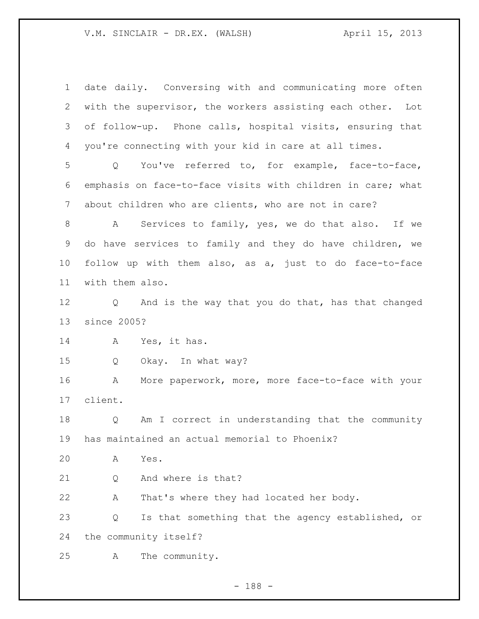date daily. Conversing with and communicating more often with the supervisor, the workers assisting each other. Lot of follow-up. Phone calls, hospital visits, ensuring that you're connecting with your kid in care at all times. Q You've referred to, for example, face-to-face, emphasis on face-to-face visits with children in care; what about children who are clients, who are not in care? 8 A Services to family, yes, we do that also. If we do have services to family and they do have children, we follow up with them also, as a, just to do face-to-face with them also. Q And is the way that you do that, has that changed since 2005? A Yes, it has. Q Okay. In what way? A More paperwork, more, more face-to-face with your client. Q Am I correct in understanding that the community has maintained an actual memorial to Phoenix? A Yes. Q And where is that? A That's where they had located her body. Q Is that something that the agency established, or the community itself? A The community.

- 188 -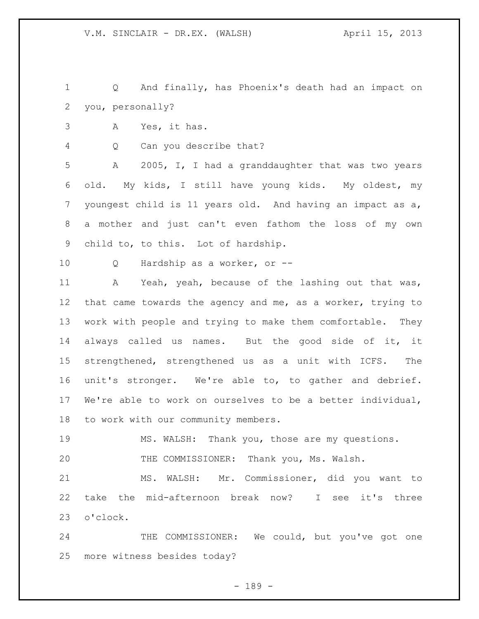Q And finally, has Phoenix's death had an impact on you, personally?

- A Yes, it has.
- Q Can you describe that?

 A 2005, I, I had a granddaughter that was two years old. My kids, I still have young kids. My oldest, my youngest child is 11 years old. And having an impact as a, a mother and just can't even fathom the loss of my own child to, to this. Lot of hardship.

Q Hardship as a worker, or --

11 A Yeah, yeah, because of the lashing out that was, that came towards the agency and me, as a worker, trying to work with people and trying to make them comfortable. They always called us names. But the good side of it, it strengthened, strengthened us as a unit with ICFS. The unit's stronger. We're able to, to gather and debrief. We're able to work on ourselves to be a better individual, to work with our community members.

MS. WALSH: Thank you, those are my questions.

THE COMMISSIONER: Thank you, Ms. Walsh.

 MS. WALSH: Mr. Commissioner, did you want to take the mid-afternoon break now? I see it's three o'clock.

24 THE COMMISSIONER: We could, but you've got one more witness besides today?

- 189 -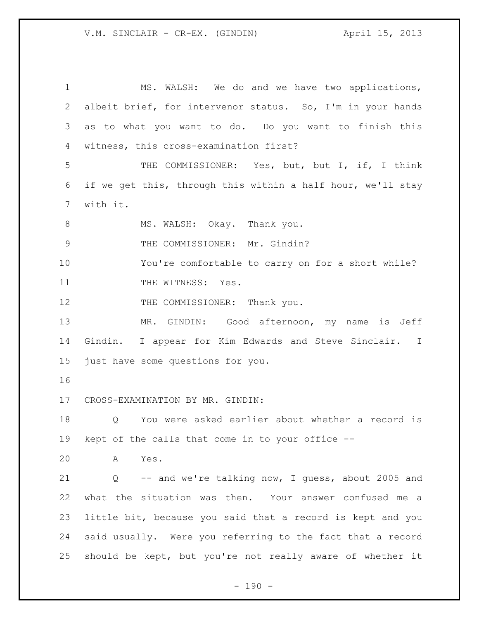MS. WALSH: We do and we have two applications, albeit brief, for intervenor status. So, I'm in your hands as to what you want to do. Do you want to finish this witness, this cross-examination first? THE COMMISSIONER: Yes, but, but I, if, I think if we get this, through this within a half hour, we'll stay with it. 8 MS. WALSH: Okay. Thank you. 9 THE COMMISSIONER: Mr. Gindin? You're comfortable to carry on for a short while? 11 THE WITNESS: Yes. 12 THE COMMISSIONER: Thank you. MR. GINDIN: Good afternoon, my name is Jeff Gindin. I appear for Kim Edwards and Steve Sinclair. I just have some questions for you. CROSS-EXAMINATION BY MR. GINDIN: Q You were asked earlier about whether a record is kept of the calls that come in to your office -- A Yes. Q -- and we're talking now, I guess, about 2005 and what the situation was then. Your answer confused me a little bit, because you said that a record is kept and you said usually. Were you referring to the fact that a record should be kept, but you're not really aware of whether it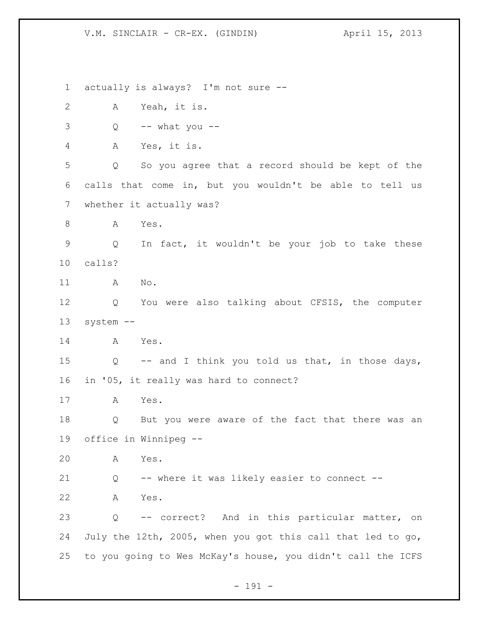actually is always? I'm not sure -- A Yeah, it is.  $3 \qquad Q \qquad -- \text{ what you --}$  A Yes, it is. Q So you agree that a record should be kept of the calls that come in, but you wouldn't be able to tell us whether it actually was? 8 A Yes. Q In fact, it wouldn't be your job to take these calls? A No. Q You were also talking about CFSIS, the computer system -- A Yes. Q -- and I think you told us that, in those days, in '05, it really was hard to connect? A Yes. Q But you were aware of the fact that there was an office in Winnipeg -- A Yes. Q -- where it was likely easier to connect -- A Yes. Q -- correct? And in this particular matter, on July the 12th, 2005, when you got this call that led to go, to you going to Wes McKay's house, you didn't call the ICFS

- 191 -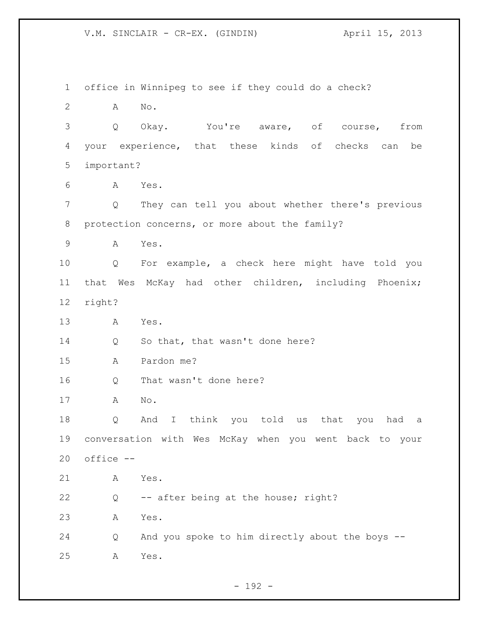office in Winnipeg to see if they could do a check? A No. Q Okay. You're aware, of course, from your experience, that these kinds of checks can be important? A Yes. Q They can tell you about whether there's previous protection concerns, or more about the family? A Yes. Q For example, a check here might have told you that Wes McKay had other children, including Phoenix; right? A Yes. 14 Q So that, that wasn't done here? A Pardon me? Q That wasn't done here? A No. Q And I think you told us that you had a conversation with Wes McKay when you went back to your office -- A Yes. Q -- after being at the house; right? A Yes. Q And you spoke to him directly about the boys -- A Yes.

 $- 192 -$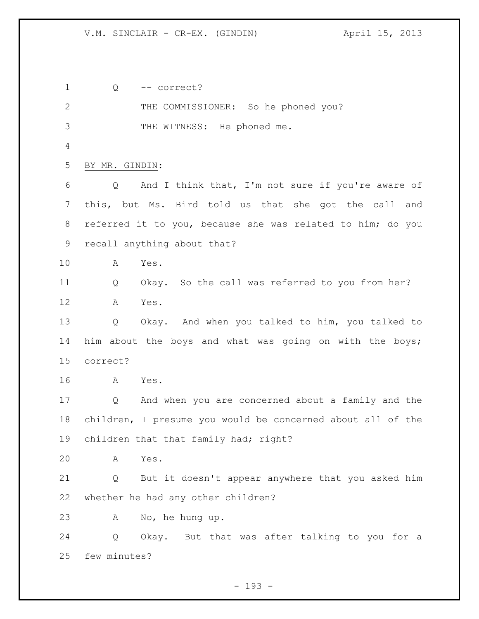Q -- correct? 2 THE COMMISSIONER: So he phoned you? THE WITNESS: He phoned me. BY MR. GINDIN: Q And I think that, I'm not sure if you're aware of this, but Ms. Bird told us that she got the call and referred it to you, because she was related to him; do you recall anything about that? A Yes. Q Okay. So the call was referred to you from her? A Yes. Q Okay. And when you talked to him, you talked to him about the boys and what was going on with the boys; correct? A Yes. Q And when you are concerned about a family and the children, I presume you would be concerned about all of the children that that family had; right? A Yes. Q But it doesn't appear anywhere that you asked him whether he had any other children? A No, he hung up. Q Okay. But that was after talking to you for a few minutes?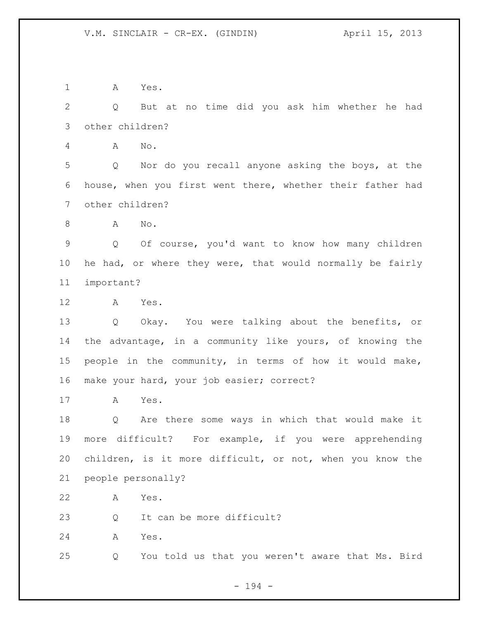A Yes.

 Q But at no time did you ask him whether he had other children?

A No.

 Q Nor do you recall anyone asking the boys, at the house, when you first went there, whether their father had other children?

A No.

 Q Of course, you'd want to know how many children he had, or where they were, that would normally be fairly important?

A Yes.

 Q Okay. You were talking about the benefits, or the advantage, in a community like yours, of knowing the people in the community, in terms of how it would make, make your hard, your job easier; correct?

A Yes.

 Q Are there some ways in which that would make it more difficult? For example, if you were apprehending children, is it more difficult, or not, when you know the people personally?

A Yes.

23 Q It can be more difficult?

A Yes.

Q You told us that you weren't aware that Ms. Bird

- 194 -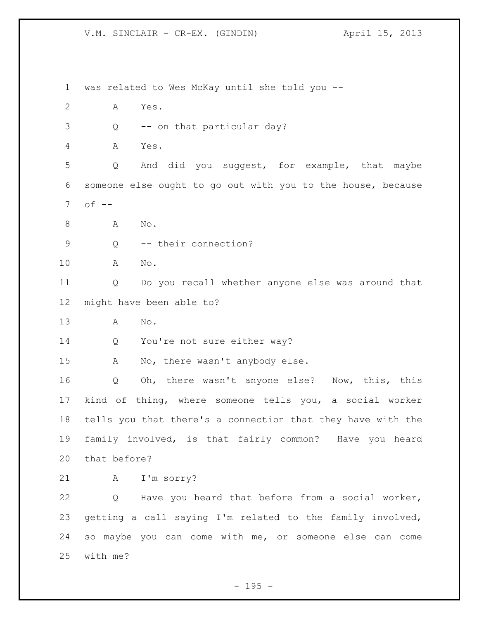was related to Wes McKay until she told you -- A Yes. Q -- on that particular day? A Yes. Q And did you suggest, for example, that maybe someone else ought to go out with you to the house, because of  $-$ 8 A No. Q -- their connection? A No. Q Do you recall whether anyone else was around that might have been able to? A No. 14 Q You're not sure either way? A No, there wasn't anybody else. Q Oh, there wasn't anyone else? Now, this, this kind of thing, where someone tells you, a social worker tells you that there's a connection that they have with the family involved, is that fairly common? Have you heard that before? A I'm sorry? Q Have you heard that before from a social worker, getting a call saying I'm related to the family involved, so maybe you can come with me, or someone else can come with me?

- 195 -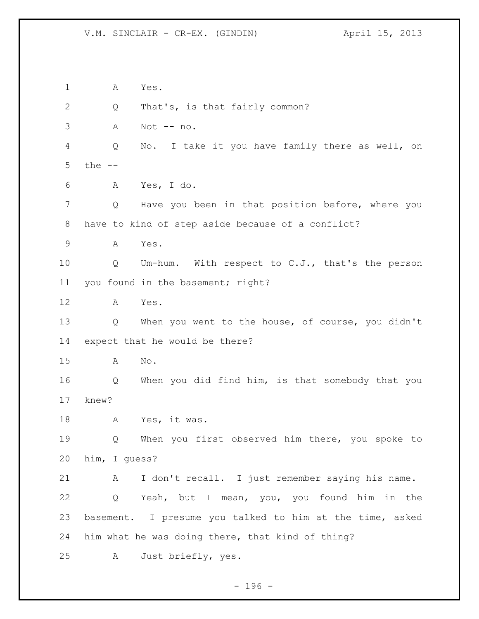A Yes. 2 Q That's, is that fairly common? A Not -- no. Q No. I take it you have family there as well, on the -- A Yes, I do. Q Have you been in that position before, where you have to kind of step aside because of a conflict? A Yes. Q Um-hum. With respect to C.J., that's the person 11 you found in the basement; right? A Yes. Q When you went to the house, of course, you didn't expect that he would be there? A No. Q When you did find him, is that somebody that you knew? A Yes, it was. Q When you first observed him there, you spoke to him, I guess? A I don't recall. I just remember saying his name. Q Yeah, but I mean, you, you found him in the basement. I presume you talked to him at the time, asked him what he was doing there, that kind of thing? A Just briefly, yes.

- 196 -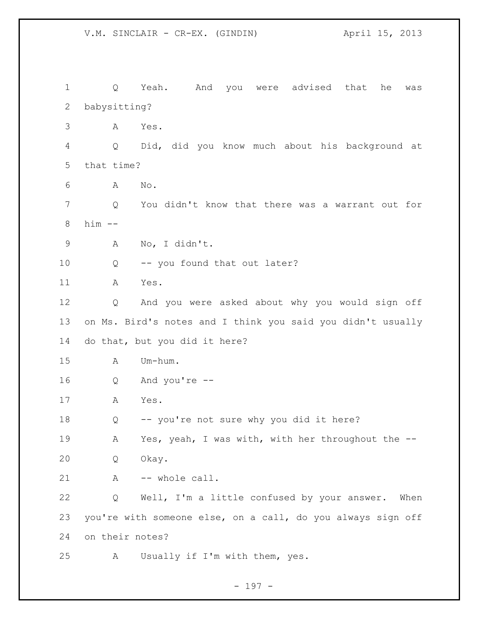Q Yeah. And you were advised that he was babysitting? A Yes. Q Did, did you know much about his background at that time? A No. Q You didn't know that there was a warrant out for him -- A No, I didn't. Q -- you found that out later? A Yes. Q And you were asked about why you would sign off on Ms. Bird's notes and I think you said you didn't usually do that, but you did it here? A Um-hum. Q And you're -- A Yes. Q -- you're not sure why you did it here? A Yes, yeah, I was with, with her throughout the -- Q Okay. 21 A -- whole call. Q Well, I'm a little confused by your answer. When you're with someone else, on a call, do you always sign off on their notes? A Usually if I'm with them, yes.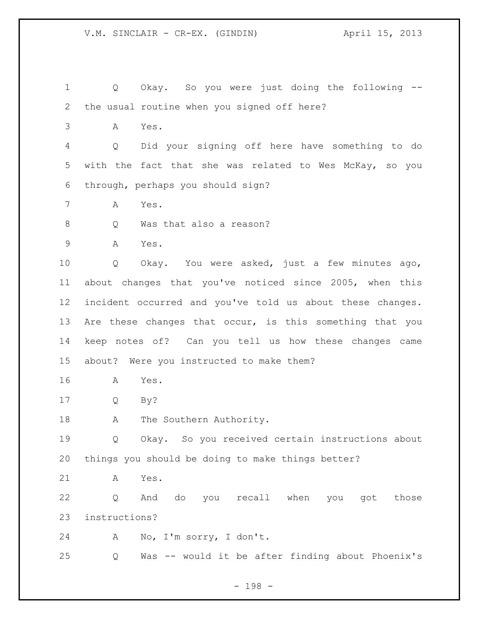Q Okay. So you were just doing the following -- the usual routine when you signed off here?

A Yes.

 Q Did your signing off here have something to do with the fact that she was related to Wes McKay, so you through, perhaps you should sign?

- A Yes.
- 8 O Was that also a reason?

A Yes.

 Q Okay. You were asked, just a few minutes ago, about changes that you've noticed since 2005, when this incident occurred and you've told us about these changes. 13 Are these changes that occur, is this something that you keep notes of? Can you tell us how these changes came about? Were you instructed to make them?

- A Yes.
- Q By?

18 A The Southern Authority.

 Q Okay. So you received certain instructions about things you should be doing to make things better?

A Yes.

 Q And do you recall when you got those instructions?

A No, I'm sorry, I don't.

Q Was -- would it be after finding about Phoenix's

- 198 -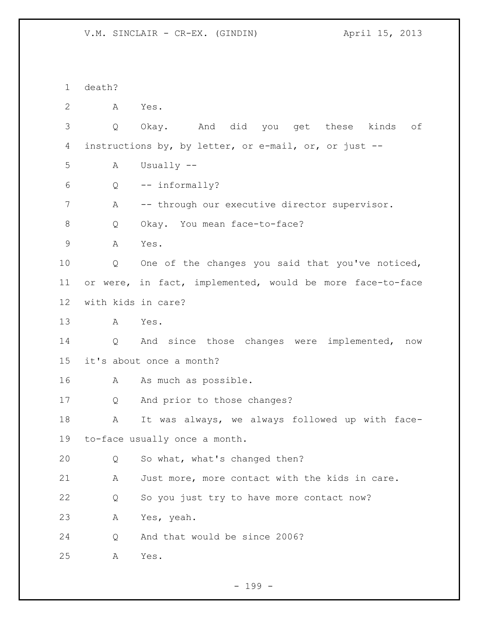death? A Yes. Q Okay. And did you get these kinds of instructions by, by letter, or e-mail, or, or just -- A Usually -- Q -- informally? A -- through our executive director supervisor. 8 Q Okay. You mean face-to-face? A Yes. Q One of the changes you said that you've noticed, or were, in fact, implemented, would be more face-to-face with kids in care? A Yes. Q And since those changes were implemented, now it's about once a month? A As much as possible. Q And prior to those changes? A It was always, we always followed up with face- to-face usually once a month. Q So what, what's changed then? A Just more, more contact with the kids in care. Q So you just try to have more contact now? A Yes, yeah. Q And that would be since 2006? A Yes.

- 199 -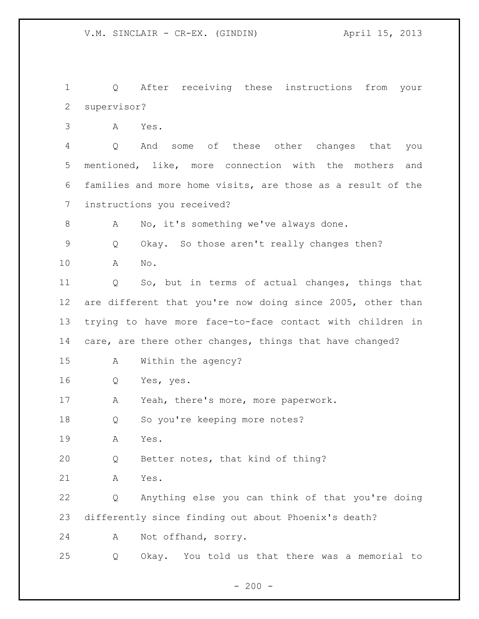Q After receiving these instructions from your supervisor?

A Yes.

 Q And some of these other changes that you mentioned, like, more connection with the mothers and families and more home visits, are those as a result of the instructions you received?

A No, it's something we've always done.

Q Okay. So those aren't really changes then?

A No.

 Q So, but in terms of actual changes, things that 12 are different that you're now doing since 2005, other than trying to have more face-to-face contact with children in care, are there other changes, things that have changed?

A Within the agency?

Q Yes, yes.

A Yeah, there's more, more paperwork.

18 Q So you're keeping more notes?

A Yes.

Q Better notes, that kind of thing?

A Yes.

 Q Anything else you can think of that you're doing differently since finding out about Phoenix's death?

A Not offhand, sorry.

Q Okay. You told us that there was a memorial to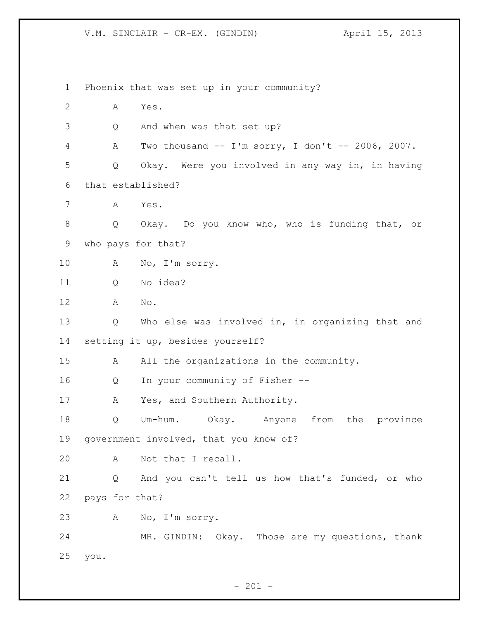Phoenix that was set up in your community? A Yes. Q And when was that set up? A Two thousand -- I'm sorry, I don't -- 2006, 2007. Q Okay. Were you involved in any way in, in having that established? A Yes. Q Okay. Do you know who, who is funding that, or who pays for that? A No, I'm sorry. Q No idea? A No. Q Who else was involved in, in organizing that and setting it up, besides yourself? 15 A All the organizations in the community. Q In your community of Fisher -- 17 A Yes, and Southern Authority. Q Um-hum. Okay. Anyone from the province government involved, that you know of? A Not that I recall. Q And you can't tell us how that's funded, or who pays for that? A No, I'm sorry. MR. GINDIN: Okay. Those are my questions, thank you.

 $- 201 -$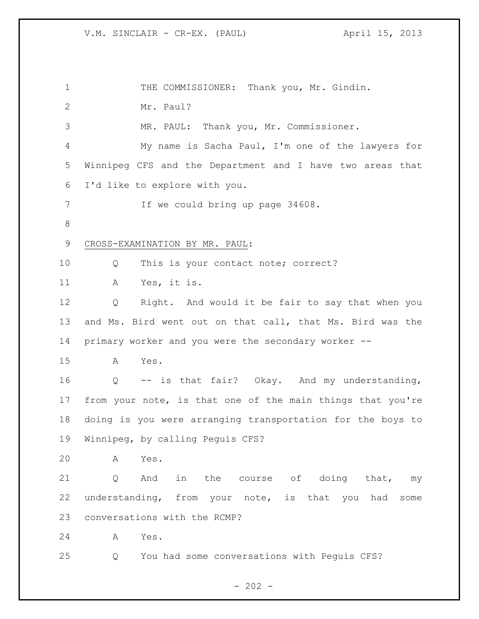| $\mathbf 1$  | THE COMMISSIONER: Thank you, Mr. Gindin.                          |  |  |
|--------------|-------------------------------------------------------------------|--|--|
| $\mathbf{2}$ | Mr. Paul?                                                         |  |  |
| 3            | MR. PAUL: Thank you, Mr. Commissioner.                            |  |  |
| 4            | My name is Sacha Paul, I'm one of the lawyers for                 |  |  |
| 5            | Winnipeg CFS and the Department and I have two areas that         |  |  |
| 6            | I'd like to explore with you.                                     |  |  |
| 7            | If we could bring up page 34608.                                  |  |  |
| $\,8\,$      |                                                                   |  |  |
| 9            | CROSS-EXAMINATION BY MR. PAUL:                                    |  |  |
| 10           | This is your contact note; correct?<br>Q                          |  |  |
| 11           | Yes, it is.<br>А                                                  |  |  |
| 12           | Q<br>Right. And would it be fair to say that when you             |  |  |
| 13           | and Ms. Bird went out on that call, that Ms. Bird was the         |  |  |
| 14           | primary worker and you were the secondary worker --               |  |  |
| 15           | Yes.<br>A                                                         |  |  |
| 16           | -- is that fair? Okay. And my understanding,<br>$Q \qquad \qquad$ |  |  |
| 17           | from your note, is that one of the main things that you're        |  |  |
| 18           | doing is you were arranging transportation for the boys to        |  |  |
| 19           | Winnipeg, by calling Peguis CFS?                                  |  |  |
| 20           | Yes.<br>Α                                                         |  |  |
| 21           | in<br>the course of doing that,<br>Q<br>And<br>my                 |  |  |
| 22           | understanding, from your note, is that<br>you had<br>some         |  |  |
| 23           | conversations with the RCMP?                                      |  |  |
| 24           | Yes.<br>A                                                         |  |  |
| 25           | You had some conversations with Peguis CFS?<br>Q                  |  |  |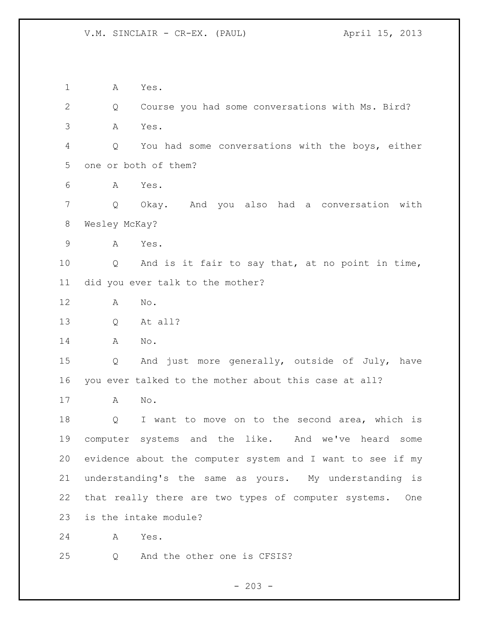V.M. SINCLAIR - CR-EX. (PAUL) April 15, 2013

 A Yes. Q Course you had some conversations with Ms. Bird? A Yes. Q You had some conversations with the boys, either one or both of them? A Yes. Q Okay. And you also had a conversation with Wesley McKay? A Yes. Q And is it fair to say that, at no point in time, did you ever talk to the mother? A No. Q At all? A No. Q And just more generally, outside of July, have you ever talked to the mother about this case at all? A No. Q I want to move on to the second area, which is computer systems and the like. And we've heard some evidence about the computer system and I want to see if my understanding's the same as yours. My understanding is that really there are two types of computer systems. One is the intake module? A Yes. Q And the other one is CFSIS?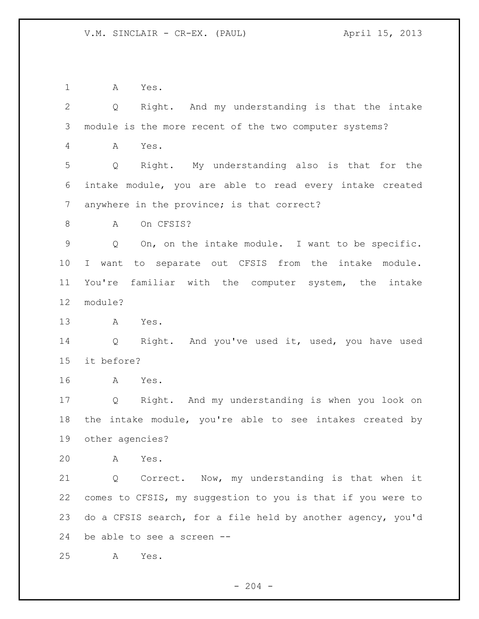A Yes.

 Q Right. And my understanding is that the intake module is the more recent of the two computer systems? A Yes. Q Right. My understanding also is that for the intake module, you are able to read every intake created anywhere in the province; is that correct? 8 A On CFSIS? Q On, on the intake module. I want to be specific. I want to separate out CFSIS from the intake module. You're familiar with the computer system, the intake module? A Yes. Q Right. And you've used it, used, you have used it before? A Yes. Q Right. And my understanding is when you look on the intake module, you're able to see intakes created by other agencies? A Yes. Q Correct. Now, my understanding is that when it comes to CFSIS, my suggestion to you is that if you were to do a CFSIS search, for a file held by another agency, you'd be able to see a screen -- A Yes.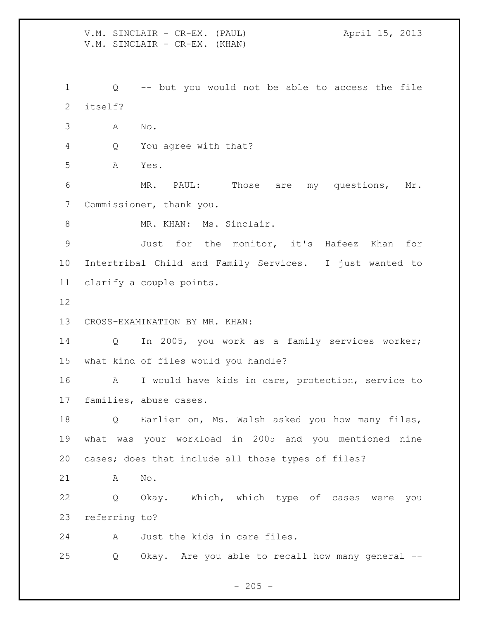V.M. SINCLAIR - CR-EX. (PAUL) (April 15, 2013) V.M. SINCLAIR - CR-EX. (KHAN) Q -- but you would not be able to access the file itself? A No. Q You agree with that? A Yes. MR. PAUL: Those are my questions, Mr. Commissioner, thank you. 8 MR. KHAN: Ms. Sinclair. Just for the monitor, it's Hafeez Khan for Intertribal Child and Family Services. I just wanted to clarify a couple points. CROSS-EXAMINATION BY MR. KHAN: Q In 2005, you work as a family services worker; what kind of files would you handle? A I would have kids in care, protection, service to families, abuse cases. Q Earlier on, Ms. Walsh asked you how many files, what was your workload in 2005 and you mentioned nine cases; does that include all those types of files? A No. Q Okay. Which, which type of cases were you referring to? A Just the kids in care files. Q Okay. Are you able to recall how many general --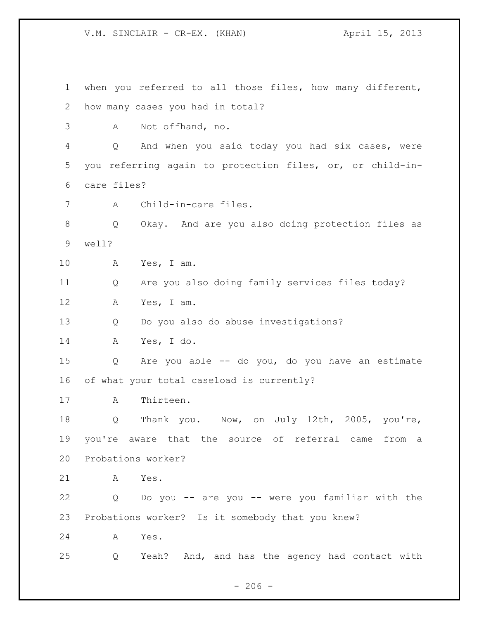V.M. SINCLAIR - CR-EX. (KHAN) April 15, 2013

 when you referred to all those files, how many different, how many cases you had in total? A Not offhand, no. Q And when you said today you had six cases, were you referring again to protection files, or, or child-in- care files? A Child-in-care files. Q Okay. And are you also doing protection files as well? A Yes, I am. Q Are you also doing family services files today? A Yes, I am. Q Do you also do abuse investigations? A Yes, I do. Q Are you able -- do you, do you have an estimate of what your total caseload is currently? A Thirteen. Q Thank you. Now, on July 12th, 2005, you're, you're aware that the source of referral came from a Probations worker? A Yes. Q Do you -- are you -- were you familiar with the Probations worker? Is it somebody that you knew? A Yes. Q Yeah? And, and has the agency had contact with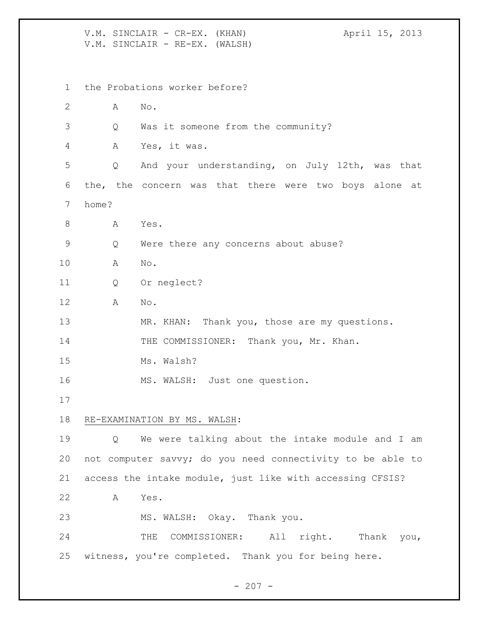V.M. SINCLAIR - CR-EX. (KHAN) April 15, 2013 V.M. SINCLAIR - RE-EX. (WALSH) the Probations worker before? A No. Q Was it someone from the community? A Yes, it was. Q And your understanding, on July 12th, was that the, the concern was that there were two boys alone at home? 8 A Yes. Q Were there any concerns about abuse? A No. Q Or neglect? A No. 13 MR. KHAN: Thank you, those are my questions. 14 THE COMMISSIONER: Thank you, Mr. Khan. Ms. Walsh? MS. WALSH: Just one question. RE-EXAMINATION BY MS. WALSH: Q We were talking about the intake module and I am not computer savvy; do you need connectivity to be able to access the intake module, just like with accessing CFSIS? A Yes. MS. WALSH: Okay. Thank you. 24 THE COMMISSIONER: All right. Thank you, witness, you're completed. Thank you for being here.

 $-207 -$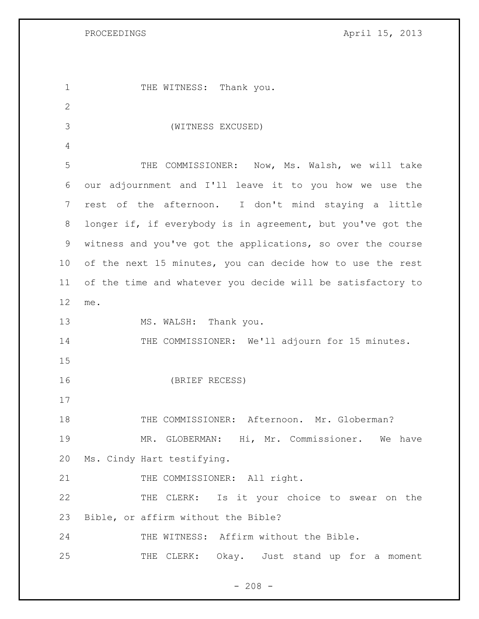PROCEEDINGS April 15, 2013

1 THE WITNESS: Thank you. (WITNESS EXCUSED) THE COMMISSIONER: Now, Ms. Walsh, we will take our adjournment and I'll leave it to you how we use the rest of the afternoon. I don't mind staying a little longer if, if everybody is in agreement, but you've got the witness and you've got the applications, so over the course of the next 15 minutes, you can decide how to use the rest of the time and whatever you decide will be satisfactory to me. 13 MS. WALSH: Thank you. 14 THE COMMISSIONER: We'll adjourn for 15 minutes. (BRIEF RECESS) 18 THE COMMISSIONER: Afternoon. Mr. Globerman? MR. GLOBERMAN: Hi, Mr. Commissioner. We have Ms. Cindy Hart testifying. 21 THE COMMISSIONER: All right. 22 THE CLERK: Is it your choice to swear on the Bible, or affirm without the Bible? THE WITNESS: Affirm without the Bible. 25 THE CLERK: Okay. Just stand up for a moment

 $- 208 -$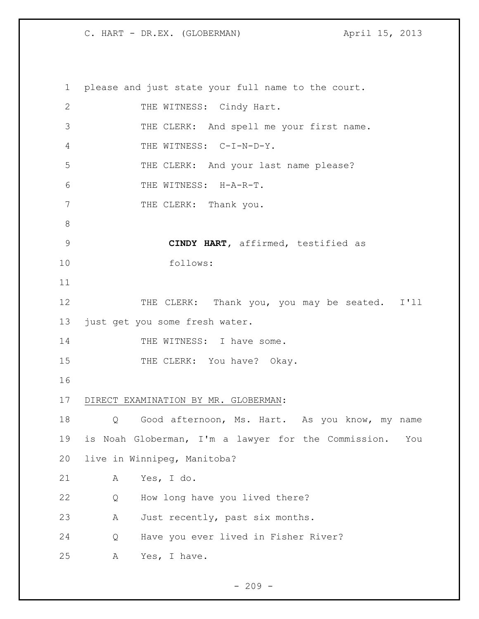please and just state your full name to the court. 2 THE WITNESS: Cindy Hart. THE CLERK: And spell me your first name. 4 THE WITNESS: C-I-N-D-Y. 5 THE CLERK: And your last name please? THE WITNESS: H-A-R-T. 7 THE CLERK: Thank you. **CINDY HART,** affirmed, testified as follows: 12 THE CLERK: Thank you, you may be seated. I'll just get you some fresh water. 14 THE WITNESS: I have some. 15 THE CLERK: You have? Okay. DIRECT EXAMINATION BY MR. GLOBERMAN: 18 Q Good afternoon, Ms. Hart. As you know, my name is Noah Globerman, I'm a lawyer for the Commission. You live in Winnipeg, Manitoba? A Yes, I do. Q How long have you lived there? A Just recently, past six months. Q Have you ever lived in Fisher River? A Yes, I have.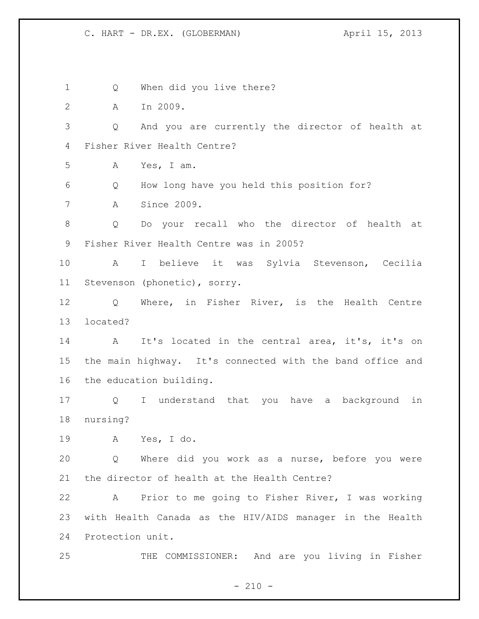Q When did you live there? A In 2009. Q And you are currently the director of health at Fisher River Health Centre? A Yes, I am. Q How long have you held this position for? A Since 2009. Q Do your recall who the director of health at Fisher River Health Centre was in 2005? A I believe it was Sylvia Stevenson, Cecilia Stevenson (phonetic), sorry. Q Where, in Fisher River, is the Health Centre located? A It's located in the central area, it's, it's on the main highway. It's connected with the band office and the education building. Q I understand that you have a background in nursing? A Yes, I do. Q Where did you work as a nurse, before you were the director of health at the Health Centre? A Prior to me going to Fisher River, I was working with Health Canada as the HIV/AIDS manager in the Health Protection unit. THE COMMISSIONER: And are you living in Fisher

 $- 210 -$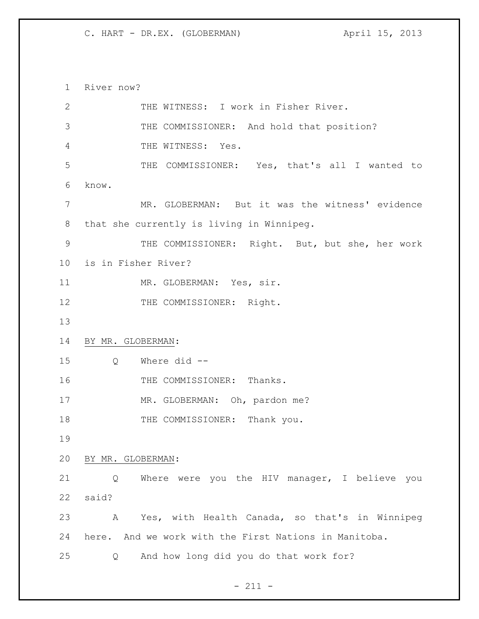River now? THE WITNESS: I work in Fisher River. THE COMMISSIONER: And hold that position? THE WITNESS: Yes. THE COMMISSIONER: Yes, that's all I wanted to know. MR. GLOBERMAN: But it was the witness' evidence that she currently is living in Winnipeg. THE COMMISSIONER: Right. But, but she, her work is in Fisher River? 11 MR. GLOBERMAN: Yes, sir. 12 THE COMMISSIONER: Right. BY MR. GLOBERMAN: Q Where did -- 16 THE COMMISSIONER: Thanks. 17 MR. GLOBERMAN: Oh, pardon me? 18 THE COMMISSIONER: Thank you. BY MR. GLOBERMAN: Q Where were you the HIV manager, I believe you said? A Yes, with Health Canada, so that's in Winnipeg here. And we work with the First Nations in Manitoba. Q And how long did you do that work for?

- 211 -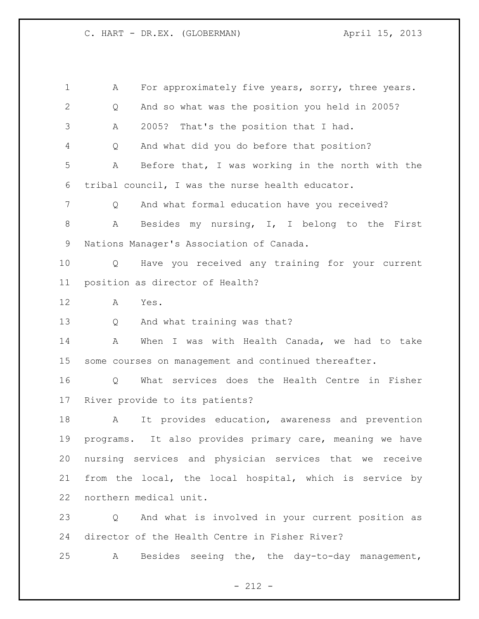| $\mathbf 1$  | A                      | For approximately five years, sorry, three years.        |
|--------------|------------------------|----------------------------------------------------------|
| $\mathbf{2}$ | Q                      | And so what was the position you held in 2005?           |
| 3            | A                      | 2005?<br>That's the position that I had.                 |
| 4            | Q                      | And what did you do before that position?                |
| 5            | Α                      | Before that, I was working in the north with the         |
| 6            |                        | tribal council, I was the nurse health educator.         |
| 7            | Q                      | And what formal education have you received?             |
| $\,8\,$      | А                      | Besides my nursing, I, I belong to the First             |
| 9            |                        | Nations Manager's Association of Canada.                 |
| 10           | Q                      | Have you received any training for your current          |
| 11           |                        | position as director of Health?                          |
| 12           | A<br>Yes.              |                                                          |
| 13           | Q                      | And what training was that?                              |
| 14           | A                      | When I was with Health Canada, we had to take            |
| 15           |                        | some courses on management and continued thereafter.     |
| 16           | Q                      | What services does the Health Centre in Fisher           |
| 17           |                        | River provide to its patients?                           |
| 18           | A                      | It provides education, awareness and prevention          |
| 19           |                        | programs. It also provides primary care, meaning we have |
| 20           |                        | nursing services and physician services that we receive  |
| 21           |                        | from the local, the local hospital, which is service by  |
| 22           | northern medical unit. |                                                          |
| 23           |                        | Q And what is involved in your current position as       |
| 24           |                        | director of the Health Centre in Fisher River?           |
| 25           | $\mathbb A$            | Besides seeing the, the day-to-day management,           |

- 212 -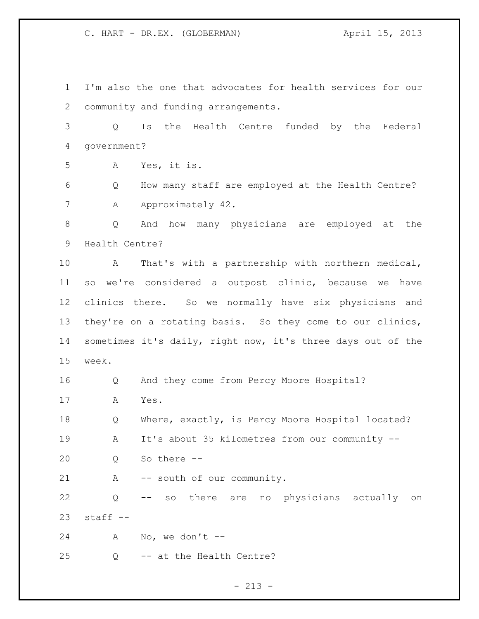I'm also the one that advocates for health services for our community and funding arrangements. Q Is the Health Centre funded by the Federal government? A Yes, it is. Q How many staff are employed at the Health Centre? 7 A Approximately 42. Q And how many physicians are employed at the Health Centre? A That's with a partnership with northern medical, so we're considered a outpost clinic, because we have clinics there. So we normally have six physicians and they're on a rotating basis. So they come to our clinics, sometimes it's daily, right now, it's three days out of the week. Q And they come from Percy Moore Hospital? A Yes. 18 Q Where, exactly, is Percy Moore Hospital located? A It's about 35 kilometres from our community -- Q So there -- 21 A -- south of our community. Q -- so there are no physicians actually on

staff  $-$ 

A No, we don't --

Q -- at the Health Centre?

 $- 213 -$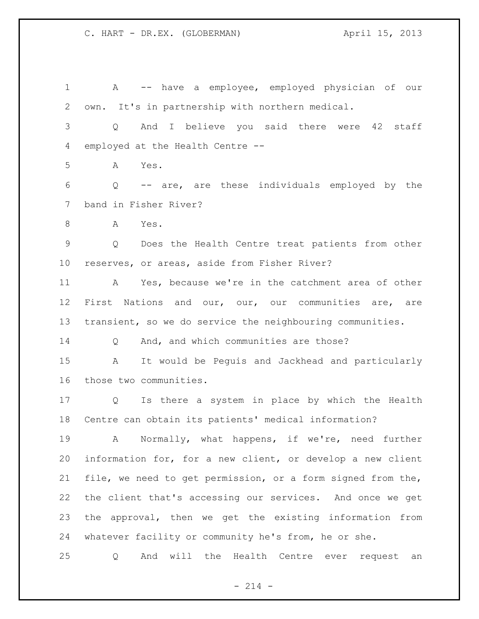A -- have a employee, employed physician of our own. It's in partnership with northern medical. Q And I believe you said there were 42 staff employed at the Health Centre -- A Yes. Q -- are, are these individuals employed by the band in Fisher River? A Yes. Q Does the Health Centre treat patients from other reserves, or areas, aside from Fisher River? A Yes, because we're in the catchment area of other First Nations and our, our, our communities are, are transient, so we do service the neighbouring communities. Q And, and which communities are those? A It would be Peguis and Jackhead and particularly those two communities. Q Is there a system in place by which the Health Centre can obtain its patients' medical information? 19 A Normally, what happens, if we're, need further information for, for a new client, or develop a new client file, we need to get permission, or a form signed from the, the client that's accessing our services. And once we get the approval, then we get the existing information from whatever facility or community he's from, he or she. Q And will the Health Centre ever request an

 $- 214 -$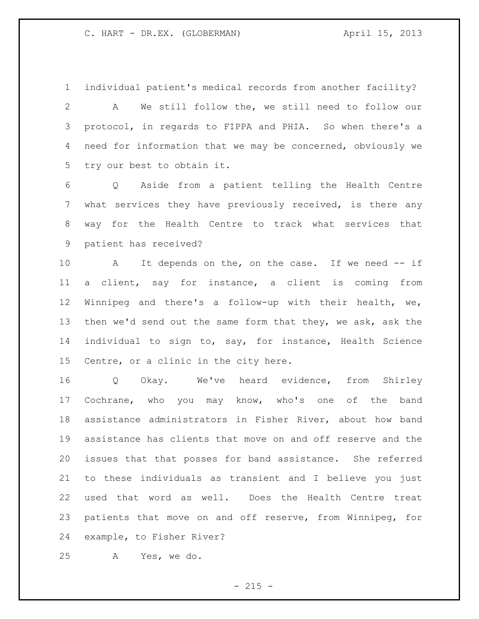individual patient's medical records from another facility?

 A We still follow the, we still need to follow our protocol, in regards to FIPPA and PHIA. So when there's a need for information that we may be concerned, obviously we try our best to obtain it.

 Q Aside from a patient telling the Health Centre what services they have previously received, is there any way for the Health Centre to track what services that patient has received?

 A It depends on the, on the case. If we need -- if a client, say for instance, a client is coming from Winnipeg and there's a follow-up with their health, we, 13 then we'd send out the same form that they, we ask, ask the individual to sign to, say, for instance, Health Science Centre, or a clinic in the city here.

 Q Okay. We've heard evidence, from Shirley Cochrane, who you may know, who's one of the band assistance administrators in Fisher River, about how band assistance has clients that move on and off reserve and the issues that that posses for band assistance. She referred to these individuals as transient and I believe you just used that word as well. Does the Health Centre treat patients that move on and off reserve, from Winnipeg, for example, to Fisher River?

A Yes, we do.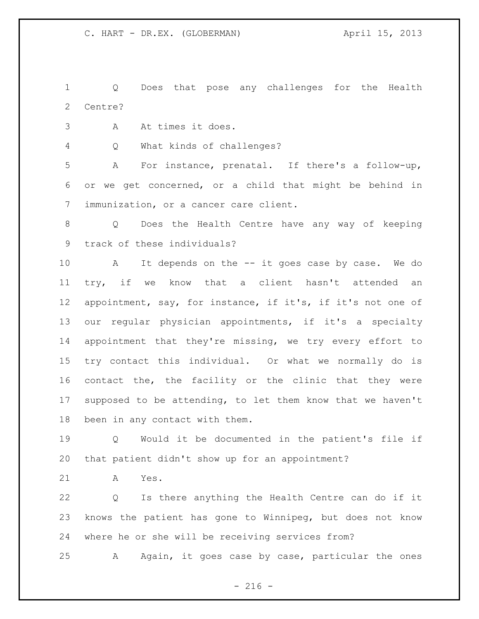Q Does that pose any challenges for the Health Centre?

A At times it does.

Q What kinds of challenges?

 A For instance, prenatal. If there's a follow-up, or we get concerned, or a child that might be behind in immunization, or a cancer care client.

 Q Does the Health Centre have any way of keeping track of these individuals?

 A It depends on the -- it goes case by case. We do try, if we know that a client hasn't attended an appointment, say, for instance, if it's, if it's not one of our regular physician appointments, if it's a specialty appointment that they're missing, we try every effort to try contact this individual. Or what we normally do is contact the, the facility or the clinic that they were supposed to be attending, to let them know that we haven't been in any contact with them.

 Q Would it be documented in the patient's file if that patient didn't show up for an appointment?

A Yes.

 Q Is there anything the Health Centre can do if it knows the patient has gone to Winnipeg, but does not know where he or she will be receiving services from?

A Again, it goes case by case, particular the ones

 $-216 -$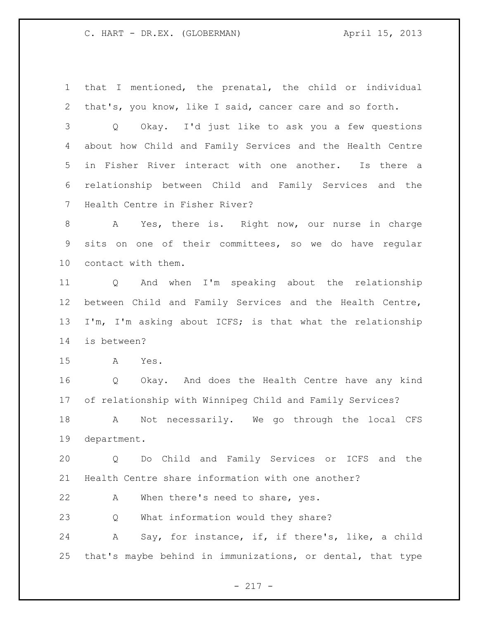that I mentioned, the prenatal, the child or individual that's, you know, like I said, cancer care and so forth.

 Q Okay. I'd just like to ask you a few questions about how Child and Family Services and the Health Centre in Fisher River interact with one another. Is there a relationship between Child and Family Services and the Health Centre in Fisher River?

 A Yes, there is. Right now, our nurse in charge sits on one of their committees, so we do have regular contact with them.

 Q And when I'm speaking about the relationship between Child and Family Services and the Health Centre, I'm, I'm asking about ICFS; is that what the relationship is between?

A Yes.

 Q Okay. And does the Health Centre have any kind of relationship with Winnipeg Child and Family Services?

 A Not necessarily. We go through the local CFS department.

 Q Do Child and Family Services or ICFS and the Health Centre share information with one another?

A When there's need to share, yes.

Q What information would they share?

 A Say, for instance, if, if there's, like, a child that's maybe behind in immunizations, or dental, that type

- 217 -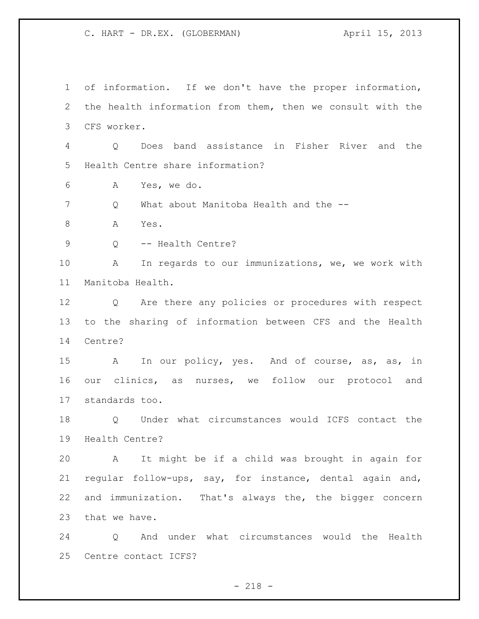of information. If we don't have the proper information, the health information from them, then we consult with the CFS worker. Q Does band assistance in Fisher River and the Health Centre share information? A Yes, we do. Q What about Manitoba Health and the -- 8 A Yes. 9 Q -- Health Centre? A In regards to our immunizations, we, we work with Manitoba Health. Q Are there any policies or procedures with respect to the sharing of information between CFS and the Health Centre? 15 A In our policy, yes. And of course, as, as, in our clinics, as nurses, we follow our protocol and standards too. Q Under what circumstances would ICFS contact the Health Centre? A It might be if a child was brought in again for regular follow-ups, say, for instance, dental again and, and immunization. That's always the, the bigger concern that we have. Q And under what circumstances would the Health

Centre contact ICFS?

 $- 218 -$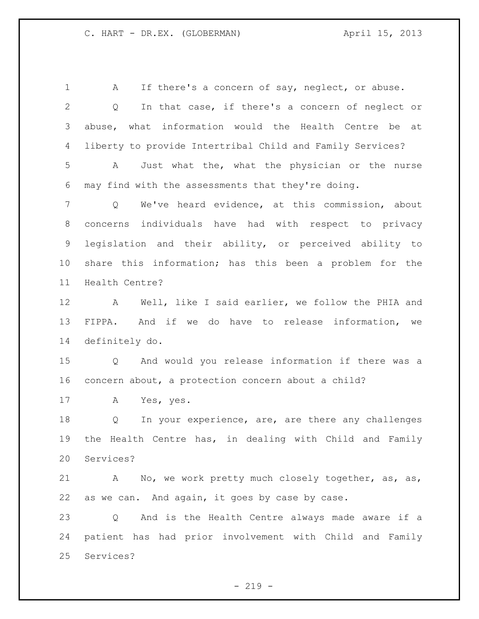1 A If there's a concern of say, neglect, or abuse. Q In that case, if there's a concern of neglect or abuse, what information would the Health Centre be at liberty to provide Intertribal Child and Family Services? A Just what the, what the physician or the nurse may find with the assessments that they're doing. Q We've heard evidence, at this commission, about concerns individuals have had with respect to privacy legislation and their ability, or perceived ability to share this information; has this been a problem for the Health Centre? A Well, like I said earlier, we follow the PHIA and FIPPA. And if we do have to release information, we definitely do. Q And would you release information if there was a concern about, a protection concern about a child? A Yes, yes. 18 Q In your experience, are, are there any challenges the Health Centre has, in dealing with Child and Family Services? A No, we work pretty much closely together, as, as, as we can. And again, it goes by case by case. Q And is the Health Centre always made aware if a patient has had prior involvement with Child and Family Services?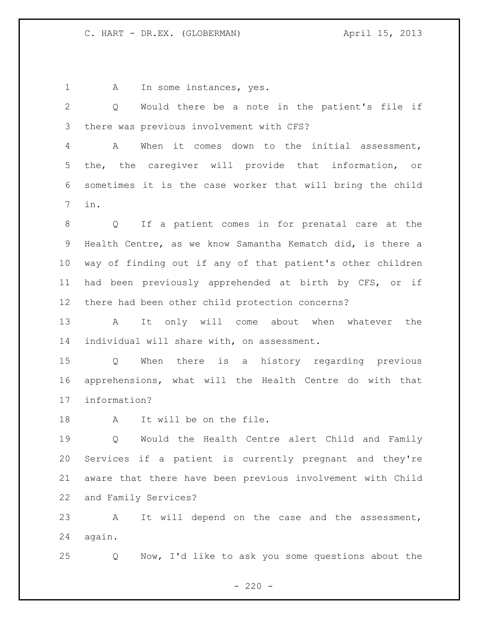1 A In some instances, yes.

 Q Would there be a note in the patient's file if there was previous involvement with CFS?

 A When it comes down to the initial assessment, the, the caregiver will provide that information, or sometimes it is the case worker that will bring the child in.

 Q If a patient comes in for prenatal care at the Health Centre, as we know Samantha Kematch did, is there a way of finding out if any of that patient's other children had been previously apprehended at birth by CFS, or if there had been other child protection concerns?

 A It only will come about when whatever the individual will share with, on assessment.

 Q When there is a history regarding previous apprehensions, what will the Health Centre do with that information?

A It will be on the file.

 Q Would the Health Centre alert Child and Family Services if a patient is currently pregnant and they're aware that there have been previous involvement with Child and Family Services?

 A It will depend on the case and the assessment, again.

Q Now, I'd like to ask you some questions about the

 $- 220 -$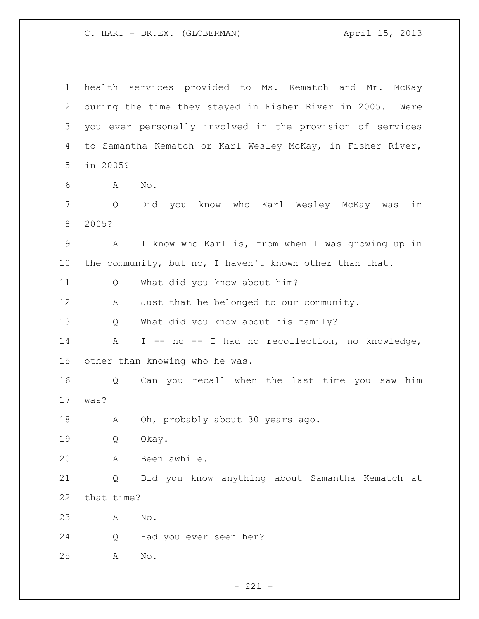health services provided to Ms. Kematch and Mr. McKay during the time they stayed in Fisher River in 2005. Were you ever personally involved in the provision of services to Samantha Kematch or Karl Wesley McKay, in Fisher River, in 2005? A No. Q Did you know who Karl Wesley McKay was in 2005? A I know who Karl is, from when I was growing up in the community, but no, I haven't known other than that. Q What did you know about him? 12 A Just that he belonged to our community. Q What did you know about his family? A I -- no -- I had no recollection, no knowledge, other than knowing who he was. Q Can you recall when the last time you saw him was? 18 A Oh, probably about 30 years ago. Q Okay. A Been awhile. Q Did you know anything about Samantha Kematch at that time? A No. Q Had you ever seen her? A No.

 $- 221 -$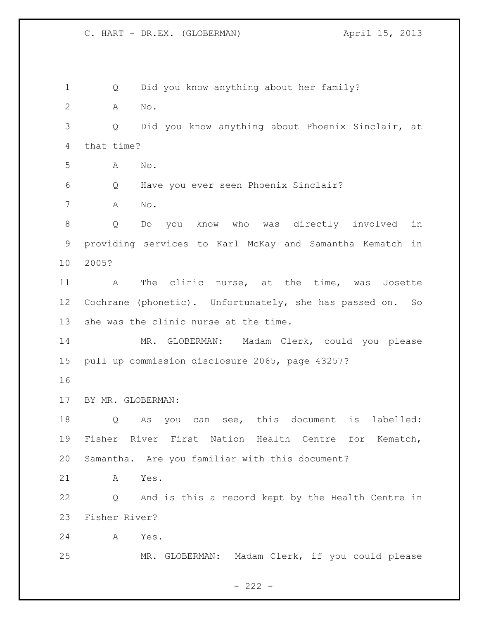Q Did you know anything about her family? A No. Q Did you know anything about Phoenix Sinclair, at that time? A No. Q Have you ever seen Phoenix Sinclair? A No. Q Do you know who was directly involved in providing services to Karl McKay and Samantha Kematch in 2005? A The clinic nurse, at the time, was Josette Cochrane (phonetic). Unfortunately, she has passed on. So she was the clinic nurse at the time. MR. GLOBERMAN: Madam Clerk, could you please pull up commission disclosure 2065, page 43257? BY MR. GLOBERMAN: Q As you can see, this document is labelled: Fisher River First Nation Health Centre for Kematch, Samantha. Are you familiar with this document? A Yes. Q And is this a record kept by the Health Centre in Fisher River? A Yes. MR. GLOBERMAN: Madam Clerk, if you could please

 $- 222 -$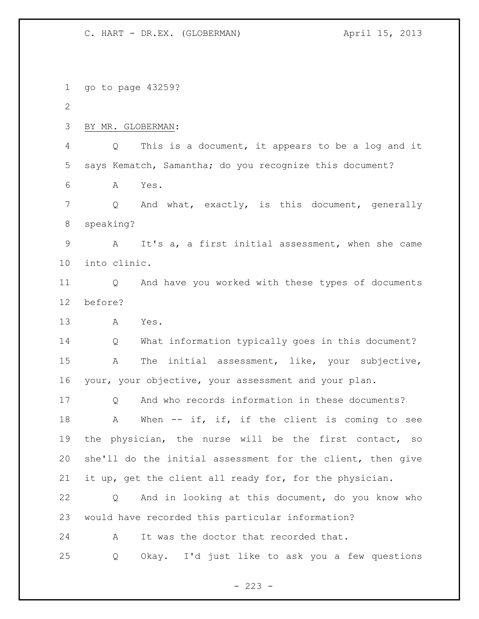go to page 43259? BY MR. GLOBERMAN: Q This is a document, it appears to be a log and it says Kematch, Samantha; do you recognize this document? A Yes. 7 Q And what, exactly, is this document, generally speaking? A It's a, a first initial assessment, when she came into clinic. Q And have you worked with these types of documents before? A Yes. Q What information typically goes in this document? A The initial assessment, like, your subjective, your, your objective, your assessment and your plan. Q And who records information in these documents? 18 A When -- if, if, if the client is coming to see the physician, the nurse will be the first contact, so she'll do the initial assessment for the client, then give it up, get the client all ready for, for the physician. Q And in looking at this document, do you know who would have recorded this particular information? A It was the doctor that recorded that. Q Okay. I'd just like to ask you a few questions

 $- 223 -$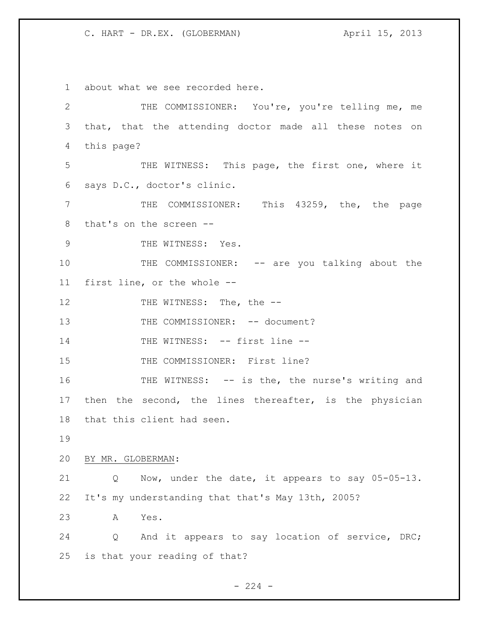about what we see recorded here. THE COMMISSIONER: You're, you're telling me, me that, that the attending doctor made all these notes on this page? THE WITNESS: This page, the first one, where it says D.C., doctor's clinic. 7 THE COMMISSIONER: This 43259, the, the page that's on the screen -- 9 THE WITNESS: Yes. 10 THE COMMISSIONER: -- are you talking about the first line, or the whole -- 12 THE WITNESS: The, the --13 THE COMMISSIONER: -- document? 14 THE WITNESS: -- first line --15 THE COMMISSIONER: First line? THE WITNESS: -- is the, the nurse's writing and then the second, the lines thereafter, is the physician that this client had seen. BY MR. GLOBERMAN: Q Now, under the date, it appears to say 05-05-13. It's my understanding that that's May 13th, 2005? A Yes. Q And it appears to say location of service, DRC; is that your reading of that?

 $-224 -$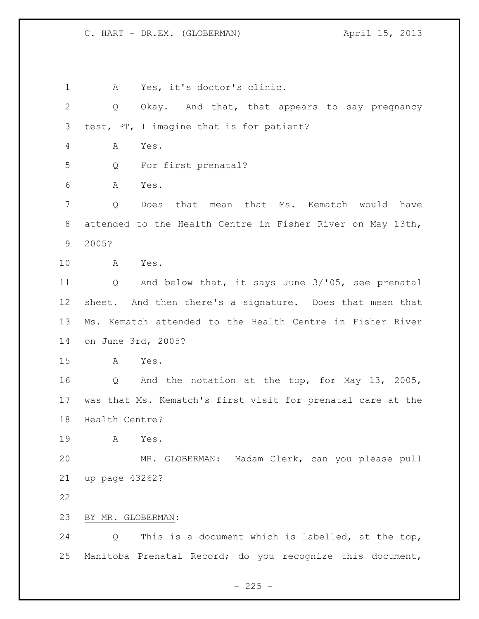A Yes, it's doctor's clinic. Q Okay. And that, that appears to say pregnancy test, PT, I imagine that is for patient? A Yes. Q For first prenatal? A Yes. Q Does that mean that Ms. Kematch would have attended to the Health Centre in Fisher River on May 13th, 2005? A Yes. Q And below that, it says June 3/'05, see prenatal sheet. And then there's a signature. Does that mean that Ms. Kematch attended to the Health Centre in Fisher River on June 3rd, 2005? A Yes. Q And the notation at the top, for May 13, 2005, was that Ms. Kematch's first visit for prenatal care at the Health Centre? A Yes. MR. GLOBERMAN: Madam Clerk, can you please pull up page 43262? BY MR. GLOBERMAN: Q This is a document which is labelled, at the top, Manitoba Prenatal Record; do you recognize this document,

 $- 225 -$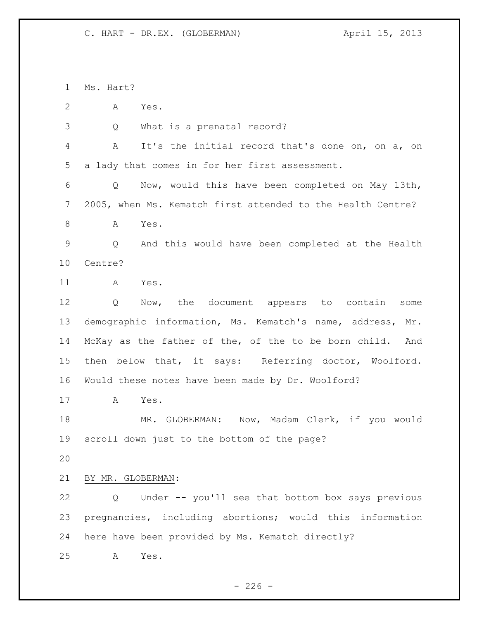Ms. Hart? A Yes. Q What is a prenatal record? A It's the initial record that's done on, on a, on a lady that comes in for her first assessment. Q Now, would this have been completed on May 13th, 2005, when Ms. Kematch first attended to the Health Centre? A Yes. Q And this would have been completed at the Health Centre? A Yes. Q Now, the document appears to contain some demographic information, Ms. Kematch's name, address, Mr. McKay as the father of the, of the to be born child. And then below that, it says: Referring doctor, Woolford. Would these notes have been made by Dr. Woolford? A Yes. 18 MR. GLOBERMAN: Now, Madam Clerk, if you would scroll down just to the bottom of the page? BY MR. GLOBERMAN: Q Under -- you'll see that bottom box says previous pregnancies, including abortions; would this information here have been provided by Ms. Kematch directly? A Yes.

 $-226 -$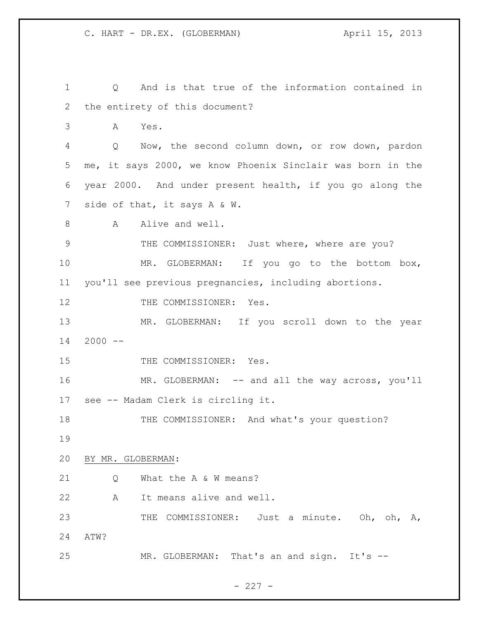Q And is that true of the information contained in the entirety of this document? A Yes. Q Now, the second column down, or row down, pardon me, it says 2000, we know Phoenix Sinclair was born in the year 2000. And under present health, if you go along the 7 side of that, it says A & W. 8 A Alive and well. 9 THE COMMISSIONER: Just where, where are you? MR. GLOBERMAN: If you go to the bottom box, you'll see previous pregnancies, including abortions. 12 THE COMMISSIONER: Yes. MR. GLOBERMAN: If you scroll down to the year 2000  $-$ 15 THE COMMISSIONER: Yes. MR. GLOBERMAN: -- and all the way across, you'll see -- Madam Clerk is circling it. 18 THE COMMISSIONER: And what's your question? BY MR. GLOBERMAN: 21 O What the A & W means? A It means alive and well. THE COMMISSIONER: Just a minute. Oh, oh, A, ATW? 25 MR. GLOBERMAN: That's an and sign. It's --

 $- 227 -$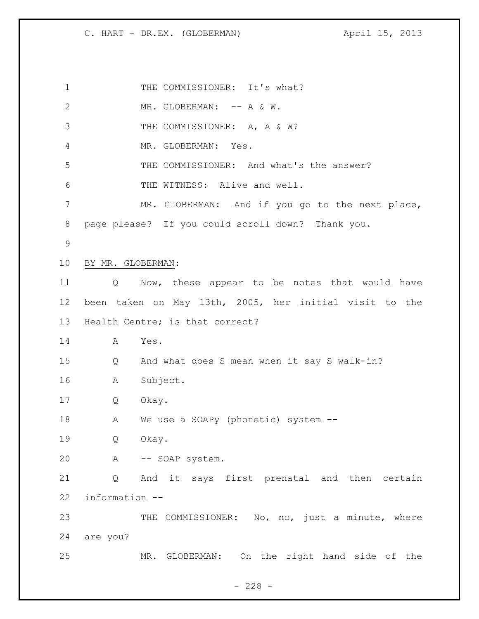1 THE COMMISSIONER: It's what? 2 MR. GLOBERMAN: -- A & W. 3 THE COMMISSIONER: A, A & W? MR. GLOBERMAN: Yes. THE COMMISSIONER: And what's the answer? THE WITNESS: Alive and well. MR. GLOBERMAN: And if you go to the next place, page please? If you could scroll down? Thank you. BY MR. GLOBERMAN: Q Now, these appear to be notes that would have been taken on May 13th, 2005, her initial visit to the Health Centre; is that correct? A Yes. Q And what does S mean when it say S walk-in? A Subject. Q Okay. A We use a SOAPy (phonetic) system -- Q Okay. A -- SOAP system. Q And it says first prenatal and then certain information -- 23 THE COMMISSIONER: No, no, just a minute, where are you? MR. GLOBERMAN: On the right hand side of the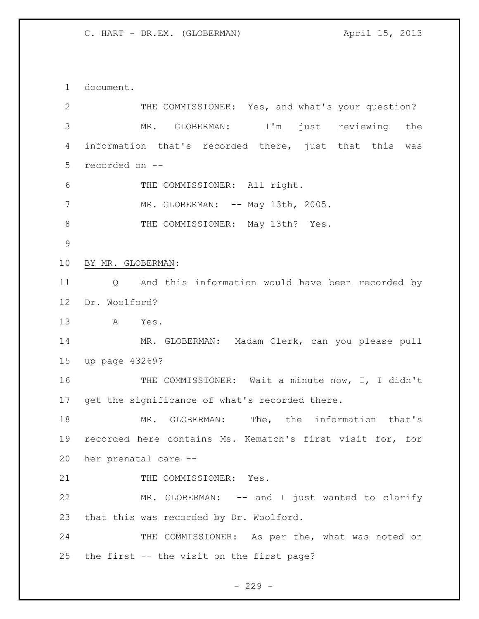document.

| 2           | THE COMMISSIONER: Yes, and what's your question?          |
|-------------|-----------------------------------------------------------|
| 3           | I'm just reviewing the<br>MR.<br>GLOBERMAN:               |
| 4           | information that's recorded there, just that this<br>was  |
| 5           | recorded on --                                            |
| 6           | THE COMMISSIONER: All right.                              |
| 7           | MR. GLOBERMAN: -- May 13th, 2005.                         |
| $8\,$       | THE COMMISSIONER: May 13th? Yes.                          |
| $\mathsf 9$ |                                                           |
| 10          | BY MR. GLOBERMAN:                                         |
| 11          | And this information would have been recorded by<br>Q     |
| 12          | Dr. Woolford?                                             |
| 13          | A<br>Yes.                                                 |
| 14          | MR. GLOBERMAN: Madam Clerk, can you please pull           |
| 15          | up page 43269?                                            |
| 16          | THE COMMISSIONER: Wait a minute now, I, I didn't          |
| 17          | get the significance of what's recorded there.            |
| 18          | MR. GLOBERMAN: The, the information that's                |
| 19          | recorded here contains Ms. Kematch's first visit for, for |
| 20          | her prenatal care --                                      |
| 21          | THE COMMISSIONER: Yes.                                    |
| 22          | MR. GLOBERMAN: -- and I just wanted to clarify            |
| 23          | that this was recorded by Dr. Woolford.                   |
| 24          | THE COMMISSIONER: As per the, what was noted on           |
|             | 25 the first -- the visit on the first page?              |

- 229 -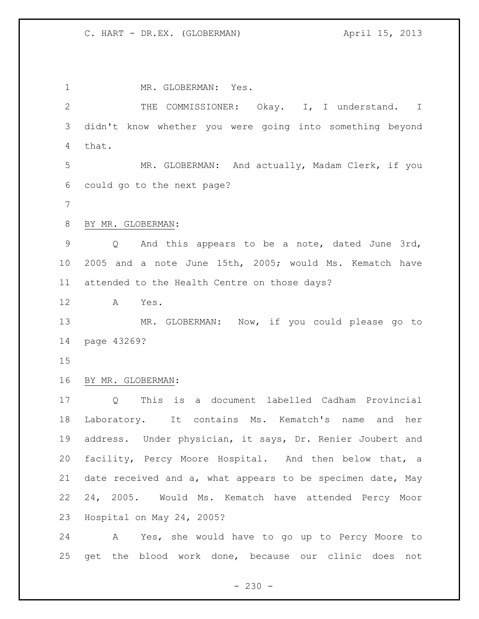MR. GLOBERMAN: Yes. 2 THE COMMISSIONER: Okay. I, I understand. I didn't know whether you were going into something beyond that. MR. GLOBERMAN: And actually, Madam Clerk, if you could go to the next page? BY MR. GLOBERMAN: Q And this appears to be a note, dated June 3rd, 2005 and a note June 15th, 2005; would Ms. Kematch have attended to the Health Centre on those days? A Yes. MR. GLOBERMAN: Now, if you could please go to page 43269? BY MR. GLOBERMAN: Q This is a document labelled Cadham Provincial Laboratory. It contains Ms. Kematch's name and her address. Under physician, it says, Dr. Renier Joubert and facility, Percy Moore Hospital. And then below that, a date received and a, what appears to be specimen date, May 24, 2005. Would Ms. Kematch have attended Percy Moor Hospital on May 24, 2005? A Yes, she would have to go up to Percy Moore to get the blood work done, because our clinic does not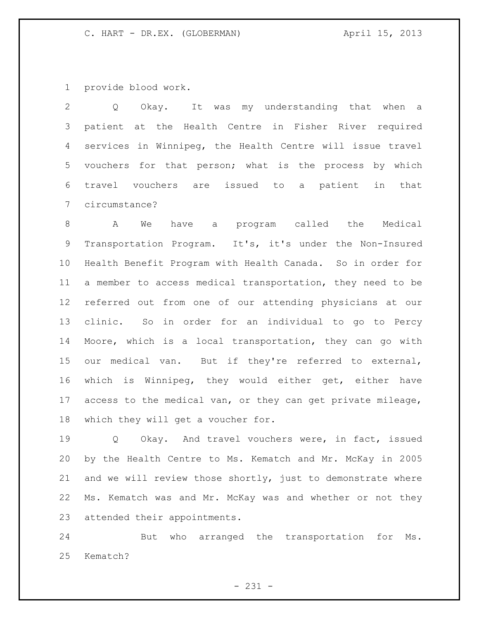provide blood work.

 Q Okay. It was my understanding that when a patient at the Health Centre in Fisher River required services in Winnipeg, the Health Centre will issue travel vouchers for that person; what is the process by which travel vouchers are issued to a patient in that circumstance?

 A We have a program called the Medical Transportation Program. It's, it's under the Non-Insured Health Benefit Program with Health Canada. So in order for a member to access medical transportation, they need to be referred out from one of our attending physicians at our clinic. So in order for an individual to go to Percy Moore, which is a local transportation, they can go with our medical van. But if they're referred to external, which is Winnipeg, they would either get, either have access to the medical van, or they can get private mileage, which they will get a voucher for.

 Q Okay. And travel vouchers were, in fact, issued by the Health Centre to Ms. Kematch and Mr. McKay in 2005 and we will review those shortly, just to demonstrate where Ms. Kematch was and Mr. McKay was and whether or not they attended their appointments.

 But who arranged the transportation for Ms. Kematch?

- 231 -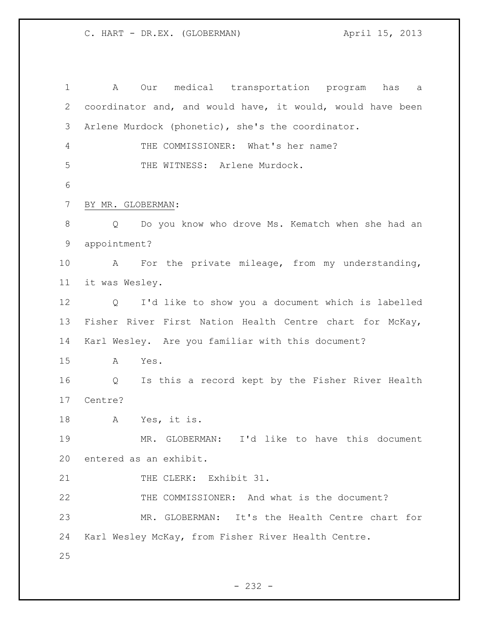A Our medical transportation program has a coordinator and, and would have, it would, would have been Arlene Murdock (phonetic), she's the coordinator. THE COMMISSIONER: What's her name? 5 THE WITNESS: Arlene Murdock. BY MR. GLOBERMAN: Q Do you know who drove Ms. Kematch when she had an appointment? A For the private mileage, from my understanding, it was Wesley. Q I'd like to show you a document which is labelled Fisher River First Nation Health Centre chart for McKay, Karl Wesley. Are you familiar with this document? A Yes. Q Is this a record kept by the Fisher River Health Centre? A Yes, it is. MR. GLOBERMAN: I'd like to have this document entered as an exhibit. 21 THE CLERK: Exhibit 31. THE COMMISSIONER: And what is the document? MR. GLOBERMAN: It's the Health Centre chart for Karl Wesley McKay, from Fisher River Health Centre.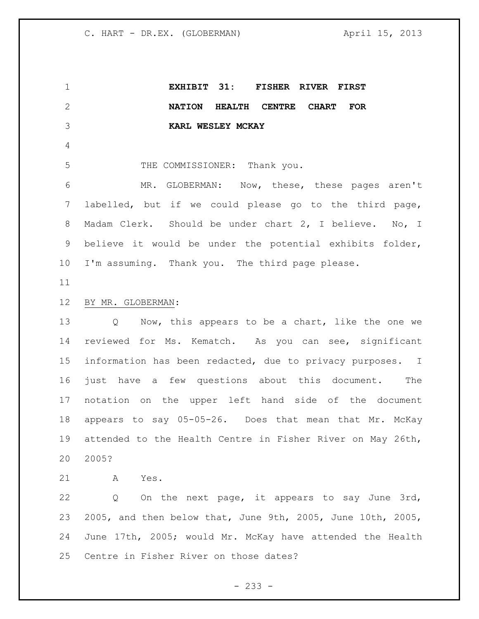**EXHIBIT 31: FISHER RIVER FIRST NATION HEALTH CENTRE CHART FOR KARL WESLEY MCKAY** 5 THE COMMISSIONER: Thank you. MR. GLOBERMAN: Now, these, these pages aren't labelled, but if we could please go to the third page, Madam Clerk. Should be under chart 2, I believe. No, I believe it would be under the potential exhibits folder, I'm assuming. Thank you. The third page please. BY MR. GLOBERMAN: Q Now, this appears to be a chart, like the one we reviewed for Ms. Kematch. As you can see, significant information has been redacted, due to privacy purposes. I just have a few questions about this document. The notation on the upper left hand side of the document appears to say 05-05-26. Does that mean that Mr. McKay attended to the Health Centre in Fisher River on May 26th, 2005? A Yes. Q On the next page, it appears to say June 3rd, 2005, and then below that, June 9th, 2005, June 10th, 2005, June 17th, 2005; would Mr. McKay have attended the Health

Centre in Fisher River on those dates?

- 233 -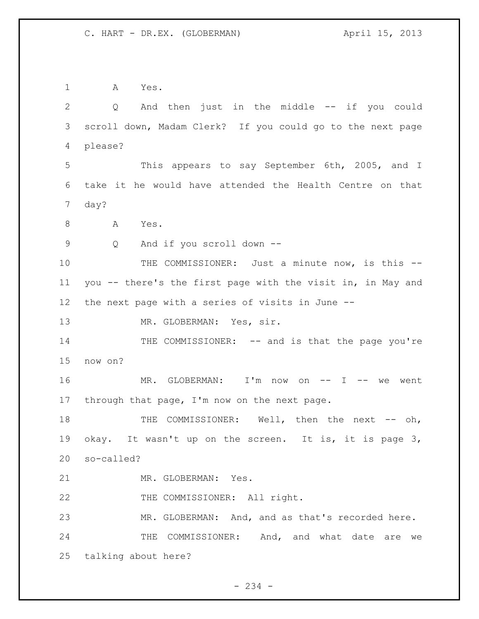A Yes. Q And then just in the middle -- if you could scroll down, Madam Clerk? If you could go to the next page please? This appears to say September 6th, 2005, and I take it he would have attended the Health Centre on that day? 8 A Yes. Q And if you scroll down -- THE COMMISSIONER: Just a minute now, is this -- you -- there's the first page with the visit in, in May and the next page with a series of visits in June -- 13 MR. GLOBERMAN: Yes, sir. 14 THE COMMISSIONER: -- and is that the page you're now on? MR. GLOBERMAN: I'm now on -- I -- we went through that page, I'm now on the next page. 18 THE COMMISSIONER: Well, then the next -- oh, okay. It wasn't up on the screen. It is, it is page 3, so-called? MR. GLOBERMAN: Yes. 22 THE COMMISSIONER: All right. MR. GLOBERMAN: And, and as that's recorded here. 24 THE COMMISSIONER: And, and what date are we talking about here?

 $-234 -$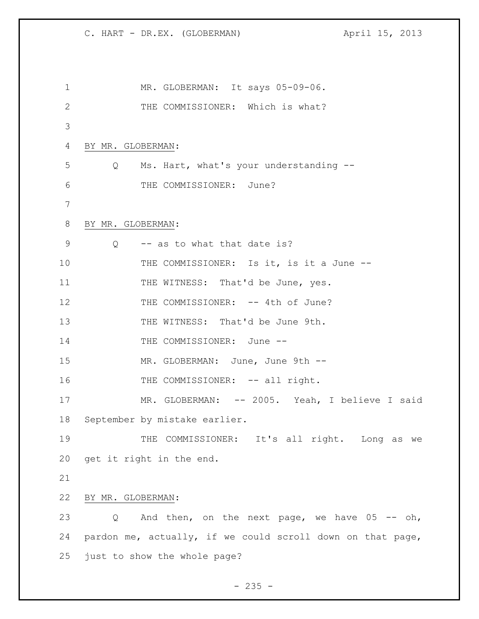| 1  | MR. GLOBERMAN: It says 05-09-06.                           |
|----|------------------------------------------------------------|
| 2  | THE COMMISSIONER: Which is what?                           |
| 3  |                                                            |
| 4  | BY MR. GLOBERMAN:                                          |
| 5  | Q Ms. Hart, what's your understanding --                   |
| 6  | THE COMMISSIONER: June?                                    |
| 7  |                                                            |
| 8  | BY MR. GLOBERMAN:                                          |
| 9  | $Q$ -- as to what that date is?                            |
| 10 | THE COMMISSIONER: Is it, is it a June --                   |
| 11 | THE WITNESS: That'd be June, yes.                          |
| 12 | THE COMMISSIONER: -- 4th of June?                          |
| 13 | THE WITNESS: That'd be June 9th.                           |
| 14 | THE COMMISSIONER: June --                                  |
| 15 | MR. GLOBERMAN: June, June 9th --                           |
| 16 | THE COMMISSIONER: -- all right.                            |
| 17 | MR. GLOBERMAN: -- 2005. Yeah, I believe I said             |
| 18 | September by mistake earlier.                              |
| 19 | THE COMMISSIONER: It's all right. Long as we               |
| 20 | get it right in the end.                                   |
| 21 |                                                            |
| 22 | BY MR. GLOBERMAN:                                          |
| 23 | And then, on the next page, we have $05$ -- oh,<br>Q       |
| 24 | pardon me, actually, if we could scroll down on that page, |
| 25 | just to show the whole page?                               |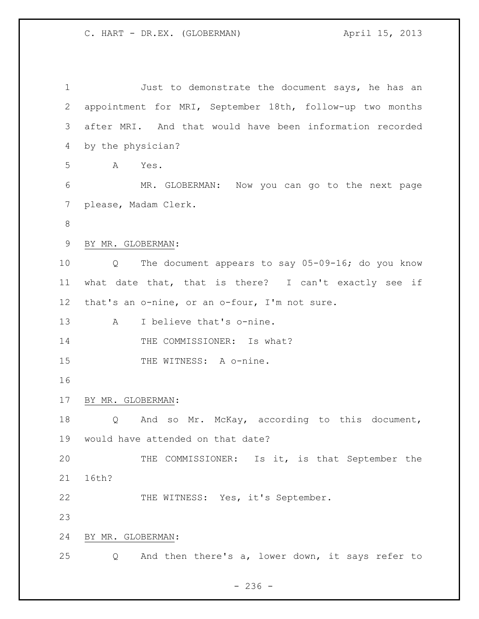| $\mathbf 1$     | Just to demonstrate the document says, he has an                       |
|-----------------|------------------------------------------------------------------------|
| 2               | appointment for MRI, September 18th, follow-up two months              |
| 3               | after MRI. And that would have been information recorded               |
| 4               | by the physician?                                                      |
| 5               | Α<br>Yes.                                                              |
| 6               | MR. GLOBERMAN: Now you can go to the next page                         |
| 7               | please, Madam Clerk.                                                   |
| 8               |                                                                        |
| 9               | BY MR. GLOBERMAN:                                                      |
| 10              | The document appears to say 05-09-16; do you know<br>$Q \qquad \qquad$ |
| 11              | what date that, that is there? I can't exactly see if                  |
| 12 <sup>°</sup> | that's an o-nine, or an o-four, I'm not sure.                          |
| 13              | I believe that's o-nine.<br>Α                                          |
| 14              | THE COMMISSIONER: Is what?                                             |
| 15              | THE WITNESS: A o-nine.                                                 |
| 16              |                                                                        |
| 17              | BY MR. GLOBERMAN:                                                      |
| 18              | And so Mr. McKay, according to this document,<br>$Q \qquad \qquad$     |
| 19              | would have attended on that date?                                      |
| 20              | THE COMMISSIONER: Is it, is that September the                         |
| 21              | 16th?                                                                  |
| 22              | THE WITNESS: Yes, it's September.                                      |
| 23              |                                                                        |
| 24              | BY MR. GLOBERMAN:                                                      |
| 25              | And then there's a, lower down, it says refer to<br>Q                  |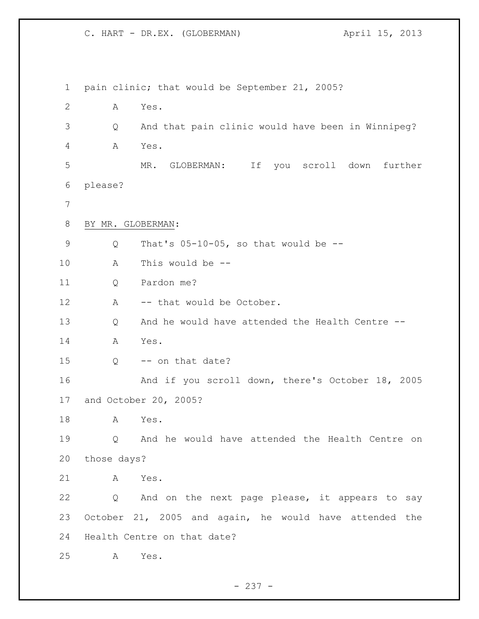pain clinic; that would be September 21, 2005? A Yes. Q And that pain clinic would have been in Winnipeg? A Yes. MR. GLOBERMAN: If you scroll down further please? BY MR. GLOBERMAN: Q That's 05-10-05, so that would be -- A This would be -- Q Pardon me? 12 A -- that would be October. Q And he would have attended the Health Centre -- A Yes. Q -- on that date? And if you scroll down, there's October 18, 2005 and October 20, 2005? A Yes. Q And he would have attended the Health Centre on those days? A Yes. Q And on the next page please, it appears to say October 21, 2005 and again, he would have attended the Health Centre on that date? A Yes.

 $- 237 -$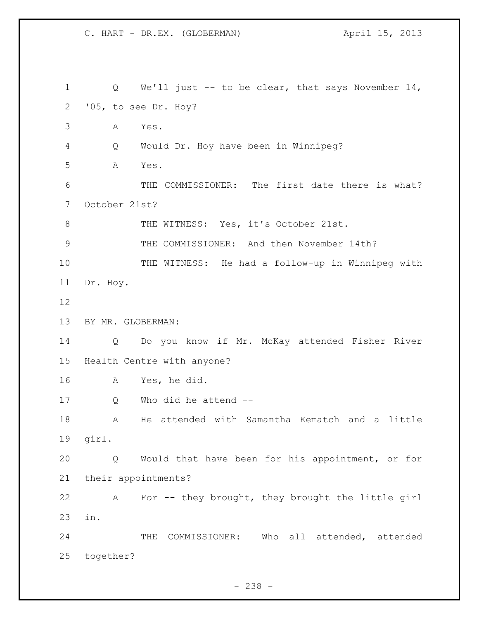Q We'll just -- to be clear, that says November 14, '05, to see Dr. Hoy? A Yes. Q Would Dr. Hoy have been in Winnipeg? A Yes. 6 THE COMMISSIONER: The first date there is what? October 21st? 8 THE WITNESS: Yes, it's October 21st. THE COMMISSIONER: And then November 14th? THE WITNESS: He had a follow-up in Winnipeg with Dr. Hoy. BY MR. GLOBERMAN: Q Do you know if Mr. McKay attended Fisher River Health Centre with anyone? A Yes, he did. Q Who did he attend -- A He attended with Samantha Kematch and a little girl. Q Would that have been for his appointment, or for their appointments? A For -- they brought, they brought the little girl in. THE COMMISSIONER: Who all attended, attended together?

- 238 -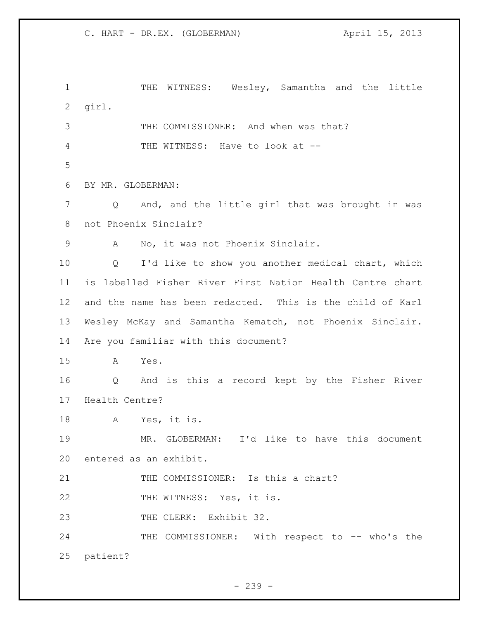1 THE WITNESS: Wesley, Samantha and the little girl. 3 THE COMMISSIONER: And when was that? 4 THE WITNESS: Have to look at -- BY MR. GLOBERMAN: Q And, and the little girl that was brought in was not Phoenix Sinclair? A No, it was not Phoenix Sinclair. Q I'd like to show you another medical chart, which is labelled Fisher River First Nation Health Centre chart and the name has been redacted. This is the child of Karl Wesley McKay and Samantha Kematch, not Phoenix Sinclair. Are you familiar with this document? A Yes. Q And is this a record kept by the Fisher River Health Centre? A Yes, it is. MR. GLOBERMAN: I'd like to have this document entered as an exhibit. THE COMMISSIONER: Is this a chart? 22 THE WITNESS: Yes, it is. 23 THE CLERK: Exhibit 32. 24 THE COMMISSIONER: With respect to -- who's the patient?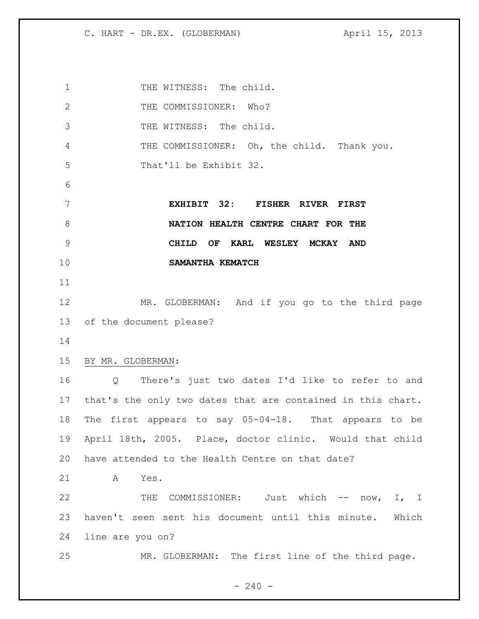1 THE WITNESS: The child. 2 THE COMMISSIONER: Who? THE WITNESS: The child. 4 THE COMMISSIONER: Oh, the child. Thank you. That'll be Exhibit 32. **EXHIBIT 32: FISHER RIVER FIRST NATION HEALTH CENTRE CHART FOR THE CHILD OF KARL WESLEY MCKAY AND SAMANTHA KEMATCH** MR. GLOBERMAN: And if you go to the third page of the document please? BY MR. GLOBERMAN: Q There's just two dates I'd like to refer to and that's the only two dates that are contained in this chart. The first appears to say 05-04-18. That appears to be April 18th, 2005. Place, doctor clinic. Would that child have attended to the Health Centre on that date? A Yes. THE COMMISSIONER: Just which -- now, I, I haven't seen sent his document until this minute. Which line are you on? MR. GLOBERMAN: The first line of the third page.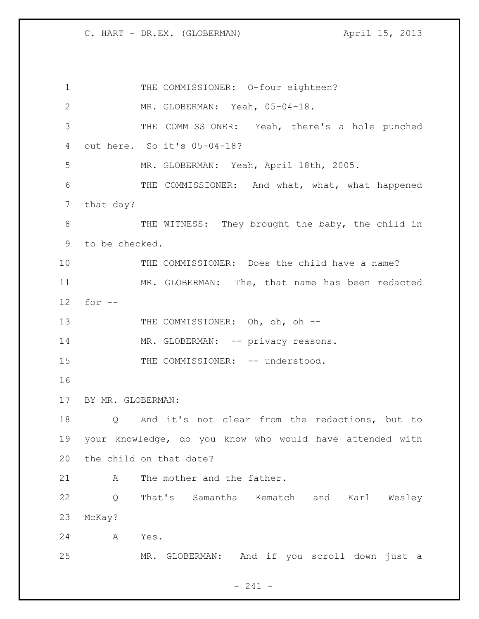1 THE COMMISSIONER: 0-four eighteen? MR. GLOBERMAN: Yeah, 05-04-18. THE COMMISSIONER: Yeah, there's a hole punched out here. So it's 05-04-18? MR. GLOBERMAN: Yeah, April 18th, 2005. THE COMMISSIONER: And what, what, what happened that day? 8 THE WITNESS: They brought the baby, the child in to be checked. THE COMMISSIONER: Does the child have a name? MR. GLOBERMAN: The, that name has been redacted for -- 13 THE COMMISSIONER: Oh, oh, oh --14 MR. GLOBERMAN: -- privacy reasons. 15 THE COMMISSIONER: -- understood. BY MR. GLOBERMAN: Q And it's not clear from the redactions, but to your knowledge, do you know who would have attended with the child on that date? 21 A The mother and the father. Q That's Samantha Kematch and Karl Wesley McKay? A Yes. MR. GLOBERMAN: And if you scroll down just a

- 241 -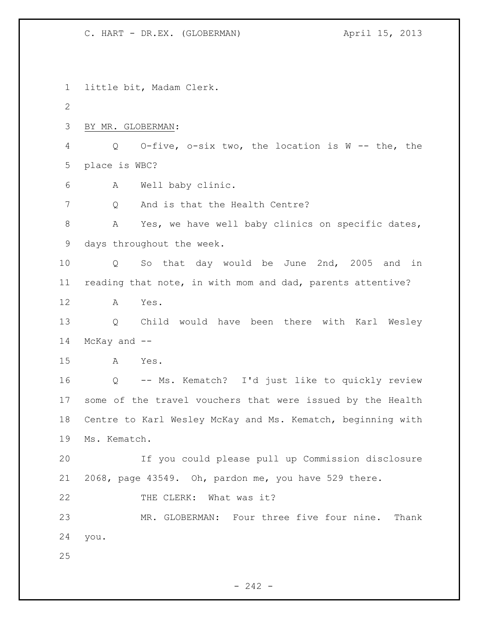little bit, Madam Clerk. BY MR. GLOBERMAN: Q O-five, o-six two, the location is W -- the, the place is WBC? A Well baby clinic. 7 0 And is that the Health Centre? 8 A Yes, we have well baby clinics on specific dates, days throughout the week. Q So that day would be June 2nd, 2005 and in reading that note, in with mom and dad, parents attentive? A Yes. Q Child would have been there with Karl Wesley McKay and -- A Yes. Q -- Ms. Kematch? I'd just like to quickly review some of the travel vouchers that were issued by the Health Centre to Karl Wesley McKay and Ms. Kematch, beginning with Ms. Kematch. If you could please pull up Commission disclosure 2068, page 43549. Oh, pardon me, you have 529 there. 22 THE CLERK: What was it? MR. GLOBERMAN: Four three five four nine. Thank you. 

 $- 242 -$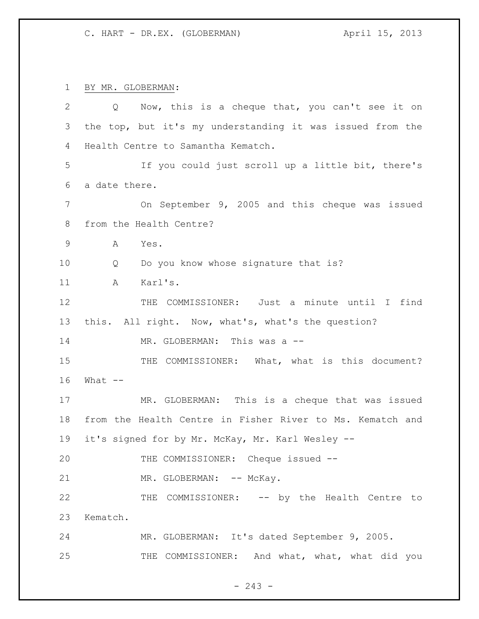BY MR. GLOBERMAN:

| $\overline{2}$ | Q Now, this is a cheque that, you can't see it on         |
|----------------|-----------------------------------------------------------|
| 3              | the top, but it's my understanding it was issued from the |
| 4              | Health Centre to Samantha Kematch.                        |
| 5              | If you could just scroll up a little bit, there's         |
| 6              | a date there.                                             |
| 7              | On September 9, 2005 and this cheque was issued           |
| 8              | from the Health Centre?                                   |
| $\mathsf 9$    | Α<br>Yes.                                                 |
| 10             | Do you know whose signature that is?<br>Q                 |
| 11             | Karl's.<br>Α                                              |
| 12             | THE COMMISSIONER: Just a minute until I find              |
| 13             | this. All right. Now, what's, what's the question?        |
| 14             | MR. GLOBERMAN: This was a --                              |
| 15             | THE COMMISSIONER: What, what is this document?            |
| 16             | What $--$                                                 |
| 17             | MR. GLOBERMAN: This is a cheque that was issued           |
| 18             | from the Health Centre in Fisher River to Ms. Kematch and |
| 19             | it's signed for by Mr. McKay, Mr. Karl Wesley --          |
| 20             | THE COMMISSIONER: Cheque issued --                        |
| 21             | MR. GLOBERMAN: -- McKay.                                  |
| 22             | THE COMMISSIONER: -- by the Health Centre to              |
| 23             | Kematch.                                                  |
| 24             | MR. GLOBERMAN: It's dated September 9, 2005.              |
| 25             | THE COMMISSIONER: And what, what, what did you            |

- 243 -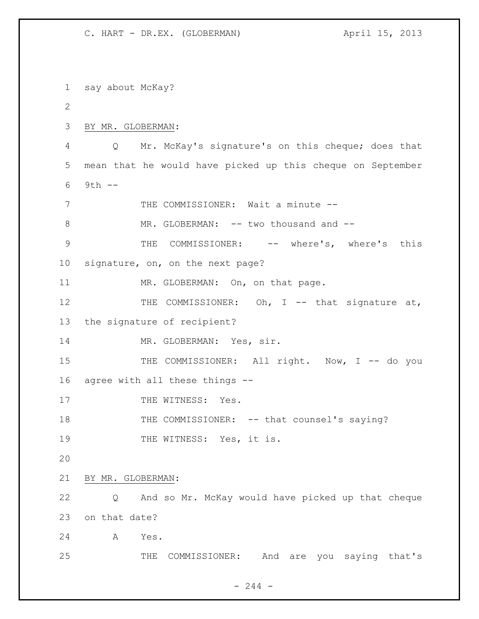say about McKay? BY MR. GLOBERMAN: Q Mr. McKay's signature's on this cheque; does that mean that he would have picked up this cheque on September 9th -- THE COMMISSIONER: Wait a minute -- 8 MR. GLOBERMAN: -- two thousand and -- THE COMMISSIONER: -- where's, where's this signature, on, on the next page? 11 MR. GLOBERMAN: On, on that page. 12 THE COMMISSIONER: Oh, I -- that signature at, the signature of recipient? 14 MR. GLOBERMAN: Yes, sir. 15 THE COMMISSIONER: All right. Now, I -- do you agree with all these things -- 17 THE WITNESS: Yes. 18 THE COMMISSIONER: -- that counsel's saying? 19 THE WITNESS: Yes, it is. BY MR. GLOBERMAN: Q And so Mr. McKay would have picked up that cheque on that date? A Yes. THE COMMISSIONER: And are you saying that's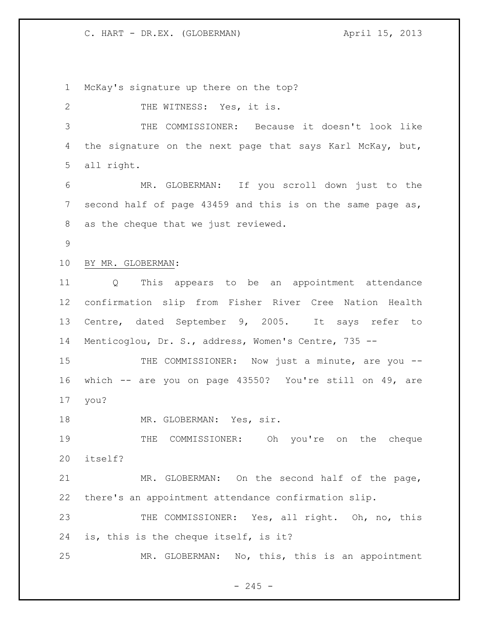McKay's signature up there on the top? 2 THE WITNESS: Yes, it is. THE COMMISSIONER: Because it doesn't look like 4 the signature on the next page that says Karl McKay, but, all right. MR. GLOBERMAN: If you scroll down just to the second half of page 43459 and this is on the same page as, as the cheque that we just reviewed. BY MR. GLOBERMAN: Q This appears to be an appointment attendance confirmation slip from Fisher River Cree Nation Health Centre, dated September 9, 2005. It says refer to Menticoglou, Dr. S., address, Women's Centre, 735 -- 15 THE COMMISSIONER: Now just a minute, are you -- which -- are you on page 43550? You're still on 49, are you? 18 MR. GLOBERMAN: Yes, sir. THE COMMISSIONER: Oh you're on the cheque itself? MR. GLOBERMAN: On the second half of the page, there's an appointment attendance confirmation slip. 23 THE COMMISSIONER: Yes, all right. Oh, no, this is, this is the cheque itself, is it? MR. GLOBERMAN: No, this, this is an appointment

 $-245 -$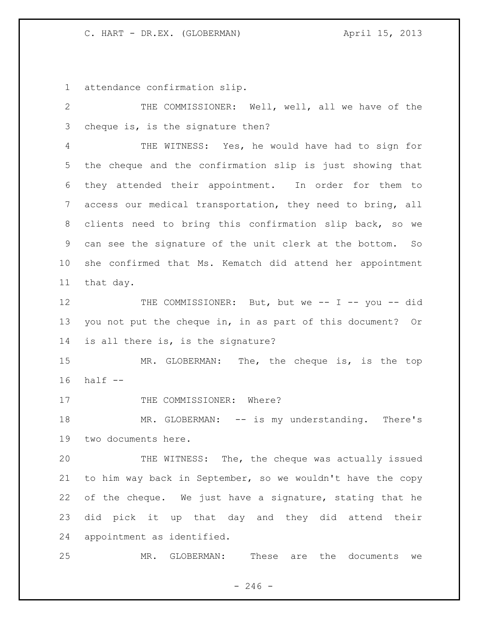attendance confirmation slip.

 THE COMMISSIONER: Well, well, all we have of the cheque is, is the signature then? THE WITNESS: Yes, he would have had to sign for the cheque and the confirmation slip is just showing that they attended their appointment. In order for them to access our medical transportation, they need to bring, all clients need to bring this confirmation slip back, so we can see the signature of the unit clerk at the bottom. So she confirmed that Ms. Kematch did attend her appointment that day. 12 THE COMMISSIONER: But, but we -- I -- you -- did you not put the cheque in, in as part of this document? Or is all there is, is the signature? MR. GLOBERMAN: The, the cheque is, is the top half -- 17 THE COMMISSIONER: Where? 18 MR. GLOBERMAN: -- is my understanding. There's two documents here. THE WITNESS: The, the cheque was actually issued to him way back in September, so we wouldn't have the copy of the cheque. We just have a signature, stating that he did pick it up that day and they did attend their appointment as identified. MR. GLOBERMAN: These are the documents we

 $- 246 -$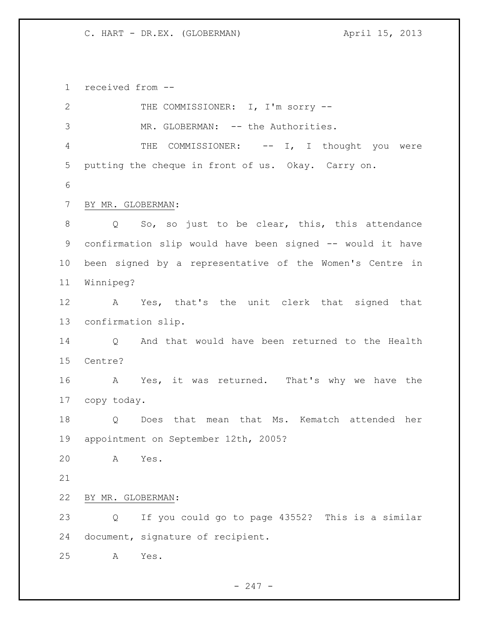received from --

| $\mathbf{2}$   |                    | THE COMMISSIONER: I, I'm sorry --                         |
|----------------|--------------------|-----------------------------------------------------------|
| 3              |                    | MR. GLOBERMAN: -- the Authorities.                        |
| $\overline{4}$ |                    | THE COMMISSIONER: -- I, I thought you were                |
| 5              |                    | putting the cheque in front of us. Okay. Carry on.        |
| 6              |                    |                                                           |
| $7\phantom{.}$ | BY MR. GLOBERMAN:  |                                                           |
| 8              |                    | Q So, so just to be clear, this, this attendance          |
| 9              |                    | confirmation slip would have been signed -- would it have |
| 10             |                    | been signed by a representative of the Women's Centre in  |
| 11             | Winnipeg?          |                                                           |
| 12             |                    | A Yes, that's the unit clerk that signed that             |
| 13             | confirmation slip. |                                                           |
| 14             |                    | Q And that would have been returned to the Health         |
| 15             | Centre?            |                                                           |
| 16             |                    | A Yes, it was returned. That's why we have the            |
| 17             | copy today.        |                                                           |
| 18             | $Q \qquad \qquad$  | Does that mean that Ms. Kematch attended her              |
| 19             |                    | appointment on September 12th, 2005?                      |
| 20             | A                  | Yes.                                                      |
| 21             |                    |                                                           |
| 22             | BY MR. GLOBERMAN:  |                                                           |
| 23             | Q                  | If you could go to page 43552? This is a similar          |
| 24             |                    | document, signature of recipient.                         |
| 25             | Α                  | Yes.                                                      |
|                |                    |                                                           |

- 247 -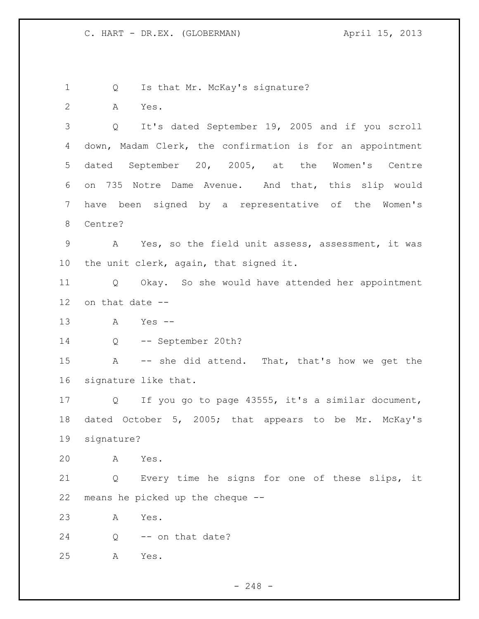1 Q Is that Mr. McKay's signature? A Yes. Q It's dated September 19, 2005 and if you scroll down, Madam Clerk, the confirmation is for an appointment dated September 20, 2005, at the Women's Centre on 735 Notre Dame Avenue. And that, this slip would have been signed by a representative of the Women's Centre? 9 A Yes, so the field unit assess, assessment, it was the unit clerk, again, that signed it. Q Okay. So she would have attended her appointment on that date -- A Yes -- Q -- September 20th? A -- she did attend. That, that's how we get the signature like that. Q If you go to page 43555, it's a similar document, dated October 5, 2005; that appears to be Mr. McKay's signature? A Yes. Q Every time he signs for one of these slips, it means he picked up the cheque -- A Yes. 24 Q -- on that date? A Yes.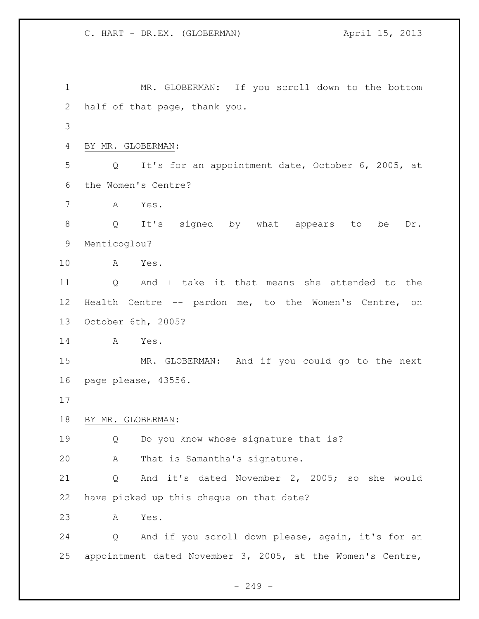MR. GLOBERMAN: If you scroll down to the bottom half of that page, thank you. BY MR. GLOBERMAN: Q It's for an appointment date, October 6, 2005, at the Women's Centre? A Yes. Q It's signed by what appears to be Dr. Menticoglou? A Yes. Q And I take it that means she attended to the Health Centre -- pardon me, to the Women's Centre, on October 6th, 2005? A Yes. MR. GLOBERMAN: And if you could go to the next page please, 43556. BY MR. GLOBERMAN: Q Do you know whose signature that is? A That is Samantha's signature. Q And it's dated November 2, 2005; so she would have picked up this cheque on that date? A Yes. Q And if you scroll down please, again, it's for an appointment dated November 3, 2005, at the Women's Centre,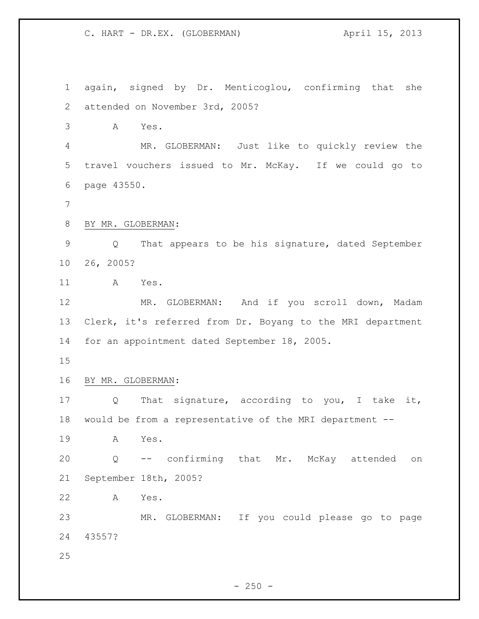again, signed by Dr. Menticoglou, confirming that she attended on November 3rd, 2005? A Yes. MR. GLOBERMAN: Just like to quickly review the travel vouchers issued to Mr. McKay. If we could go to page 43550. BY MR. GLOBERMAN: Q That appears to be his signature, dated September 26, 2005? A Yes. MR. GLOBERMAN: And if you scroll down, Madam Clerk, it's referred from Dr. Boyang to the MRI department for an appointment dated September 18, 2005. BY MR. GLOBERMAN: 17 Q That signature, according to you, I take it, would be from a representative of the MRI department -- A Yes. Q -- confirming that Mr. McKay attended on September 18th, 2005? A Yes. MR. GLOBERMAN: If you could please go to page 43557? 

 $- 250 -$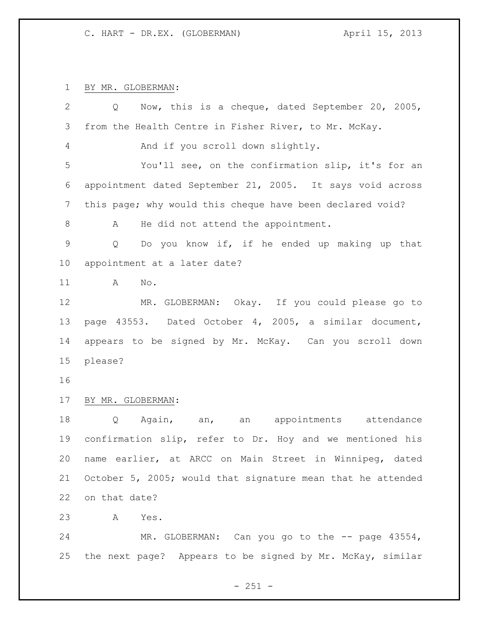BY MR. GLOBERMAN:

| 2               | Now, this is a cheque, dated September 20, 2005,<br>Q       |
|-----------------|-------------------------------------------------------------|
| 3               | from the Health Centre in Fisher River, to Mr. McKay.       |
| 4               | And if you scroll down slightly.                            |
| 5               | You'll see, on the confirmation slip, it's for an           |
| 6               | appointment dated September 21, 2005. It says void across   |
| 7               | this page; why would this cheque have been declared void?   |
| 8               | He did not attend the appointment.<br>A                     |
| $\overline{9}$  | Do you know if, if he ended up making up that<br>Q          |
| 10 <sub>o</sub> | appointment at a later date?                                |
| 11              | A<br>No.                                                    |
| 12              | MR. GLOBERMAN: Okay. If you could please go to              |
| 13              | page 43553. Dated October 4, 2005, a similar document,      |
| 14              | appears to be signed by Mr. McKay. Can you scroll down      |
| 15              | please?                                                     |
| 16              |                                                             |
| 17              | BY MR. GLOBERMAN:                                           |
| 18              | Q<br>Again, an, an appointments attendance                  |
| 19              | confirmation slip, refer to Dr. Hoy and we mentioned his    |
| 20              | name earlier, at ARCC on Main Street in Winnipeg, dated     |
| 21              | October 5, 2005; would that signature mean that he attended |
| 22              | on that date?                                               |
| 23              | Α<br>Yes.                                                   |
| 24              | MR. GLOBERMAN: Can you go to the -- page 43554,             |

- 251 -

the next page? Appears to be signed by Mr. McKay, similar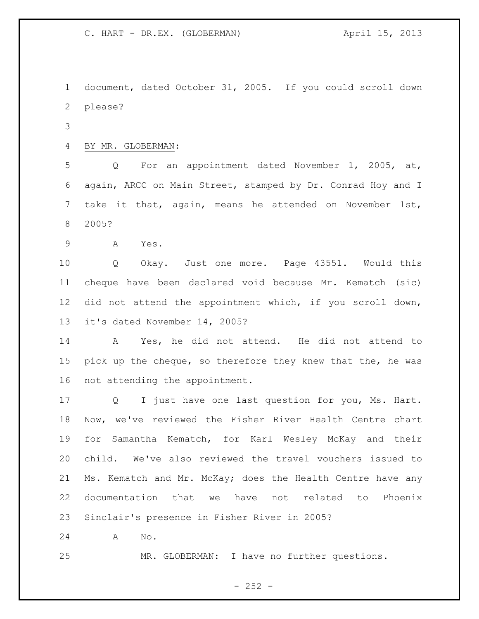document, dated October 31, 2005. If you could scroll down please?

BY MR. GLOBERMAN:

 Q For an appointment dated November 1, 2005, at, again, ARCC on Main Street, stamped by Dr. Conrad Hoy and I take it that, again, means he attended on November 1st, 2005?

A Yes.

 Q Okay. Just one more. Page 43551. Would this cheque have been declared void because Mr. Kematch (sic) did not attend the appointment which, if you scroll down, it's dated November 14, 2005?

 A Yes, he did not attend. He did not attend to pick up the cheque, so therefore they knew that the, he was not attending the appointment.

 Q I just have one last question for you, Ms. Hart. Now, we've reviewed the Fisher River Health Centre chart for Samantha Kematch, for Karl Wesley McKay and their child. We've also reviewed the travel vouchers issued to Ms. Kematch and Mr. McKay; does the Health Centre have any documentation that we have not related to Phoenix Sinclair's presence in Fisher River in 2005?

A No.

MR. GLOBERMAN: I have no further questions.

 $- 252 -$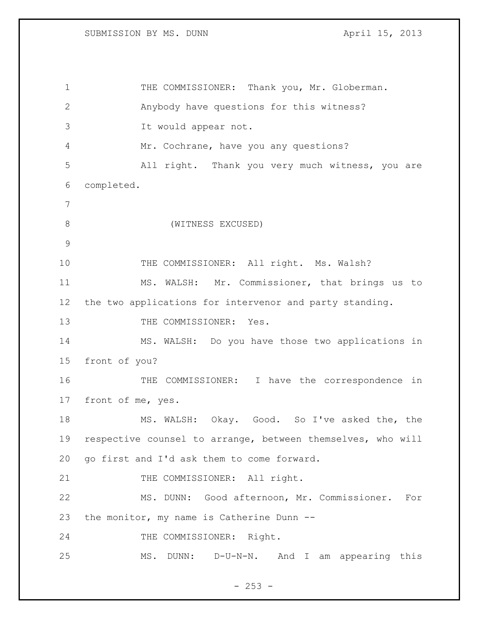1 THE COMMISSIONER: Thank you, Mr. Globerman. Anybody have questions for this witness? It would appear not. Mr. Cochrane, have you any questions? All right. Thank you very much witness, you are completed. (WITNESS EXCUSED) 10 THE COMMISSIONER: All right. Ms. Walsh? MS. WALSH: Mr. Commissioner, that brings us to the two applications for intervenor and party standing. 13 THE COMMISSIONER: Yes. MS. WALSH: Do you have those two applications in front of you? THE COMMISSIONER: I have the correspondence in front of me, yes. MS. WALSH: Okay. Good. So I've asked the, the respective counsel to arrange, between themselves, who will go first and I'd ask them to come forward. 21 THE COMMISSIONER: All right. MS. DUNN: Good afternoon, Mr. Commissioner. For the monitor, my name is Catherine Dunn -- THE COMMISSIONER: Right. MS. DUNN: D-U-N-N. And I am appearing this

 $- 253 -$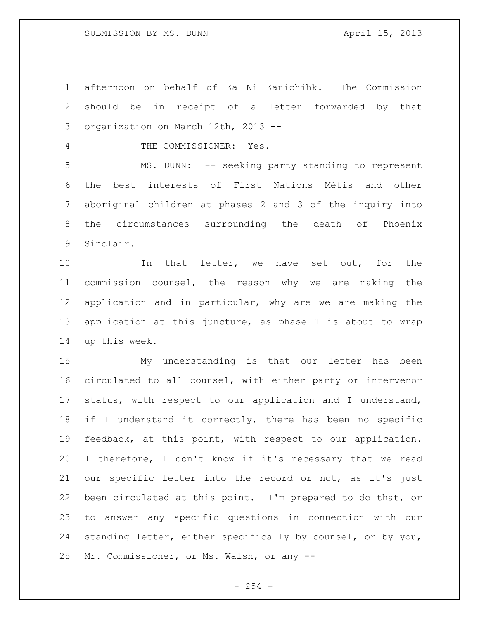afternoon on behalf of Ka Ni Kanichihk. The Commission should be in receipt of a letter forwarded by that organization on March 12th, 2013 --

4 THE COMMISSIONER: Yes.

 MS. DUNN: -- seeking party standing to represent the best interests of First Nations Métis and other aboriginal children at phases 2 and 3 of the inquiry into the circumstances surrounding the death of Phoenix Sinclair.

10 10 In that letter, we have set out, for the commission counsel, the reason why we are making the application and in particular, why are we are making the application at this juncture, as phase 1 is about to wrap up this week.

 My understanding is that our letter has been circulated to all counsel, with either party or intervenor status, with respect to our application and I understand, 18 if I understand it correctly, there has been no specific feedback, at this point, with respect to our application. I therefore, I don't know if it's necessary that we read our specific letter into the record or not, as it's just been circulated at this point. I'm prepared to do that, or to answer any specific questions in connection with our standing letter, either specifically by counsel, or by you, Mr. Commissioner, or Ms. Walsh, or any --

 $-254 -$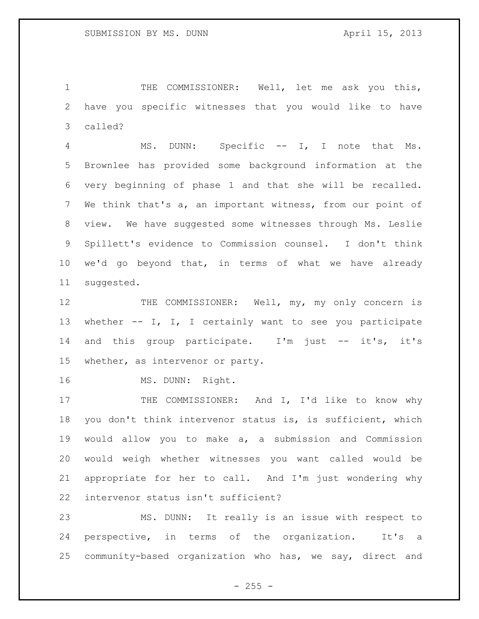THE COMMISSIONER: Well, let me ask you this, have you specific witnesses that you would like to have called?

 MS. DUNN: Specific -- I, I note that Ms. Brownlee has provided some background information at the very beginning of phase 1 and that she will be recalled. We think that's a, an important witness, from our point of view. We have suggested some witnesses through Ms. Leslie Spillett's evidence to Commission counsel. I don't think we'd go beyond that, in terms of what we have already suggested.

12 THE COMMISSIONER: Well, my, my only concern is whether -- I, I, I certainly want to see you participate 14 and this group participate. I'm just -- it's, it's whether, as intervenor or party.

16 MS. DUNN: Right.

17 THE COMMISSIONER: And I, I'd like to know why you don't think intervenor status is, is sufficient, which would allow you to make a, a submission and Commission would weigh whether witnesses you want called would be appropriate for her to call. And I'm just wondering why intervenor status isn't sufficient?

 MS. DUNN: It really is an issue with respect to perspective, in terms of the organization. It's a community-based organization who has, we say, direct and

 $- 255 -$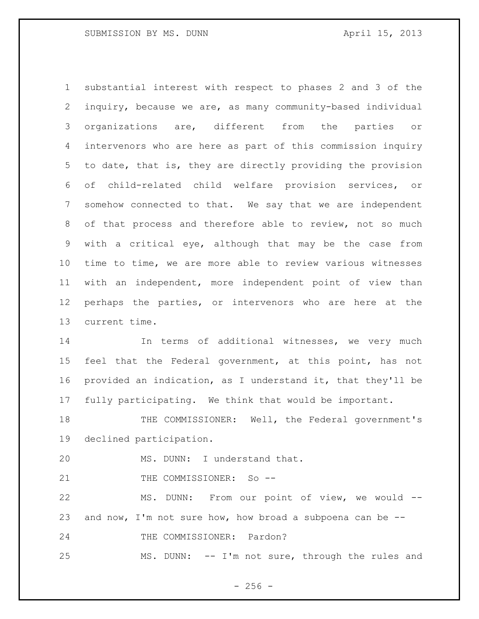substantial interest with respect to phases 2 and 3 of the inquiry, because we are, as many community-based individual organizations are, different from the parties or intervenors who are here as part of this commission inquiry to date, that is, they are directly providing the provision of child-related child welfare provision services, or somehow connected to that. We say that we are independent of that process and therefore able to review, not so much with a critical eye, although that may be the case from time to time, we are more able to review various witnesses with an independent, more independent point of view than perhaps the parties, or intervenors who are here at the current time.

 In terms of additional witnesses, we very much feel that the Federal government, at this point, has not provided an indication, as I understand it, that they'll be fully participating. We think that would be important.

 THE COMMISSIONER: Well, the Federal government's declined participation.

MS. DUNN: I understand that.

21 THE COMMISSIONER: So --

 MS. DUNN: From our point of view, we would -- and now, I'm not sure how, how broad a subpoena can be -- THE COMMISSIONER: Pardon? MS. DUNN: -- I'm not sure, through the rules and

 $-256 -$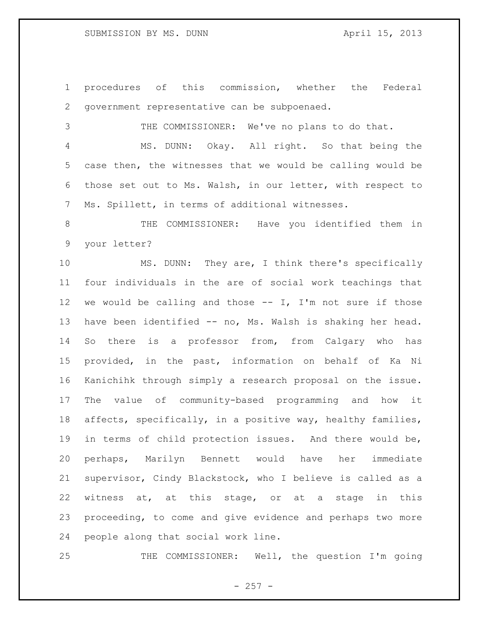## SUBMISSION BY MS. DUNN April 15, 2013

 procedures of this commission, whether the Federal government representative can be subpoenaed.

 THE COMMISSIONER: We've no plans to do that. MS. DUNN: Okay. All right. So that being the case then, the witnesses that we would be calling would be those set out to Ms. Walsh, in our letter, with respect to Ms. Spillett, in terms of additional witnesses.

 THE COMMISSIONER: Have you identified them in your letter?

 MS. DUNN: They are, I think there's specifically four individuals in the are of social work teachings that 12 we would be calling and those  $--$  I, I'm not sure if those have been identified -- no, Ms. Walsh is shaking her head. So there is a professor from, from Calgary who has provided, in the past, information on behalf of Ka Ni Kanichihk through simply a research proposal on the issue. The value of community-based programming and how it affects, specifically, in a positive way, healthy families, in terms of child protection issues. And there would be, perhaps, Marilyn Bennett would have her immediate supervisor, Cindy Blackstock, who I believe is called as a witness at, at this stage, or at a stage in this proceeding, to come and give evidence and perhaps two more people along that social work line.

THE COMMISSIONER: Well, the question I'm going

 $-257 -$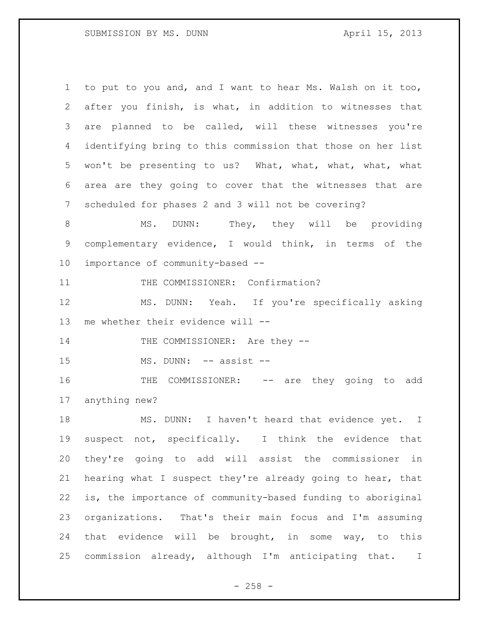to put to you and, and I want to hear Ms. Walsh on it too, after you finish, is what, in addition to witnesses that are planned to be called, will these witnesses you're identifying bring to this commission that those on her list won't be presenting to us? What, what, what, what, what area are they going to cover that the witnesses that are scheduled for phases 2 and 3 will not be covering? 8 MS. DUNN: They, they will be providing complementary evidence, I would think, in terms of the importance of community-based -- 11 THE COMMISSIONER: Confirmation? MS. DUNN: Yeah. If you're specifically asking me whether their evidence will -- 14 THE COMMISSIONER: Are they --15 MS. DUNN: -- assist --16 THE COMMISSIONER: -- are they going to add anything new? 18 MS. DUNN: I haven't heard that evidence yet. I suspect not, specifically. I think the evidence that they're going to add will assist the commissioner in hearing what I suspect they're already going to hear, that is, the importance of community-based funding to aboriginal organizations. That's their main focus and I'm assuming that evidence will be brought, in some way, to this commission already, although I'm anticipating that. I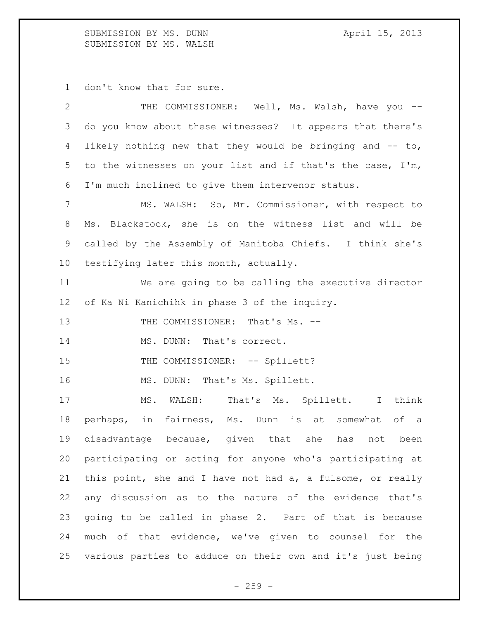SUBMISSION BY MS. DUNN April 15, 2013 SUBMISSION BY MS. WALSH

don't know that for sure.

| $\overline{2}$ | THE COMMISSIONER: Well, Ms. Walsh, have you --             |
|----------------|------------------------------------------------------------|
| 3              | do you know about these witnesses? It appears that there's |
| 4              | likely nothing new that they would be bringing and -- to,  |
| 5              | to the witnesses on your list and if that's the case, I'm, |
| 6              | I'm much inclined to give them intervenor status.          |
| $7\phantom{.}$ | MS. WALSH: So, Mr. Commissioner, with respect to           |
| 8              | Ms. Blackstock, she is on the witness list and will be     |
| 9              | called by the Assembly of Manitoba Chiefs. I think she's   |
| 10             | testifying later this month, actually.                     |
| 11             | We are going to be calling the executive director          |
| 12             | of Ka Ni Kanichihk in phase 3 of the inquiry.              |
| 13             | THE COMMISSIONER: That's Ms. --                            |
| 14             | MS. DUNN: That's correct.                                  |
| 15             | THE COMMISSIONER: -- Spillett?                             |
| 16             | MS. DUNN: That's Ms. Spillett.                             |
| 17             | MS. WALSH: That's Ms. Spillett. I<br>think                 |
| 18             | perhaps, in fairness, Ms. Dunn is at somewhat<br>of a      |
| 19             | disadvantage because, given that she has<br>not<br>been    |
| 20             | participating or acting for anyone who's participating at  |
| 21             | this point, she and I have not had a, a fulsome, or really |
| 22             | any discussion as to the nature of the evidence that's     |
| 23             | going to be called in phase 2. Part of that is because     |
| 24             | much of that evidence, we've given to counsel for the      |
| 25             | various parties to adduce on their own and it's just being |

- 259 -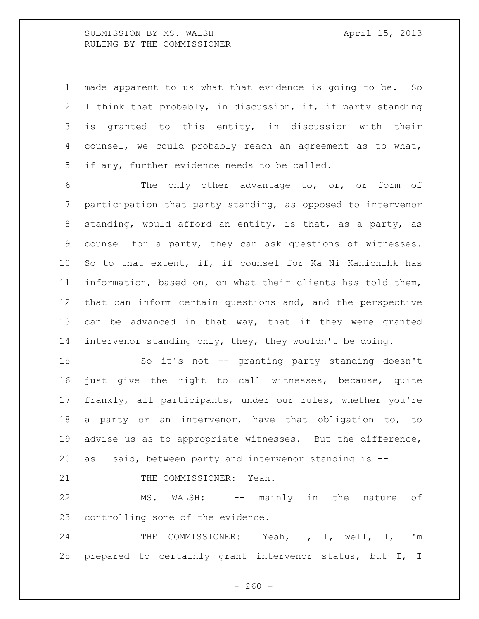SUBMISSION BY MS. WALSH April 15, 2013 RULING BY THE COMMISSIONER

 made apparent to us what that evidence is going to be. So I think that probably, in discussion, if, if party standing is granted to this entity, in discussion with their counsel, we could probably reach an agreement as to what, if any, further evidence needs to be called.

 The only other advantage to, or, or form of participation that party standing, as opposed to intervenor standing, would afford an entity, is that, as a party, as counsel for a party, they can ask questions of witnesses. So to that extent, if, if counsel for Ka Ni Kanichihk has information, based on, on what their clients has told them, that can inform certain questions and, and the perspective 13 can be advanced in that way, that if they were granted intervenor standing only, they, they wouldn't be doing.

 So it's not -- granting party standing doesn't just give the right to call witnesses, because, quite frankly, all participants, under our rules, whether you're a party or an intervenor, have that obligation to, to advise us as to appropriate witnesses. But the difference, as I said, between party and intervenor standing is --

21 THE COMMISSIONER: Yeah.

 MS. WALSH: -- mainly in the nature of controlling some of the evidence.

24 THE COMMISSIONER: Yeah, I, I, well, I, I'm prepared to certainly grant intervenor status, but I, I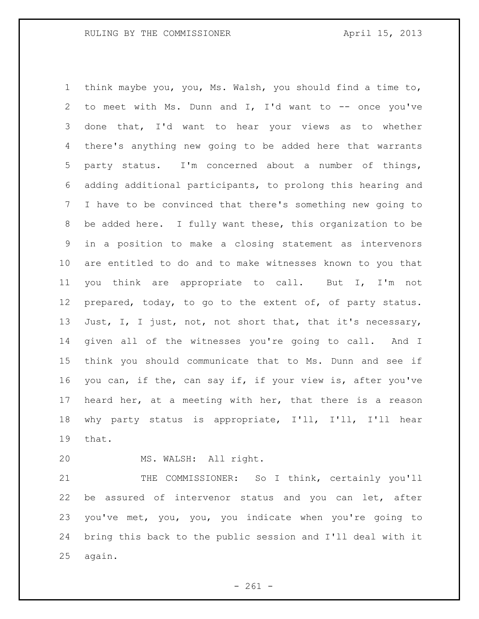think maybe you, you, Ms. Walsh, you should find a time to, to meet with Ms. Dunn and I, I'd want to -- once you've done that, I'd want to hear your views as to whether there's anything new going to be added here that warrants party status. I'm concerned about a number of things, adding additional participants, to prolong this hearing and I have to be convinced that there's something new going to be added here. I fully want these, this organization to be in a position to make a closing statement as intervenors are entitled to do and to make witnesses known to you that you think are appropriate to call. But I, I'm not 12 prepared, today, to go to the extent of, of party status. 13 Just, I, I just, not, not short that, that it's necessary, given all of the witnesses you're going to call. And I think you should communicate that to Ms. Dunn and see if you can, if the, can say if, if your view is, after you've heard her, at a meeting with her, that there is a reason why party status is appropriate, I'll, I'll, I'll hear that.

MS. WALSH: All right.

 THE COMMISSIONER: So I think, certainly you'll be assured of intervenor status and you can let, after you've met, you, you, you indicate when you're going to bring this back to the public session and I'll deal with it again.

 $- 261 -$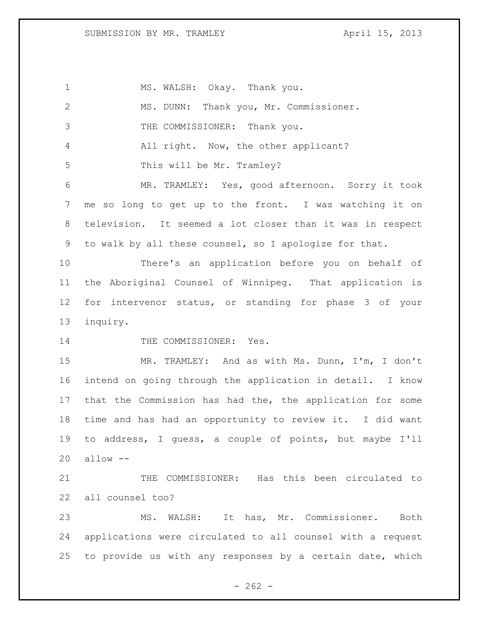SUBMISSION BY MR. TRAMLEY April 15, 2013

| $\mathbf 1$  | MS. WALSH: Okay. Thank you.                                |
|--------------|------------------------------------------------------------|
| $\mathbf{2}$ | MS. DUNN: Thank you, Mr. Commissioner.                     |
| 3            | THE COMMISSIONER: Thank you.                               |
| 4            | All right. Now, the other applicant?                       |
| 5            | This will be Mr. Tramley?                                  |
| 6            | MR. TRAMLEY: Yes, good afternoon. Sorry it took            |
| 7            | me so long to get up to the front. I was watching it on    |
| 8            | television. It seemed a lot closer than it was in respect  |
| 9            | to walk by all these counsel, so I apologize for that.     |
| 10           | There's an application before you on behalf of             |
| 11           | the Aboriginal Counsel of Winnipeg. That application is    |
| 12           | for intervenor status, or standing for phase 3 of your     |
| 13           | inquiry.                                                   |
| 14           | THE COMMISSIONER: Yes.                                     |
| 15           | MR. TRAMLEY: And as with Ms. Dunn, I'm, I don't            |
| 16           | intend on going through the application in detail. I know  |
| 17           |                                                            |
|              | that the Commission has had the, the application for some  |
| 18           | time and has had an opportunity to review it. I did want   |
| 19           | to address, I guess, a couple of points, but maybe I'll    |
| 20           | $allow --$                                                 |
| 21           | THE COMMISSIONER: Has this been circulated to              |
| 22           | all counsel too?                                           |
| 23           | WALSH: It has, Mr. Commissioner.<br>MS.<br>Both            |
| 24           | applications were circulated to all counsel with a request |

 $- 262 -$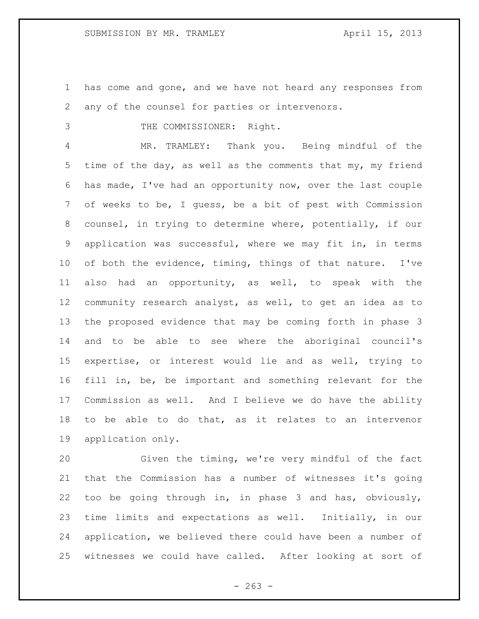has come and gone, and we have not heard any responses from any of the counsel for parties or intervenors.

3 THE COMMISSIONER: Right.

 MR. TRAMLEY: Thank you. Being mindful of the time of the day, as well as the comments that my, my friend has made, I've had an opportunity now, over the last couple of weeks to be, I guess, be a bit of pest with Commission counsel, in trying to determine where, potentially, if our application was successful, where we may fit in, in terms of both the evidence, timing, things of that nature. I've also had an opportunity, as well, to speak with the community research analyst, as well, to get an idea as to the proposed evidence that may be coming forth in phase 3 and to be able to see where the aboriginal council's expertise, or interest would lie and as well, trying to fill in, be, be important and something relevant for the Commission as well. And I believe we do have the ability to be able to do that, as it relates to an intervenor application only.

 Given the timing, we're very mindful of the fact that the Commission has a number of witnesses it's going too be going through in, in phase 3 and has, obviously, time limits and expectations as well. Initially, in our application, we believed there could have been a number of witnesses we could have called. After looking at sort of

 $- 263 -$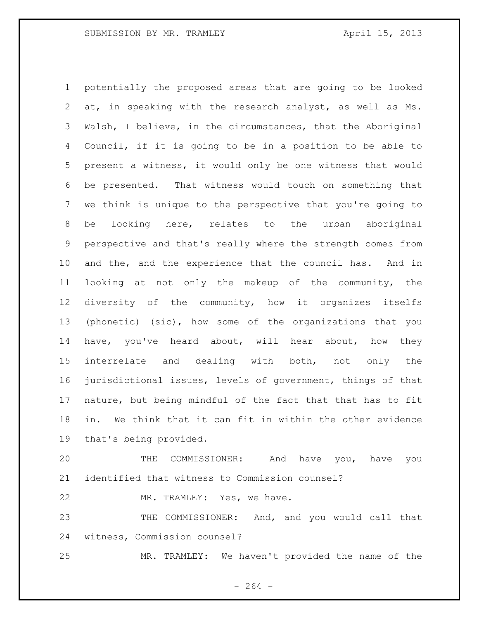potentially the proposed areas that are going to be looked at, in speaking with the research analyst, as well as Ms. Walsh, I believe, in the circumstances, that the Aboriginal Council, if it is going to be in a position to be able to present a witness, it would only be one witness that would be presented. That witness would touch on something that we think is unique to the perspective that you're going to be looking here, relates to the urban aboriginal perspective and that's really where the strength comes from and the, and the experience that the council has. And in looking at not only the makeup of the community, the diversity of the community, how it organizes itselfs (phonetic) (sic), how some of the organizations that you have, you've heard about, will hear about, how they interrelate and dealing with both, not only the jurisdictional issues, levels of government, things of that nature, but being mindful of the fact that that has to fit in. We think that it can fit in within the other evidence that's being provided.

 THE COMMISSIONER: And have you, have you identified that witness to Commission counsel?

MR. TRAMLEY: Yes, we have.

 THE COMMISSIONER: And, and you would call that witness, Commission counsel?

MR. TRAMLEY: We haven't provided the name of the

 $- 264 -$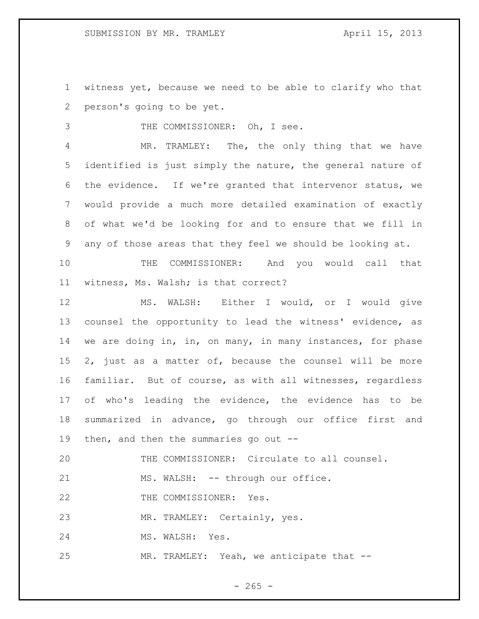witness yet, because we need to be able to clarify who that person's going to be yet.

THE COMMISSIONER: Oh, I see.

 MR. TRAMLEY: The, the only thing that we have identified is just simply the nature, the general nature of the evidence. If we're granted that intervenor status, we would provide a much more detailed examination of exactly of what we'd be looking for and to ensure that we fill in any of those areas that they feel we should be looking at.

 THE COMMISSIONER: And you would call that witness, Ms. Walsh; is that correct?

 MS. WALSH: Either I would, or I would give counsel the opportunity to lead the witness' evidence, as we are doing in, in, on many, in many instances, for phase 2, just as a matter of, because the counsel will be more familiar. But of course, as with all witnesses, regardless of who's leading the evidence, the evidence has to be summarized in advance, go through our office first and then, and then the summaries go out --

THE COMMISSIONER: Circulate to all counsel.

21 MS. WALSH: -- through our office.

22 THE COMMISSIONER: Yes.

MR. TRAMLEY: Certainly, yes.

24 MS. WALSH: Yes.

MR. TRAMLEY: Yeah, we anticipate that --

 $- 265 -$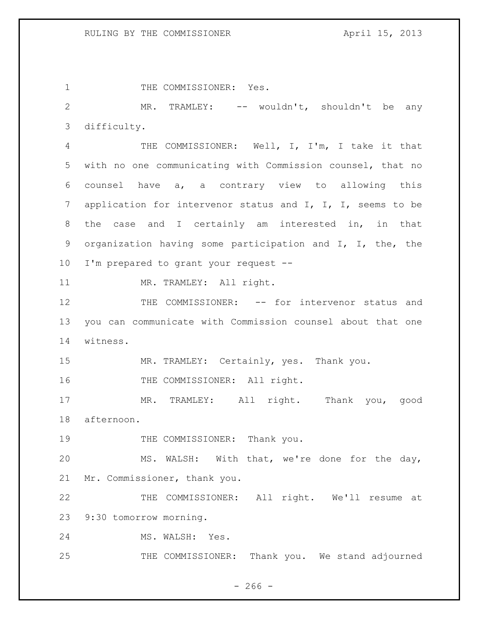1 THE COMMISSIONER: Yes.

 MR. TRAMLEY: -- wouldn't, shouldn't be any difficulty.

 THE COMMISSIONER: Well, I, I'm, I take it that with no one communicating with Commission counsel, that no counsel have a, a contrary view to allowing this application for intervenor status and I, I, I, seems to be the case and I certainly am interested in, in that organization having some participation and I, I, the, the I'm prepared to grant your request --

11 MR. TRAMLEY: All right.

12 THE COMMISSIONER: -- for intervenor status and you can communicate with Commission counsel about that one witness.

MR. TRAMLEY: Certainly, yes. Thank you.

16 THE COMMISSIONER: All right.

 MR. TRAMLEY: All right. Thank you, good afternoon.

19 THE COMMISSIONER: Thank you.

 MS. WALSH: With that, we're done for the day, Mr. Commissioner, thank you.

 THE COMMISSIONER: All right. We'll resume at 9:30 tomorrow morning.

MS. WALSH: Yes.

THE COMMISSIONER: Thank you. We stand adjourned